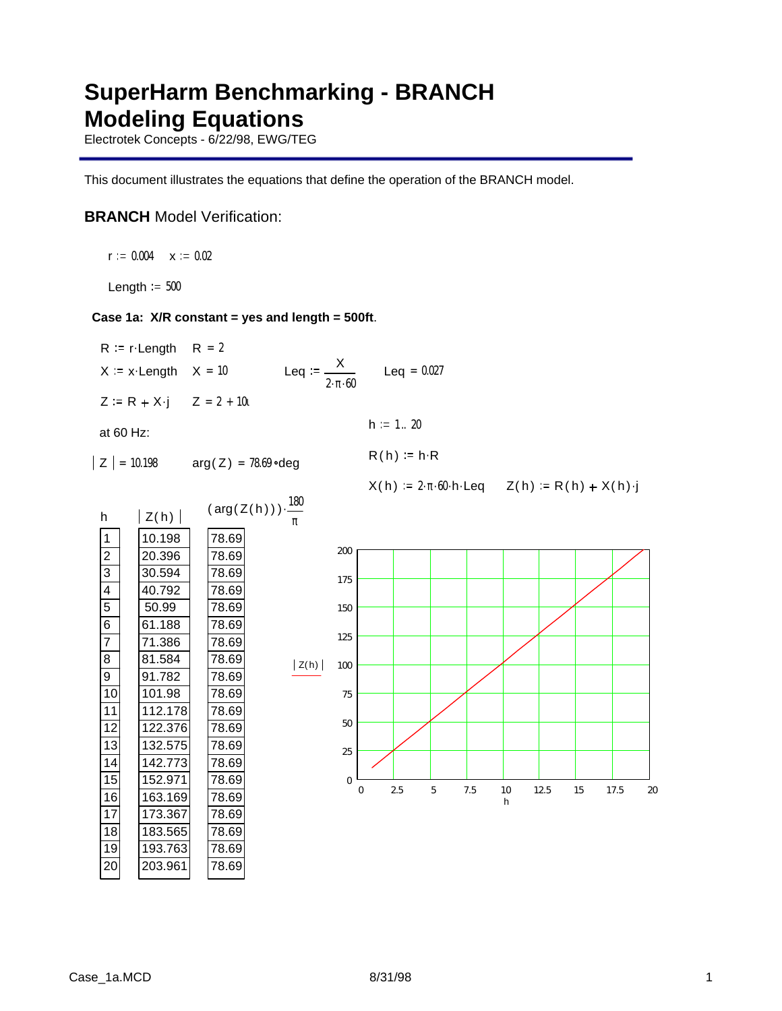# **SuperHarm Benchmarking - BRANCH Modeling Equations**

Electrotek Concepts - 6/22/98, EWG/TEG

This document illustrates the equations that define the operation of the BRANCH model.

## **BRANCH** Model Verification:

 $r := 0.004$   $\times := 0.02$ 

Length  $= 500$ 

### **Case 1a: X/R constant = yes and length = 500ft**.

78.69 78.69 78.69 78.69

 $R = r$  Length  $R = 2$  $X = x$  Length  $X = 10$  Leq :=  $\frac{X}{X}$  $2 \cdot \pi \cdot 60$  $Leq = 0.027$  $Z = R + X \cdot j$   $Z = 2 + 10i$ at 60 Hz:  $h := 1..20$  $R(h) = h \cdot R$  $|Z| = 10.198$  arg( $Z$ ) = 78.69 ° deg  $X(h) = 2 \cdot \pi \cdot 60 \cdot h \cdot \text{Leq}$   $Z(h) = R(h) + X(h) \cdot j$ ( arg( Z( h) ) )  $\cdot \frac{180}{10}$ π . 78.69 78.69 78.69 78.69 78.69 78.69 78.69 78.69 78.69 78.69 78.69 78.69 78.69 78.69 78.69 78.69 h 1 2 3 4 5 6 7 8  $\overline{9}$ 10 11 12 13 14 15 16  $|Z(h)|$ 10.198 20.396 30.594 40.792 50.99 61.188 71.386 81.584 91.782 101.98 112.178 122.376 132.575 142.773 152.971 163.169  $|Z(h)|$ h 0 2.5 5 7.5 10 12.5 15 17.5 20  $\boldsymbol{0}$ 25 50 75 100 125 150 175 200

173.367 183.565 193.763 203.961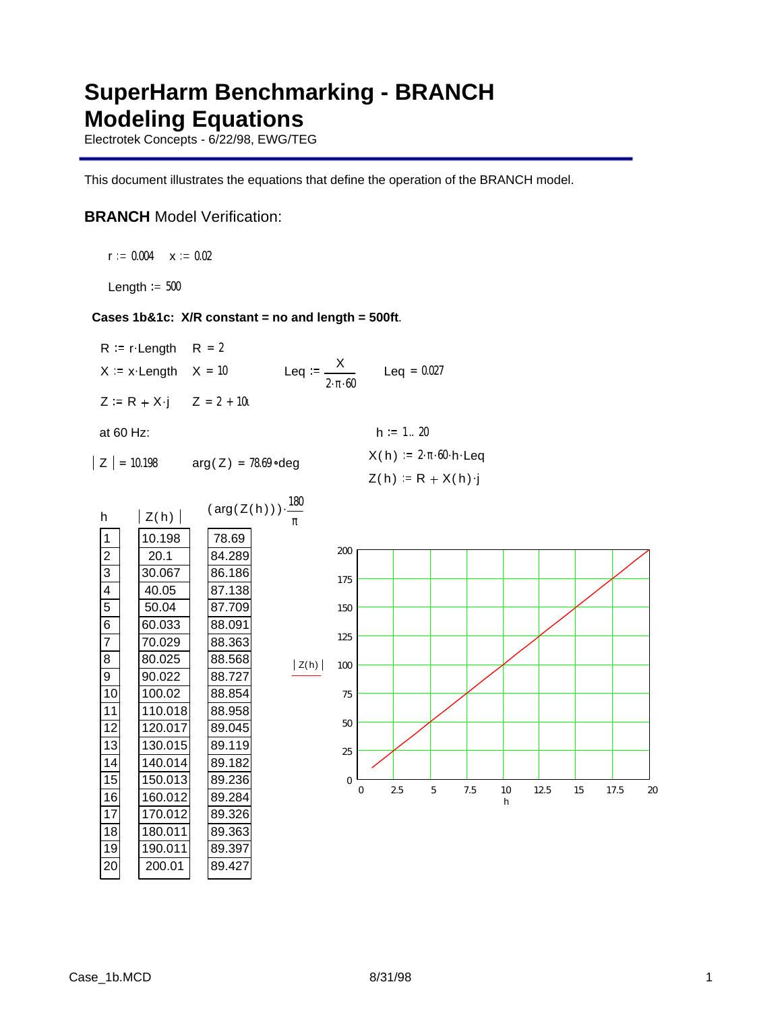# **SuperHarm Benchmarking - BRANCH Modeling Equations**

Electrotek Concepts - 6/22/98, EWG/TEG

This document illustrates the equations that define the operation of the BRANCH model.

## **BRANCH** Model Verification:

 $r := 0.004$   $\times = 0.02$ 

Length  $= 500$ 

### **Cases 1b&1c: X/R constant = no and length = 500ft**.

| $R = r$ Length $R = 2$            |                                                |               |
|-----------------------------------|------------------------------------------------|---------------|
| $X = x$ Length $X = 10$           | Leq := $\frac{X}{X}$<br>$2 \cdot \pi \cdot 60$ | $Leq = 0.027$ |
| $Z = R + X \cdot j$ $Z = 2 + 10i$ |                                                |               |

at 60 Hz:  $h := 1 .. 20$ 

$$
J(Z) = 78.69 \text{ °deg}
$$

 $|Z| = 10.198$  arg(Z) = 78.69 deg  $X(h) = 2 \cdot \pi \cdot 60 \cdot h \cdot \text{Leg}$  $Z(h) = R + X(h) \cdot j$ 



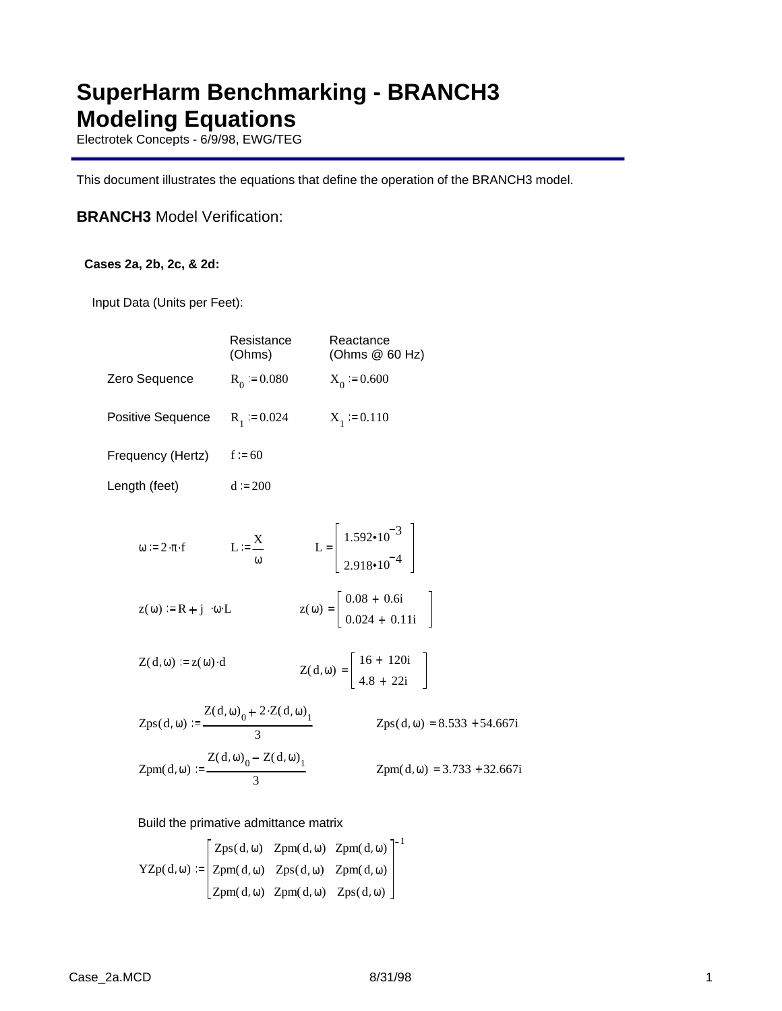# **SuperHarm Benchmarking - BRANCH3 Modeling Equations**

Electrotek Concepts - 6/9/98, EWG/TEG

This document illustrates the equations that define the operation of the BRANCH3 model.

## **BRANCH3** Model Verification:

### **Cases 2a, 2b, 2c, & 2d:**

Input Data (Units per Feet):

|                                                                               | Resistance<br>(Ohms)                                             | Reactance<br>(Ohms @ 60 Hz)                                                    |
|-------------------------------------------------------------------------------|------------------------------------------------------------------|--------------------------------------------------------------------------------|
| Zero Sequence                                                                 | $R_0 := 0.080$                                                   | $X_0 = 0.600$                                                                  |
| <b>Positive Sequence</b>                                                      | $R_1 := 0.024$                                                   | $X_1 := 0.110$                                                                 |
| Frequency (Hertz)                                                             | $f = 60$                                                         |                                                                                |
| Length (feet)                                                                 | $d := 200$                                                       |                                                                                |
| $\omega := 2 \cdot \pi \cdot f$                                               | $L := \frac{X}{A}$                                               | L = $\begin{bmatrix} 1.592 \cdot 10^{-3} \\ 2.918 \cdot 10^{-4} \end{bmatrix}$ |
| $z(\omega) = R + i \cdot \omega \cdot L$                                      |                                                                  | $z(\omega) = \begin{bmatrix} 0.08 + 0.6i \\ 0.024 + 0.11i \end{bmatrix}$       |
| $Z(d, \omega) := z(\omega) \cdot d$                                           |                                                                  | $Z(d, \omega) = \begin{bmatrix} 16 + 120i \\ 4.8 + 22i \end{bmatrix}$          |
|                                                                               | Zps(d, ω) := $\frac{Z(d, \omega_0 + 2 \cdot Z(d, \omega_1))}{2}$ | $Zps(d, \omega) = 8.533 + 54.667i$                                             |
| Zpm(d, $\omega$ ) := $\frac{Z(d, \omega)_0 - Z(d, \omega)_1}{Z(d, \omega)_1}$ |                                                                  | $Zpm(d, \omega) = 3.733 + 32.667i$                                             |

### Build the primative admittance matrix

3

 $YZp(d, \omega)$  $Zps(d, \omega)$  $Zpm(d, \omega)$  $Zpm(d, \omega)$   $Zpm(d, \omega)$   $Zps(d, \omega)$ Zpm( d, ω)  $Zps(d, \omega)$ Zpm( d, ω)  $Zpm(d, \omega)$ 1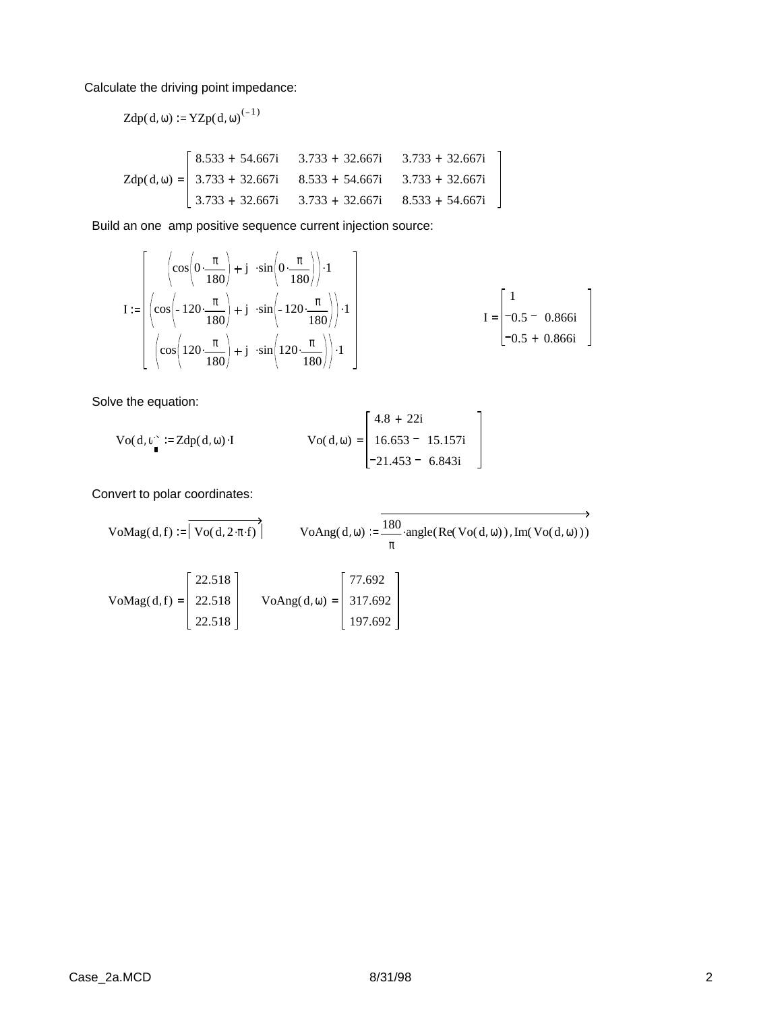Calculate the driving point impedance:

Zdp(d, \omega) := YZp(d, \omega)<sup>(-1)</sup>  
\nZdp(d, \omega) = 
$$
\begin{bmatrix}\n8.533 + 54.667i & 3.733 + 32.667i & 3.733 + 32.667i \\
3.733 + 32.667i & 8.533 + 54.667i & 3.733 + 32.667i \\
3.733 + 32.667i & 3.733 + 32.667i & 8.533 + 54.667i\n\end{bmatrix}
$$

Build an one amp positive sequence current injection source:

$$
I := \left[\begin{array}{c} \left(\cos\left(0 \cdot \frac{\pi}{180}\right) + j \cdot \sin\left(0 \cdot \frac{\pi}{180}\right)\right) \cdot 1 \\ \left(\cos\left(-120 \cdot \frac{\pi}{180}\right) + j \cdot \sin\left(-120 \cdot \frac{\pi}{180}\right)\right) \cdot 1 \\ \left(\cos\left(120 \cdot \frac{\pi}{180}\right) + j \cdot \sin\left(120 \cdot \frac{\pi}{180}\right)\right) \cdot 1 \end{array}\right] \qquad I = \begin{bmatrix} 1 \\ -0.5 - 0.866i \\ -0.5 + 0.866i \end{bmatrix}
$$

Solve the equation:

$$
\text{Vo(d, } \theta_{\bullet}^{\cdot} := \text{Zdp(d, } \omega) \cdot \text{I} \qquad \text{Vo(d, } \omega) = \begin{bmatrix} 4.8 + 22i \\ 16.653 - 15.157i \\ -21.453 - 6.843i \end{bmatrix}
$$

Convert to polar coordinates:

\n
$$
\text{VoMag}(d, f) := \n \begin{bmatrix}\n \text{Vo}(d, 2 \cdot \pi \cdot f) & \text{VoAng}(d, \omega) \\
 \text{VoAng}(d, \omega) & \text{vs.} \\
 \text{voAng}(d, \omega) & \text{vs.} \\
 \text{voAng}(d, f) & \text{voAng}(d, \omega) \\
 \text{voAng}(d, \omega) & \text{vo Ang}(d, \omega)\n \end{bmatrix}\n \begin{bmatrix}\n 77.692 \\
 317.692 \\
 197.692\n \end{bmatrix}
$$
\n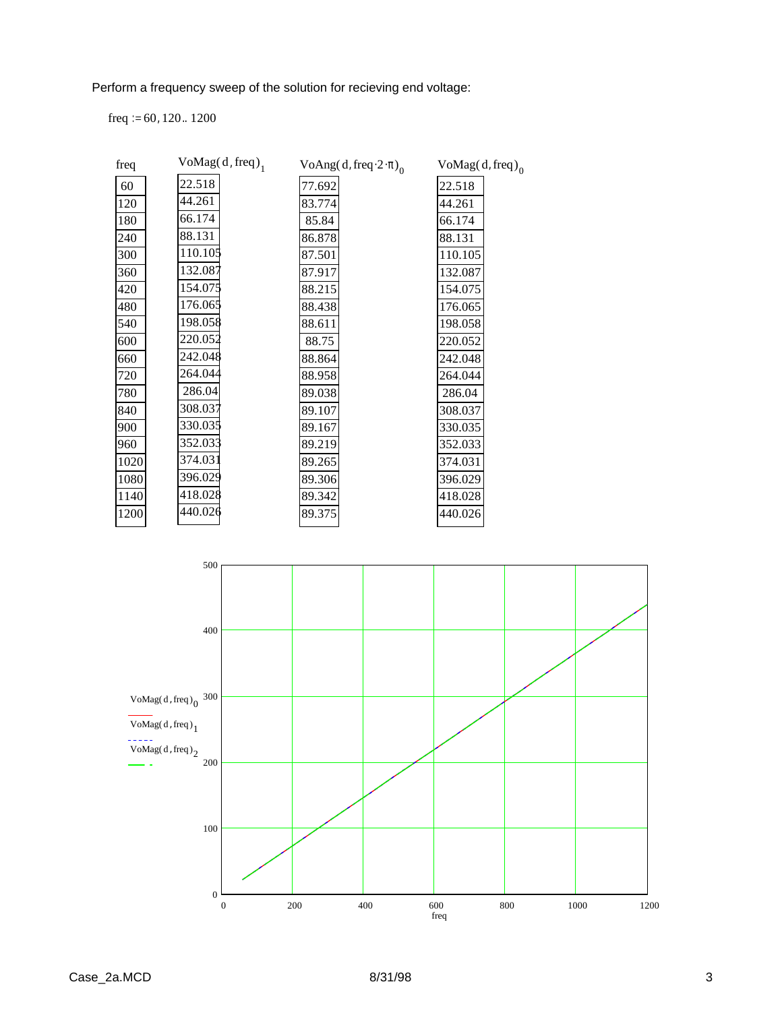Perform a frequency sweep of the solution for recieving end voltage:

freq  $:= 60, 120.. 1200$ 

| freq | $VoMag(d, freq)_{1}$ | VoAng(d, freq $\cdot 2 \cdot \pi$ ) | $VoMag(d, freq)$ <sub>0</sub> |
|------|----------------------|-------------------------------------|-------------------------------|
| 60   | 22.518               | 77.692                              | 22.518                        |
| 120  | 44.261               | 83.774                              | 44.261                        |
| 180  | 66.174               | 85.84                               | 66.174                        |
| 240  | 88.131               | 86.878                              | 88.131                        |
| 300  | 110.105              | 87.501                              | 110.105                       |
| 360  | 132.087              | 87.917                              | 132.087                       |
| 420  | 154.075              | 88.215                              | 154.075                       |
| 480  | 176.065              | 88.438                              | 176.065                       |
| 540  | 198.058              | 88.611                              | 198.058                       |
| 600  | 220.052              | 88.75                               | 220.052                       |
| 660  | 242.048              | 88.864                              | 242.048                       |
| 720  | 264.044              | 88.958                              | 264.044                       |
| 780  | 286.04               | 89.038                              | 286.04                        |
| 840  | 308.037              | 89.107                              | 308.037                       |
| 900  | 330.035              | 89.167                              | 330.035                       |
| 960  | 352.033              | 89.219                              | 352.033                       |
| 1020 | 374.031              | 89.265                              | 374.031                       |
| 1080 | 396.029              | 89.306                              | 396.029                       |
| 1140 | 418.028              | 89.342                              | 418.028                       |
| 1200 | 440.026              | 89.375                              | 440.026                       |
|      |                      |                                     |                               |

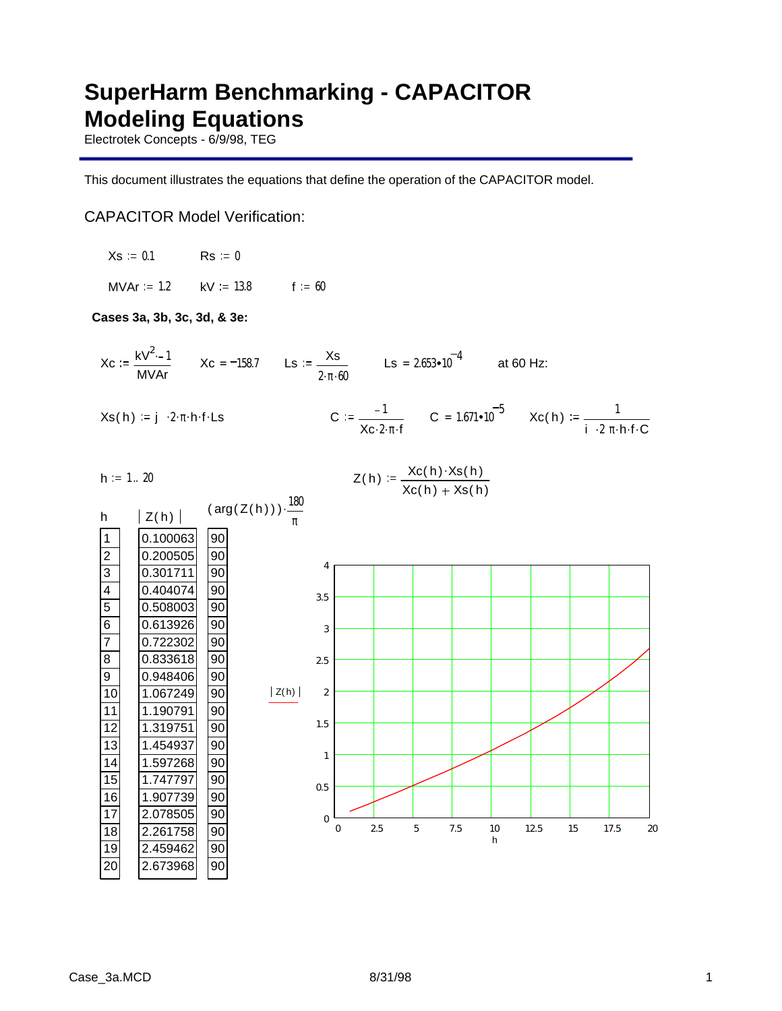# **SuperHarm Benchmarking - CAPACITOR Modeling Equations**

Electrotek Concepts - 6/9/98, TEG

This document illustrates the equations that define the operation of the CAPACITOR model.

## CAPACITOR Model Verification:

 $Xs = 0.1$  Rs = 0

MVAr = 1.2  $kV = 13.8$  f = 60

### **Cases 3a, 3b, 3c, 3d, & 3e:**

 $Xc := \frac{kV^2 - 1}{2}$ MVAr  $Xc = -158.7$  Ls  $:=$   $\frac{Xs}{X}$  $2 \cdot \pi \cdot 60$ Ls =  $2.653 \cdot 10^{-4}$ at 60 Hz:

$$
Xs(h) := j \cdot 2 \cdot \pi \cdot h \cdot f \cdot Ls
$$

$$
:= \frac{-1}{\chi_{C \cdot 2 \cdot \pi \cdot f}} \qquad C = 1.671 \cdot 10^{-5} \qquad \chi_{C}(h) := \frac{1}{i \cdot 2 \pi \cdot h \cdot f \cdot C}
$$

$$
Z(h) := \frac{Xc(h) \cdot Xs(h)}{}
$$

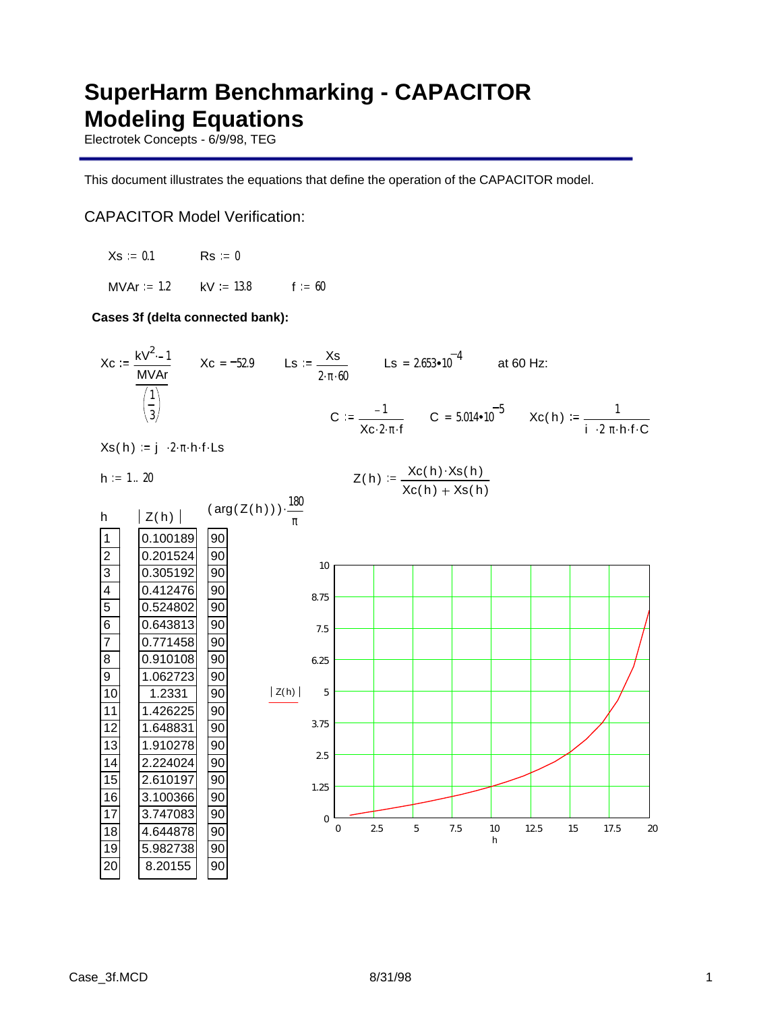# **SuperHarm Benchmarking - CAPACITOR Modeling Equations**

Electrotek Concepts - 6/9/98, TEG

This document illustrates the equations that define the operation of the CAPACITOR model.

## CAPACITOR Model Verification:

 $Xs = 0.1$  Rs = 0

MVAr = 1.2  $kV = 13.8$  f = 60

### **Cases 3f (delta connected bank):**



 $Xs(h) := j \cdot 2 \cdot \pi \cdot h \cdot f \cdot Ls$ 

 $h := 1 .. 20$ 

$$
Z(h) := \frac{Xc(h) \cdot Xs(h)}{Xc(h) + Xs(h)}
$$

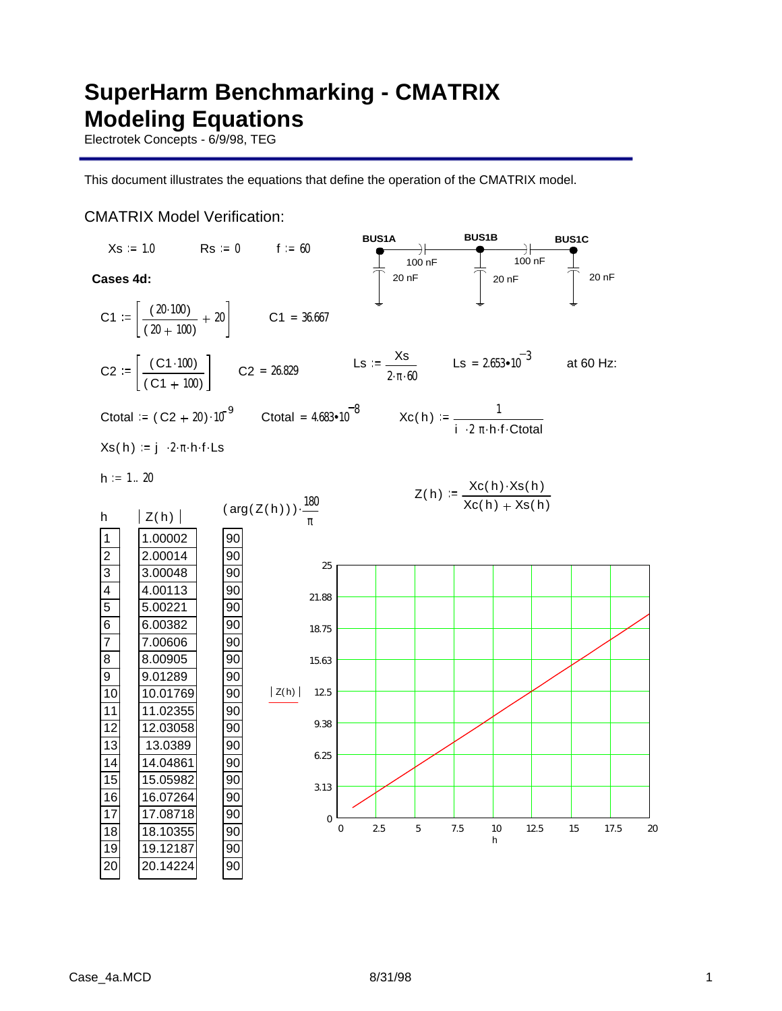# **SuperHarm Benchmarking - CMATRIX Modeling Equations**

Electrotek Concepts - 6/9/98, TEG

This document illustrates the equations that define the operation of the CMATRIX model.

## CMATRIX Model Verification:

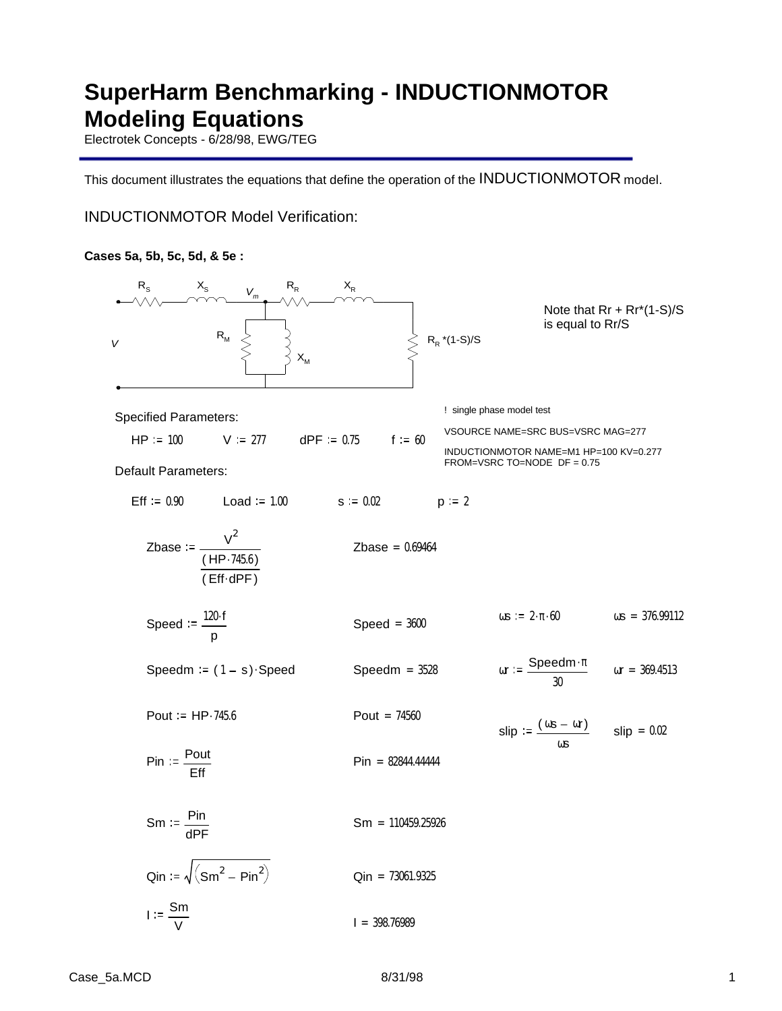# **SuperHarm Benchmarking - INDUCTIONMOTOR Modeling Equations**

Electrotek Concepts - 6/28/98, EWG/TEG

This document illustrates the equations that define the operation of the INDUCTIONMOTOR model.

INDUCTIONMOTOR Model Verification:

### **Cases 5a, 5b, 5c, 5d, & 5e :**

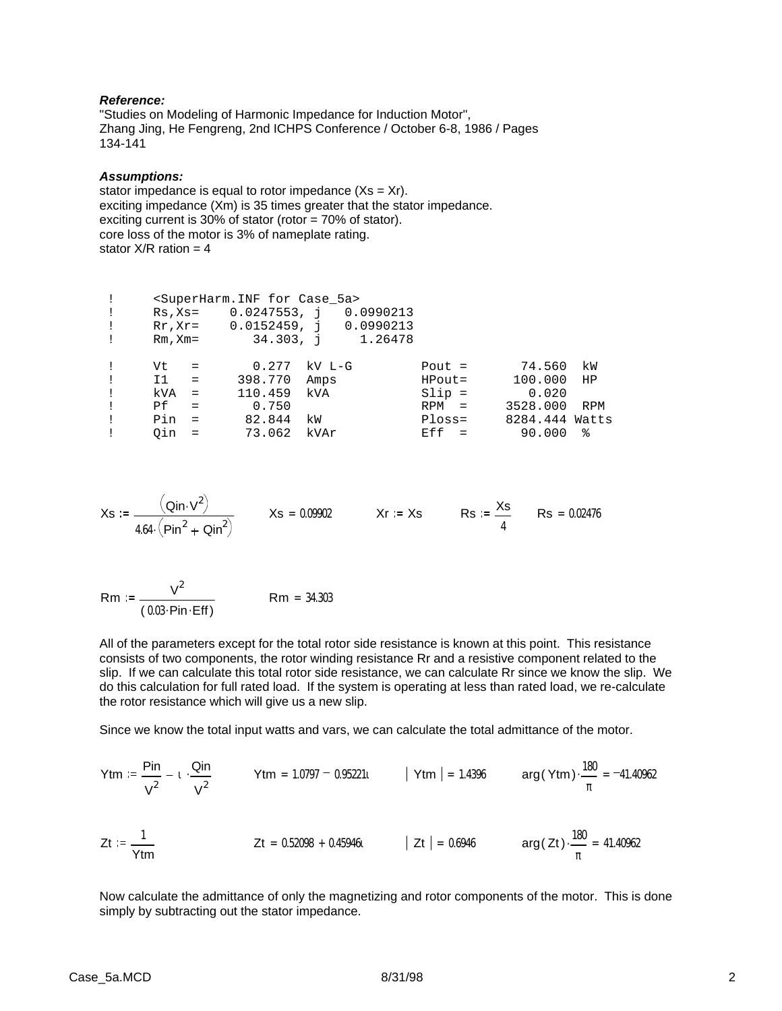#### *Reference:*

"Studies on Modeling of Harmonic Impedance for Induction Motor", Zhang Jing, He Fengreng, 2nd ICHPS Conference / October 6-8, 1986 / Pages 134-141

#### *Assumptions:*

stator impedance is equal to rotor impedance  $(Xs = Xr)$ . exciting impedance (Xm) is 35 times greater that the stator impedance. exciting current is 30% of stator (rotor = 70% of stator). core loss of the motor is 3% of nameplate rating. stator  $X/R$  ration = 4

| $\pm$<br>$\mathbf{I}$<br>$\pm$<br>$\pm$ | $Rm$ , $Xm=$ | $Rs$ , $Xs =$ | <superharm.inf 5a="" case="" for=""><br/>0.0247553, i 0.0990213<br/><math>Rr, Xr = 0.0152459, i 0.0990213</math></superharm.inf> |        | $34.303, \quad i \quad 1.26478$ |          |                |     |
|-----------------------------------------|--------------|---------------|----------------------------------------------------------------------------------------------------------------------------------|--------|---------------------------------|----------|----------------|-----|
| $\mathbf{I}$                            | Vt           | $=$           | 0.277                                                                                                                            | kV L-G |                                 | Pout $=$ | 74.560         | kW  |
| $\mathbf{I}$                            | I1           | $=$           | 398.770                                                                                                                          | Amps   |                                 | HPout=   | 100.000        | HP  |
| $\pm$                                   | kVA          | $=$           | 110.459                                                                                                                          | kVA    |                                 | $Slip =$ | 0.020          |     |
| $\mathbf{I}$                            | Pf.          | $\equiv$      | 0.750                                                                                                                            |        |                                 | $RPM =$  | 3528.000       | RPM |
| $\pm$                                   | Pin          | $=$           | 82.844                                                                                                                           | kW     |                                 | $Ploss=$ | 8284.444 Watts |     |
|                                         | Oin          | $=$           | 73.062                                                                                                                           | kVAr   |                                 | $Eff =$  | 90.000         | ႜ   |

$$
Xs := \frac{(Qin \cdot V^2)}{4.64 \cdot (Pin^2 + Qin^2)} \qquad Xs = 0.09902 \qquad Xr := Xs \qquad Rs := \frac{Xs}{4} \qquad Rs = 0.02476
$$

Rm :=  $\frac{V^2}{V}$  $(0.03 \cdot \text{Pin} \cdot \text{Eff})$ Rm = 34.303

All of the parameters except for the total rotor side resistance is known at this point. This resistance consists of two components, the rotor winding resistance Rr and a resistive component related to the slip. If we can calculate this total rotor side resistance, we can calculate Rr since we know the slip. We do this calculation for full rated load. If the system is operating at less than rated load, we re-calculate the rotor resistance which will give us a new slip.

Since we know the total input watts and vars, we can calculate the total admittance of the motor.

$$
\text{Ytm} := \frac{\text{Pin}}{\text{V}^2} - 1 \cdot \frac{\text{Qin}}{\text{V}^2} \qquad \text{Ytm} = 1.0797 - 0.95221t \qquad |\text{Ytm}| = 1.4396 \qquad \arg(\text{Ytm}) \cdot \frac{180}{\pi} = -41.40962
$$
\n
$$
\text{Zt} := \frac{1}{\text{Ytm}} \qquad \text{Zt} = 0.52098 + 0.45946t \qquad |\text{Zt}| = 0.6946 \qquad \arg(\text{Zt}) \cdot \frac{180}{\pi} = 41.40962
$$

Now calculate the admittance of only the magnetizing and rotor components of the motor. This is done simply by subtracting out the stator impedance.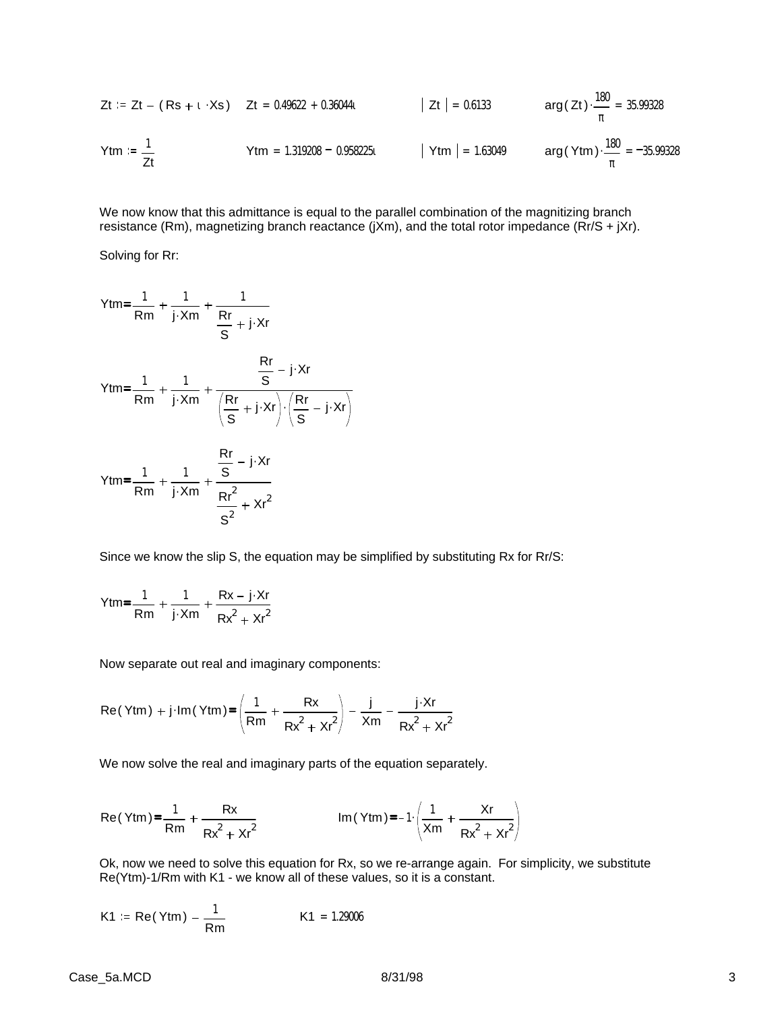$$
Zt := Zt - (Rs + t \cdot Xs) \t Zt = 0.49622 + 0.36044t \t |Zt| = 0.6133 \t arg(Zt) \cdot \frac{180}{\pi} = 35.99328
$$
  
\n
$$
Ytm := \frac{1}{Zt} \t Ytm = 1.319208 - 0.958225t \t |Ytm| = 1.63049 \t arg(Ytm) \cdot \frac{180}{\pi} = -35.99328
$$

We now know that this admittance is equal to the parallel combination of the magnitizing branch resistance (Rm), magnetizing branch reactance (jXm), and the total rotor impedance (Rr/S + jXr).

Solving for Rr:

$$
Ytm = \frac{1}{Rm} + \frac{1}{j \cdot Xm} + \frac{1}{\frac{Rr}{S} + j \cdot Xr}
$$
  

$$
Ytm = \frac{1}{Rm} + \frac{1}{j \cdot Xm} + \frac{\frac{Rr}{S} - j \cdot Xr}{\left(\frac{Rr}{S} + j \cdot Xr\right) \cdot \left(\frac{Rr}{S} - j \cdot Xr\right)}
$$
  

$$
Ytm = \frac{1}{Rm} + \frac{1}{j \cdot Xm} + \frac{\frac{Rr}{S} - j \cdot Xr}{\frac{Rr^{2}}{S^{2}} + Xr^{2}}
$$

Since we know the slip S, the equation may be simplified by substituting Rx for Rr/S:

$$
Ytm = \frac{1}{Rm} + \frac{1}{j \cdot Xm} + \frac{Rx - j \cdot Xr}{Rx^2 + Xr^2}
$$

Now separate out real and imaginary components:

$$
\text{Re}(\text{Ytm}) + \text{j} \cdot \text{Im}(\text{Ytm}) = \left(\frac{1}{\text{Rm}} + \frac{\text{Rx}}{\text{Rx}^2 + \text{Kr}^2}\right) - \frac{\text{j}}{\text{Xm}} - \frac{\text{j} \cdot \text{Xr}}{\text{Rx}^2 + \text{Kr}^2}
$$

We now solve the real and imaginary parts of the equation separately.

Re(Ytm) = 
$$
\frac{1}{Rm} + \frac{Rx}{Rx^2 + xr^2}
$$
 Im(Ytm) =  $-1 \left( \frac{1}{Xm} + \frac{Xr}{Rx^2 + xr^2} \right)$ 

Ok, now we need to solve this equation for Rx, so we re-arrange again. For simplicity, we substitute Re(Ytm)-1/Rm with K1 - we know all of these values, so it is a constant.

$$
K1 := Re(Ytm) - \frac{1}{Rm}
$$
  $K1 = 1.29006$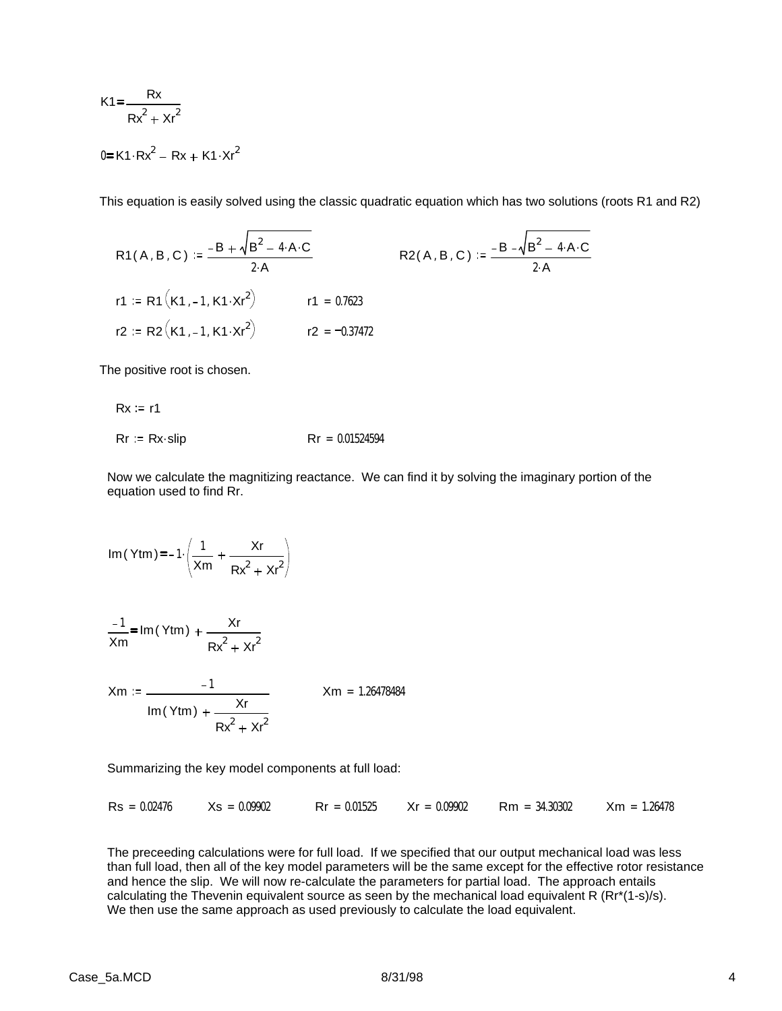$$
K1 = \frac{Rx}{Rx^2 + xr^2}
$$
  

$$
0 = K1 \cdot Rx^2 - Rx + K1 \cdot Nr^2
$$

This equation is easily solved using the classic quadratic equation which has two solutions (roots R1 and R2)

R1(A, B, C) := 
$$
\frac{-B + \sqrt{B^2 - 4 \cdot A \cdot C}}{2 \cdot A}
$$
  
\nR2(A, B, C) :=  $\frac{-B - \sqrt{B^2 - 4 \cdot A \cdot C}}{2 \cdot A}$   
\nR3B = R1 (K1, -1, K1 \cdot Kr<sup>2</sup>)  
\nR4B = R2 (A, B, C) :=  $\frac{-B - \sqrt{B^2 - 4 \cdot A \cdot C}}{2 \cdot A}$   
\nR5C = R2 (A, B, C) =  $\frac{-B - \sqrt{B^2 - 4 \cdot A \cdot C}}{2 \cdot A}$ 

The positive root is chosen.

 $Rx := r1$ 

$$
Rr := Rx \cdot slip \qquad Rr = 0.01524594
$$

Now we calculate the magnitizing reactance. We can find it by solving the imaginary portion of the equation used to find Rr.

Im(Ytm) = -1. 
$$
\left(\frac{1}{Xm} + \frac{Xr}{Rx^2 + xr^2}\right)
$$
  
 $\frac{-1}{Xm} = Im(Ytm) + \frac{Xr}{Rx^2 + xr^2}$   
 $\frac{-1}{Xm} = \frac{-1}{xm} = 1.26478484$ 

 $Im(Ytm) + \frac{Xr}{2}$ 

Summarizing the key model components at full load:

 $Rx^2 + xr^2$ 

 $\text{Rs} = 0.02476$   $\text{Xs} = 0.09902$   $\text{Rr} = 0.01525$   $\text{Xr} = 0.09902$   $\text{Rm} = 34.30302$   $\text{Xm} = 1.26478$ 

The preceeding calculations were for full load. If we specified that our output mechanical load was less than full load, then all of the key model parameters will be the same except for the effective rotor resistance and hence the slip. We will now re-calculate the parameters for partial load. The approach entails calculating the Thevenin equivalent source as seen by the mechanical load equivalent R (Rr\*(1-s)/s). We then use the same approach as used previously to calculate the load equivalent.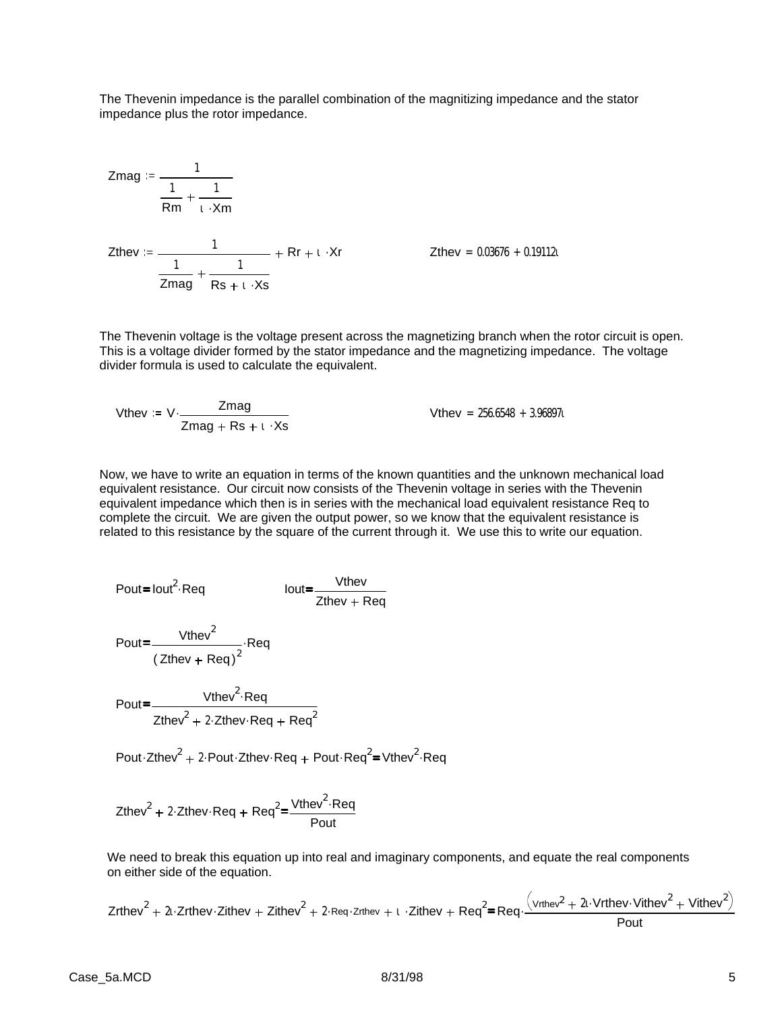The Thevenin impedance is the parallel combination of the magnitizing impedance and the stator impedance plus the rotor impedance.

Zmag := 
$$
\frac{1}{\frac{1}{Rm} + \frac{1}{\iota \cdot Xm}}
$$
  
\nZthey :=  $\frac{1}{\frac{1}{Zmag} + \frac{1}{Rs + \iota \cdot Xs}}$  +  $RF + \iota \cdot Xr$  Zthey = 0.03676 + 0.19112t

The Thevenin voltage is the voltage present across the magnetizing branch when the rotor circuit is open. This is a voltage divider formed by the stator impedance and the magnetizing impedance. The voltage divider formula is used to calculate the equivalent.

When 
$$
x = V \cdot \frac{Z \cdot \text{mag}}{Z \cdot \text{mag} + \text{Rs} + 1 \cdot \text{Rs}}
$$

\nWhen  $z = 256.6548 + 3.968971$ .

Now, we have to write an equation in terms of the known quantities and the unknown mechanical load equivalent resistance. Our circuit now consists of the Thevenin voltage in series with the Thevenin equivalent impedance which then is in series with the mechanical load equivalent resistance Req to complete the circuit. We are given the output power, so we know that the equivalent resistance is related to this resistance by the square of the current through it. We use this to write our equation.

$$
Pout = Iout2 \t\t\t Req \t\t\t Iout = \frac{Vthev}{Zthev + Req}
$$

$$
Pout = \frac{Vthev^2}{(Zthev + Req)^2} \cdot Req
$$

Pout=\_\_\_\_\_\_\_\_\_Vthev<sup>2</sup>·Req Zthev $^2$  + 2 $\cdot$ Zthev $\cdot$ Req + Req $^2$ 

Pout Zthev<sup>2</sup> + 2 Pout Zthev Req + Pout Req<sup>2</sup>=Vthev<sup>2</sup> Req

$$
Z\text{thev}^2 + 2\text{·}Z\text{thev·} \text{Req} + \text{Req}^2 = \frac{\text{Vthev}^2 \cdot \text{Req}}{\text{Pout}}
$$

We need to break this equation up into real and imaginary components, and equate the real components on either side of the equation.

$$
Zrthev^{2} + 2i \cdot Zrthev \cdot Zithev + Zithev^{2} + 2 \cdot \text{Req} \cdot zrhev + i \cdot Zithev + \text{Req}^{2} = \text{Req} \cdot \frac{(vrthev^{2} + 2i \cdot Vrthev \cdot Vithev^{2} + Vithev^{2})}{\text{Pout}}
$$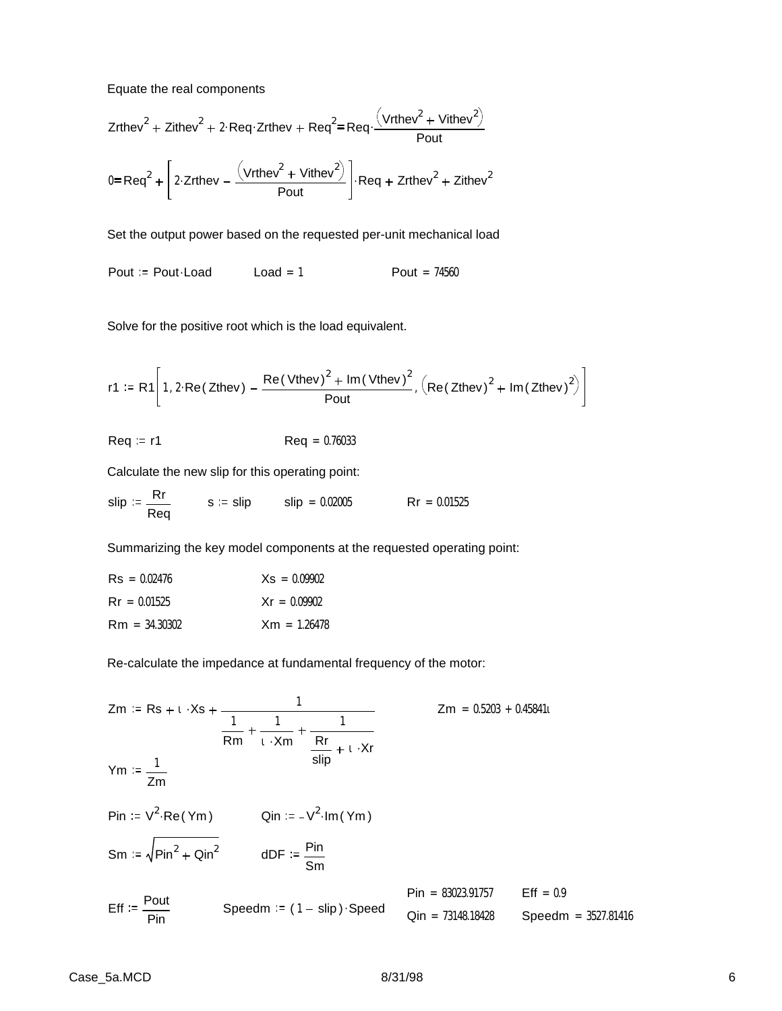Equate the real components

$$
Zrthev2 + Zithev2 + 2 \cdot \text{Req} \cdot Zrthev + \text{Req}^{2} = \text{Req} \cdot \frac{(\text{Vrthev}^{2} + \text{Vithev}^{2})}{\text{Pout}}
$$

$$
0 = \text{Req}^{2} + \left[ 2 \cdot Zrthev - \frac{(\text{Vrthev}^{2} + \text{Vithev}^{2})}{\text{Pout}} \right] \cdot \text{Req} + Zrthev2 + Zithev2
$$

Set the output power based on the requested per-unit mechanical load

Pout  $=$  Pout $\cdot$ Load Load = 1 Pout = 74560

Solve for the positive root which is the load equivalent.

$$
r1 := R1\left[1, 2 \cdot Re(Zthev) - \frac{Re(Vthev)^{2} + Im(Vthev)^{2}}{Pout}, (Re(Zthev)^{2} + Im(Zthev)^{2})\right]
$$

$$
Req := r1 \qquad \qquad \text{Req} = 0.76033
$$

Calculate the new slip for this operating point:

$$
slip := \frac{Rr}{Req} \qquad s := slip \qquad slip = 0.02005 \qquad Rr = 0.01525
$$

Summarizing the key model components at the requested operating point:

| $\text{Rs} = 0.02476$ | $Xs = 0.09902$ |
|-----------------------|----------------|
| $\text{Rr} = 0.01525$ | $Xr = 0.09902$ |
| $Rm = 34.30302$       | $Xm = 1.26478$ |

Re-calculate the impedance at fundamental frequency of the motor:

Zm := Rs + t · Xs + 
$$
\frac{1}{\frac{1}{Rm} + \frac{1}{t \cdot Xm} + \frac{1}{\frac{Rr}{slip} + t \cdot Xr}}
$$
  
\nYm :=  $\frac{1}{Zm}$   
\nPin :=  $V^2 \cdot \text{Re}(Ym)$  Qin :=  $-V^2 \cdot \text{Im}(Ym)$   
\nSm :=  $\sqrt{\text{Pin}^2 + \text{Qin}^2}$  Qin :=  $-\frac{\text{Pin}}{\text{Sm}}$   
\nEff :=  $\frac{\text{Pout}}{\text{Pin}}$  Speedm :=  $(1 - \text{slip}) \cdot \text{Speed}$  Qin = 73148.18428 Speedm = 3527.81416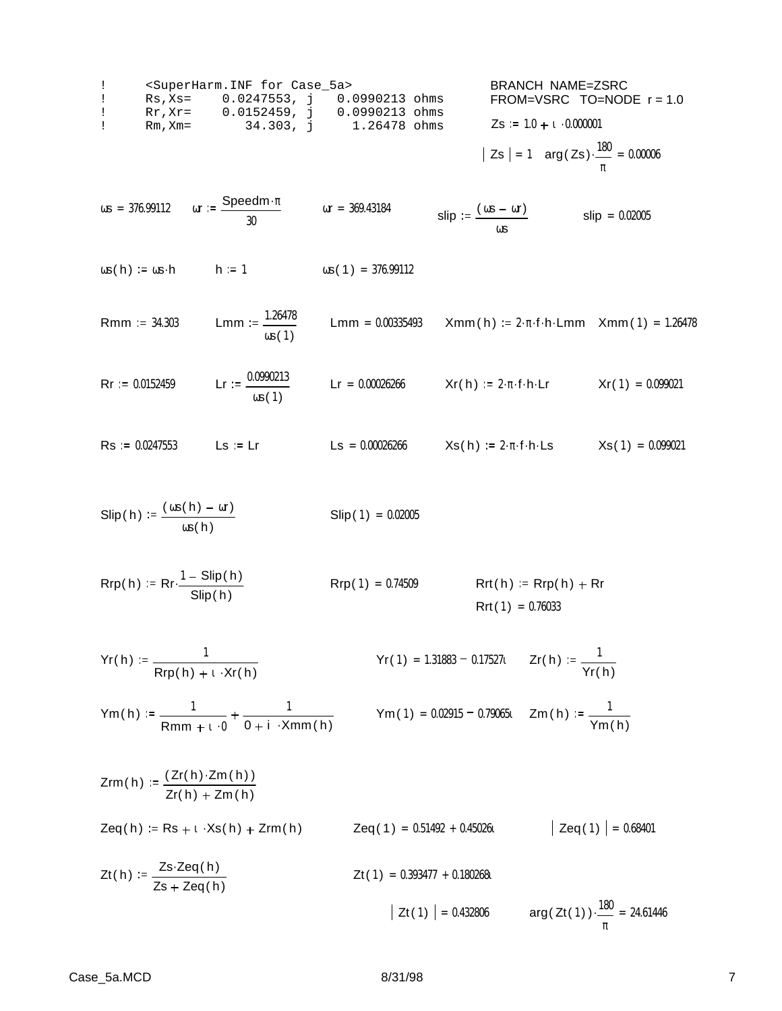| 1                                              | $\langle$ SuperHarm. INF for Case_5a> | BRANCH NAME=ZSRC             |
|------------------------------------------------|---------------------------------------|------------------------------|
| 1                                              | Rs, Xs= 0.0247553, j 0.0990213 ohms   | FROM=VSRC TO=NODE r=1.0      |
| 1                                              | Rr, Xr= 0.0152459, j 0.0990213 ohms   | Zs := 1.0 + t \cdot 0.000001 |
| 1                                              | Rm, Xm= 34.303, j 1.26478 ohms        | Zs := 1.0 + t \cdot 0.000001 |
| 2s = 1 arg(Zs) \cdot \frac{180}{180} = 0.00006 |                                       |                              |

π

 $\omega$ s = 376.99112  $\omega$ r :=  $\frac{\text{Speedm} \cdot \pi}{\sqrt{\frac{1}{\omega^2}} \cdot \frac{1}{\omega^2}}$ 30 ωr = 369.43184 **slip** :=  $\frac{(\omega s - \omega r)}{\omega s}$ ωs  $slip = 0.02005$ 

- $\omega s(h) := \omega s \cdot h$  h := 1  $\omega s(1) = 376.99112$
- **Rmm** := 34.303 Lmm :=  $\frac{1.26478}{1.26478}$ ωs( 1 ) Lmm =  $0.00335493$  Xmm(h) :=  $2 \cdot \pi \cdot f \cdot h \cdot Lmm$  Xmm(1) = 1.26478
- $\text{Rr} := 0.0152459$  Lr :=  $\frac{0.0990213}{\text{L}}$  $\omega s(1)$  $\mathsf{L} \mathsf{r} = 0.00026266$   $\qquad \qquad \mathsf{X} \mathsf{r}(\mathsf{h}) := 2 \cdot \pi \cdot \mathsf{f} \cdot \mathsf{h} \cdot \mathsf{L} \mathsf{r}$   $\qquad \qquad \mathsf{X} \mathsf{r}(1) = 0.099021$
- $\text{Rs} := 0.0247553$  Ls := Lr Ls = 0.00026266 Xs(h) := 2.  $\pi$ . f. h. Ls Xs(1) = 0.099021
- $\textrm{Slip}$  ( h) :=  $\frac{(\cos(h) \omega r)}{\omega}$ ωs( h)  $Slip(1) = 0.02005$

$$
Rrp(h) := Rr \cdot \frac{1 - \text{Slip}(h)}{\text{Slip}(h)}
$$
\n
$$
Rrp(1) = 0.74509
$$
\n
$$
Rrt(h) := Rrp(h) + Rr
$$
\n
$$
Rrt(1) = 0.76033
$$

$$
Yr(h) := \frac{1}{Rrp(h) + \iota \cdot Xr(h)}
$$
  $Yr(1) = 1.31883 - 0.17527\iota$   $Zr(h) := \frac{1}{Yr(h)}$ 

$$
Ym(h) := \frac{1}{Rmm + 1 \cdot 0} + \frac{1}{0 + i \cdot Xmm(h)}
$$
  $Ym(1) = 0.02915 - 0.79065t$   $Zm(h) := \frac{1}{Ym(h)}$ 

$$
Zrm(h) := \frac{(Zr(h) \cdot Zm(h))}{Zr(h) + Zm(h)}
$$
  
\n
$$
Zeq(h) := Rs + i \cdot Xs(h) + Zrm(h)
$$
  
\n
$$
Zeq(1) = 0.51492 + 0.45026i
$$
  
\n
$$
Zeq(1) = 0.68401
$$
  
\n
$$
Zt(h) := \frac{Zs \cdot Zeq(h)}{Zs + Zeq(h)}
$$
  
\n
$$
Zt(1) = 0.393477 + 0.180268i
$$
  
\n
$$
Zt(1) = 0.432806
$$
  
\n
$$
arg(Zt(1)) \cdot \frac{180}{\pi} = 24.61446
$$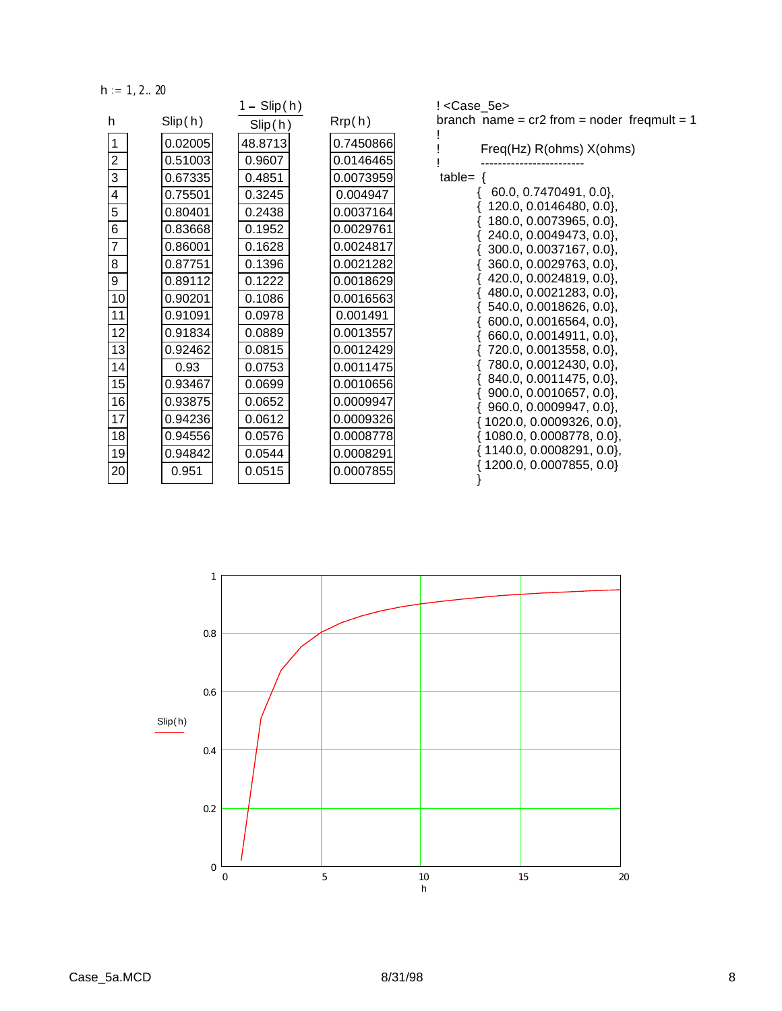$h := 1, 2 ... 20$ 

|                |         | $1 -$ Slip(h) |           |
|----------------|---------|---------------|-----------|
| h              | Slip(h) | Slip(h)       | Rrp(h)    |
| 1              | 0.02005 | 48.8713       | 0.7450866 |
| $\overline{c}$ | 0.51003 | 0.9607        | 0.0146465 |
| 3              | 0.67335 | 0.4851        | 0.0073959 |
| 4              | 0.75501 | 0.3245        | 0.004947  |
| 5              | 0.80401 | 0.2438        | 0.0037164 |
| 6              | 0.83668 | 0.1952        | 0.0029761 |
| $\overline{7}$ | 0.86001 | 0.1628        | 0.0024817 |
| 8              | 0.87751 | 0.1396        | 0.0021282 |
| 9              | 0.89112 | 0.1222        | 0.0018629 |
| 10             | 0.90201 | 0.1086        | 0.0016563 |
| 11             | 0.91091 | 0.0978        | 0.001491  |
| 12             | 0.91834 | 0.0889        | 0.0013557 |
| 13             | 0.92462 | 0.0815        | 0.0012429 |
| 14             | 0.93    | 0.0753        | 0.0011475 |
| 15             | 0.93467 | 0.0699        | 0.0010656 |
| 16             | 0.93875 | 0.0652        | 0.0009947 |
| 17             | 0.94236 | 0.0612        | 0.0009326 |
| 18             | 0.94556 | 0.0576        | 0.0008778 |
| 19             | 0.94842 | 0.0544        | 0.0008291 |
| 20             | 0.951   | 0.0515        | 0.0007855 |
|                |         |               |           |

! <Case\_5e> branch name =  $cr2$  from = noder freqmult = 1 !

| ļ<br>Freq(Hz) R(ohms) X(ohms)<br>I               |
|--------------------------------------------------|
| table= $\{$                                      |
| 60.0, 0.7470491, 0.0},                           |
| 120.0, 0.0146480, 0.0},                          |
| 180.0, 0.0073965, 0.0},                          |
| 240.0, 0.0049473, 0.0},                          |
| 300.0, 0.0037167, 0.0},                          |
| $360.0, 0.0029763, 0.0$ ,                        |
| 420.0, 0.0024819, 0.0<br>480.0, 0.0021283, 0.0}, |
| 540.0, 0.0018626, 0.0},                          |
| {<br>600.0, 0.0016564, 0.0},                     |
| 660.0, 0.0014911, 0.0},<br>{                     |
| 720.0, 0.0013558, 0.0},                          |
| 780.0, 0.0012430, 0.0},                          |
| ${840.0, 0.0011475, 0.0},$                       |
| 900.0, 0.0010657, 0.0                            |
| $\{960.0, 0.0009947, 0.0\},\$                    |
| { 1020.0, 0.0009326, 0.0},                       |
| $\{ 1080.0, 0.0008778, 0.0 \},$                  |
| $\{ 1140.0, 0.0008291, 0.0 \},$                  |
| {1200.0, 0.0007855, 0.0}                         |
| }                                                |

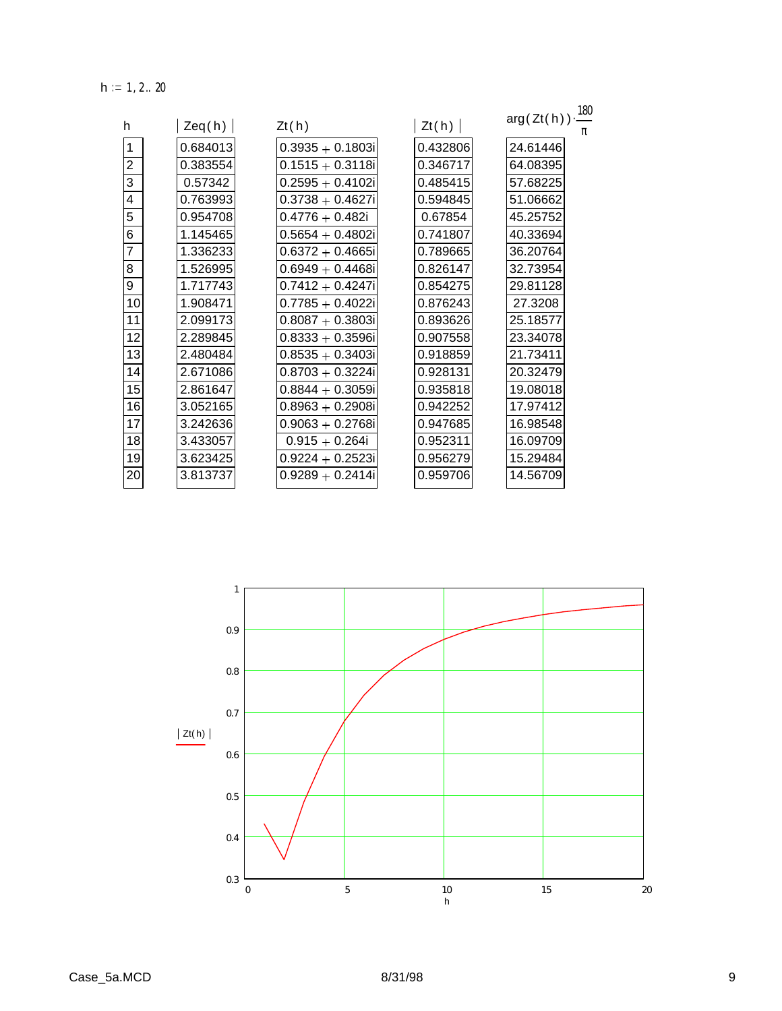$h := 1, 2 ... 20$ 

| h              | Zeq(h)   | Zt(h)               | Zt(h)    | $arg(Zt(h))\cdot \frac{180}{150}$ |
|----------------|----------|---------------------|----------|-----------------------------------|
|                |          |                     |          | π                                 |
| 1              | 0.684013 | $0.3935 + 0.1803i$  | 0.432806 | 24.61446                          |
| $\overline{2}$ | 0.383554 | $0.1515 + 0.3118i$  | 0.346717 | 64.08395                          |
| 3              | 0.57342  | $0.2595 + 0.4102i$  | 0.485415 | 57.68225                          |
| 4              | 0.763993 | $0.3738 + 0.4627i$  | 0.594845 | 51.06662                          |
| 5              | 0.954708 | $0.4776 + 0.482i$   | 0.67854  | 45.25752                          |
| 6              | 1.145465 | $0.5654 + 0.4802i$  | 0.741807 | 40.33694                          |
| $\overline{7}$ | 1.336233 | $0.6372 + 0.4665i$  | 0.789665 | 36.20764                          |
| 8              | 1.526995 | $0.6949 + 0.4468i$  | 0.826147 | 32.73954                          |
| 9              | 1.717743 | $0.7412 + 0.4247i$  | 0.854275 | 29.81128                          |
| 10             | 1.908471 | $0.7785 + 0.4022i$  | 0.876243 | 27.3208                           |
| 11             | 2.099173 | $0.8087 + 0.3803i$  | 0.893626 | 25.18577                          |
| 12             | 2.289845 | $0.8333 + 0.3596i$  | 0.907558 | 23.34078                          |
| 13             | 2.480484 | $0.8535 + 0.3403i$  | 0.918859 | 21.73411                          |
| 14             | 2.671086 | $0.8703 + 0.3224i$  | 0.928131 | 20.32479                          |
| 15             | 2.861647 | $0.8844 + 0.3059i$  | 0.935818 | 19.08018                          |
| 16             | 3.052165 | $0.8963 + 0.2908i$  | 0.942252 | 17.97412                          |
| 17             | 3.242636 | $0.9063 + 0.2768i$  | 0.947685 | 16.98548                          |
| 18             | 3.433057 | $0.915 + 0.264i$    | 0.952311 | 16.09709                          |
| 19             | 3.623425 | $0.9224 + 0.2523$ i | 0.956279 | 15.29484                          |
| 20             | 3.813737 | $0.9289 + 0.2414i$  | 0.959706 | 14.56709                          |

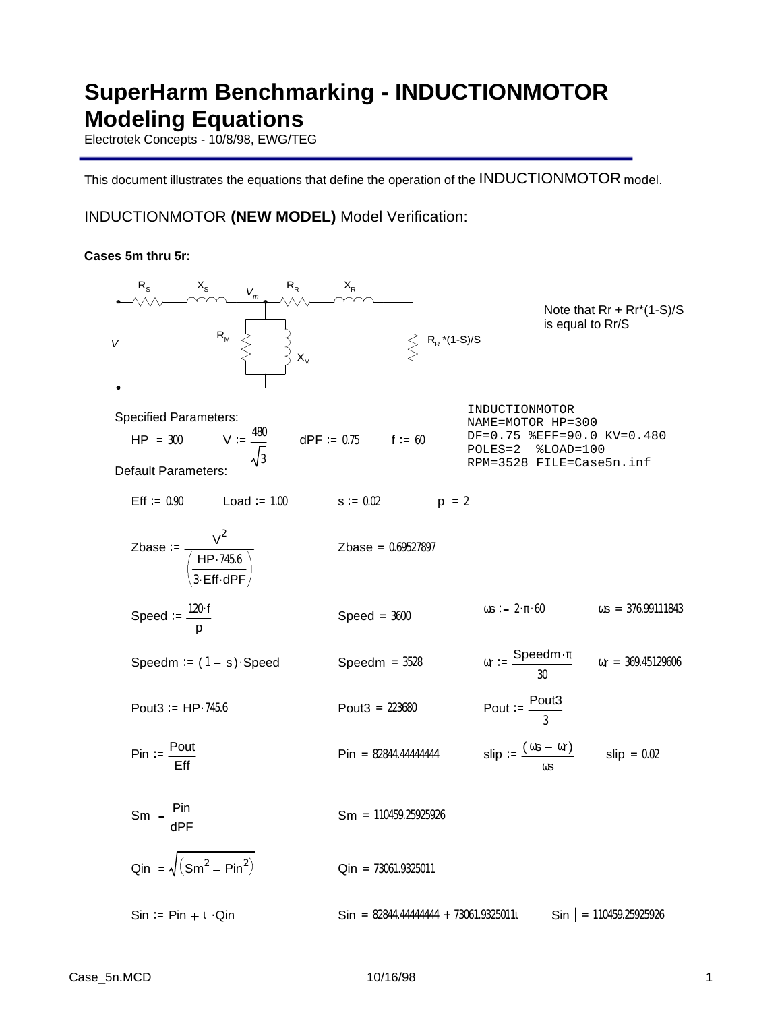# **SuperHarm Benchmarking - INDUCTIONMOTOR Modeling Equations**

Electrotek Concepts - 10/8/98, EWG/TEG

This document illustrates the equations that define the operation of the INDUCTIONMOTOR model.

## INDUCTIONMOTOR **(NEW MODEL)** Model Verification:

### **Cases 5m thru 5r:**

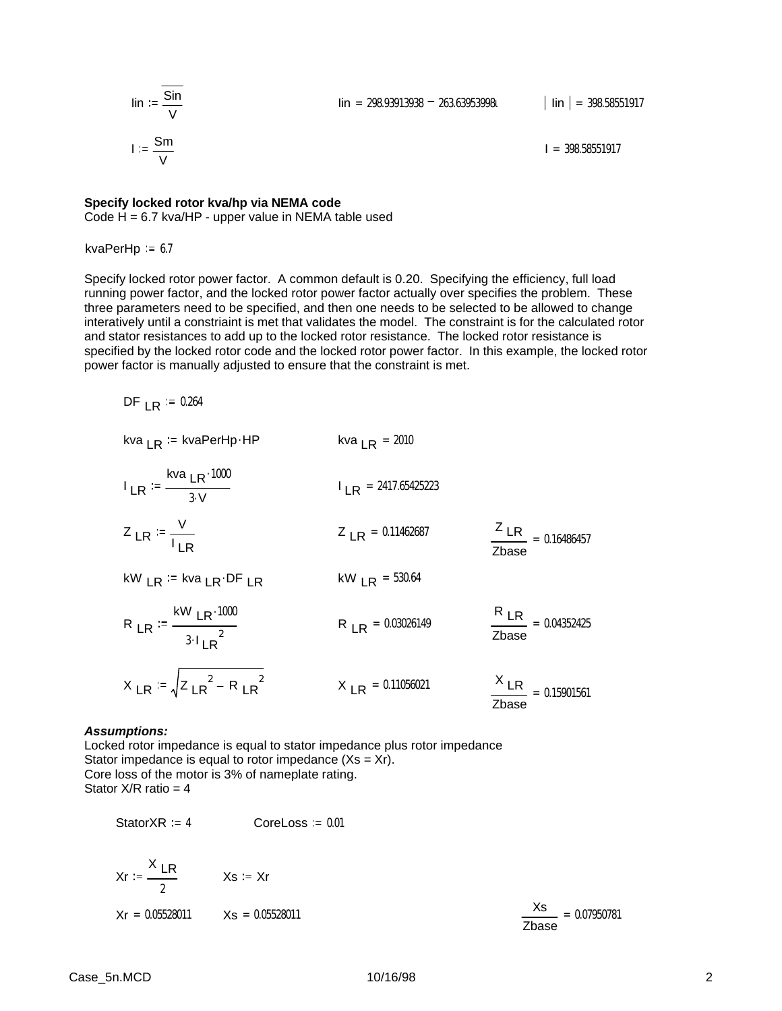$$
\lim_{v \to 0} \frac{\sin}{\frac{v}{v}}
$$
\n
$$
I := \frac{\sin}{\frac{v}{v}}
$$

 $I = 398.58551917$ 

### **Specify locked rotor kva/hp via NEMA code**

Code  $H = 6.7$  kva/HP - upper value in NEMA table used

kvaPerHp  $= 6.7$ 

Specify locked rotor power factor. A common default is 0.20. Specifying the efficiency, full load running power factor, and the locked rotor power factor actually over specifies the problem. These three parameters need to be specified, and then one needs to be selected to be allowed to change interatively until a constriaint is met that validates the model. The constraint is for the calculated rotor and stator resistances to add up to the locked rotor resistance. The locked rotor resistance is specified by the locked rotor code and the locked rotor power factor. In this example, the locked rotor power factor is manually adjusted to ensure that the constraint is met.

DF  $LR := 0.264$ 

kva 
$$
LR
$$
 := kvaPerHp HP  
\n
$$
I_{LR} = \frac{Kva_{LR} \cdot 1000}{3 \cdot V}
$$
\n
$$
I_{LR} = 2417.65425223
$$
\n
$$
Z_{LR} = \frac{V}{I_{LR}}
$$
\n
$$
Z_{LR} = 0.11462687
$$
\n
$$
KW_{LR} = kva_{LR} \cdot DF_{LR}
$$
\n
$$
KW_{LR} = 530.64
$$
\n
$$
R_{LR} = 0.03026149
$$
\n
$$
R_{LR} = 0.04352425
$$
\n
$$
X_{LR} = \sqrt{Z_{LR}^2 - R_{LR}^2}
$$
\n
$$
X_{LR} = 0.11056021
$$
\n
$$
X_{LR} = 0.15901561
$$

#### *Assumptions:*

Locked rotor impedance is equal to stator impedance plus rotor impedance Stator impedance is equal to rotor impedance  $(Xs = Xr)$ . Core loss of the motor is 3% of nameplate rating. Stator  $X/R$  ratio = 4

StatorXR  $:= 4$  CoreLoss  $= 0.01$ 

$$
Kr := \frac{X \, \text{LR}}{2}
$$
  $Xs := Xr$   
 $Kr = 0.05528011$   $Xs = 0.05528011$ 

| Xs.   | $= 0.07950781$ |
|-------|----------------|
| Zbase |                |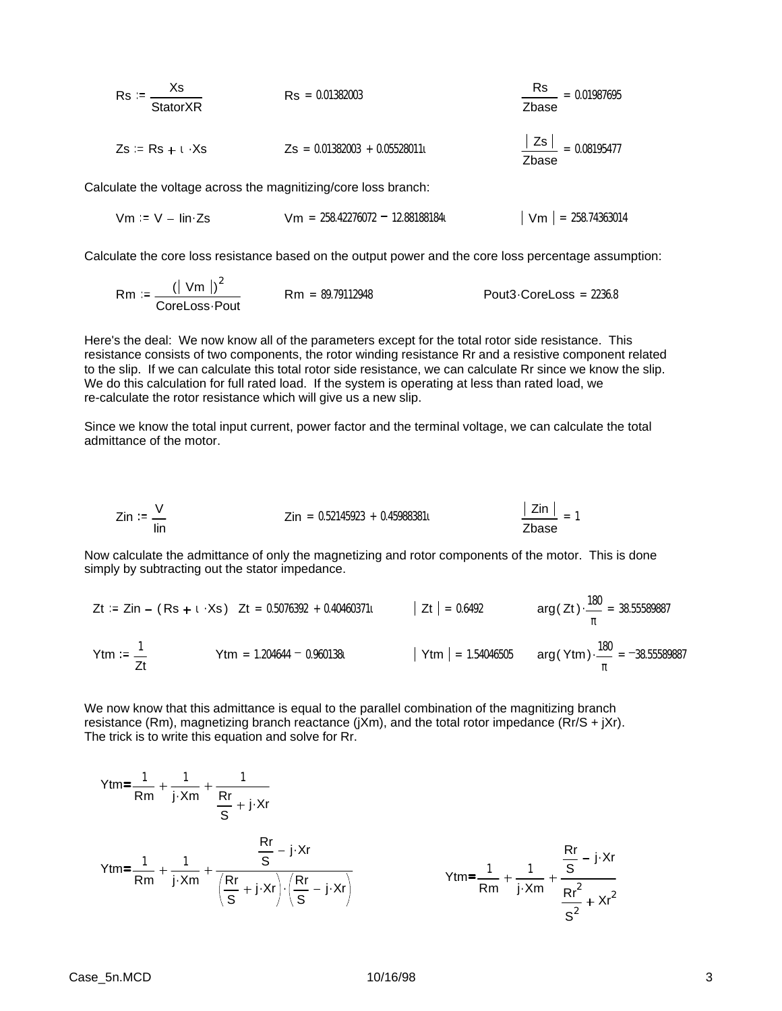| $Rs := \frac{Xs}{StatorXR}$                                  | $Rs = 0.01382003$               | $\frac{Rs}{Zbase} = 0.01987695$   |
|--------------------------------------------------------------|---------------------------------|-----------------------------------|
| $Zs := Rs + t \cdot Xs$                                      | $Zs = 0.01382003 + 0.05528011t$ | $\frac{ Zs }{Zbase} = 0.08195477$ |
| ulate the voltage across the magnification/core loss branch: |                                 |                                   |

Calculate the voltage across the magnitizing/core loss branch:

 $\overline{2}$ 

 $\sim 10^{-1}$ 

$$
Vm := V - lin \, \text{Zs}
$$
  $Vm = 258.42276072 - 12.881881841$   $|Vm| = 258.74363014$ 

Calculate the core loss resistance based on the output power and the core loss percentage assumption:

$$
Rm := \frac{(|\text{ Vm}|)^2}{\text{CoreLoss}\cdot\text{Pout}}
$$
\n
$$
Rm = 89.79112948
$$
\nPut 3. CoreLoss = 2236.8

Here's the deal: We now know all of the parameters except for the total rotor side resistance. This resistance consists of two components, the rotor winding resistance Rr and a resistive component related to the slip. If we can calculate this total rotor side resistance, we can calculate Rr since we know the slip. We do this calculation for full rated load. If the system is operating at less than rated load, we re-calculate the rotor resistance which will give us a new slip.

Since we know the total input current, power factor and the terminal voltage, we can calculate the total admittance of the motor.

$$
Zin := \frac{V}{\text{lin}} \qquad Zin = 0.52145923 + 0.45988381t \qquad \frac{|Zin|}{Zbase} = 1
$$

Now calculate the admittance of only the magnetizing and rotor components of the motor. This is done simply by subtracting out the stator impedance.

$$
Zt := Zin - (Rs + t \cdot Xs) \quad Zt = 0.5076392 + 0.40460371t \qquad |Zt| = 0.6492 \qquad arg(Zt) \cdot \frac{180}{\pi} = 38.55589887
$$
\n
$$
Ytm := \frac{1}{Zt} \qquad Ytm = 1.204644 - 0.960138t \qquad |Ytm| = 1.54046505 \qquad arg(Ytm) \cdot \frac{180}{\pi} = -38.55589887
$$

We now know that this admittance is equal to the parallel combination of the magnitizing branch resistance (Rm), magnetizing branch reactance (jXm), and the total rotor impedance (Rr/S + jXr). The trick is to write this equation and solve for Rr.

$$
Ytm = \frac{1}{Rm} + \frac{1}{j \cdot Xm} + \frac{1}{\frac{Rr}{S} + j \cdot Xr}
$$
  

$$
Ytm = \frac{1}{Rm} + \frac{1}{j \cdot Xm} + \frac{\frac{Rr}{S} - j \cdot Xr}{\left(\frac{Rr}{S} + j \cdot Xr\right) \cdot \left(\frac{Rr}{S} - j \cdot Xr\right)}
$$
  

$$
Ytm = \frac{1}{Rm} + \frac{1}{j \cdot Xm} + \frac{\frac{Rr}{S} - j \cdot Xr}{\frac{Rr^{2}}{S^{2}} + Xr^{2}}
$$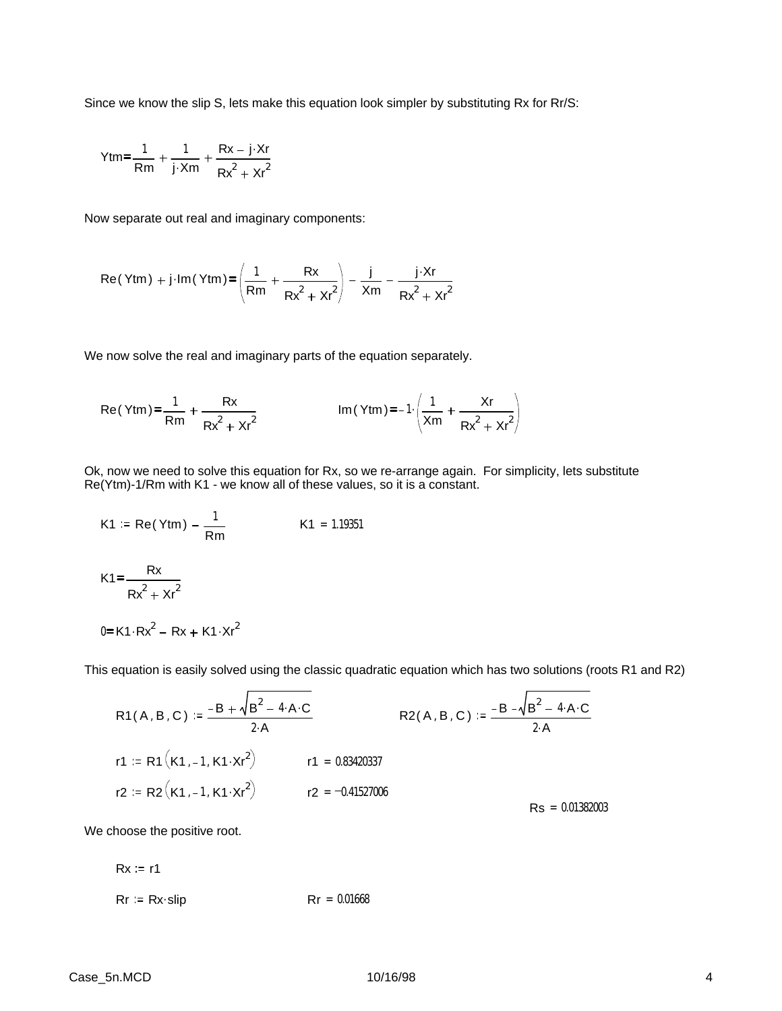Since we know the slip S, lets make this equation look simpler by substituting Rx for Rr/S:

$$
Ytm = \frac{1}{Rm} + \frac{1}{j \cdot Xm} + \frac{Rx - j \cdot Xr}{Rx^2 + Xr^2}
$$

Now separate out real and imaginary components:

$$
Re(Ytm) + j \cdot Im(Ytm) = \left(\frac{1}{Rm} + \frac{Rx}{Rx^2 + xr^2}\right) - \frac{j}{Xm} - \frac{j \cdot Xr}{Rx^2 + xr^2}
$$

We now solve the real and imaginary parts of the equation separately.

Re(Ytm) = 
$$
\frac{1}{Rm} + \frac{Rx}{Rx^2 + xr^2}
$$
 Im(Ytm) = -1 $\cdot \left(\frac{1}{Xm} + \frac{Xr}{Rx^2 + xr^2}\right)$ 

Ok, now we need to solve this equation for Rx, so we re-arrange again. For simplicity, lets substitute Re(Ytm)-1/Rm with K1 - we know all of these values, so it is a constant.

K1 := Re(Ytm) - 
$$
\frac{1}{Rm}
$$
  
K1 = 1.19351  
K1 =  $\frac{Rx}{Rx^2 + xr^2}$ 

This equation is easily solved using the classic quadratic equation which has two solutions (roots R1 and R2)

R1(A, B, C) := 
$$
\frac{-B + \sqrt{B^2 - 4 \cdot A \cdot C}}{2 \cdot A}
$$
  
\nR2(A, B, C) :=  $\frac{-B - \sqrt{B^2 - 4 \cdot A \cdot C}}{2 \cdot A}$   
\nr1 := R1(K1, -1, K1 \cdot xr^2)   
\nr1 = 0.83420337  
\nr2 := R2(K1, -1, K1 \cdot xr^2)   
\nr2 = -0.41527006  
\nRs = 0.01382003

We choose the positive root.

 $0 = K1 \cdot Rx^2 - Rx + K1 \cdot Xr^2$ 

$$
Rx := r1
$$
  
\n $Rr := Rx\cdot slip$   $Rr = 0.01668$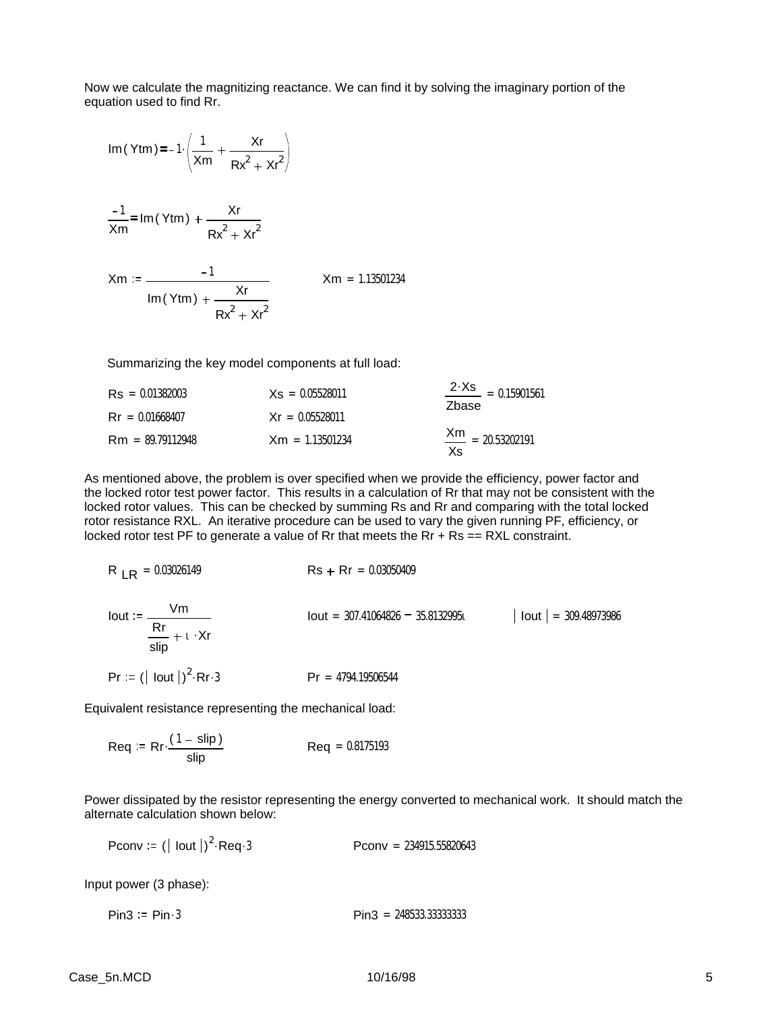Now we calculate the magnitizing reactance. We can find it by solving the imaginary portion of the equation used to find Rr.

Im (Ytm) = 
$$
-1 \cdot \left( \frac{1}{Xm} + \frac{Xr}{Rx^2 + xr^2} \right)
$$

$$
\frac{-1}{\text{Xm}} = \text{Im}(\text{Ytm}) + \frac{\text{Xr}}{\text{Rx}^2 + \text{Xr}^2}
$$

$$
Xm := \frac{-1}{\text{Im}(Y \text{tm}) + \frac{Xr}{Rx^{2} + Xr^{2}}}
$$
 
$$
Xm = 1.13501234
$$

Summarizing the key model components at full load:

| $\text{Rs} = 0.01382003$ | $Xs = 0.05528011$ | $\frac{2 \cdot Xs}{\cdot 15901561}$<br>Zhase |  |
|--------------------------|-------------------|----------------------------------------------|--|
| $\text{Rr} = 0.01668407$ | $Xr = 0.05528011$ |                                              |  |
| $Rm = 89.79112948$       | $Xm = 1.13501234$ | $\frac{Xm}{1}$ = 20.53202191<br>Xs           |  |

As mentioned above, the problem is over specified when we provide the efficiency, power factor and the locked rotor test power factor. This results in a calculation of Rr that may not be consistent with the locked rotor values. This can be checked by summing Rs and Rr and comparing with the total locked rotor resistance RXL. An iterative procedure can be used to vary the given running PF, efficiency, or locked rotor test PF to generate a value of Rr that meets the Rr  $+$  Rs  $=$  = RXL constraint.

$$
R_{LR} = 0.03026149
$$
\n
$$
R_{SR} = 0.03026149
$$
\n
$$
R_{SR} = 0.03050409
$$
\n
$$
R_{SR} = 0.03050409
$$
\n
$$
R_{SR} = 0.03050409
$$
\n
$$
R_{SR} = 0.03050409
$$
\n
$$
R_{SR} = 0.03050409
$$
\n
$$
R_{SR} = 0.03050409
$$
\n
$$
R_{SR} = 0.03050409
$$
\n
$$
R_{SR} = 0.03050409
$$
\n
$$
R_{SR} = 0.03050409
$$
\n
$$
R_{SR} = 0.03050409
$$
\n
$$
R_{SR} = 0.03050409
$$
\n
$$
R_{SR} = 0.03050409
$$
\n
$$
R_{SR} = 0.03050409
$$
\n
$$
R_{SR} = 0.03050409
$$
\n
$$
R_{SR} = 0.03050409
$$
\n
$$
R_{SR} = 0.03050409
$$
\n
$$
R_{SR} = 0.03050409
$$
\n
$$
R_{SR} = 0.03050409
$$
\n
$$
R_{SR} = 0.03050409
$$
\n
$$
R_{SR} = 0.03050409
$$
\n
$$
R_{SR} = 0.03050409
$$
\n
$$
R_{SR} = 0.03050409
$$
\n
$$
R_{SR} = 0.03050409
$$
\n
$$
R_{SR} = 0.03050409
$$
\n
$$
R_{SR} = 0.03050409
$$

Equivalent resistance representing the mechanical load:

$$
Req := Rr \cdot \frac{(1 - \text{slip})}{\text{slip}} \qquad \qquad Req = 0.8175193
$$

Power dissipated by the resistor representing the energy converted to mechanical work. It should match the alternate calculation shown below:

Pconv :=  $(|$  lout  $|)^2$  $Pconv = 234915.55820643$ 

Input power (3 phase):

 $Pin3 = Pin \cdot 3$  Pin $3 = 248533.33333333$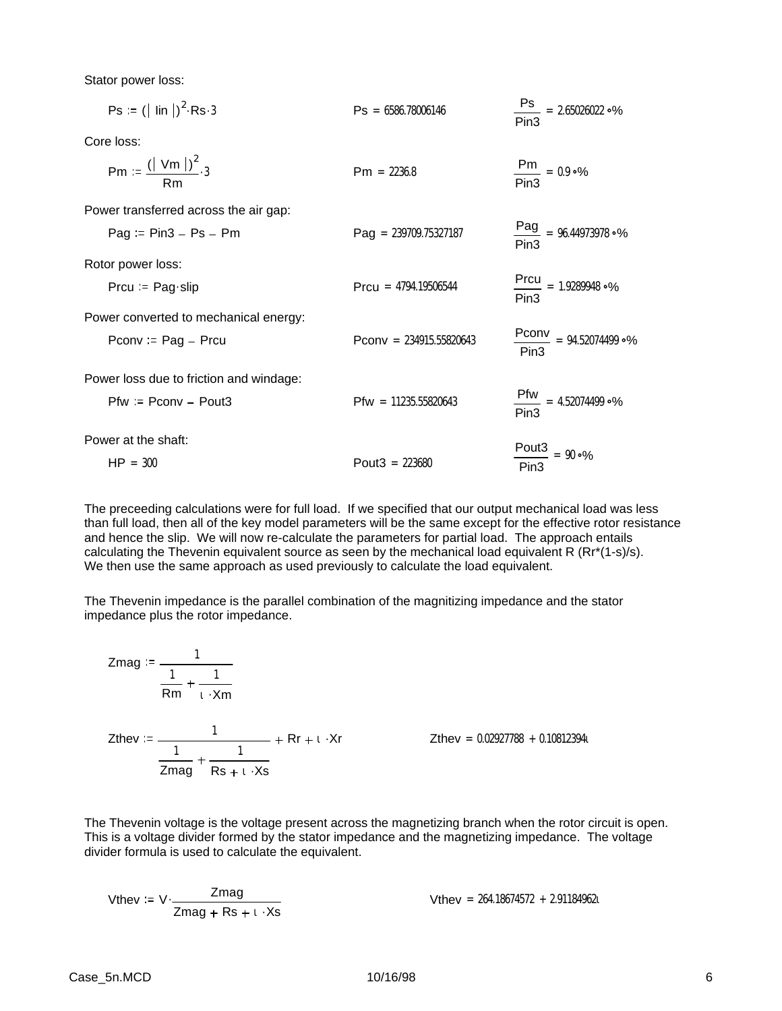Stator power loss:

| $Ps = ( \text{lin} )^2 \text{Rs } 3$     | $\text{Ps} = 6586.78006146$    | $\frac{\text{Ps}}{2}$ = 2.65026022 °%<br>Pin <sub>3</sub> |
|------------------------------------------|--------------------------------|-----------------------------------------------------------|
| Core loss:                               |                                |                                                           |
| Pm := $\frac{(  \text{ Vm } )^2}{Rm}$ .3 | $Pm = 2236.8$                  | $\frac{Pm}{Pin3} = 0.9 \cdot %$                           |
| Power transferred across the air gap:    |                                |                                                           |
| $Paq = Pin3 - Ps - Pm$                   | $\text{Pag} = 239709.75327187$ | $\frac{Pag}{Pin3}$ = 96.44973978 °%                       |
| Rotor power loss:                        |                                |                                                           |
| Prcu = $\text{Page-slip}$                | $Prou = 4794.19506544$         | $\frac{Prou}{Pin3} = 1.9289948 °\%$                       |
| Power converted to mechanical energy:    |                                |                                                           |
| Pconv := $Pag - Prcu$                    | Pconv = $234915.55820643$      | $\frac{Pconv}{P}$ = 94.52074499 °%<br>Pin3                |
| Power loss due to friction and windage:  |                                |                                                           |
| $Pfw := Pconv - Pout3$                   | $Pfw = 11235.55820643$         | $Pfw = 4.52074499°$<br>Pin <sub>3</sub>                   |
| Power at the shaft:                      |                                |                                                           |
| $HP = 300$                               | Pout $3 = 223680$              | $\frac{$ Pout3}{ } = 90 °<br>Pin <sub>3</sub>             |

The preceeding calculations were for full load. If we specified that our output mechanical load was less than full load, then all of the key model parameters will be the same except for the effective rotor resistance and hence the slip. We will now re-calculate the parameters for partial load. The approach entails calculating the Thevenin equivalent source as seen by the mechanical load equivalent R (Rr\*(1-s)/s). We then use the same approach as used previously to calculate the load equivalent.

The Thevenin impedance is the parallel combination of the magnitizing impedance and the stator impedance plus the rotor impedance.

$$
Zmag := \frac{1}{\frac{1}{Rm} + \frac{1}{\iota \cdot Xm}}
$$
  

$$
Zthev := \frac{1}{\frac{1}{Zmag} + \frac{1}{Rs + \iota \cdot Xs}} + Rr + \iota \cdot Xr
$$

 $Z$ thev = 0.02927788 + 0.108123941

The Thevenin voltage is the voltage present across the magnetizing branch when the rotor circuit is open. This is a voltage divider formed by the stator impedance and the magnetizing impedance. The voltage divider formula is used to calculate the equivalent.

When 
$$
z = V \cdot \frac{Z \cdot \text{mag}}{Z \cdot \text{mag} + \text{Rs} + 1 \cdot \text{Rs}}
$$

\nWhen  $z = 264.18674572 + 2.911849621$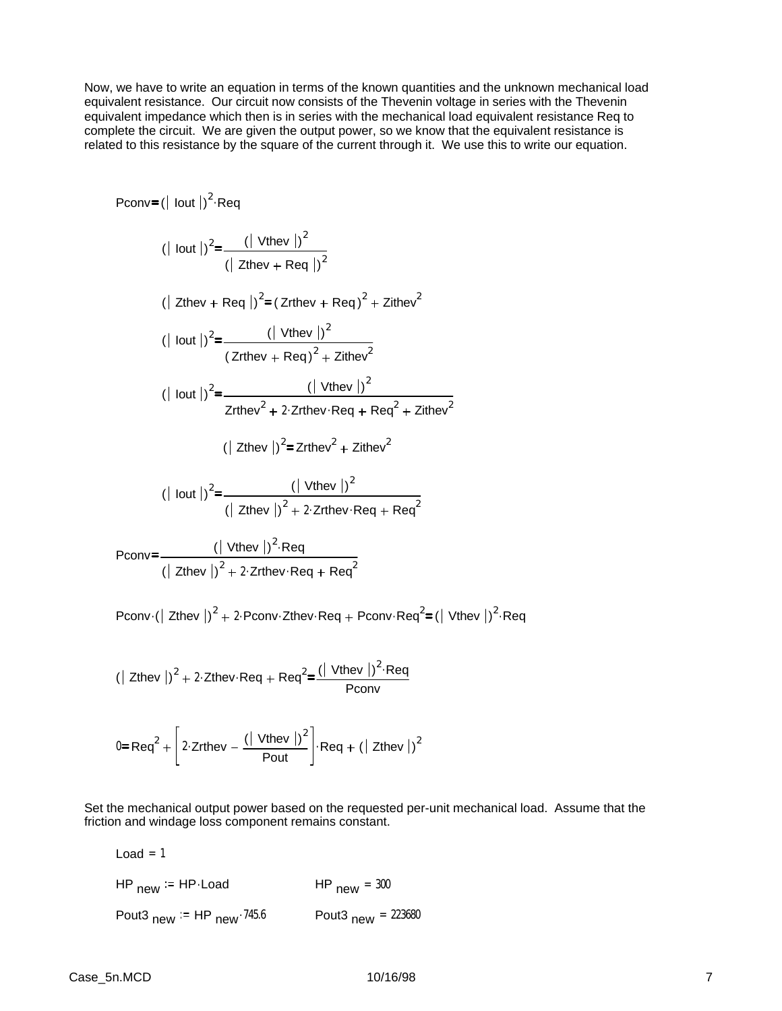Now, we have to write an equation in terms of the known quantities and the unknown mechanical load equivalent resistance. Our circuit now consists of the Thevenin voltage in series with the Thevenin equivalent impedance which then is in series with the mechanical load equivalent resistance Req to complete the circuit. We are given the output power, so we know that the equivalent resistance is related to this resistance by the square of the current through it. We use this to write our equation.

$$
Pconv = (|\text{lout}|)^{2} \cdot \text{Reg}
$$
\n
$$
(|\text{lout}|)^{2} = \frac{(|\text{Vthey}|)^{2}}{(|\text{Zthey} + \text{Reg}|)^{2}}
$$
\n
$$
(|\text{Zthey} + \text{Reg}|)^{2} = (Zr\text{they} + \text{Reg})^{2} + Z\text{ifhev}^{2}
$$
\n
$$
(|\text{lout}|)^{2} = \frac{(|\text{Vthey}|)^{2}}{(Zr\text{they} + \text{Reg})^{2} + Z\text{ifhev}^{2}}
$$
\n
$$
(|\text{lout}|)^{2} = \frac{(|\text{Vthey}|)^{2}}{Zr\text{they}^{2} + 2 \cdot Zr\text{they} \cdot \text{Reg} + \text{Reg}^{2} + Z\text{ifhev}^{2}}
$$
\n
$$
(|\text{Zthey}|)^{2} = Zr\text{they}^{2} + Z\text{ifhev}^{2}
$$
\n
$$
(|\text{lout}|)^{2} = \frac{(|\text{Vthey}|)^{2}}{(|\text{Zthey}|)^{2} + 2 \cdot Zr\text{they} \cdot \text{Reg} + \text{Reg}^{2}}
$$
\n
$$
Pconv = \frac{(|\text{Vthey}|)^{2} \cdot \text{Reg} + \text{Reg}^{2}}{(|\text{Zthey}|)^{2} + 2 \cdot Zr\text{they} \cdot \text{Reg} + \text{Reg}^{2}}
$$
\n
$$
Pconv = \frac{(|\text{Vthey}|)^{2} \cdot \text{Reg} \cdot \text{Reg} + \text{Reg}^{2}}{(|\text{Zthey}|)^{2} + 2 \cdot Zr\text{they} \cdot \text{Reg} + \text{Reg}^{2}}
$$

Pconv $\cdot$  ( Zthev  $|v|^2 + 2$  Pconv Zthev Req + Pconv Req<sup>2</sup> = ( Vthev  $|v|^2$  Req

$$
(| \text{ Zthev } |)^2 + 2 \cdot \text{Zthev} \cdot \text{Req} + \text{Req}^2 = \frac{(| \text{ Vthev } |)^2 \cdot \text{Req}}{\text{Pconv}}
$$

$$
0 = \text{Req}^2 + \left[ 2 \cdot \text{Zrthev} - \frac{(| \text{ Vthev }|)^2}{\text{Pout}} \right] \cdot \text{Req} + (|\text{ Zthev }|)^2
$$

Set the mechanical output power based on the requested per-unit mechanical load. Assume that the friction and windage loss component remains constant.

| HP $_{new}$ := HP Load             | HP $_{\text{new}}$ = 300                   |
|------------------------------------|--------------------------------------------|
| Pout3 $_{new}$ = HP $_{new}$ 745.6 | Pout <sub>3</sub> $_{\text{new}}$ = 223680 |

 $Load = 1$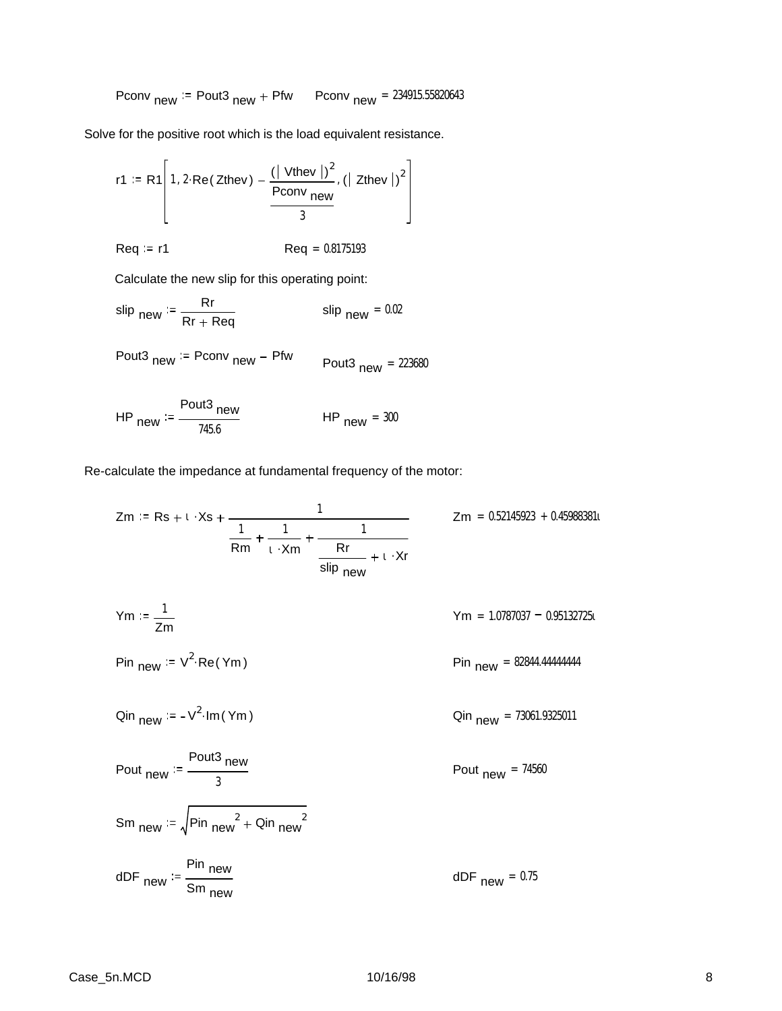$$
Pconv_{new} := Pout3_{new} + Pfw \qquad Pconv_{new} = 234915.55820643
$$

Solve for the positive root which is the load equivalent resistance.

$$
r1 := R1\left[1, 2 \cdot Re(Zthev) - \frac{(\vert \text{ Vthev} \vert)^2}{Pconv_{new}} , (\vert \text{ Zthev} \vert)^2 \right]
$$

$$
Req := r1 \qquad \qquad \text{Req} = 0.8175193
$$

Calculate the new slip for this operating point:

$$
\text{slip}_{\text{new}} := \frac{Rr}{Rr + Req} \qquad \qquad \text{slip}_{\text{new}} = 0.02
$$

$$
Pout3_{new} := Pconv_{new} - Pfw \qquad Pout3_{new} = 223680
$$

HP<sub>new</sub> := 
$$
\frac{\text{Pout3}}{745.6}
$$
 HP<sub>new</sub> = 300

Re-calculate the impedance at fundamental frequency of the motor:

$$
Zm := Rs + t \cdot Xs + \frac{1}{\frac{1}{Rm} + \frac{1}{t \cdot Xm} + \frac{1}{\frac{1}{slip_{new}} + t \cdot Xr}}
$$
  
\n
$$
Ym := \frac{1}{Zm}
$$
  
\n
$$
Ym = 1.0787037 - 0.95132725t
$$
  
\n
$$
Pin_{new} := V^{2} \cdot Re(Ym)
$$
  
\n
$$
Pin_{new} := -V^{2} \cdot Im(Ym)
$$
  
\n
$$
Pin_{new} = 82844.44444444
$$
  
\n
$$
Dim_{new} = 73061.9325011
$$
  
\n
$$
Pout_{new} = \frac{Pout3}{3} \text{ new}
$$
  
\n
$$
Sm_{new} := \sqrt{Pin_{new}^{2} + Qin_{new}^{2}}
$$
  
\n
$$
dDF_{new} = 0.75
$$
  
\n
$$
dDF_{new} = 0.75
$$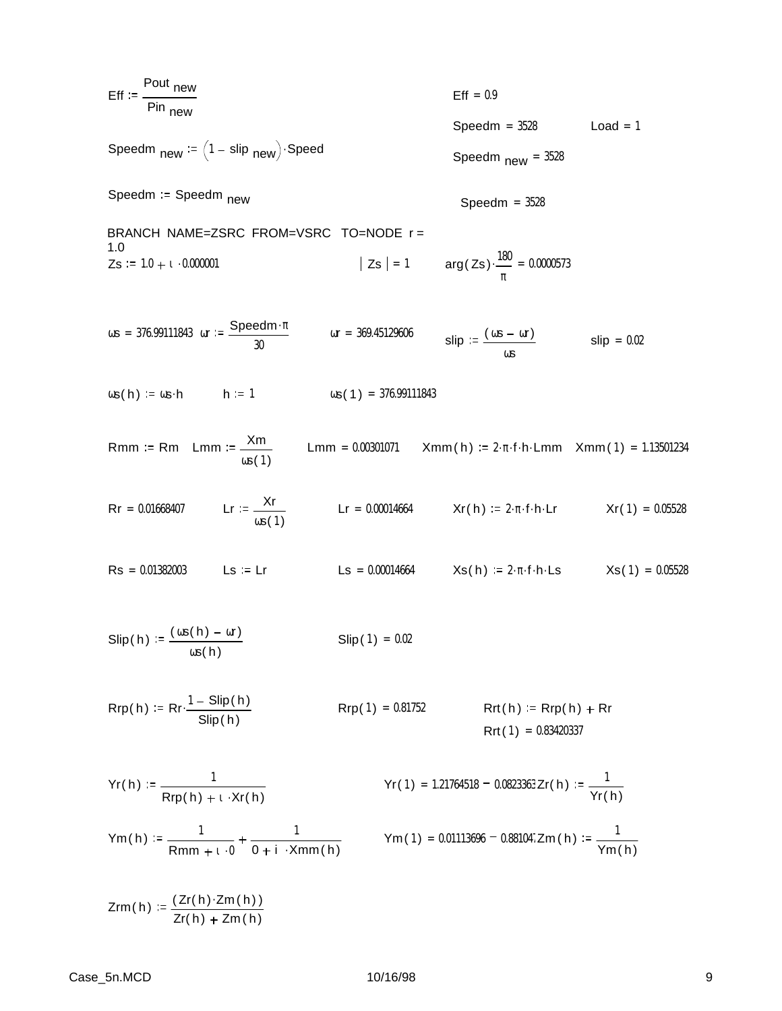$$
Eff := \frac{\text{Pout new}}{\text{Pin new}}
$$
  
Stepedm <sub>new</sub> := (1 - slip <sub>new</sub>) \cdot Speed  
Speedm = 3528  
Speedm <sub>new</sub> = 3528  
Speedm <sub>new</sub> = 3528

Speedm := Speedm <sub>new</sub> Speedm = 3528

BRANCH NAME=ZSRC FROM=VSRC TO=NODE r = 1.0  $Zs = 1.0 + t \cdot 0.000001$  $\big| \text{Zs} \big| = 1$  arg( Zs)  $\cdot \frac{180}{100}$ π  $\cdot \frac{100}{2} = 0.0000573$ 

$$
\omega s = 376.99111843
$$
 or  $= \frac{\text{Speedm} \cdot \pi}{30}$  or  $= 369.45129606$  slip  $= \frac{(\omega s - \omega r)}{\omega s}$  slip  $= 0.02$ 

 $\omega s(h) := \omega s \cdot h$  h := 1  $\omega s(1) = 376.99111843$ 

Rmm := Rm Lmm := 
$$
\frac{Xm}{\omega s(1)}
$$
 Lmm = 0.00301071 Xmm(h) := 2·π·f·h·Lmm Xmm(1) = 1.13501234

- $\text{Rr} = 0.01668407$  Lr :=  $\frac{\text{Xr}}{\text{Rr}}$  $\omega s(1)$ Lr =  $0.00014664$  Xr( h) :=  $2 \cdot \pi \cdot f \cdot h \cdot Lr$  Xr( 1) =  $0.05528$
- $\text{Rs} = 0.01382003$  Ls := Lr Ls = 0.00014664 Xs( h) := 2. π f · h · Ls  $Xs(1) = 0.05528$
- $\textrm{Slip}$  ( h) :=  $\frac{(\cos(h) \omega r)}{}$ ωs( h)  $Slip(1) = 0.02$

$$
Rrp(h) := Rr \cdot \frac{1 - \text{Slip}(h)}{\text{Slip}(h)}
$$
\n
$$
Rrp(1) = 0.81752
$$
\n
$$
Rrt(h) := Rrp(h) + Rr
$$
\n
$$
Rrt(1) = 0.83420337
$$

$$
Yr(h) := \frac{1}{Rrp(h) + \iota \cdot Xr(h)}
$$
  
\n $Yr(1) = 1.21764518 - 0.0823363 Zr(h) := \frac{1}{Yr(h)}$   
\n $Ym(h) := \frac{1}{Yr(h)}$   
\n $Ym(1) = 0.01113696 - 0.881047 Zm(h) := \frac{1}{Yr(h)}$ 

$$
Ym(h) := \frac{1}{Rmm + i \cdot 0} + \frac{1}{0 + i \cdot Xmm(h)}
$$

 $Zrm(h) := \frac{(Zr(h) \cdot Zm(h))}{(Zr(h))^{2}}$ Zr( h) + Zm ( h) Ym( h)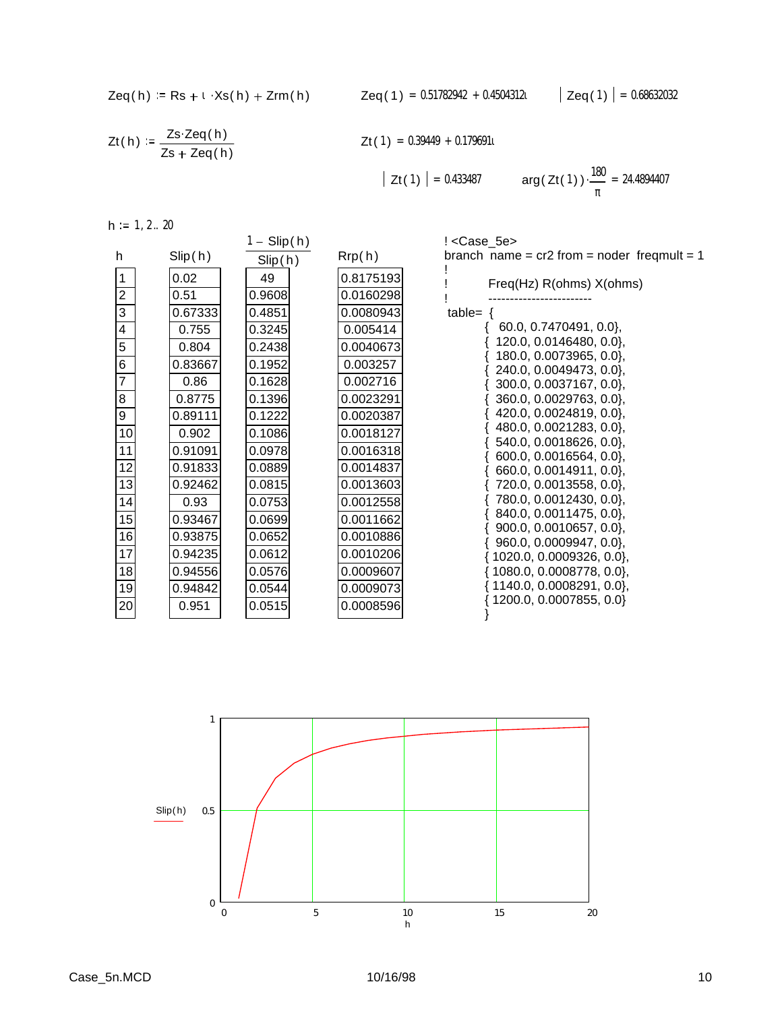$$
Zeq(h) := Rs + \iota \cdot Xs(h) + Zrm(h)
$$

$$
Zt(h) := \frac{Zs \cdot Zeq(h)}{Zs + Zeq(h)}
$$

$$
Zt(1) = 0.39449 + 0.179691t
$$

$$
|\mathsf{Zt}(1)| = 0.433487 \qquad \arg(\mathsf{Zt}(1)) \cdot \frac{180}{\pi} = 24.4894407
$$

| $h :=$ | 1, 2 20 |  |
|--------|---------|--|
|        |         |  |

|                 |         | $1 -$ Slip(h) |           | ! <case_5e></case_5e>                              |
|-----------------|---------|---------------|-----------|----------------------------------------------------|
| h               | Slip(h) | Slip(h)       | Rrp(h)    | branch name = $cr2$ from = noder freqmult = 1      |
| 1               | 0.02    | 49            | 0.8175193 | Freq(Hz) R(ohms) X(ohms)                           |
| $\overline{2}$  | 0.51    | 0.9608        | 0.0160298 |                                                    |
| 3               | 0.67333 | 0.4851        | 0.0080943 | table= $\{$                                        |
| 4               | 0.755   | 0.3245        | 0.005414  | 60.0, 0.7470491, 0.0                               |
| 5               | 0.804   | 0.2438        | 0.0040673 | 120.0, 0.0146480, 0.0},                            |
| 6               | 0.83667 | 0.1952        | 0.003257  | 180.0, 0.0073965, 0.0},<br>240.0, 0.0049473, 0.0}, |
| 7               | 0.86    | 0.1628        | 0.002716  | 300.0, 0.0037167, 0.0},                            |
| 8               | 0.8775  | 0.1396        | 0.0023291 | 360.0, 0.0029763, 0.0},                            |
| 9               | 0.89111 | 0.1222        | 0.0020387 | 420.0, 0.0024819, 0.0},                            |
| 10              | 0.902   | 0.1086        | 0.0018127 | 480.0, 0.0021283, 0.0},                            |
| 11              | 0.91091 | 0.0978        | 0.0016318 | 540.0, 0.0018626, 0.0},<br>600.0, 0.0016564, 0.0}, |
| 12              | 0.91833 | 0.0889        | 0.0014837 | 660.0, 0.0014911, 0.0},                            |
| 13              | 0.92462 | 0.0815        | 0.0013603 | 720.0, 0.0013558, 0.0},                            |
| 14              | 0.93    | 0.0753        | 0.0012558 | 780.0, 0.0012430, 0.0},                            |
| 15              | 0.93467 | 0.0699        | 0.0011662 | 840.0, 0.0011475, 0.0},<br>900.0, 0.0010657, 0.0}, |
| 16              | 0.93875 | 0.0652        | 0.0010886 | 960.0, 0.0009947, 0.0},                            |
| $\overline{17}$ | 0.94235 | 0.0612        | 0.0010206 | $\{1020.0, 0.0009326, 0.0\},\$                     |
| 18              | 0.94556 | 0.0576        | 0.0009607 | $\{1080.0, 0.0008778, 0.0\},\$                     |
| 19              | 0.94842 | 0.0544        | 0.0009073 | $\{1140.0, 0.0008291, 0.0\},\$                     |
| 20              | 0.951   | 0.0515        | 0.0008596 | 1200.0, 0.0007855, 0.0}                            |
|                 |         |               |           |                                                    |

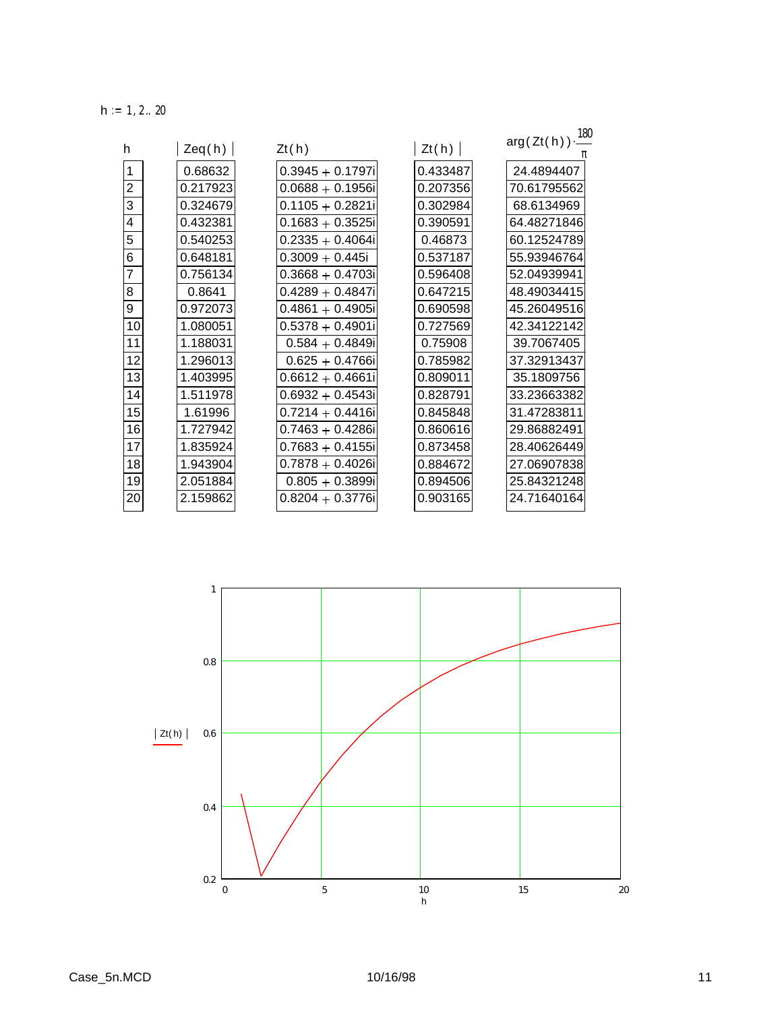$h := 1, 2 ... 20$ 

| h              |          |                     | Zt(h)    | $arg(Zt(h))\cdot \frac{180}{160}$ |
|----------------|----------|---------------------|----------|-----------------------------------|
|                | Zeq(h)   | Zt(h)               |          |                                   |
| 1              | 0.68632  | $0.3945 + 0.1797i$  | 0.433487 | 24.4894407                        |
| $\overline{2}$ | 0.217923 | $0.0688 + 0.1956$ i | 0.207356 | 70.61795562                       |
| 3              | 0.324679 | $0.1105 + 0.2821i$  | 0.302984 | 68.6134969                        |
| 4              | 0.432381 | $0.1683 + 0.3525$ i | 0.390591 | 64.48271846                       |
| 5              | 0.540253 | $0.2335 + 0.4064i$  | 0.46873  | 60.12524789                       |
| 6              | 0.648181 | $0.3009 + 0.445i$   | 0.537187 | 55.93946764                       |
| $\overline{7}$ | 0.756134 | $0.3668 + 0.4703i$  | 0.596408 | 52.04939941                       |
| 8              | 0.8641   | $0.4289 + 0.4847i$  | 0.647215 | 48.49034415                       |
| 9              | 0.972073 | $0.4861 + 0.4905i$  | 0.690598 | 45.26049516                       |
| 10             | 1.080051 | $0.5378 + 0.4901i$  | 0.727569 | 42.34122142                       |
| 11             | 1.188031 | $0.584 + 0.4849i$   | 0.75908  | 39.7067405                        |
| 12             | 1.296013 | $0.625 + 0.4766i$   | 0.785982 | 37.32913437                       |
| 13             | 1.403995 | $0.6612 + 0.4661i$  | 0.809011 | 35.1809756                        |
| 14             | 1.511978 | $0.6932 + 0.4543i$  | 0.828791 | 33.23663382                       |
| 15             | 1.61996  | $0.7214 + 0.4416i$  | 0.845848 | 31.47283811                       |
| 16             | 1.727942 | $0.7463 + 0.4286i$  | 0.860616 | 29.86882491                       |
| 17             | 1.835924 | $0.7683 + 0.4155i$  | 0.873458 | 28.40626449                       |
| 18             | 1.943904 | $0.7878 + 0.4026i$  | 0.884672 | 27.06907838                       |
| 19             | 2.051884 | $0.805 + 0.3899i$   | 0.894506 | 25.84321248                       |
| 20             | 2.159862 | $0.8204 + 0.3776i$  | 0.903165 | 24.71640164                       |

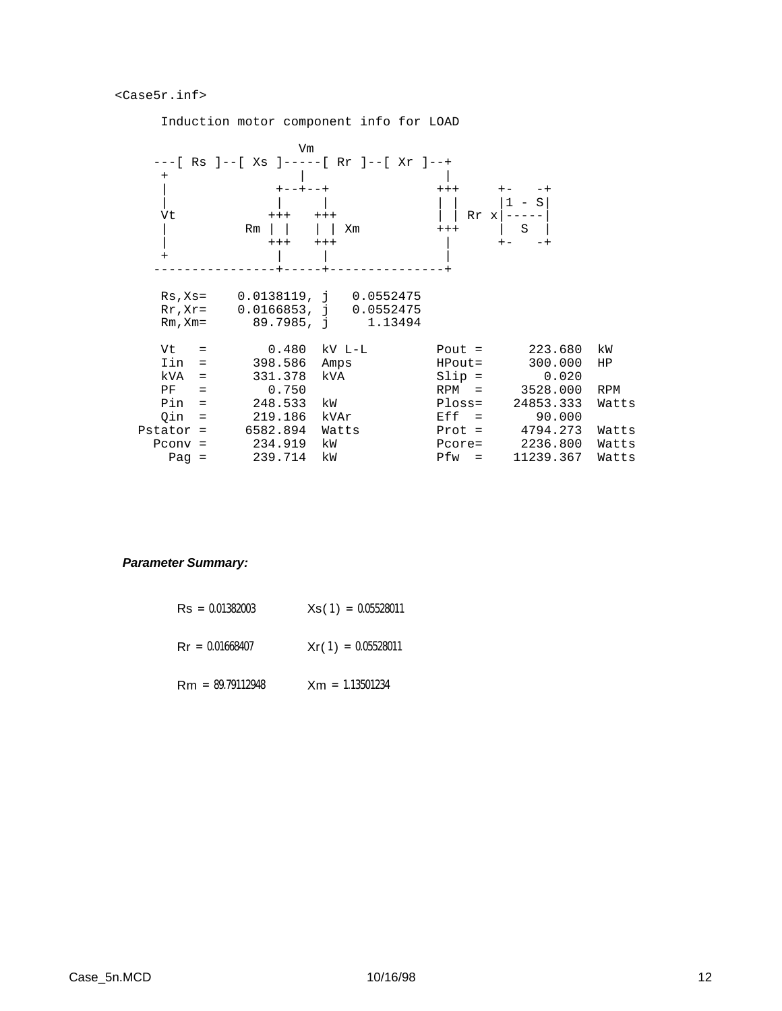#### <Case5r.inf>

**Vm** *Vm Vm*  ---[ Rs ]--[ Xs ]-----[ Rr ]--[ Xr ]--+ + | | | +--+--+ +++ +- -+ | | | | | |1 - S| Vt  $+++$   $+++$   $\qquad$  | Rr x  $---$  | Rm | | | | Xm +++ | S | | +++ +++ | +- -+ + | | | ----------------+-----+---------------+ Rs,Xs= 0.0138119, j 0.0552475 Rr,Xr= 0.0166853, j 0.0552475 Rm, Xm= 89.7985, j 1.13494 Vt = 0.480 kV L-L Pout = 223.680 kW Iin = 398.586 Amps HPout= 300.000 HP kVA = 331.378 kVA Slip = 0.020 PF = 0.750 RPM = 3528.000 RPM Pin = 248.533 kW Ploss= 24853.333 Watts Qin = 219.186 kVAr Eff = 90.000 Pstator = 6582.894 Watts Prot = 4794.273 Watts Pconv = 234.919 kW Pcore= 2236.800 Watts Pag = 239.714 kW Pfw = 11239.367 Watts

## Induction motor component info for LOAD

#### *Parameter Summary:*

| $\text{Rs} = 0.01382003$ | $Xs(1) = 0.05528011$ |
|--------------------------|----------------------|
| $\text{Rr} = 0.01668407$ | $Xr(1) = 0.05528011$ |
| $Rm = 89.79112948$       | $Xm = 1.13501234$    |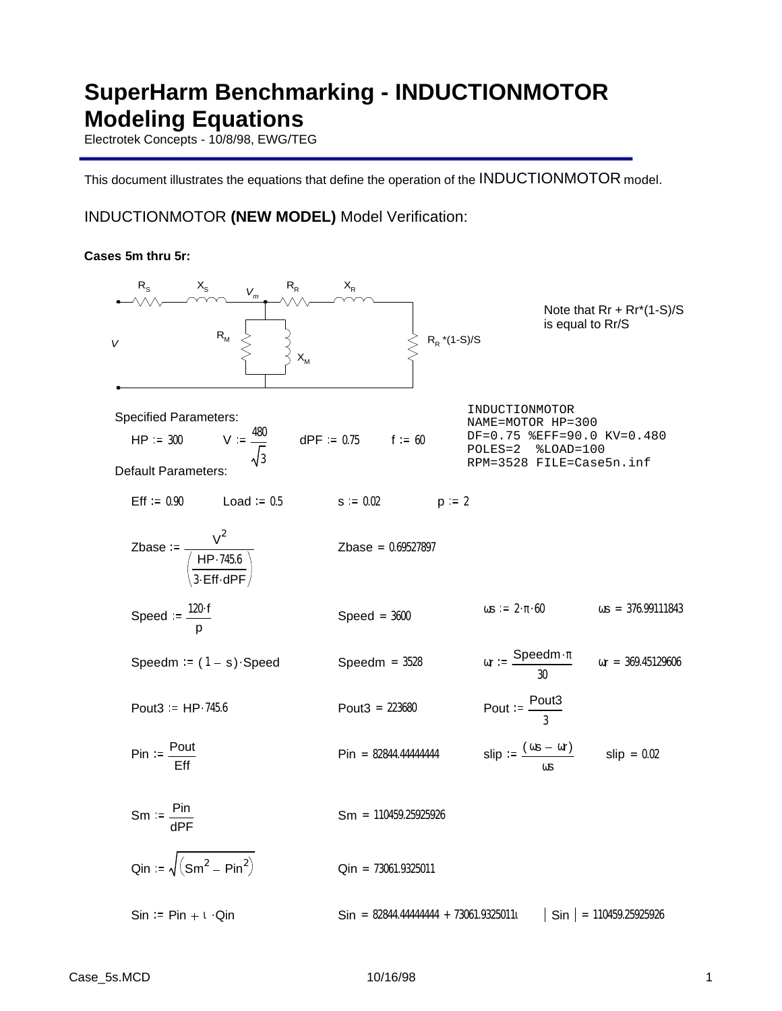# **SuperHarm Benchmarking - INDUCTIONMOTOR Modeling Equations**

Electrotek Concepts - 10/8/98, EWG/TEG

This document illustrates the equations that define the operation of the INDUCTIONMOTOR model.

## INDUCTIONMOTOR **(NEW MODEL)** Model Verification:

### **Cases 5m thru 5r:**

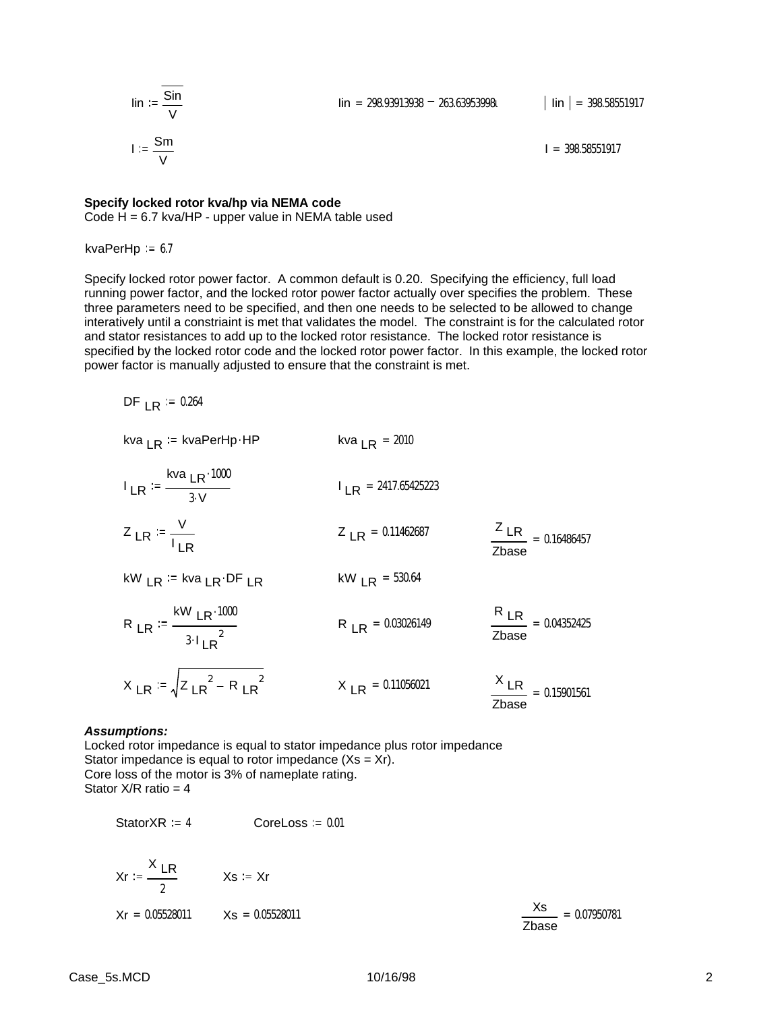$$
\lim_{v \to 0} \frac{\sin}{\frac{v}{v}}
$$
\n
$$
I := \frac{\sin}{\frac{v}{v}}
$$

 $I = 398.58551917$ 

### **Specify locked rotor kva/hp via NEMA code**

Code  $H = 6.7$  kva/HP - upper value in NEMA table used

kvaPerHp  $= 6.7$ 

Specify locked rotor power factor. A common default is 0.20. Specifying the efficiency, full load running power factor, and the locked rotor power factor actually over specifies the problem. These three parameters need to be specified, and then one needs to be selected to be allowed to change interatively until a constriaint is met that validates the model. The constraint is for the calculated rotor and stator resistances to add up to the locked rotor resistance. The locked rotor resistance is specified by the locked rotor code and the locked rotor power factor. In this example, the locked rotor power factor is manually adjusted to ensure that the constraint is met.

DF  $LR := 0.264$ 

kva 
$$
LR
$$
 := kvaPerHp HP  
\n
$$
I_{LR} = \frac{Kva_{LR} \cdot 1000}{3 \cdot V}
$$
\n
$$
I_{LR} = 2417.65425223
$$
\n
$$
Z_{LR} = \frac{V}{I_{LR}}
$$
\n
$$
Z_{LR} = 0.11462687
$$
\n
$$
KW_{LR} = kva_{LR} \cdot DF_{LR}
$$
\n
$$
KW_{LR} = 530.64
$$
\n
$$
R_{LR} = 0.03026149
$$
\n
$$
R_{LR} = 0.04352425
$$
\n
$$
X_{LR} = \sqrt{Z_{LR}^2 - R_{LR}^2}
$$
\n
$$
X_{LR} = 0.11056021
$$
\n
$$
X_{LR} = 0.15901561
$$

#### *Assumptions:*

Locked rotor impedance is equal to stator impedance plus rotor impedance Stator impedance is equal to rotor impedance  $(Xs = Xr)$ . Core loss of the motor is 3% of nameplate rating. Stator  $X/R$  ratio = 4

StatorXR  $:= 4$  CoreLoss  $= 0.01$ 

$$
Kr := \frac{X \, \text{LR}}{2}
$$
  $Xs := Xr$   
 $Kr = 0.05528011$   $Xs = 0.05528011$   $\frac{Xs}{}$ 

Zbase  $= 0.07950781$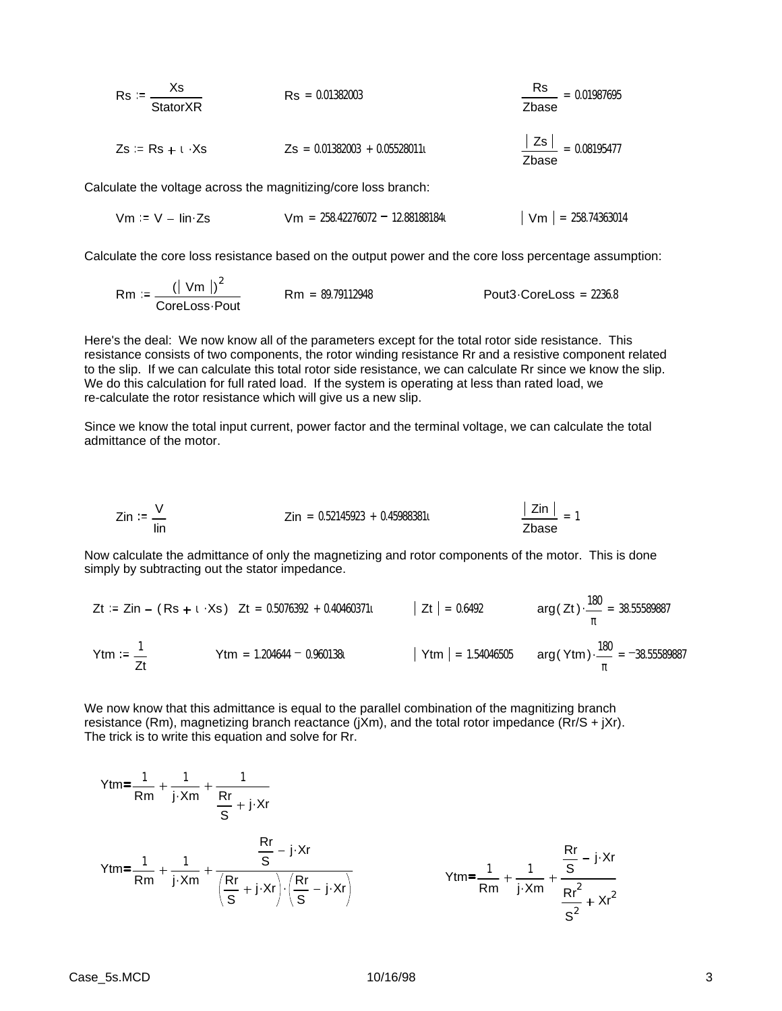| $Rs := \frac{Xs}{StatorXR}$                                | $Rs = 0.01382003$               | $\frac{Rs}{Zbase} = 0.01987695$   |
|------------------------------------------------------------|---------------------------------|-----------------------------------|
| $Zs := Rs + t \cdot Xs$                                    | $Zs = 0.01382003 + 0.05528011t$ | $\frac{ Zs }{Zbase} = 0.08195477$ |
| ulate the voltage across the magnitizing/core loss branch: |                                 |                                   |

Calculate the voltage across the magnitizing/core loss branch:

$$
Vm := V - lin \, \text{Zs}
$$
  $Vm = 258.42276072 - 12.881881841$   $|Vm| = 258.74363014$ 

Calculate the core loss resistance based on the output power and the core loss percentage assumption:

$$
Rm := \frac{(|Vm|)^2}{\text{CoreLoss} \cdot \text{Pour}} \qquad Rm = 89.79112948 \qquad \qquad \text{Pout3-CoreLoss} = 2236.8
$$

Here's the deal: We now know all of the parameters except for the total rotor side resistance. This resistance consists of two components, the rotor winding resistance Rr and a resistive component related to the slip. If we can calculate this total rotor side resistance, we can calculate Rr since we know the slip. We do this calculation for full rated load. If the system is operating at less than rated load, we re-calculate the rotor resistance which will give us a new slip.

Since we know the total input current, power factor and the terminal voltage, we can calculate the total admittance of the motor.

$$
Zin := \frac{V}{\text{lin}} \qquad Zin = 0.52145923 + 0.459883811 \qquad \frac{|Zin|}{Zbase} = 1
$$

Now calculate the admittance of only the magnetizing and rotor components of the motor. This is done simply by subtracting out the stator impedance.

$$
Zt := Zin - (Rs + t \cdot Xs) \quad Zt = 0.5076392 + 0.40460371t \qquad |Zt| = 0.6492 \qquad arg(Zt) \cdot \frac{180}{\pi} = 38.55589887
$$
\n
$$
Ytm := \frac{1}{Zt} \qquad Ytm = 1.204644 - 0.960138t \qquad |Ytm| = 1.54046505 \qquad arg(Ytm) \cdot \frac{180}{\pi} = -38.55589887
$$

We now know that this admittance is equal to the parallel combination of the magnitizing branch resistance (Rm), magnetizing branch reactance (jXm), and the total rotor impedance (Rr/S + jXr). The trick is to write this equation and solve for Rr.

$$
Ytm = \frac{1}{Rm} + \frac{1}{j \cdot Xm} + \frac{1}{\frac{Rr}{S} + j \cdot Xr}
$$
  

$$
Ytm = \frac{1}{Rm} + \frac{1}{j \cdot Xm} + \frac{\frac{Rr}{S} - j \cdot Xr}{\left(\frac{Rr}{S} + j \cdot Xr\right) \cdot \left(\frac{Rr}{S} - j \cdot Xr\right)}
$$
  

$$
Ytm = \frac{1}{Rm} + \frac{1}{j \cdot Xm} + \frac{\frac{Rr}{S} - j \cdot Xr}{\frac{Rr^{2}}{S^{2}} + Xr^{2}}
$$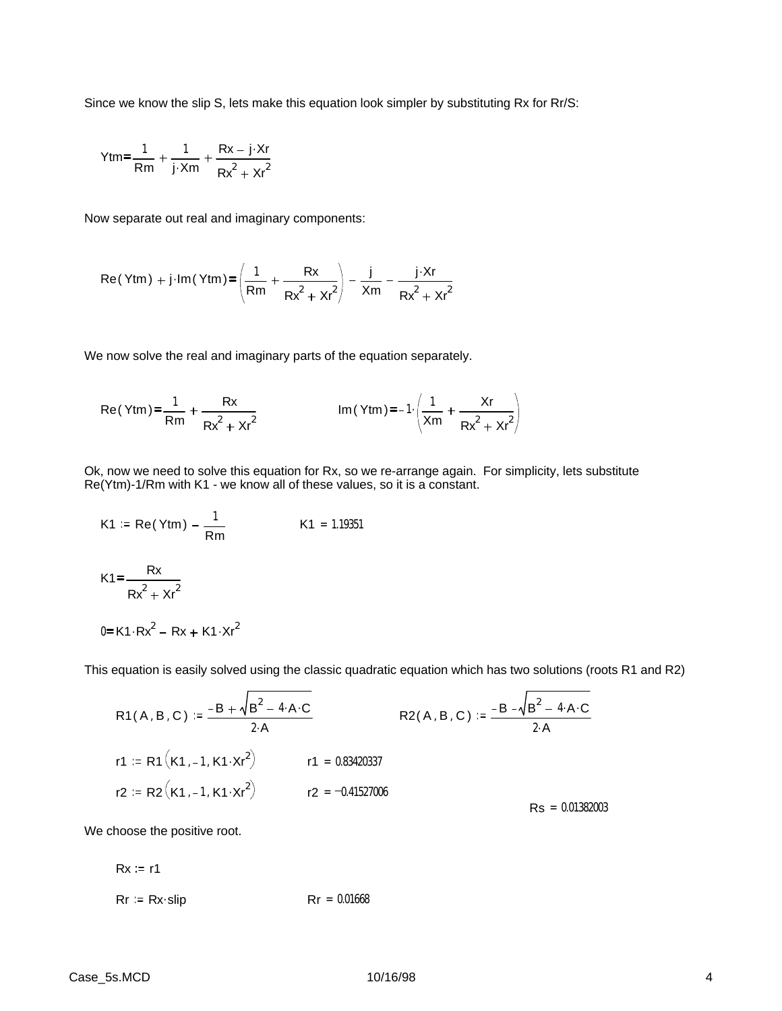Since we know the slip S, lets make this equation look simpler by substituting Rx for Rr/S:

$$
Ytm = \frac{1}{Rm} + \frac{1}{j \cdot Xm} + \frac{Rx - j \cdot Xr}{Rx^2 + Xr^2}
$$

Now separate out real and imaginary components:

$$
Re(Ytm) + j \cdot Im(Ytm) = \left(\frac{1}{Rm} + \frac{Rx}{Rx^2 + xr^2}\right) - \frac{j}{Xm} - \frac{j \cdot Xr}{Rx^2 + xr^2}
$$

We now solve the real and imaginary parts of the equation separately.

Re(Ytm) = 
$$
\frac{1}{Rm} + \frac{Rx}{Rx^2 + xr^2}
$$
 Im(Ytm) = -1 $\cdot \left(\frac{1}{Xm} + \frac{Xr}{Rx^2 + xr^2}\right)$ 

Ok, now we need to solve this equation for Rx, so we re-arrange again. For simplicity, lets substitute Re(Ytm)-1/Rm with K1 - we know all of these values, so it is a constant.

K1 := Re(Ytm) - 
$$
\frac{1}{Rm}
$$
  
K1 = 1.19351  
K1 =  $\frac{Rx}{Rx^2 + xr^2}$ 

This equation is easily solved using the classic quadratic equation which has two solutions (roots R1 and R2)

R1(A, B, C) := 
$$
\frac{-B + \sqrt{B^2 - 4 \cdot A \cdot C}}{2 \cdot A}
$$
  
\nR2(A, B, C) :=  $\frac{-B - \sqrt{B^2 - 4 \cdot A \cdot C}}{2 \cdot A}$   
\nr1 := R1(K1, -1, K1 \cdot xr^2)   
\nr1 = 0.83420337  
\nr2 := R2(K1, -1, K1 \cdot xr^2)   
\nr2 = -0.41527006  
\nRs = 0.01382003

We choose the positive root.

 $0 = K1 \cdot Rx^2 - Rx + K1 \cdot Xr^2$ 

$$
Rx := r1
$$
  
\n $Rr := Rx\text{-}slip$   $Rr = 0.01668$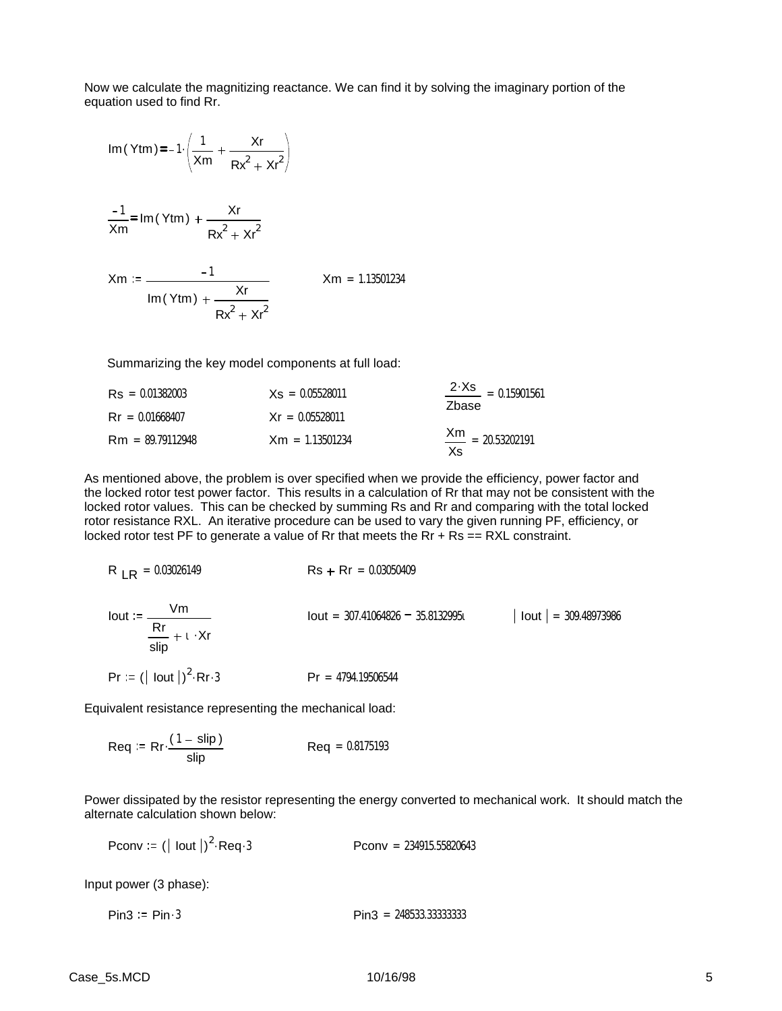Now we calculate the magnitizing reactance. We can find it by solving the imaginary portion of the equation used to find Rr.

Im (Ytm) = 
$$
-1 \cdot \left( \frac{1}{Xm} + \frac{Xr}{Rx^2 + xr^2} \right)
$$

$$
\frac{-1}{\text{Xm}} = \text{Im}(\text{Ytm}) + \frac{\text{Xr}}{\text{Rx}^2 + \text{Xr}^2}
$$

$$
Xm := \frac{-1}{\text{Im}(Y \text{tm}) + \frac{Xr}{Rx^{2} + Xr^{2}}}
$$
 
$$
Xm = 1.13501234
$$

Summarizing the key model components at full load:

| $\text{Rs} = 0.01382003$ | $Xs = 0.05528011$ | $\frac{2 \cdot Xs}{\cdot 15901561}$<br>Zhase |
|--------------------------|-------------------|----------------------------------------------|
| $\text{Rr} = 0.01668407$ | $Xr = 0.05528011$ |                                              |
| $Rm = 89.79112948$       | $Xm = 1.13501234$ | $\frac{Xm}{1}$ = 20.53202191<br>Xs           |

As mentioned above, the problem is over specified when we provide the efficiency, power factor and the locked rotor test power factor. This results in a calculation of Rr that may not be consistent with the locked rotor values. This can be checked by summing Rs and Rr and comparing with the total locked rotor resistance RXL. An iterative procedure can be used to vary the given running PF, efficiency, or locked rotor test PF to generate a value of Rr that meets the Rr  $+$  Rs  $=$  = RXL constraint.

$$
R_{LR} = 0.03026149
$$
\n
$$
R_{SR} = 0.03026149
$$
\n
$$
R_{SR} = 0.03050409
$$
\n
$$
R_{SR} = 0.03050409
$$
\n
$$
R_{SR} = 0.03050409
$$
\n
$$
R_{SR} = 0.03050409
$$
\n
$$
R_{SR} = 0.03050409
$$
\n
$$
R_{SR} = 0.03050409
$$
\n
$$
R_{SR} = 0.03050409
$$
\n
$$
R_{SR} = 0.03050409
$$
\n
$$
R_{SR} = 0.03050409
$$
\n
$$
R_{SR} = 0.03050409
$$
\n
$$
R_{SR} = 0.03050409
$$
\n
$$
R_{SR} = 0.03050409
$$
\n
$$
R_{SR} = 0.03050409
$$
\n
$$
R_{SR} = 0.03050409
$$
\n
$$
R_{SR} = 0.03050409
$$
\n
$$
R_{SR} = 0.03050409
$$
\n
$$
R_{SR} = 0.03050409
$$
\n
$$
R_{SR} = 0.03050409
$$
\n
$$
R_{SR} = 0.03050409
$$
\n
$$
R_{SR} = 0.03050409
$$
\n
$$
R_{SR} = 0.03050409
$$
\n
$$
R_{SR} = 0.03050409
$$
\n
$$
R_{SR} = 0.03050409
$$
\n
$$
R_{SR} = 0.03050409
$$
\n
$$
R_{SR} = 0.03050409
$$

Equivalent resistance representing the mechanical load:

$$
Req := Rr \cdot \frac{(1 - \text{slip})}{\text{slip}} \qquad \qquad Req = 0.8175193
$$

Power dissipated by the resistor representing the energy converted to mechanical work. It should match the alternate calculation shown below:

Pconv :=  $(|$  lout  $|)^2$  $Pconv = 234915.55820643$ 

Input power (3 phase):

 $Pin3 = Pin \cdot 3$  Pin $3 = 248533.33333333$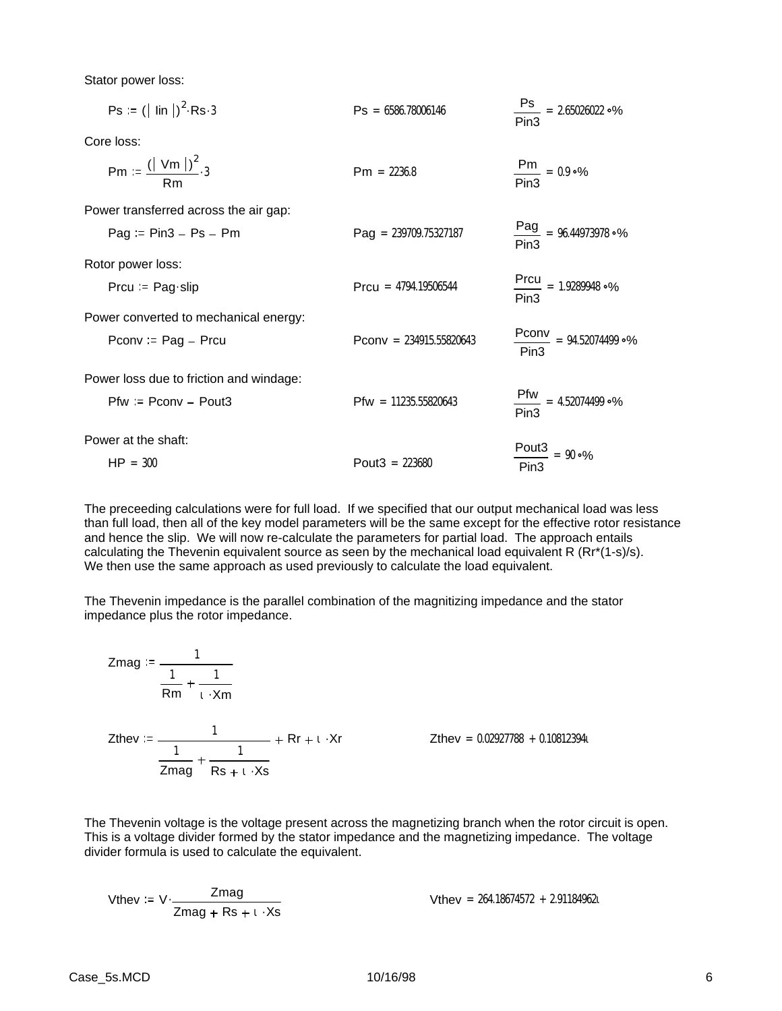Stator power loss:

| $Ps = ( \text{lin} )^2 \text{Rs } 3$     | $\text{Ps} = 6586.78006146$    | $\frac{\text{Ps}}{2}$ = 2.65026022 °%<br>Pin <sub>3</sub> |
|------------------------------------------|--------------------------------|-----------------------------------------------------------|
| Core loss:                               |                                |                                                           |
| Pm := $\frac{(  \text{ Vm } )^2}{Rm}$ .3 | $Pm = 2236.8$                  | $\frac{Pm}{Pin3} = 0.9 \cdot %$                           |
| Power transferred across the air gap:    |                                |                                                           |
| $Paq = Pin3 - Ps - Pm$                   | $\text{Pag} = 239709.75327187$ | $\frac{Pag}{Pin3}$ = 96.44973978 °%                       |
| Rotor power loss:                        |                                |                                                           |
| Prcu = $\text{Page-slip}$                | $Prou = 4794.19506544$         | $\frac{Prou}{Pin3} = 1.9289948 °\%$                       |
| Power converted to mechanical energy:    |                                |                                                           |
| Pconv := $Pag - Prcu$                    | Pconv = $234915.55820643$      | $\frac{Pconv}{P}$ = 94.52074499 °%<br>Pin3                |
| Power loss due to friction and windage:  |                                |                                                           |
| $Pfw := Pconv - Pout3$                   | $Pfw = 11235.55820643$         | $Pfw = 4.52074499°$<br>Pin <sub>3</sub>                   |
| Power at the shaft:                      |                                |                                                           |
| $HP = 300$                               | Pout $3 = 223680$              | $\frac{$ Pout3}{ } = 90 °<br>Pin <sub>3</sub>             |

The preceeding calculations were for full load. If we specified that our output mechanical load was less than full load, then all of the key model parameters will be the same except for the effective rotor resistance and hence the slip. We will now re-calculate the parameters for partial load. The approach entails calculating the Thevenin equivalent source as seen by the mechanical load equivalent R (Rr\*(1-s)/s). We then use the same approach as used previously to calculate the load equivalent.

The Thevenin impedance is the parallel combination of the magnitizing impedance and the stator impedance plus the rotor impedance.

$$
Zmag := \frac{1}{\frac{1}{Rm} + \frac{1}{\iota \cdot Xm}}
$$
  

$$
Zthev := \frac{1}{\frac{1}{Zmag} + \frac{1}{Rs + \iota \cdot Xs}} + Rr + \iota \cdot Xr
$$

 $Z$ thev = 0.02927788 + 0.108123941

The Thevenin voltage is the voltage present across the magnetizing branch when the rotor circuit is open. This is a voltage divider formed by the stator impedance and the magnetizing impedance. The voltage divider formula is used to calculate the equivalent.

When 
$$
z = V \cdot \frac{Z \cdot \text{mag}}{Z \cdot \text{mag} + \text{Rs} + 1 \cdot \text{Rs}}
$$

\nWhen  $z = 264.18674572 + 2.911849621$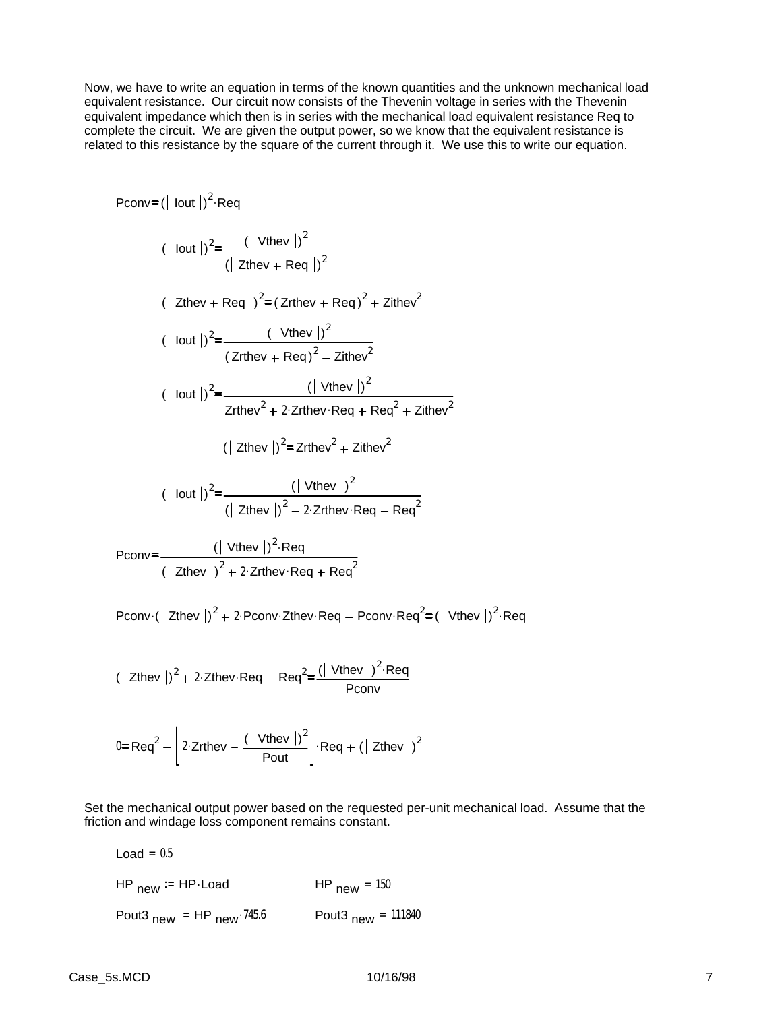Now, we have to write an equation in terms of the known quantities and the unknown mechanical load equivalent resistance. Our circuit now consists of the Thevenin voltage in series with the Thevenin equivalent impedance which then is in series with the mechanical load equivalent resistance Req to complete the circuit. We are given the output power, so we know that the equivalent resistance is related to this resistance by the square of the current through it. We use this to write our equation.

$$
Pconv = (|\text{lout}|)^{2} \cdot \text{Reg}
$$
\n
$$
(|\text{lout}|)^{2} = \frac{(|\text{Vthev}|)^{2}}{(|\text{Zthev} + \text{Reg}|)^{2}}
$$
\n
$$
(|\text{Zthev} + \text{Reg}|)^{2} = (\text{Zrthev} + \text{Reg})^{2} + \text{Zithev}^{2}
$$
\n
$$
(|\text{lout}|)^{2} = \frac{(|\text{Vthev}|)^{2}}{(|\text{Zrthev} + \text{Reg}|^{2} + \text{Zithev}^{2})}
$$
\n
$$
(|\text{lout}|)^{2} = \frac{(|\text{Vthev}|)^{2}}{|\text{Zrthev}^{2} + 2 \cdot \text{Zrthev} \cdot \text{Reg} + \text{Reg}^{2} + \text{Zithev}^{2}}
$$
\n
$$
(|\text{2thev}|)^{2} = \text{Zrthev}^{2} + \text{Zithev}^{2}
$$
\n
$$
(|\text{lout}|)^{2} = \frac{(|\text{Vthev}|)^{2}}{(|\text{Zthev}|)^{2} + 2 \cdot \text{Zrthev} \cdot \text{Reg} + \text{Reg}^{2}}
$$
\n
$$
Pconv = \frac{(|\text{Vthev}|)^{2} \cdot \text{Regv} \cdot \text{Reg} + \text{Reg}^{2}}{(|\text{Zthev}|)^{2} + 2 \cdot \text{Zrthev} \cdot \text{Reg} + \text{Reg}^{2}}
$$
\n
$$
Pconv = \frac{(|\text{Vthev}|)^{2} \cdot \text{Regv} \cdot \text{Regv} \cdot \text{Regv} \cdot \text{Regv} \cdot \text{Regv} \cdot \text{Regv} \cdot \text{Regv} \cdot \text{Regv} \cdot \text{Regv} \cdot \text{Regv} \cdot \text{Regv} \cdot \text{Regv} \cdot \text{Regv} \cdot \text{Regv} \cdot \text{Regv} \cdot \text{Regv} \cdot \text{Regv} \cdot \text{Regv} \cdot \text{Regv} \cdot \text{Regv} \cdot \text{Regv} \cdot \text{Regv} \cdot \text{Regv} \cdot \text{Regv} \cdot \text{Regv} \cdot \text{Regv} \cdot \text{Regv} \cdot \text{Regv} \cdot \text{Reg
$$

Pconv $\cdot$  ( Zthev  $|v|^2 + 2$  Pconv Zthev Req + Pconv Req<sup>2</sup> = ( Vthev  $|v|^2$  Req

$$
(|\text{ Zthev}|)^2 + 2. \text{Zthev-Req} + \text{Req}^2 = \frac{(|\text{ Vthev}|)^2 \text{·Req}}{\text{Pconv}}
$$

$$
0 = \text{Req}^2 + \left[ 2 \cdot \text{Zrthey} - \frac{(\mid \text{Vthey} \mid)^2}{\text{Pout}} \right] \cdot \text{Req} + (\mid \text{Zthey} \mid)^2
$$

Set the mechanical output power based on the requested per-unit mechanical load. Assume that the friction and windage loss component remains constant.

| Load = $0.5$                 |                                            |
|------------------------------|--------------------------------------------|
| HP $_{\text{new}}$ = HP Load | $HP_{new} = 150$                           |
| Pout3 new $:=$ HP new 745.6  | Pout <sub>3</sub> $_{\text{new}}$ = 111840 |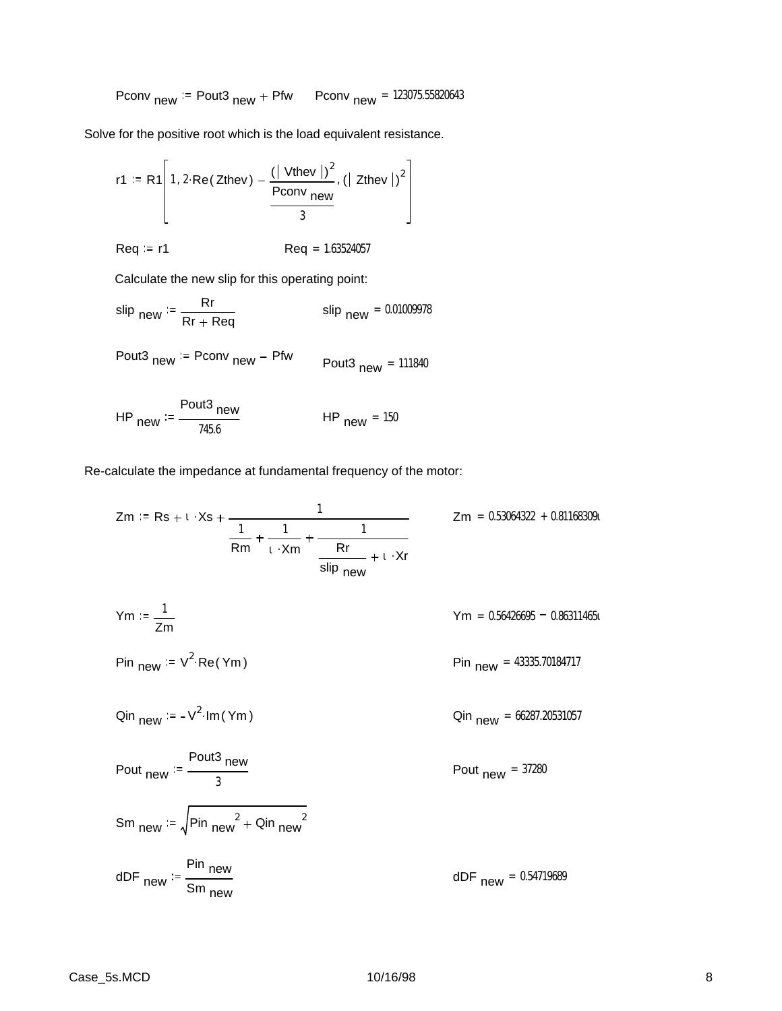$$
Pconv_{new} := Pout3_{new} + Pfw \qquad Pconv_{new} = 123075.55820643
$$

Solve for the positive root which is the load equivalent resistance.

r1 := R1
$$
\left[ 1, 2 \cdot \text{Re}(\text{Zthev}) - \frac{(\vert \text{ Vthev} \vert)^2}{\text{Pconv}} , (\vert \text{ Zthev} \vert)^2 \right]
$$

$$
Req := r1
$$
  $Req = 1.63524057$ 

Calculate the new slip for this operating point:

$$
\text{slip } \text{new} \coloneqq \frac{\text{Rr}}{\text{Rr} + \text{Req}} \qquad \qquad \text{slip } \text{new} = 0.01009978
$$

$$
Pout3_{new} := Pconv_{new} - Pfw \qquad Pout3_{new} = 111840
$$

HP<sub>new</sub> := 
$$
\frac{\text{Pout3}}{745.6}
$$
 HP<sub>new</sub> = 150

Re-calculate the impedance at fundamental frequency of the motor:

$$
Zm := Rs + t \cdot Xs + \frac{1}{\frac{1}{Rm} + \frac{1}{t \cdot Xm} + \frac{1}{\frac{8\pi}{\sinh n}} + \frac{1}{t \cdot Xr}}
$$
  
\n
$$
Ym := \frac{1}{Zm}
$$
  
\n
$$
Ym = 0.56426695 - 0.86311465t
$$
  
\n
$$
Ym = 0.56426695 - 0.86311465t
$$
  
\n
$$
Pin new := V^{2} \cdot Re(Ym)
$$
  
\n
$$
Qin new = 43335.70184717
$$
  
\n
$$
Qin new = 66287.20531057
$$
  
\n
$$
Pout new := \frac{Pout3 new}{3}
$$
  
\n
$$
Sm new := \sqrt{Pin new^{2} + Qin new^{2}}
$$
  
\n
$$
dDF new = 0.54719689
$$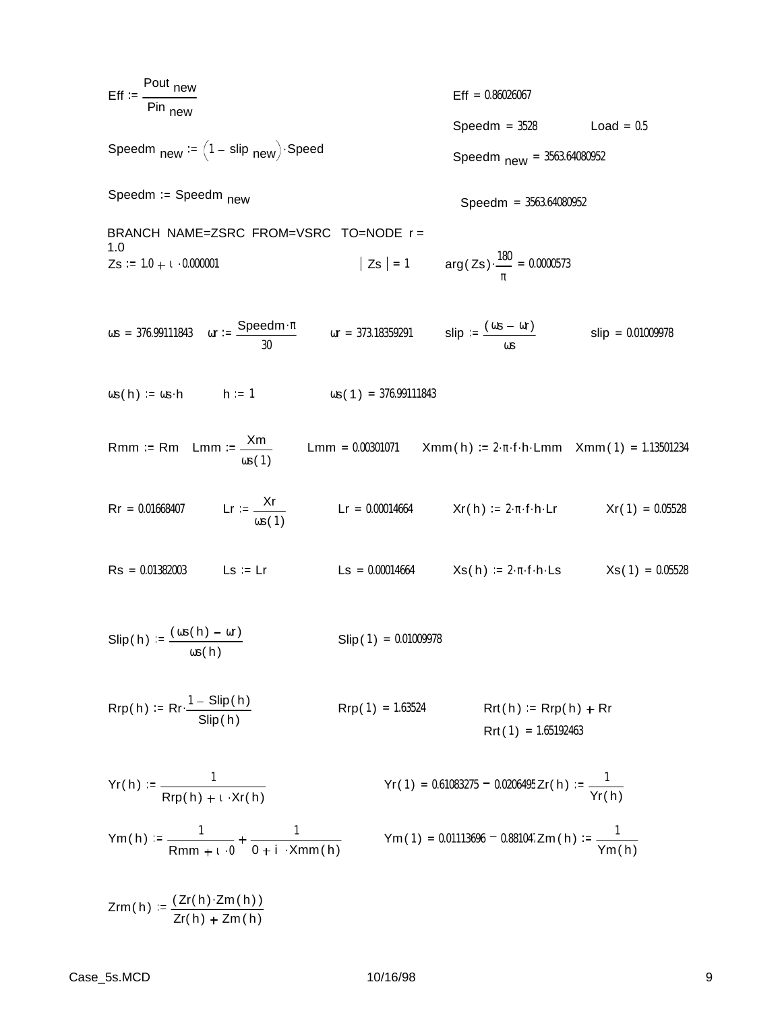$$
Eff := \frac{Pout new}{Pin new}
$$
\n
$$
Eff := 0.0020067
$$
\n
$$
Speedm new := (1 - slip new) \cdot Speedm
$$
\n
$$
Speedm new := (1 - slip new)
$$
\n
$$
Speedm = 3583.64080952
$$
\n
$$
Speedm = 3583.64080952
$$
\n
$$
BRANCH NAME=ZSRC FROM-VSRC TO=NODE r =
$$
\n
$$
1.0
$$
\n
$$
Zs := 1.0 + 1.0000001
$$
\n
$$
|Zs| = 1
$$
\n
$$
arg(Zs) \cdot \frac{180}{\pi} = 0.0000573
$$
\n
$$
cos = 376.99111843
$$
\n
$$
ar := \frac{Speedm \cdot x}{30}
$$
\n
$$
ar = 173.18359291
$$
\n
$$
slip := \frac{(w = or)}{ws}
$$
\n
$$
slip = 0.01009978
$$
\n
$$
as(h) := us - h
$$
\n
$$
h := 1
$$
\n
$$
log(1) = 376.99111843
$$
\n
$$
Rm m := Rm Lmm := \frac{Xm}{ws(1)}
$$
\n
$$
Lm m = 0.00301071
$$
\n
$$
Xm m(h) := 2 \cdot \pi \cdot f \cdot h \cdot Lm
$$
\n
$$
Xr(1) = 0.05528
$$
\n
$$
Rs = 0.01868407
$$
\n
$$
Lr := \frac{Xr}{ws(1)}
$$
\n
$$
Lr = 0.00014664
$$
\n
$$
Xr(h) := 2 \cdot \pi \cdot f \cdot h \cdot Lm
$$
\n
$$
Xr(1) = 0.05528
$$
\n
$$
Slip(h) := \frac{(ws(h) - \alpha r)}{ws(h)}
$$
\n
$$
Slip(1) = 0.01009978
$$
\n
$$
Rip(h) := Rr \cdot \frac{1 - Slip(h)}{slip(h)}
$$
\n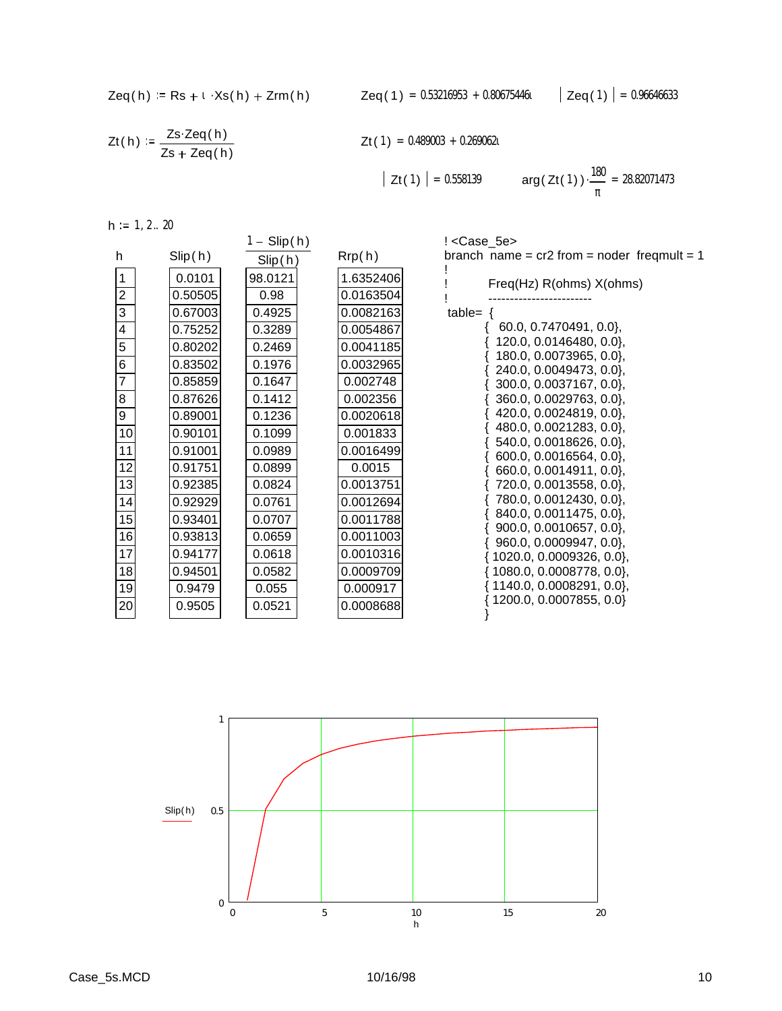$$
Zeq(h) := Rs + \iota \cdot Xs(h) + Zrm(h)
$$

$$
Zt(h) := \frac{Zs \cdot Zeq(h)}{Zs + Zeq(h)}
$$

$$
Zt(1) = 0.489003 + 0.269062t
$$

$$
|\mathsf{Zt}(1)| = 0.558139 \qquad \arg(\mathsf{Zt}(1)) \cdot \frac{180}{\pi} = 28.82071473
$$

 $h := 1, 2 ... 20$ 

|                         |         | $1 -$ Slip(h) |           | ! <case 5e=""></case>                              |
|-------------------------|---------|---------------|-----------|----------------------------------------------------|
| h                       | Slip(h) | Slip(h)       | Rrp(h)    | branch name = $cr2$ from = noder freqmult = 1      |
| 1                       | 0.0101  | 98.0121       | 1.6352406 | Freq(Hz) R(ohms) X(ohms)                           |
| $\boldsymbol{2}$        | 0.50505 | 0.98          | 0.0163504 |                                                    |
| $\overline{3}$          | 0.67003 | 0.4925        | 0.0082163 | table= $\{$                                        |
| $\overline{\mathbf{4}}$ | 0.75252 | 0.3289        | 0.0054867 | 60.0, 0.7470491, 0.0},                             |
| $\overline{5}$          | 0.80202 | 0.2469        | 0.0041185 | 120.0, 0.0146480, 0.0},                            |
| 6                       | 0.83502 | 0.1976        | 0.0032965 | 180.0, 0.0073965, 0.0},<br>240.0, 0.0049473, 0.0}, |
| $\overline{7}$          | 0.85859 | 0.1647        | 0.002748  | 300.0, 0.0037167, 0.0},                            |
| 8                       | 0.87626 | 0.1412        | 0.002356  | 360.0, 0.0029763, 0.0},                            |
| 9                       | 0.89001 | 0.1236        | 0.0020618 | 420.0, 0.0024819, 0.0},                            |
| 10                      | 0.90101 | 0.1099        | 0.001833  | 480.0, 0.0021283, 0.0},                            |
| 11                      | 0.91001 | 0.0989        | 0.0016499 | 540.0, 0.0018626, 0.0},<br>600.0, 0.0016564, 0.0}, |
| 12                      | 0.91751 | 0.0899        | 0.0015    | 660.0, 0.0014911, 0.0},                            |
| 13                      | 0.92385 | 0.0824        | 0.0013751 | 720.0, 0.0013558, 0.0},                            |
| 14                      | 0.92929 | 0.0761        | 0.0012694 | 780.0, 0.0012430, 0.0},                            |
| 15                      | 0.93401 | 0.0707        | 0.0011788 | 840.0, 0.0011475, 0.0},                            |
| 16                      | 0.93813 | 0.0659        | 0.0011003 | 900.0, 0.0010657, 0.0},<br>960.0, 0.0009947, 0.0}, |
| 17                      | 0.94177 | 0.0618        | 0.0010316 | 1020.0, 0.0009326, 0.0},                           |
| 18                      | 0.94501 | 0.0582        | 0.0009709 | 1080.0, 0.0008778, 0.0},                           |
| 19                      | 0.9479  | 0.055         | 0.000917  | 1140.0, 0.0008291, 0.0},                           |
| 20                      | 0.9505  | 0.0521        | 0.0008688 | 1200.0, 0.0007855, 0.0}                            |
|                         |         |               |           |                                                    |

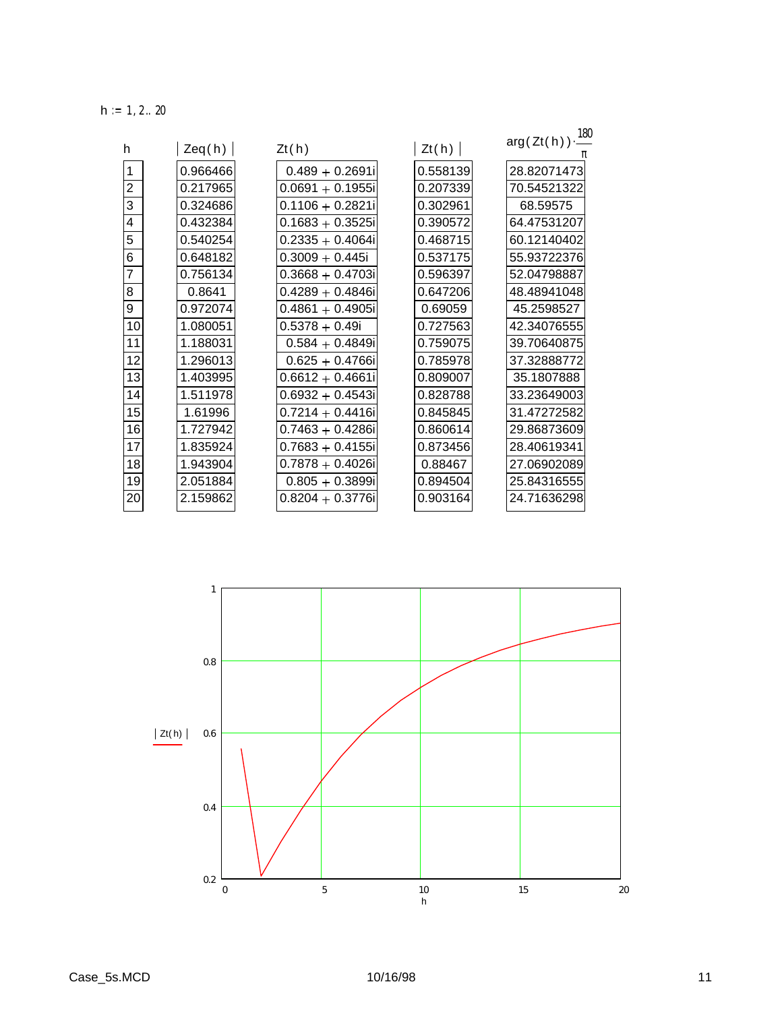$h := 1, 2 ... 20$ 

| h              | Zeq(h)   | Zt(h)               | Zt(h)    | $arg(Zt(h))\cdot \frac{180}{160}$ |
|----------------|----------|---------------------|----------|-----------------------------------|
|                |          |                     |          |                                   |
| $\mathbf{1}$   | 0.966466 | $0.489 + 0.2691i$   | 0.558139 | 28.82071473                       |
| $\overline{c}$ | 0.217965 | $0.0691 + 0.1955$ i | 0.207339 | 70.54521322                       |
| 3              | 0.324686 | $0.1106 + 0.2821i$  | 0.302961 | 68.59575                          |
| 4              | 0.432384 | $0.1683 + 0.3525i$  | 0.390572 | 64.47531207                       |
| 5              | 0.540254 | $0.2335 + 0.4064i$  | 0.468715 | 60.12140402                       |
| 6              | 0.648182 | $0.3009 + 0.445i$   | 0.537175 | 55.93722376                       |
| $\overline{7}$ | 0.756134 | $0.3668 + 0.4703i$  | 0.596397 | 52.04798887                       |
| 8              | 0.8641   | $0.4289 + 0.4846i$  | 0.647206 | 48.48941048                       |
| 9              | 0.972074 | $0.4861 + 0.4905i$  | 0.69059  | 45.2598527                        |
| 10             | 1.080051 | $0.5378 + 0.49i$    | 0.727563 | 42.34076555                       |
| 11             | 1.188031 | $0.584 + 0.4849i$   | 0.759075 | 39.70640875                       |
| 12             | 1.296013 | $0.625 + 0.4766i$   | 0.785978 | 37.32888772                       |
| 13             | 1.403995 | $0.6612 + 0.4661i$  | 0.809007 | 35.1807888                        |
| 14             | 1.511978 | $0.6932 + 0.4543i$  | 0.828788 | 33.23649003                       |
| 15             | 1.61996  | $0.7214 + 0.4416i$  | 0.845845 | 31.47272582                       |
| 16             | 1.727942 | $0.7463 + 0.4286i$  | 0.860614 | 29.86873609                       |
| 17             | 1.835924 | $0.7683 + 0.4155i$  | 0.873456 | 28.40619341                       |
| 18             | 1.943904 | $0.7878 + 0.4026i$  | 0.88467  | 27.06902089                       |
| 19             | 2.051884 | $0.805 + 0.3899i$   | 0.894504 | 25.84316555                       |
| 20             | 2.159862 | $0.8204 + 0.3776i$  | 0.903164 | 24.71636298                       |

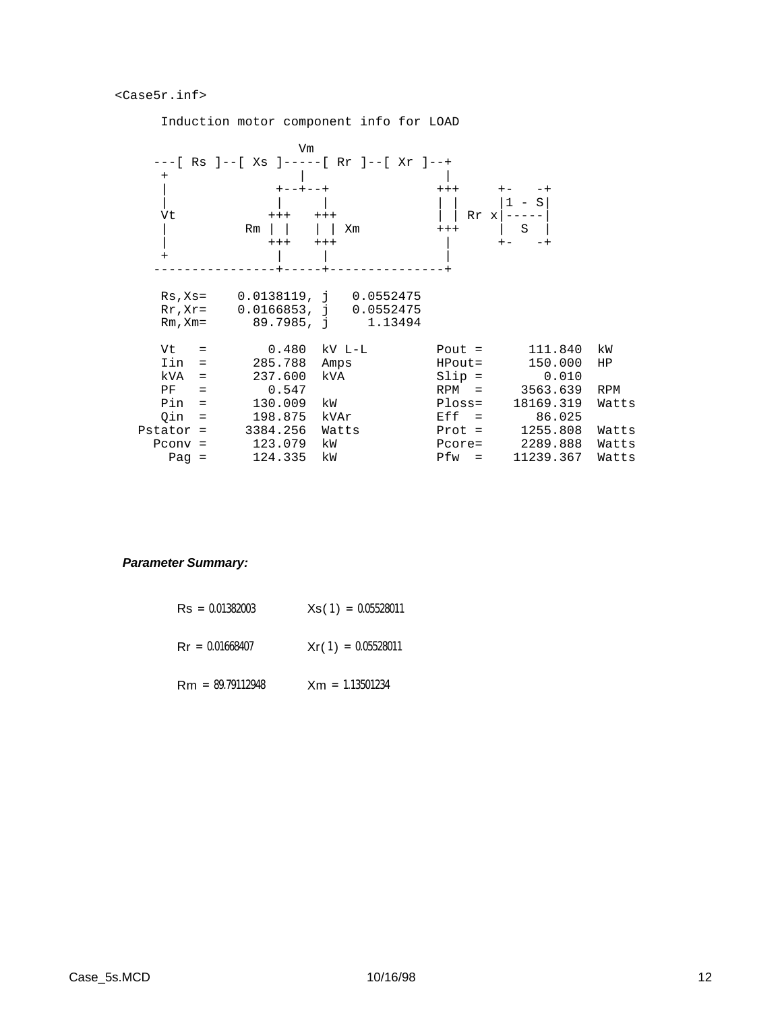#### <Case5r.inf>

**Vm** *Vm Vm*  ---[ Rs ]--[ Xs ]-----[ Rr ]--[ Xr ]--+ + | | | +--+--+ +++ +- -+ | | | | | |1 - S| Vt  $+++$   $+++$   $---$  | Rm | | | | Xm +++ | S | | +++ +++ | +- -+ + | | | ----------------+-----+---------------+ Rs,Xs= 0.0138119, j 0.0552475 Rr,Xr= 0.0166853, j 0.0552475 Rm, Xm= 89.7985, j 1.13494 Vt = 0.480 kV L-L Pout = 111.840 kW Iin = 285.788 Amps HPout= 150.000 HP kVA = 237.600 kVA Slip = 0.010 PF = 0.547 RPM = 3563.639 RPM Pin = 130.009 kW Ploss= 18169.319 Watts Qin = 198.875 kVAr Eff = 86.025 Pstator = 3384.256 Watts Prot = 1255.808 Watts Pconv = 123.079 kW Pcore= 2289.888 Watts Pag = 124.335 kW Pfw = 11239.367 Watts

# Induction motor component info for LOAD

### *Parameter Summary:*

| $\text{Rs} = 0.01382003$ | $Xs(1) = 0.05528011$ |
|--------------------------|----------------------|
| $\text{Rr} = 0.01668407$ | $Xr(1) = 0.05528011$ |
| $Rm = 89.79112948$       | $Xm = 1.13501234$    |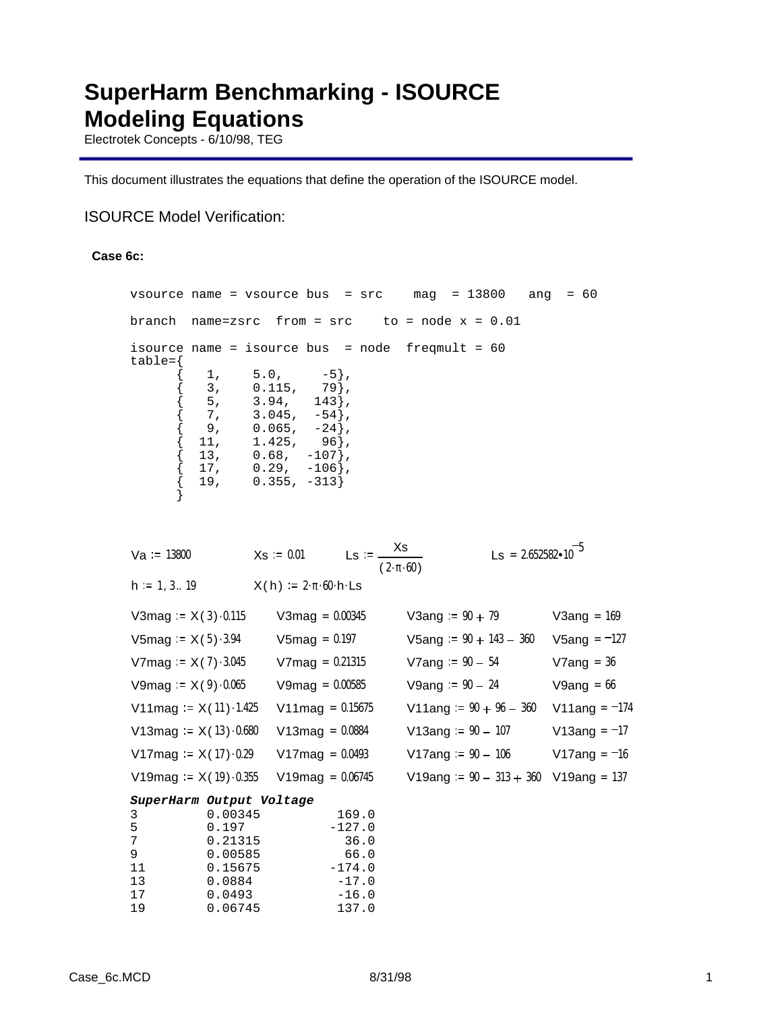# **SuperHarm Benchmarking - ISOURCE Modeling Equations**

Electrotek Concepts - 6/10/98, TEG

This document illustrates the equations that define the operation of the ISOURCE model.

# ISOURCE Model Verification:

### **Case 6c:**

| vsource name = vsource bus = src                |                                                                                |      |                                                              |                                                                                                               |                   |                                           | mag                  | $= 13800$                 |                                      | ang           |                | $= 60$                                  |  |  |
|-------------------------------------------------|--------------------------------------------------------------------------------|------|--------------------------------------------------------------|---------------------------------------------------------------------------------------------------------------|-------------------|-------------------------------------------|----------------------|---------------------------|--------------------------------------|---------------|----------------|-----------------------------------------|--|--|
| branch                                          | $name=zeros$ from = $src$                                                      |      |                                                              |                                                                                                               |                   |                                           | $to = node x = 0.01$ |                           |                                      |               |                |                                         |  |  |
| isource name = isource bus = node<br>$table={}$ | 1 <sub>1</sub><br>3,<br>5,<br>7,<br>9 <sub>1</sub><br>11,<br>13,<br>17,<br>19, | 5.0, | 0.115,<br>$3.94$ ,<br>3.045,<br>0.065,<br>1.425,<br>$0.68$ , | $-5$ },<br>79},<br>$143$ ,<br>$-54$ ,<br>$-24$ ,<br>$96$ ,<br>$-107$ ,<br>$0.29$ , $-106$ },<br>$0.355, -313$ |                   |                                           |                      | freqmult = $60$           |                                      |               |                |                                         |  |  |
| $Va = 13800$                                    |                                                                                |      | $Xs = 0.01$                                                  |                                                                                                               |                   | Ls := $\frac{Xs}{(2 \cdot \pi \cdot 60)}$ |                      |                           | $\text{Ls} = 2.652582 \cdot 10^{-5}$ |               |                |                                         |  |  |
| $h := 1, 3 19$                                  |                                                                                |      | $X(h) = 2 \cdot \pi \cdot 60 \cdot h \cdot \text{Ls}$        |                                                                                                               |                   |                                           |                      |                           |                                      |               |                |                                         |  |  |
| V3mag = $X(3) \cdot 0.115$                      |                                                                                |      | V3 $mag = 0.00345$                                           |                                                                                                               |                   |                                           | V3ang := $90 + 79$   |                           |                                      | $V3ang = 169$ |                |                                         |  |  |
| V5mag = $X(5) \cdot 3.94$                       |                                                                                |      |                                                              | $V5mag = 0.197$                                                                                               |                   |                                           |                      | V5ang $:= 90 + 143 - 360$ |                                      |               | $V5ang = -127$ |                                         |  |  |
| V7mag = $X(7) \cdot 3.045$                      |                                                                                |      |                                                              | $V7mag = 0.21315$                                                                                             |                   |                                           |                      | V7ang $= 90 - 54$         |                                      |               |                | $V7ang = 36$                            |  |  |
| V9mag = $X(9) \cdot 0.065$                      |                                                                                |      |                                                              | $V9mag = 0.00585$                                                                                             |                   |                                           |                      | V9ang $= 90 - 24$         |                                      |               |                | $V9ang = 66$                            |  |  |
| V11 mag = $X(11) \cdot 1.425$                   |                                                                                |      |                                                              | V11 mag = $0.15675$                                                                                           |                   |                                           |                      |                           | V11ang $:= 90 + 96 - 360$            |               |                | V11ang = $-174$                         |  |  |
| V13mag = $X(13) \cdot 0.680$                    |                                                                                |      |                                                              | $V13mag = 0.0884$                                                                                             |                   |                                           |                      | $V13ang := 90 - 107$      |                                      |               |                | V13ang = $-17$                          |  |  |
| V17mag = $X(17) \cdot 0.29$                     |                                                                                |      |                                                              | $V17mag = 0.0493$                                                                                             |                   |                                           |                      | V17ang $= 90 - 106$       |                                      |               |                | V17ang = $-16$                          |  |  |
| V19mag = $X(19) \cdot 0.355$                    |                                                                                |      |                                                              | $V19mag = 0.06745$                                                                                            |                   |                                           |                      |                           |                                      |               |                | V19ang := $90 - 313 + 360$ V19ang = 137 |  |  |
| SuperHarm Output Voltage<br>3<br>5<br>7<br>9    | 0.00345<br>0.197<br>0.21315<br>0.00585                                         |      |                                                              |                                                                                                               | 169.0<br>$-127.0$ | 36.0<br>66.0                              |                      |                           |                                      |               |                |                                         |  |  |

11 0.15675 -174.0 13 0.0884 -17.0 17 0.0493 -16.0 19 0.06745 137.0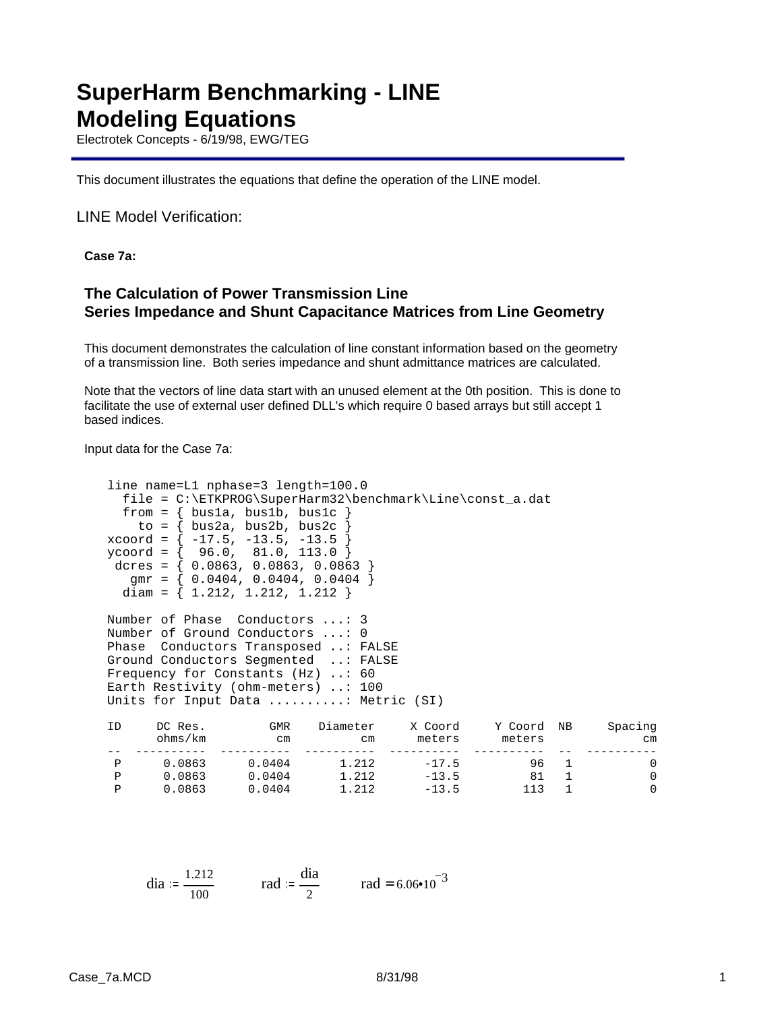# **SuperHarm Benchmarking - LINE Modeling Equations**

Electrotek Concepts - 6/19/98, EWG/TEG

This document illustrates the equations that define the operation of the LINE model.

### LINE Model Verification:

**Case 7a:**

# **The Calculation of Power Transmission Line Series Impedance and Shunt Capacitance Matrices from Line Geometry**

This document demonstrates the calculation of line constant information based on the geometry of a transmission line. Both series impedance and shunt admittance matrices are calculated.

Note that the vectors of line data start with an unused element at the 0th position. This is done to facilitate the use of external user defined DLL's which require 0 based arrays but still accept 1 based indices.

Input data for the Case 7a:

```
line name=L1 nphase=3 length=100.0
  file = C:\ETKPROG\SuperHarm32\benchmark\Line\const_a.dat
 from = { \text{bus1a, bus1b, bus1c} }to = \{ bus2a, bus2b, bus2c
xcoord = { -17.5, -13.5, -13.5 }
ycoord = { 96.0, 81.0, 113.0 }
 dcres = { 0.0863, 0.0863, 0.0863 }
  gmr = \{ 0.0404, 0.0404, 0.0404 \}diam = \{ 1.212, 1.212, 1.212 \}Number of Phase Conductors ...: 3
Number of Ground Conductors ...: 0
Phase Conductors Transposed ..: FALSE
Ground Conductors Segmented ..: FALSE
Frequency for Constants (Hz) ..: 60
Earth Restivity (ohm-meters) ..: 100
Units for Input Data ..........: Metric (SI)
```

| ID | DC Res.<br>ohms/km | GMR<br>cm | Diameter<br>cm | X Coord<br>meters | Y Coord<br>meters | <b>NB</b> | Spacing<br>cm |
|----|--------------------|-----------|----------------|-------------------|-------------------|-----------|---------------|
|    |                    |           |                |                   |                   |           |               |
| D  | 0.0863             | 0.0404    | 1.212          | $-17.5$           | 96                |           |               |
|    | 0.0863             | 0.0404    | 1.212          | $-13.5$           | 81                |           |               |
| D  | 0.0863             | 0.0404    | 1.212          | $-13.5$           | 113               |           |               |

dia := 
$$
\frac{1.212}{100}
$$
 rad :=  $\frac{dia}{2}$  rad = 6.06•10<sup>-3</sup>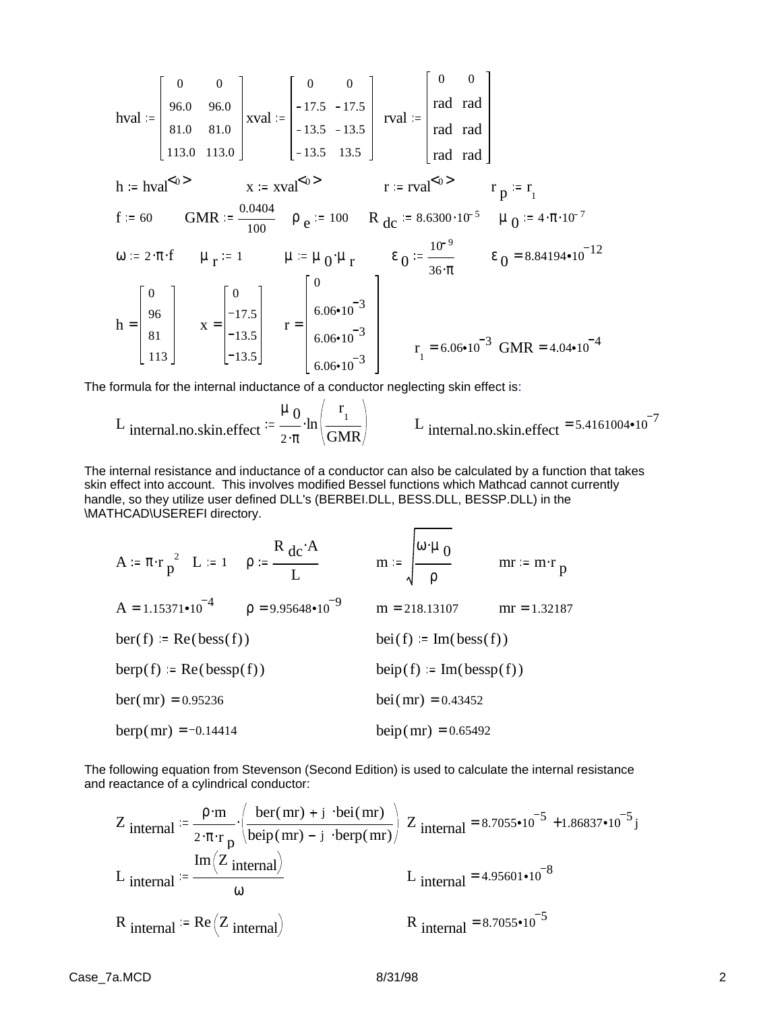$$
hval := \begin{bmatrix} 0 & 0 \\ 96.0 & 96.0 \\ 81.0 & 81.0 \\ 113.0 & 113.0 \end{bmatrix} xval := \begin{bmatrix} 0 & 0 \\ -17.5 & -17.5 \\ -13.5 & -13.5 \\ -13.5 & 13.5 \end{bmatrix} rval := \begin{bmatrix} 0 & 0 \\ rad & rad \\ rad & rad \\ rad & rad \end{bmatrix}
$$
  
\n
$$
h := hval^{\le 0>} \qquad x := xval^{\le 0>} \qquad r := rval^{\le 0>} \qquad r_{p} := r_{1}
$$
  
\n
$$
f := 60 \qquad GMR := \frac{0.0404}{100} \qquad \rho_{e} := 100 \qquad R_{dc} := 8.6300 \cdot 10^{-5} \qquad \mu_{0} := 4 \cdot \pi \cdot 10^{-7}
$$
  
\n
$$
\omega := 2 \cdot \pi \cdot f \qquad \mu_{r} := 1 \qquad \mu := \mu_{0} \cdot \mu_{r} \qquad \epsilon_{0} := \frac{10^{-9}}{36 \cdot \pi} \qquad \epsilon_{0} = 8.84194 \cdot 10^{-12}
$$
  
\n
$$
h = \begin{bmatrix} 0 \\ 96 \\ 81 \\ 81 \\ 113 \end{bmatrix} \qquad x = \begin{bmatrix} 0 \\ -17.5 \\ -13.5 \\ -13.5 \\ -13.5 \end{bmatrix} \qquad r = \begin{bmatrix} 0 \\ 6.06 \cdot 10^{-3} \\ 6.06 \cdot 10^{-3} \\ 6.06 \cdot 10^{-3} \\ 6.06 \cdot 10^{-3} \end{bmatrix} \qquad r_{1} = 6.06 \cdot 10^{-3} \qquad GMR = 4.04 \cdot 10^{-4}
$$

The formula for the internal inductance of a conductor neglecting skin effect is:

L internal.no.skin.effect = 
$$
\frac{\mu_0}{2 \cdot \pi} \cdot \ln \left( \frac{r_1}{GMR} \right)
$$
 L internal.no.skin.effect = 5.4161004•10<sup>-7</sup>

The internal resistance and inductance of a conductor can also be calculated by a function that takes skin effect into account. This involves modified Bessel functions which Mathcad cannot currently handle, so they utilize user defined DLL's (BERBEI.DLL, BESS.DLL, BESSP.DLL) in the \MATHCAD\USEREFI directory.

A := 
$$
\pi \cdot r \frac{2}{p^2}
$$
 L := 1  $\rho$  :=  $\frac{R}{L} \frac{dc \cdot A}{m}$  m :=  $\sqrt{\frac{\omega \cdot \mu}{\rho}}$  m = m \cdot r = m \cdot r<sub>p</sub>  
\nA = 1.15371•10<sup>-4</sup>  $\rho$  = 9.95648•10<sup>-9</sup> m = 218.13107 m = 1.32187  
\nber(f) := Re(bess(f))  
\nber(p) := Re(bessp(f))  
\nber(mr) = 0.95236  
\n $\rho$  = 9.95648•10<sup>-9</sup> m = 218.13107 m = 1.32187  
\n $\rho$  = 218.13107 m = 218.13107 m = 1.32187  
\n $\rho$  = 218.13107 m = 218.13107 m = 1.32187  
\n $\rho$  = 218.13107 m = 218.13107 m = 1.32187  
\n $\rho$  = 218.13107 m = 218.13107 m = 1.32187  
\n $\rho$  = 218.13107 m = 218.13107 m = 1.32187

The following equation from Stevenson (Second Edition) is used to calculate the internal resistance and reactance of a cylindrical conductor:

$$
Z_{\text{internal}} \coloneqq \frac{\rho \cdot m}{2 \cdot \pi \cdot r_{\text{p}}} \cdot \left( \frac{\text{ber}(mr) + j \cdot \text{bei}(mr)}{\text{beip}(mr) - j \cdot \text{berp}(mr)} \right) Z_{\text{internal}} = 8.7055 \cdot 10^{-5} + 1.86837 \cdot 10^{-5} j
$$
\n
$$
L_{\text{internal}} \coloneqq \frac{\text{Im}(Z_{\text{internal}})}{\omega} \qquad L_{\text{internal}} = 4.95601 \cdot 10^{-8}
$$
\n
$$
R_{\text{internal}} \coloneqq \text{Re}(Z_{\text{internal}}) \qquad R_{\text{internal}} = 8.7055 \cdot 10^{-5}
$$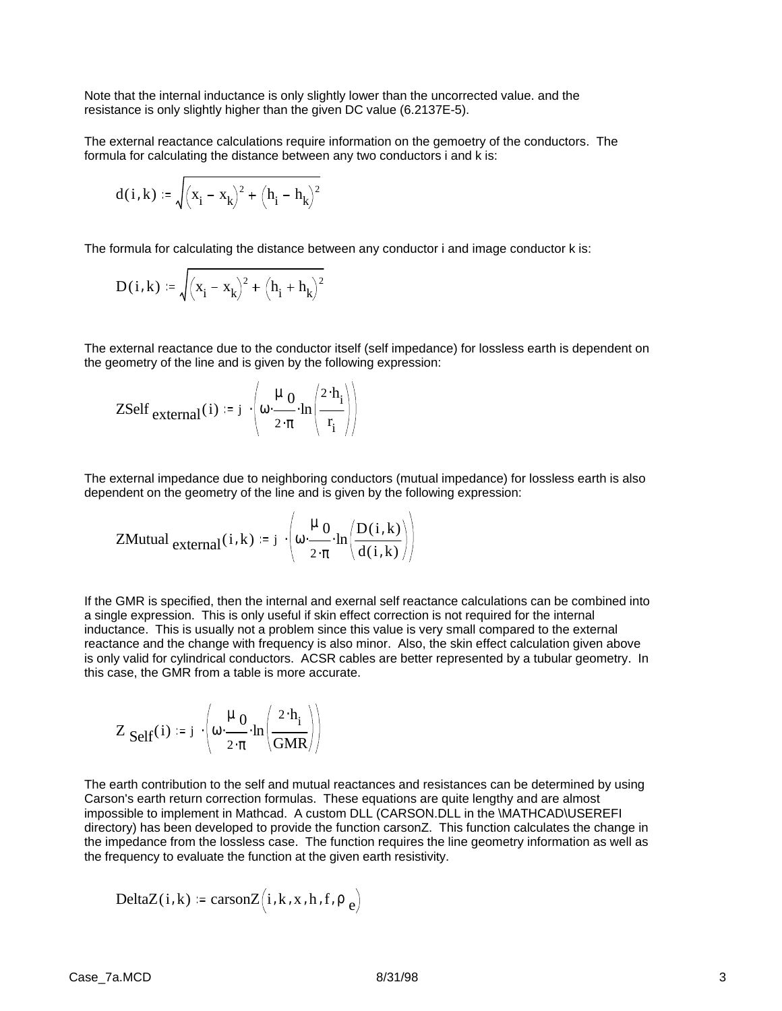Note that the internal inductance is only slightly lower than the uncorrected value. and the resistance is only slightly higher than the given DC value (6.2137E-5).

The external reactance calculations require information on the gemoetry of the conductors. The formula for calculating the distance between any two conductors i and k is:

$$
d(i,k) := \sqrt{(x_i - x_k)^2 + (h_i - h_k)^2}
$$

The formula for calculating the distance between any conductor i and image conductor k is:

$$
D(i,k) := \sqrt{(x_i - x_k)^2 + (h_i + h_k)^2}
$$

The external reactance due to the conductor itself (self impedance) for lossless earth is dependent on the geometry of the line and is given by the following expression:

ZSelf external(i) := j 
$$
\left\langle \omega \cdot \frac{\mu_0}{2 \cdot \pi} \cdot \ln \left( \frac{2 \cdot h_i}{r_i} \right) \right\rangle
$$

The external impedance due to neighboring conductors (mutual impedance) for lossless earth is also dependent on the geometry of the line and is given by the following expression:

ZMutual external
$$
(i,k) := j \cdot \left( \omega \cdot \frac{\mu_0}{2 \cdot \pi} \cdot \ln \left( \frac{D(i,k)}{d(i,k)} \right) \right)
$$

If the GMR is specified, then the internal and exernal self reactance calculations can be combined into a single expression. This is only useful if skin effect correction is not required for the internal inductance. This is usually not a problem since this value is very small compared to the external reactance and the change with frequency is also minor. Also, the skin effect calculation given above is only valid for cylindrical conductors. ACSR cables are better represented by a tubular geometry. In this case, the GMR from a table is more accurate.

$$
Z_{\text{Self}}(i) := j \cdot \left( \omega \cdot \frac{\mu_0}{2 \cdot \pi} \cdot \ln \left( \frac{2 \cdot h_i}{\text{GMR}} \right) \right)
$$

The earth contribution to the self and mutual reactances and resistances can be determined by using Carson's earth return correction formulas. These equations are quite lengthy and are almost impossible to implement in Mathcad. A custom DLL (CARSON.DLL in the \MATHCAD\USEREFI directory) has been developed to provide the function carsonZ. This function calculates the change in the impedance from the lossless case. The function requires the line geometry information as well as the frequency to evaluate the function at the given earth resistivity.

$$
DeltaZ(i,k) \coloneqq \text{carson}Z(i,k,x,h,f,\rho_e)
$$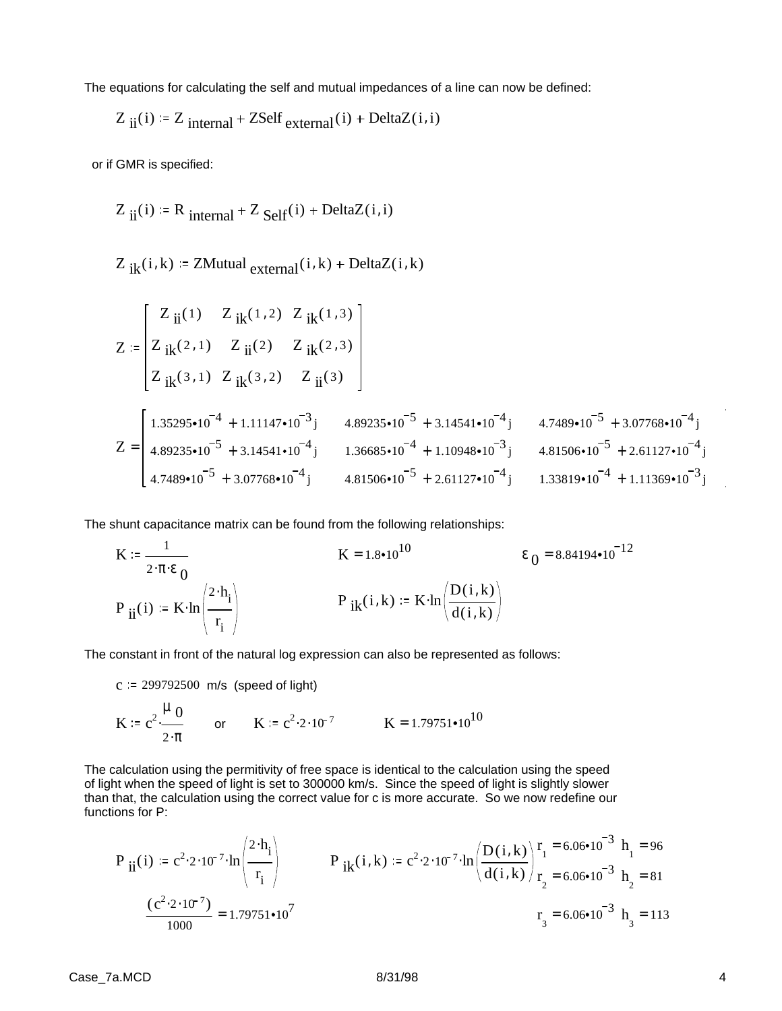The equations for calculating the self and mutual impedances of a line can now be defined:

$$
Z_{ii}(i) = Z_{internal} + ZSelf_{external}(i) + DeltaZ(i, i)
$$

or if GMR is specified:

$$
Z_{ii}(i) = R_{internal} + Z_{Self}(i) + DeltaZ(i, i)
$$

 $Z_{ik}(i, k) = ZMutual_{external}(i, k) + DeltaZ(i, k)$ 

$$
Z := \begin{bmatrix} Z_{ii}(1) & Z_{ik}(1,2) & Z_{ik}(1,3) \\ Z_{ik}(2,1) & Z_{ii}(2) & Z_{ik}(2,3) \\ Z_{ik}(3,1) & Z_{ik}(3,2) & Z_{ii}(3) \end{bmatrix}
$$
  
\n
$$
Z = \begin{bmatrix} 1.35295 \cdot 10^{-4} + 1.11147 \cdot 10^{-3}j & 4.89235 \cdot 10^{-5} + 3.14541 \cdot 10^{-4}j & 4.7489 \cdot 10^{-5} + 3.07768 \cdot 10^{-4}j \\ 4.89235 \cdot 10^{-5} + 3.14541 \cdot 10^{-4}j & 1.36685 \cdot 10^{-4} + 1.10948 \cdot 10^{-3}j & 4.81506 \cdot 10^{-5} + 2.61127 \cdot 10^{-4}j \\ 4.7489 \cdot 10^{-5} + 3.07768 \cdot 10^{-4}j & 4.81506 \cdot 10^{-5} + 2.61127 \cdot 10^{-4}j & 1.33819 \cdot 10^{-4} + 1.11369 \cdot 10^{-3}j \end{bmatrix}
$$

The shunt capacitance matrix can be found from the following relationships:

$$
K := \frac{1}{2 \cdot \pi \cdot \epsilon_0}
$$
\n
$$
P_{ii}(i) := K \cdot \ln \left( \frac{2 \cdot h_i}{r_i} \right)
$$
\n
$$
K = 1.8 \cdot 10^{10}
$$
\n
$$
E_0 = 8.84194 \cdot 10^{-12}
$$
\n
$$
P_{ik}(i,k) := K \cdot \ln \left( \frac{D(i,k)}{d(i,k)} \right)
$$

The constant in front of the natural log expression can also be represented as follows:

 $c = 299792500$  m/s (speed of light)

 $\overline{1}$ 

$$
K := c^{2} \cdot \frac{\mu}{2 \cdot \pi} \qquad \text{or} \qquad K := c^{2} \cdot 2 \cdot 10^{-7} \qquad K = 1.79751 \cdot 10^{10}
$$

The calculation using the permitivity of free space is identical to the calculation using the speed of light when the speed of light is set to 300000 km/s. Since the speed of light is slightly slower than that, the calculation using the correct value for c is more accurate. So we now redefine our functions for P:

$$
P_{ii}(i) = c^{2} \cdot 2 \cdot 10^{-7} \cdot \ln\left(\frac{2 \cdot h_{i}}{r_{i}}\right)
$$
\n
$$
P_{ik}(i,k) = c^{2} \cdot 2 \cdot 10^{-7} \cdot \ln\left(\frac{D(i,k)}{d(i,k)}\right) \cdot \frac{r_{i}}{r_{i}} = 6.06 \cdot 10^{-3} h_{i} = 96
$$
\n
$$
\frac{(c^{2} \cdot 2 \cdot 10^{-7})}{1000} = 1.79751 \cdot 10^{7}
$$
\n
$$
T_{3} = 6.06 \cdot 10^{-3} h_{3} = 113
$$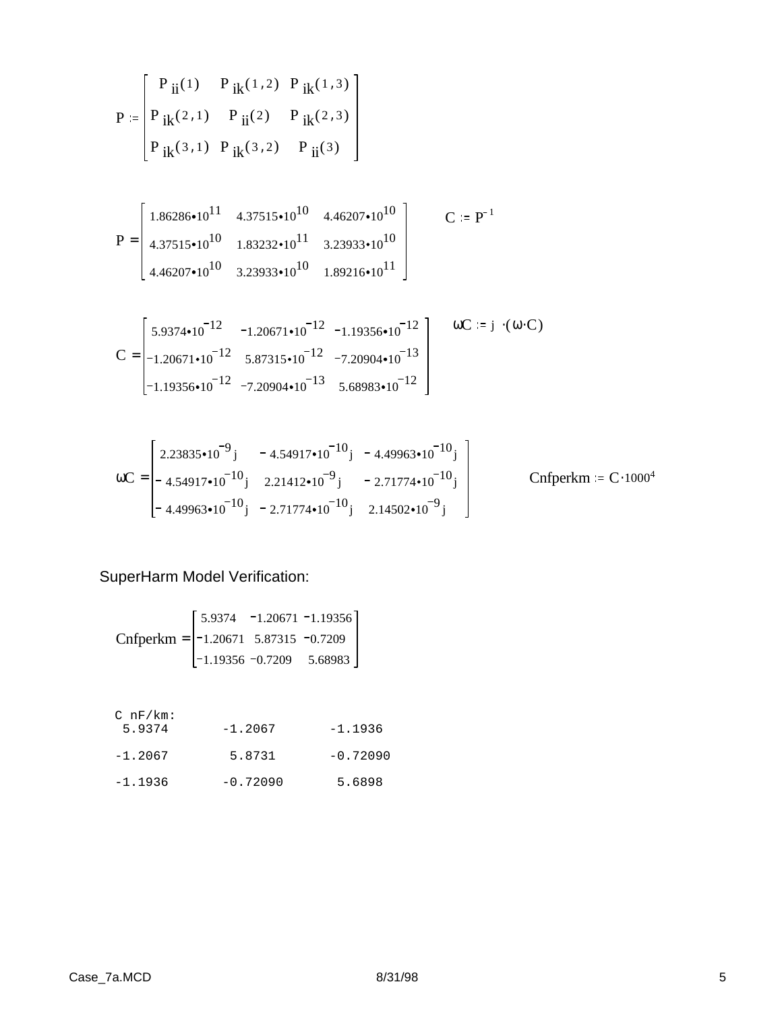$$
P = \begin{bmatrix} P_{ii}(1) & P_{ik}(1,2) & P_{ik}(1,3) \\ P_{ik}(2,1) & P_{ii}(2) & P_{ik}(2,3) \\ P_{ik}(3,1) & P_{ik}(3,2) & P_{ii}(3) \end{bmatrix}
$$

$$
P = \begin{bmatrix} 1.86286 \cdot 10^{11} & 4.37515 \cdot 10^{10} & 4.46207 \cdot 10^{10} \\ 4.37515 \cdot 10^{10} & 1.83232 \cdot 10^{11} & 3.23933 \cdot 10^{10} \\ 4.46207 \cdot 10^{10} & 3.23933 \cdot 10^{10} & 1.89216 \cdot 10^{11} \end{bmatrix}
$$
 C := P<sup>-1</sup>

$$
C = \begin{bmatrix} 5.9374 \cdot 10^{-12} & -1.20671 \cdot 10^{-12} & -1.19356 \cdot 10^{-12} \\ -1.20671 \cdot 10^{-12} & 5.87315 \cdot 10^{-12} & -7.20904 \cdot 10^{-13} \\ -1.19356 \cdot 10^{-12} & -7.20904 \cdot 10^{-13} & 5.68983 \cdot 10^{-12} \end{bmatrix} \qquad \omega C := j \cdot (\omega \cdot C)
$$

$$
\omega C = \begin{bmatrix} 2.23835 \cdot 10^{-9} & -4.54917 \cdot 10^{-10} & -4.49963 \cdot 10^{-10} & \\ -4.54917 \cdot 10^{-10} & 2.21412 \cdot 10^{-9} & -2.71774 \cdot 10^{-10} & \\ -4.49963 \cdot 10^{-10} & -2.71774 \cdot 10^{-10} & 2.14502 \cdot 10^{-9} & \end{bmatrix} \qquad \text{Cnfperkm} \coloneqq C \cdot 1000^4
$$

SuperHarm Model Verification:

$$
Cnfperkm = \begin{bmatrix} 5.9374 & -1.20671 & -1.19356 \\ -1.20671 & 5.87315 & -0.7209 \\ -1.19356 & -0.7209 & 5.68983 \end{bmatrix}
$$

C nF/km:

| 5.9374    | $-1.2067$  | $-1.1936$  |
|-----------|------------|------------|
| $-1.2067$ | 5.8731     | $-0.72090$ |
| $-1.1936$ | $-0.72090$ | 5.6898     |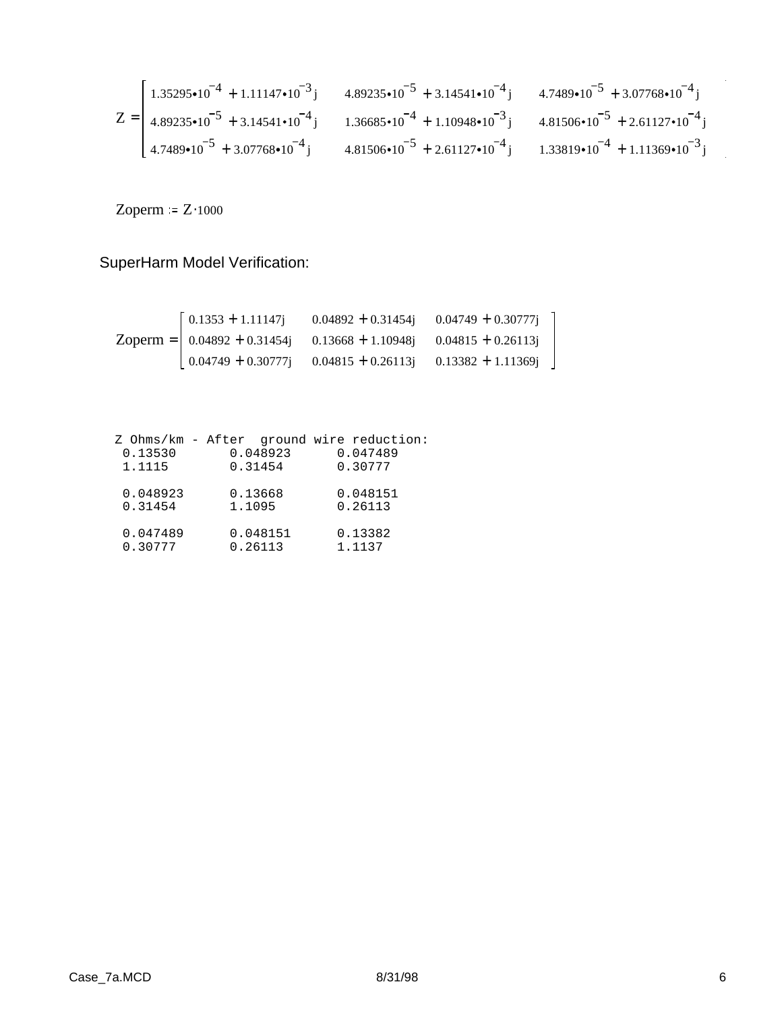$$
Z = \begin{bmatrix} 1.35295 \cdot 10^{-4} + 1.11147 \cdot 10^{-3} \, \text{j} & 4.89235 \cdot 10^{-5} + 3.14541 \cdot 10^{-4} \, \text{j} & 4.7489 \cdot 10^{-5} + 3.07768 \cdot 10^{-4} \, \text{j} \\ 4.89235 \cdot 10^{-5} + 3.14541 \cdot 10^{-4} \, \text{j} & 1.36685 \cdot 10^{-4} + 1.10948 \cdot 10^{-3} \, \text{j} & 4.81506 \cdot 10^{-5} + 2.61127 \cdot 10^{-4} \, \text{j} \\ 4.7489 \cdot 10^{-5} + 3.07768 \cdot 10^{-4} \, \text{j} & 4.81506 \cdot 10^{-5} + 2.61127 \cdot 10^{-4} \, \text{j} & 1.33819 \cdot 10^{-4} + 1.11369 \cdot 10^{-3} \, \text{j} \end{bmatrix}
$$

Zoperm =  $Z \cdot 1000$ 

SuperHarm Model Verification:

| $\left[0.1353 + 1.11147\right]$                                                                                                                       | $0.04892 + 0.31454j$ $0.04749 + 0.30777j$ |  |
|-------------------------------------------------------------------------------------------------------------------------------------------------------|-------------------------------------------|--|
| Zoperm = $\vert$ 0.04892 + 0.31454j 0.13668 + 1.10948j 0.04815 + 0.26113j                                                                             |                                           |  |
| $\begin{bmatrix} 0.04749 + 0.30777 \end{bmatrix}$ $\begin{bmatrix} 0.04815 + 0.26113 \end{bmatrix}$ $\begin{bmatrix} 0.13382 + 1.11369 \end{bmatrix}$ |                                           |  |

| 0.13530<br>1.1115 | Z Ohms/km - After ground wire reduction:<br>0.048923<br>0.31454 | 0.047489<br>0.30777 |
|-------------------|-----------------------------------------------------------------|---------------------|
| 0.048923          | 0.13668                                                         | 0.048151            |
| 0.31454           | 1.1095                                                          | 0.26113             |
| 0.047489          | 0.048151                                                        | 0.13382             |
| 0.30777           | 0.26113                                                         | 1.1137              |

 $\bar{\epsilon}$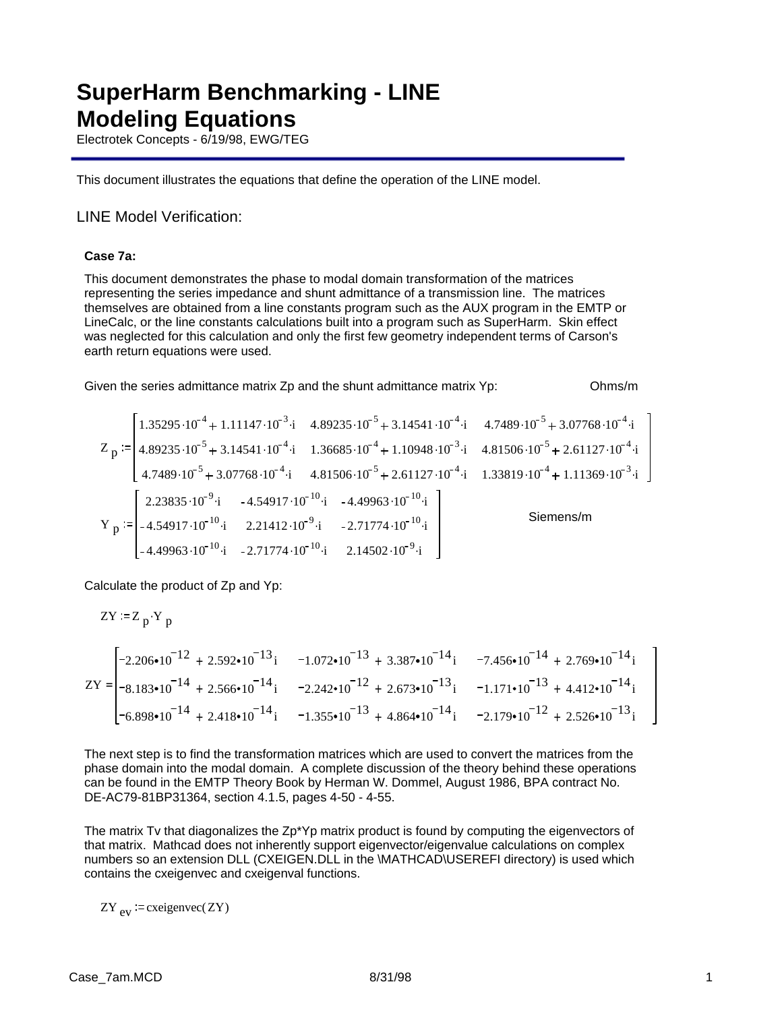# **SuperHarm Benchmarking - LINE Modeling Equations**

Electrotek Concepts - 6/19/98, EWG/TEG

This document illustrates the equations that define the operation of the LINE model.

## LINE Model Verification:

### **Case 7a:**

This document demonstrates the phase to modal domain transformation of the matrices representing the series impedance and shunt admittance of a transmission line. The matrices themselves are obtained from a line constants program such as the AUX program in the EMTP or LineCalc, or the line constants calculations built into a program such as SuperHarm. Skin effect was neglected for this calculation and only the first few geometry independent terms of Carson's earth return equations were used.

Given the series admittance matrix Zp and the shunt admittance matrix Yp: 0hms/m

$$
Z_{p} := \begin{bmatrix} 1.35295 \cdot 10^{-4} + 1.11147 \cdot 10^{-3} \cdot i & 4.89235 \cdot 10^{-5} + 3.14541 \cdot 10^{-4} \cdot i & 4.7489 \cdot 10^{-5} + 3.07768 \cdot 10^{-4} \cdot i \\ 4.89235 \cdot 10^{-5} + 3.14541 \cdot 10^{-4} \cdot i & 1.36685 \cdot 10^{-4} + 1.10948 \cdot 10^{-3} \cdot i & 4.81506 \cdot 10^{-5} + 2.61127 \cdot 10^{-4} \cdot i \\ 4.7489 \cdot 10^{-5} + 3.07768 \cdot 10^{-4} \cdot i & 4.81506 \cdot 10^{-5} + 2.61127 \cdot 10^{-4} \cdot i & 1.33819 \cdot 10^{-4} + 1.11369 \cdot 10^{-3} \cdot i \\ 2.23835 \cdot 10^{-9} \cdot i & -4.54917 \cdot 10^{-10} \cdot i & -4.49963 \cdot 10^{-10} \cdot i \\ -4.49963 \cdot 10^{-10} \cdot i & -2.71774 \cdot 10^{-10} \cdot i & 2.14502 \cdot 10^{-9} \cdot i \end{bmatrix} \qquad \text{Siemens/m}
$$

Calculate the product of Zp and Yp:

$$
ZY = Z_p \cdot Y_p
$$
\n
$$
ZY = \begin{bmatrix}\n-2.206 \cdot 10^{-12} + 2.592 \cdot 10^{-13}i & -1.072 \cdot 10^{-13} + 3.387 \cdot 10^{-14}i & -7.456 \cdot 10^{-14} + 2.769 \cdot 10^{-14}i \\
-8.183 \cdot 10^{-14} + 2.566 \cdot 10^{-14}i & -2.242 \cdot 10^{-12} + 2.673 \cdot 10^{-13}i & -1.171 \cdot 10^{-13} + 4.412 \cdot 10^{-14}i \\
-6.898 \cdot 10^{-14} + 2.418 \cdot 10^{-14}i & -1.355 \cdot 10^{-13} + 4.864 \cdot 10^{-14}i & -2.179 \cdot 10^{-12} + 2.526 \cdot 10^{-13}i\n\end{bmatrix}
$$

The next step is to find the transformation matrices which are used to convert the matrices from the phase domain into the modal domain. A complete discussion of the theory behind these operations can be found in the EMTP Theory Book by Herman W. Dommel, August 1986, BPA contract No. DE-AC79-81BP31364, section 4.1.5, pages 4-50 - 4-55.

The matrix Tv that diagonalizes the Zp\*Yp matrix product is found by computing the eigenvectors of that matrix. Mathcad does not inherently support eigenvector/eigenvalue calculations on complex numbers so an extension DLL (CXEIGEN.DLL in the \MATHCAD\USEREFI directory) is used which contains the cxeigenvec and cxeigenval functions.

 $ZY_{\text{ev}}$  = cxeigenvec(ZY)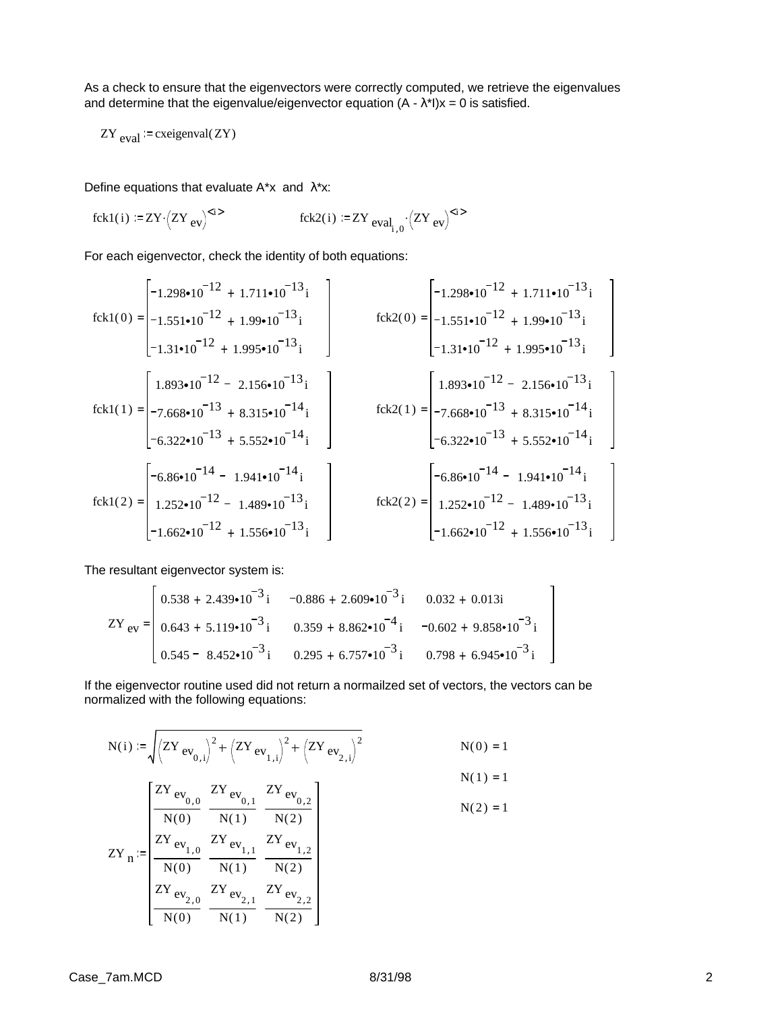As a check to ensure that the eigenvectors were correctly computed, we retrieve the eigenvalues and determine that the eigenvalue/eigenvector equation  $(A - \lambda^*I)x = 0$  is satisfied.

$$
ZY_{\text{eval}} = \text{cxeigenval}(ZY)
$$

Define equations that evaluate  $A^*x$  and  $\lambda^*x$ :

$$
fck1(i) := ZY \cdot (ZY_{ev})^{< i>} \qquad \qquad fck2(i) := ZY_{eval_{i,0}} \cdot (ZY_{ev})^{< i>}
$$

For each eigenvector, check the identity of both equations:

$$
fck1(0) = \begin{bmatrix} -1.298 \cdot 10^{-12} + 1.711 \cdot 10^{-13} i \\ -1.551 \cdot 10^{-12} + 1.99 \cdot 10^{-13} i \\ -1.31 \cdot 10^{-12} + 1.995 \cdot 10^{-13} i \\ -7.668 \cdot 10^{-13} + 8.315 \cdot 10^{-14} i \\ -6.322 \cdot 10^{-13} + 5.552 \cdot 10^{-14} i \\ 1.252 \cdot 10^{-12} - 1.489 \cdot 10^{-13} i \\ -1.662 \cdot 10^{-12} - 1.456 \cdot 10^{-13} i \\ -1.662 \cdot 10^{-12} + 1.556 \cdot 10^{-13} i \\ -1.662 \cdot 10^{-12} + 1.556 \cdot 10^{-13} i \\ -1.662 \cdot 10^{-12} + 1.556 \cdot 10^{-13} i \\ -1.662 \cdot 10^{-12} + 1.556 \cdot 10^{-13} i \\ -1.662 \cdot 10^{-12} + 1.556 \cdot 10^{-13} i \\ -1.662 \cdot 10^{-12} + 1.556 \cdot 10^{-13} i \\ -1.662 \cdot 10^{-12} + 1.556 \cdot 10^{-13} i \\ -1.662 \cdot 10^{-12} + 1.556 \cdot 10^{-13} i \\ -1.662 \cdot 10^{-12} + 1.556 \cdot 10^{-13} i \\ -1.662 \cdot 10^{-12} + 1.556 \cdot 10^{-13} i \\ -1.662 \cdot 10^{-12} + 1.556 \cdot 10^{-13} i \\ -1.662 \cdot 10^{-12} + 1.556 \cdot 10^{-13} i \\ -1.662 \cdot 10^{-12} + 1.556 \cdot 10^{-13} i \\ -1.662 \cdot 10^{-12} + 1.562 \cdot 10^{-13} i \\ -1.662 \cdot 10^{-12} + 1.562 \cdot 10^{-13} i \\ -1.662 \cdot 10^{-12} + 1.662
$$

The resultant eigenvector system is:

$$
ZY_{ev} = \begin{bmatrix} 0.538 + 2.439 \cdot 10^{-3} i & -0.886 + 2.609 \cdot 10^{-3} i & 0.032 + 0.013i \\ 0.643 + 5.119 \cdot 10^{-3} i & 0.359 + 8.862 \cdot 10^{-4} i & -0.602 + 9.858 \cdot 10^{-3} i \\ 0.545 - 8.452 \cdot 10^{-3} i & 0.295 + 6.757 \cdot 10^{-3} i & 0.798 + 6.945 \cdot 10^{-3} i \end{bmatrix}
$$

If the eigenvector routine used did not return a normailzed set of vectors, the vectors can be normalized with the following equations:

$$
N(i) := \sqrt{(ZY_{ev_{0,i}})^{2} + (ZY_{ev_{1,i}})^{2} + (ZY_{ev_{2,i}})^{2}}
$$
  
\n
$$
N(0) = 1
$$
  
\n
$$
\frac{ZY_{ev_{0,0}}}{N(0)} = \frac{ZY_{ev_{0,1}}}{N(1)} = \frac{ZY_{ev_{0,2}}}{N(2)}
$$
  
\n
$$
ZY_{ev_{1,0}} = \frac{ZY_{ev_{1,0}}}{N(0)} = \frac{ZY_{ev_{1,1}}}{N(1)} = \frac{ZY_{ev_{1,2}}}{N(2)}
$$
  
\n
$$
ZY_{ev_{2,0}} = \frac{ZY_{ev_{2,1}}}{N(0)} = \frac{ZY_{ev_{2,2}}}{N(1)} = \frac{ZY_{ev_{2,2}}}{N(2)}
$$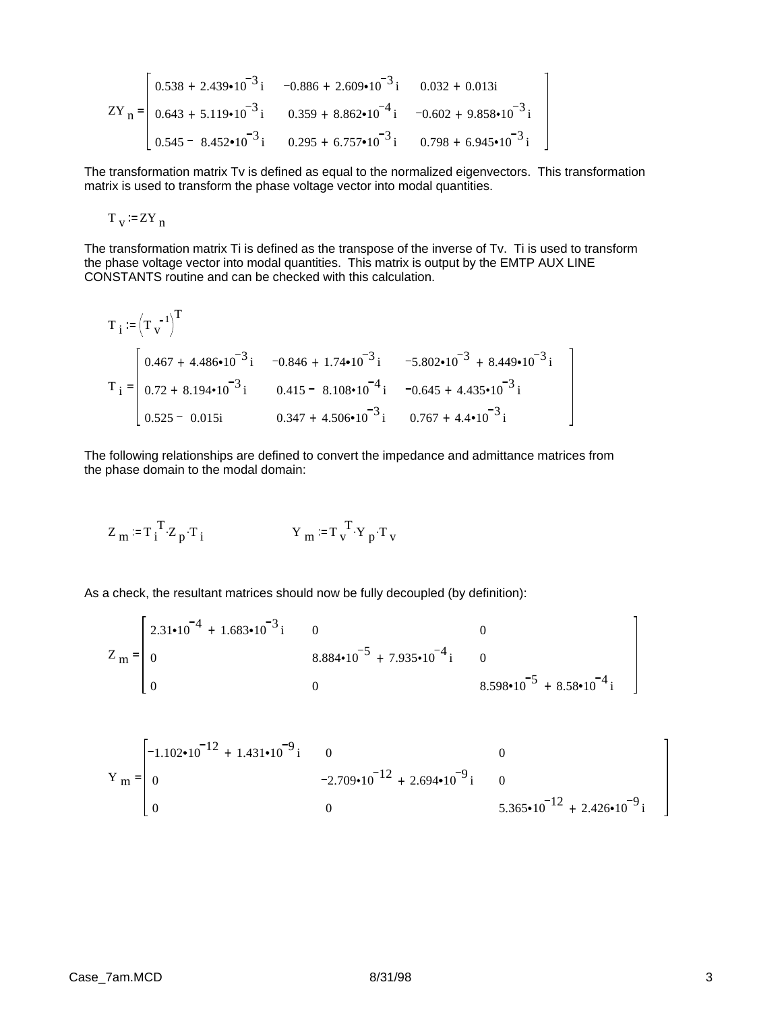$$
ZY_{n} = \begin{bmatrix} 0.538 + 2.439 \cdot 10^{-3} i & -0.886 + 2.609 \cdot 10^{-3} i & 0.032 + 0.013i \\ 0.643 + 5.119 \cdot 10^{-3} i & 0.359 + 8.862 \cdot 10^{-4} i & -0.602 + 9.858 \cdot 10^{-3} i \\ 0.545 - 8.452 \cdot 10^{-3} i & 0.295 + 6.757 \cdot 10^{-3} i & 0.798 + 6.945 \cdot 10^{-3} i \end{bmatrix}
$$

The transformation matrix Tv is defined as equal to the normalized eigenvectors. This transformation matrix is used to transform the phase voltage vector into modal quantities.

$$
T_v := ZY_n
$$

 $\mathbf{r}$ 

The transformation matrix Ti is defined as the transpose of the inverse of Tv. Ti is used to transform the phase voltage vector into modal quantities. This matrix is output by the EMTP AUX LINE CONSTANTS routine and can be checked with this calculation.

$$
T_{i} := (T_{v}^{-1})^{T}
$$
  
\n
$$
T_{i} =\begin{bmatrix} 0.467 + 4.486 \cdot 10^{-3} i & -0.846 + 1.74 \cdot 10^{-3} i & -5.802 \cdot 10^{-3} + 8.449 \cdot 10^{-3} i \\ 0.72 + 8.194 \cdot 10^{-3} i & 0.415 - 8.108 \cdot 10^{-4} i & -0.645 + 4.435 \cdot 10^{-3} i \\ 0.525 - 0.015i & 0.347 + 4.506 \cdot 10^{-3} i & 0.767 + 4.4 \cdot 10^{-3} i \end{bmatrix}
$$

The following relationships are defined to convert the impedance and admittance matrices from the phase domain to the modal domain:

$$
Z_m := T_i^T Z_p \cdot T_i \qquad \qquad Y_m := T_v^T \cdot Y_p \cdot T_v
$$

As a check, the resultant matrices should now be fully decoupled (by definition):

$$
Z_{m} = \begin{bmatrix} 2.31 \cdot 10^{-4} + 1.683 \cdot 10^{-3} i & 0 & 0 \\ 0 & 8.884 \cdot 10^{-5} + 7.935 \cdot 10^{-4} i & 0 \\ 0 & 0 & 8.598 \cdot 10^{-5} + 8.58 \cdot 10^{-4} i \end{bmatrix}
$$

$$
Y_{m} = \begin{bmatrix} -1.102 \cdot 10^{-12} + 1.431 \cdot 10^{-9} i & 0 & 0 \\ 0 & -2.709 \cdot 10^{-12} + 2.694 \cdot 10^{-9} i & 0 \\ 0 & 0 & 5.365 \cdot 10^{-12} + 2.426 \cdot 10^{-9} i \end{bmatrix}
$$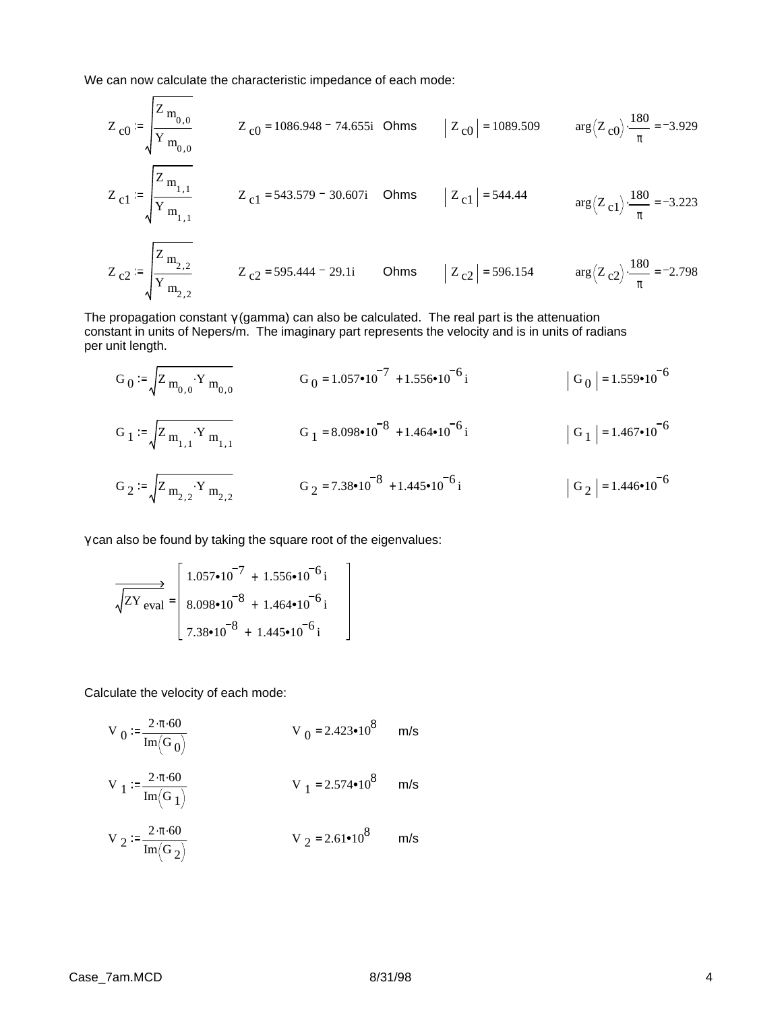We can now calculate the characteristic impedance of each mode:

$$
Z_{c0} := \sqrt{\frac{Z_{m_{0,0}}}{Y_{m_{0,0}}}}
$$
  
\n
$$
Z_{c1} = \sqrt{\frac{Z_{m_{1,1}}}{Y_{m_{1,1}}}}
$$
  
\n
$$
Z_{c1} = 543.579 - 30.607i
$$
 Ohms  
\n
$$
Z_{c1} = 544.44
$$
  
\n
$$
Z_{c2} := \sqrt{\frac{Z_{m_{2,2}}}{Y_{m_{2,2}}}}
$$
  
\n
$$
Z_{c1} = 543.579 - 30.607i
$$
 Ohms  
\n
$$
Z_{c1} = 544.44
$$
  
\n
$$
Z_{c2} = 595.444 - 29.1i
$$
 Ohms  
\n
$$
Z_{c2} = 596.154
$$
  
\n
$$
Z_{c1} = 596.154
$$
  
\n
$$
Z_{c2} = 596.154
$$
  
\n
$$
Z_{c1} = 544.44
$$
  
\n
$$
Z_{c2} = 595.444 - 29.1i
$$
 Ohms  
\n
$$
Z_{c2} = 596.154
$$
  
\n
$$
Z_{c1} = 596.154
$$
  
\n
$$
Z_{c2} = 597.444 - 29.1i
$$

The propagation constant  $\gamma$  (gamma) can also be calculated. The real part is the attenuation constant in units of Nepers/m. The imaginary part represents the velocity and is in units of radians per unit length.

$$
G_0 := \sqrt{Z_{m_{0,0}} \cdot Y_{m_{0,0}}} \qquad G_0 = 1.057 \cdot 10^{-7} + 1.556 \cdot 10^{-6} \text{ i}
$$
\n
$$
G_1 := \sqrt{Z_{m_{1,1}} \cdot Y_{m_{1,1}}} \qquad G_1 = 8.098 \cdot 10^{-8} + 1.464 \cdot 10^{-6} \text{ i}
$$
\n
$$
G_2 := \sqrt{Z_{m_{2,2}} \cdot Y_{m_{2,2}}} \qquad G_2 = 7.38 \cdot 10^{-8} + 1.445 \cdot 10^{-6} \text{ i}
$$
\n
$$
|G_2| = 1.446 \cdot 10^{-6}
$$

γ can also be found by taking the square root of the eigenvalues:

$$
\frac{1.057 \cdot 10^{-7} + 1.556 \cdot 10^{-6} \text{ i}}{8.098 \cdot 10^{-8} + 1.464 \cdot 10^{-6} \text{ i}}
$$
  
7.38 \cdot 10^{-8} + 1.445 \cdot 10^{-6} \text{ i}

Calculate the velocity of each mode:

$$
V_0 := \frac{2 \cdot \pi \cdot 60}{Im(G_0)}
$$
  $V_0 = 2.423 \cdot 10^8$  m/s

$$
V_1 := \frac{2 \cdot \pi \cdot 60}{Im(G_1)}
$$
  $V_1 = 2.574 \cdot 10^8$  m/s

$$
V_2 := \frac{2 \cdot \pi \cdot 60}{Im(G_2)}
$$
  $V_2 = 2.61 \cdot 10^8$  m/s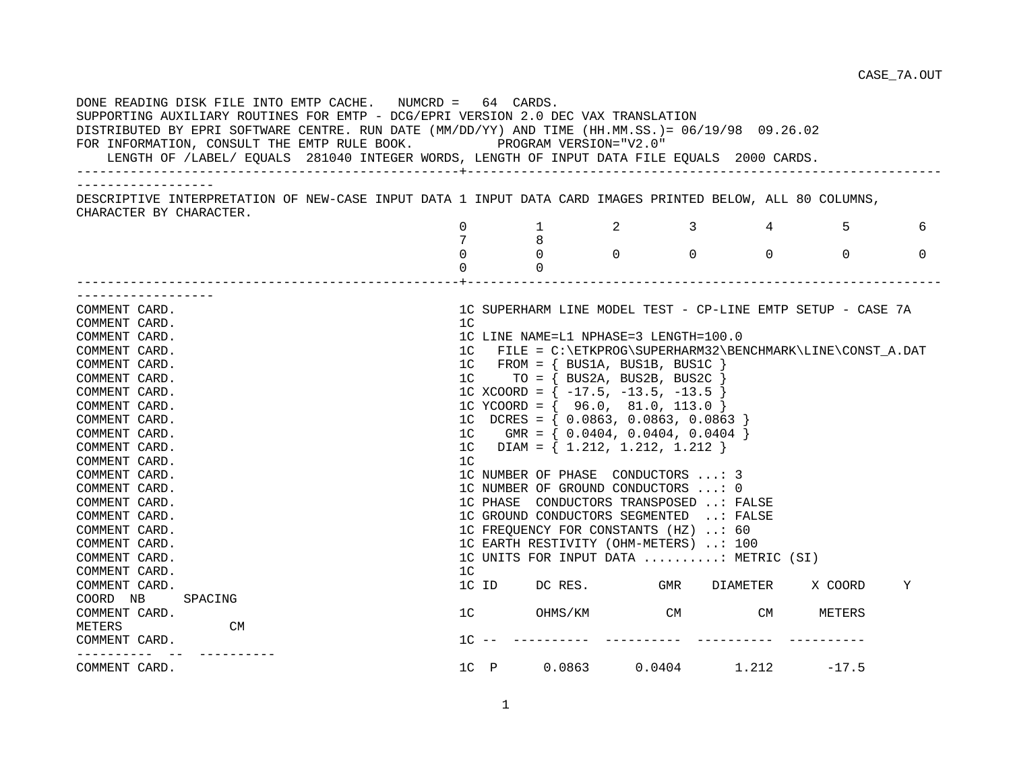| DONE READING DISK FILE INTO EMTP CACHE. NUMCRD = 64 CARDS.<br>SUPPORTING AUXILIARY ROUTINES FOR EMTP - DCG/EPRI VERSION 2.0 DEC VAX TRANSLATION<br>DISTRIBUTED BY EPRI SOFTWARE CENTRE. RUN DATE (MM/DD/YY) AND TIME (HH.MM.SS.)= 06/19/98 09.26.02<br>FOR INFORMATION, CONSULT THE EMTP RULE BOOK. $\hfill$ PROGRAM VERSION="V2.0"<br>LENGTH OF /LABEL/ EQUALS 281040 INTEGER WORDS, LENGTH OF INPUT DATA FILE EQUALS 2000 CARDS. |                |                                           |                                            |  |                                       |                                                             |                     |
|------------------------------------------------------------------------------------------------------------------------------------------------------------------------------------------------------------------------------------------------------------------------------------------------------------------------------------------------------------------------------------------------------------------------------------|----------------|-------------------------------------------|--------------------------------------------|--|---------------------------------------|-------------------------------------------------------------|---------------------|
|                                                                                                                                                                                                                                                                                                                                                                                                                                    |                |                                           |                                            |  |                                       |                                                             |                     |
| DESCRIPTIVE INTERPRETATION OF NEW-CASE INPUT DATA 1 INPUT DATA CARD IMAGES PRINTED BELOW, ALL 80 COLUMNS,                                                                                                                                                                                                                                                                                                                          |                |                                           |                                            |  |                                       |                                                             |                     |
| CHARACTER BY CHARACTER.                                                                                                                                                                                                                                                                                                                                                                                                            | $\Omega$       | $1 \t 2 \t 3$                             |                                            |  |                                       | $4\overline{ }$                                             | 5 <sup>1</sup><br>6 |
|                                                                                                                                                                                                                                                                                                                                                                                                                                    | 7              | 8                                         |                                            |  |                                       |                                                             |                     |
|                                                                                                                                                                                                                                                                                                                                                                                                                                    | $\Omega$       |                                           | $\begin{array}{ccc} 0 & 0 & 0 \end{array}$ |  | $\Omega$                              | $\Omega$                                                    | $\Omega$            |
|                                                                                                                                                                                                                                                                                                                                                                                                                                    | $\Omega$       | $\overline{0}$                            |                                            |  |                                       |                                                             |                     |
| . _ _ _ _ _ _ _ _ _ _ _ _ _ _ _ _ _                                                                                                                                                                                                                                                                                                                                                                                                |                |                                           |                                            |  |                                       |                                                             |                     |
| COMMENT CARD.                                                                                                                                                                                                                                                                                                                                                                                                                      |                |                                           |                                            |  |                                       | 1C SUPERHARM LINE MODEL TEST - CP-LINE EMTP SETUP - CASE 7A |                     |
| COMMENT CARD.                                                                                                                                                                                                                                                                                                                                                                                                                      | 1 <sup>C</sup> |                                           |                                            |  |                                       |                                                             |                     |
| COMMENT CARD.                                                                                                                                                                                                                                                                                                                                                                                                                      |                | 1C LINE NAME=L1 NPHASE=3 LENGTH=100.0     |                                            |  |                                       |                                                             |                     |
| COMMENT CARD.                                                                                                                                                                                                                                                                                                                                                                                                                      |                |                                           |                                            |  |                                       | 1C FILE = C:\ETKPROG\SUPERHARM32\BENCHMARK\LINE\CONST A.DAT |                     |
| COMMENT CARD.                                                                                                                                                                                                                                                                                                                                                                                                                      |                | $1C$ FROM = { BUS1A, BUS1B, BUS1C }       |                                            |  |                                       |                                                             |                     |
| COMMENT CARD.                                                                                                                                                                                                                                                                                                                                                                                                                      | 1C             |                                           | $TO = \{ BUS2A, BUS2B, BUS2C$              |  |                                       |                                                             |                     |
| COMMENT CARD.                                                                                                                                                                                                                                                                                                                                                                                                                      |                | 1C XCOORD = $\{-17.5, -13.5, -13.5\}$     |                                            |  |                                       |                                                             |                     |
| COMMENT CARD.                                                                                                                                                                                                                                                                                                                                                                                                                      |                | 1C YCOORD = { $96.0, 81.0, 113.0$ }       |                                            |  |                                       |                                                             |                     |
| COMMENT CARD.                                                                                                                                                                                                                                                                                                                                                                                                                      |                | 1C DCRES = $\{ 0.0863, 0.0863, 0.0863 \}$ |                                            |  |                                       |                                                             |                     |
| COMMENT CARD.                                                                                                                                                                                                                                                                                                                                                                                                                      | 1C             |                                           | $GMR = \{ 0.0404, 0.0404, 0.0404 \}$       |  |                                       |                                                             |                     |
| COMMENT CARD.                                                                                                                                                                                                                                                                                                                                                                                                                      |                | 1C DIAM = $\{ 1.212, 1.212, 1.212 \}$     |                                            |  |                                       |                                                             |                     |
| COMMENT CARD.                                                                                                                                                                                                                                                                                                                                                                                                                      | 1 <sup>C</sup> |                                           |                                            |  |                                       |                                                             |                     |
| COMMENT CARD.                                                                                                                                                                                                                                                                                                                                                                                                                      |                | 1C NUMBER OF PHASE CONDUCTORS : 3         |                                            |  |                                       |                                                             |                     |
| COMMENT CARD.                                                                                                                                                                                                                                                                                                                                                                                                                      |                | 1C NUMBER OF GROUND CONDUCTORS : 0        |                                            |  |                                       |                                                             |                     |
| COMMENT CARD.                                                                                                                                                                                                                                                                                                                                                                                                                      |                | 1C PHASE CONDUCTORS TRANSPOSED : FALSE    |                                            |  |                                       |                                                             |                     |
| COMMENT CARD.                                                                                                                                                                                                                                                                                                                                                                                                                      |                | 1C GROUND CONDUCTORS SEGMENTED : FALSE    |                                            |  |                                       |                                                             |                     |
| COMMENT CARD.                                                                                                                                                                                                                                                                                                                                                                                                                      |                | 1C FREQUENCY FOR CONSTANTS (HZ) : 60      |                                            |  |                                       |                                                             |                     |
| COMMENT CARD.                                                                                                                                                                                                                                                                                                                                                                                                                      |                | 1C EARTH RESTIVITY (OHM-METERS) : 100     |                                            |  |                                       |                                                             |                     |
| COMMENT CARD.<br>COMMENT CARD.                                                                                                                                                                                                                                                                                                                                                                                                     | 1 <sup>C</sup> |                                           |                                            |  | 1C UNITS FOR INPUT DATA : METRIC (SI) |                                                             |                     |
| COMMENT CARD.                                                                                                                                                                                                                                                                                                                                                                                                                      |                |                                           |                                            |  | 1C ID DC RES. GMR DIAMETER            | X COORD                                                     | Υ                   |
| COORD NB<br>SPACING                                                                                                                                                                                                                                                                                                                                                                                                                |                |                                           |                                            |  |                                       |                                                             |                     |
| COMMENT CARD.                                                                                                                                                                                                                                                                                                                                                                                                                      |                | 1 <sup>C</sup>                            |                                            |  | OHMS/KM CM CM CM                      | METERS                                                      |                     |
| METERS<br>CM                                                                                                                                                                                                                                                                                                                                                                                                                       |                |                                           |                                            |  |                                       |                                                             |                     |
| COMMENT CARD.                                                                                                                                                                                                                                                                                                                                                                                                                      |                |                                           |                                            |  |                                       |                                                             |                     |
|                                                                                                                                                                                                                                                                                                                                                                                                                                    |                |                                           |                                            |  |                                       |                                                             |                     |
| COMMENT CARD.                                                                                                                                                                                                                                                                                                                                                                                                                      |                |                                           |                                            |  |                                       | 1C P 0.0863 0.0404 1.212 -17.5                              |                     |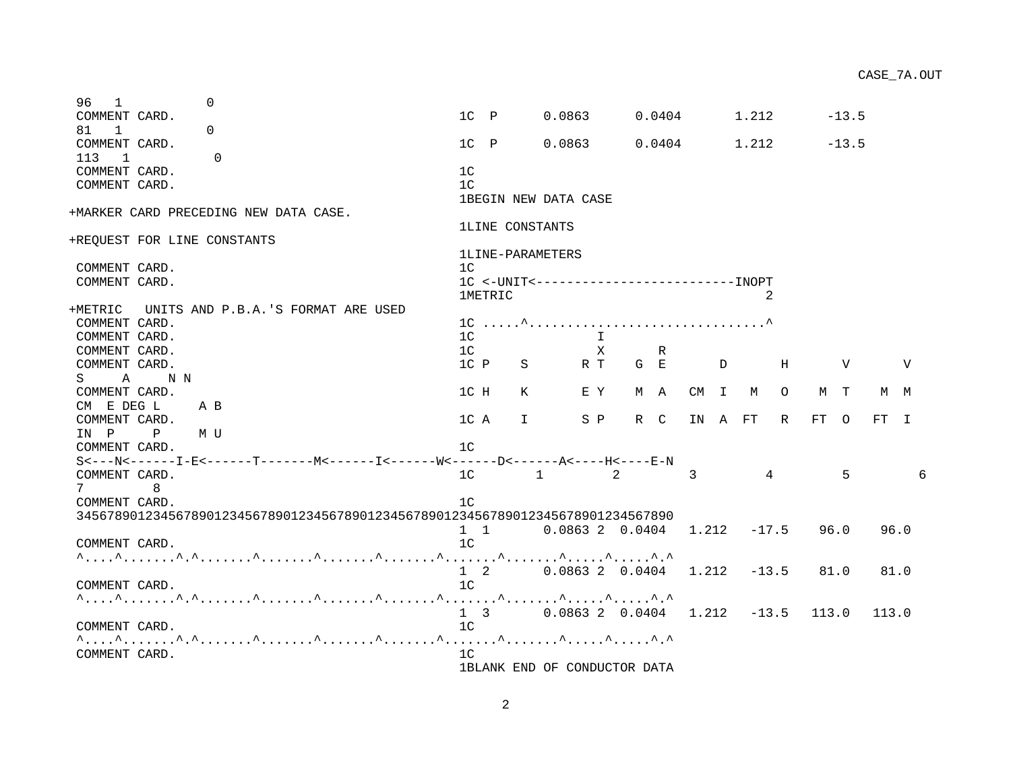| COMMENT CARD.                                 | $1C$ $P$               |              | 0.0863               |     | 0.0404 |    |              | 1.212       |         |    | $-13.5$ |     |        |
|-----------------------------------------------|------------------------|--------------|----------------------|-----|--------|----|--------------|-------------|---------|----|---------|-----|--------|
| 113<br>$\Omega$<br>$\overline{\phantom{0}}$   |                        |              |                      |     |        |    |              |             |         |    |         |     |        |
| COMMENT CARD.                                 | 1 <sup>C</sup>         |              |                      |     |        |    |              |             |         |    |         |     |        |
| COMMENT CARD.                                 | 1 <sup>C</sup>         |              |                      |     |        |    |              |             |         |    |         |     |        |
|                                               |                        |              | 1BEGIN NEW DATA CASE |     |        |    |              |             |         |    |         |     |        |
| +MARKER CARD PRECEDING NEW DATA CASE.         |                        |              |                      |     |        |    |              |             |         |    |         |     |        |
|                                               | <b>1LINE CONSTANTS</b> |              |                      |     |        |    |              |             |         |    |         |     |        |
| +REQUEST FOR LINE CONSTANTS                   |                        |              |                      |     |        |    |              |             |         |    |         |     |        |
|                                               | 1LINE-PARAMETERS       |              |                      |     |        |    |              |             |         |    |         |     |        |
| COMMENT CARD.                                 | 1C                     |              |                      |     |        |    |              |             |         |    |         |     |        |
| COMMENT CARD.                                 |                        |              |                      |     |        |    |              |             |         |    |         |     |        |
|                                               | <b>1METRIC</b>         |              |                      |     |        |    |              |             | 2       |    |         |     |        |
| UNITS AND P.B.A.'S FORMAT ARE USED<br>+METRIC |                        |              |                      |     |        |    |              |             |         |    |         |     |        |
| COMMENT CARD.                                 |                        |              |                      |     |        |    |              |             |         |    |         |     |        |
| COMMENT CARD.                                 | 1 <sup>c</sup>         |              |                      |     |        |    |              |             |         |    |         |     |        |
| COMMENT CARD.                                 | 1C                     |              | х                    |     | R      |    |              |             |         |    |         |     |        |
| COMMENT CARD.                                 | 1C P                   | S            | R T                  | G E |        |    | D            |             | Н       |    | V       |     | V      |
| A NN<br>$S$ and $S$                           |                        |              |                      |     |        |    |              |             |         |    |         |     |        |
| COMMENT CARD.                                 | 1C H                   | K            | E Y                  |     | M A    | CM | $\mathbb{I}$ | M           | $\circ$ |    | M T     | M M |        |
| CM E DEG L<br>A B                             |                        |              |                      |     |        |    |              |             |         |    |         |     |        |
| COMMENT CARD.                                 | 1C A                   | $\mathbf{I}$ | S P                  |     | R C    | ΙN | A            | $_{\rm FT}$ | R       | FT | $\circ$ | FT  | $\top$ |
| IN P<br>$\mathbf{P}$<br>M U                   |                        |              |                      |     |        |    |              |             |         |    |         |     |        |
| COMMENT CARD.                                 | 1 <sup>C</sup>         |              |                      |     |        |    |              |             |         |    |         |     |        |
|                                               |                        |              |                      |     |        |    |              |             |         |    |         |     |        |

96 1 0

81 1 0 COMMENT CARD.

COMMENT CARD. 10

COMMENT CARD. 1C

COMMENT CARD. COMMENT CARD. COMMENT CARD. 1C P S R T G E D H V V S A N N COMMENT CARD. CM E DEG L A B COMMENT CARD. IN P P M U COMMENT CARD. S<---N<------I-E<------T-------M<------I<------W<------D<------A<----H<----E-N COMMENT CARD. 1C 1 2 3 4 5 6 7 8 COMMENT CARD. 1C 345678901234567890123456789012345678901234567890123456789012345678901234567890 1 1 0.0863 2 0.0404 1.212 -17.5 96.0 96.0 COMMENT CARD. 10 ^....^.......^.^.......^.......^.......^.......^.......^.......^.....^.....^.^ 1 2 0.0863 2 0.0404 1.212 -13.5 81.0 81.0 COMMENT CARD. ^....^.......^.^.......^.......^.......^.......^.......^.......^.....^.....^.^ 1 3 0.0863 2 0.0404 1.212 -13.5 113.0 113.0

^....^.......^.^.......^.......^.......^.......^.......^.......^.....^.....^.^

COMMENT CARD. 1C P 0.0863 0.0404 1.212 -13.5

CASE\_7A.OUT

2

1BLANK END OF CONDUCTOR DATA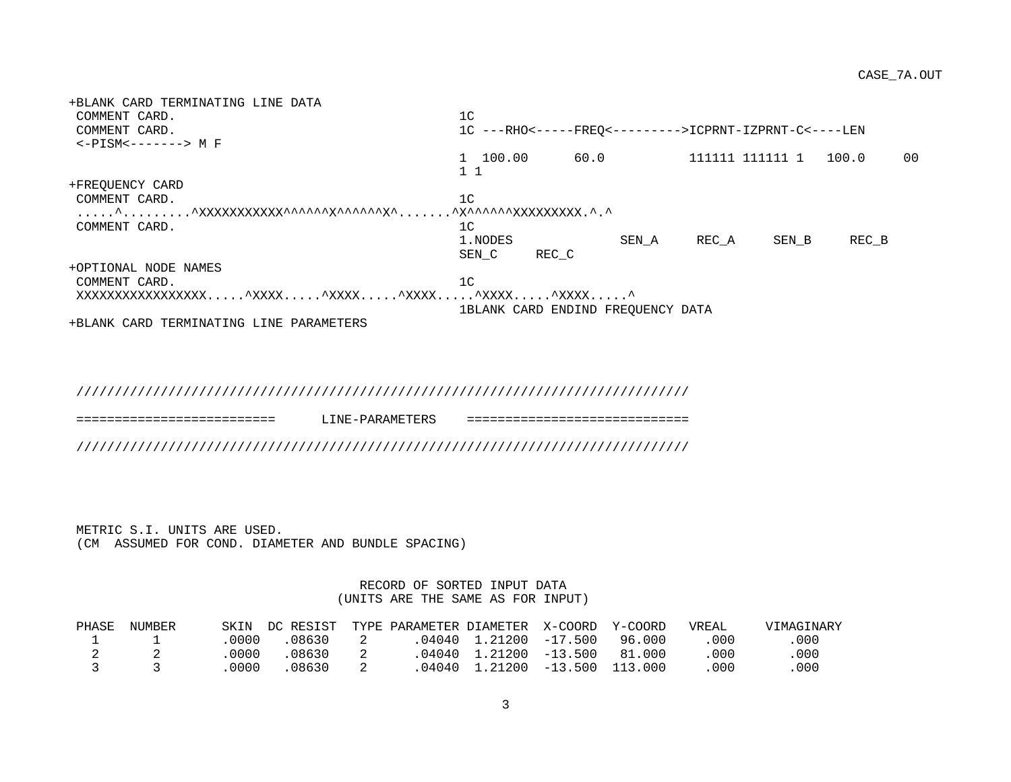+BLANK CARD TERMINATING LINE DATA COMMENT CARD. 1C COMMENT CARD. 1C ---RHO<-----FREQ<--------->ICPRNT-IZPRNT-C<----LEN <-PISM<-------> M F 1 100.00 60.0 111111 111111 1 100.0 00 1 1 +FREQUENCY CARD COMMENT CARD. 1C .....^.........^XXXXXXXXXXX^^^^^^X^^^^^^X^.......^X^^^^^^XXXXXXXXX.^.^ COMMENT CARD. 10 1.NODES SEN A RECA SEN B REC\_B SEN C REC C +OPTIONAL NODE NAMES COMMENT CARD. 10 XXXXXXXXXXXXXXXXX.....^XXXX.....^XXXX.....^XXXX.....^XXXX.....^XXXX.....^ 1BLANK CARD ENDIND FREQUENCY DATA

+BLANK CARD TERMINATING LINE PARAMETERS

////////////////////////////////////////////////////////////////////////////////

========================== LINE-PARAMETERS =============================

////////////////////////////////////////////////////////////////////////////////

 METRIC S.I. UNITS ARE USED. (CM ASSUMED FOR COND. DIAMETER AND BUNDLE SPACING)

> RECORD OF SORTED INPUT DATA (UNITS ARE THE SAME AS FOR INPUT)

| PHASE | NUMBER | SKIN  | DC RESIST TYPE PARAMETER DIAMETER X-COORD Y-COORD |  |                        |        | VREAL | VIMAGINARY |
|-------|--------|-------|---------------------------------------------------|--|------------------------|--------|-------|------------|
|       |        | .0000 | .08630                                            |  | .04040 1.21200 -17.500 | 96.000 | . 000 | 000        |
|       |        | 0000  | .08630                                            |  | .04040 1.21200 -13.500 | 81.000 | .000  | 000        |
|       |        | 0000  | .08630                                            |  |                        |        | 000   | 000        |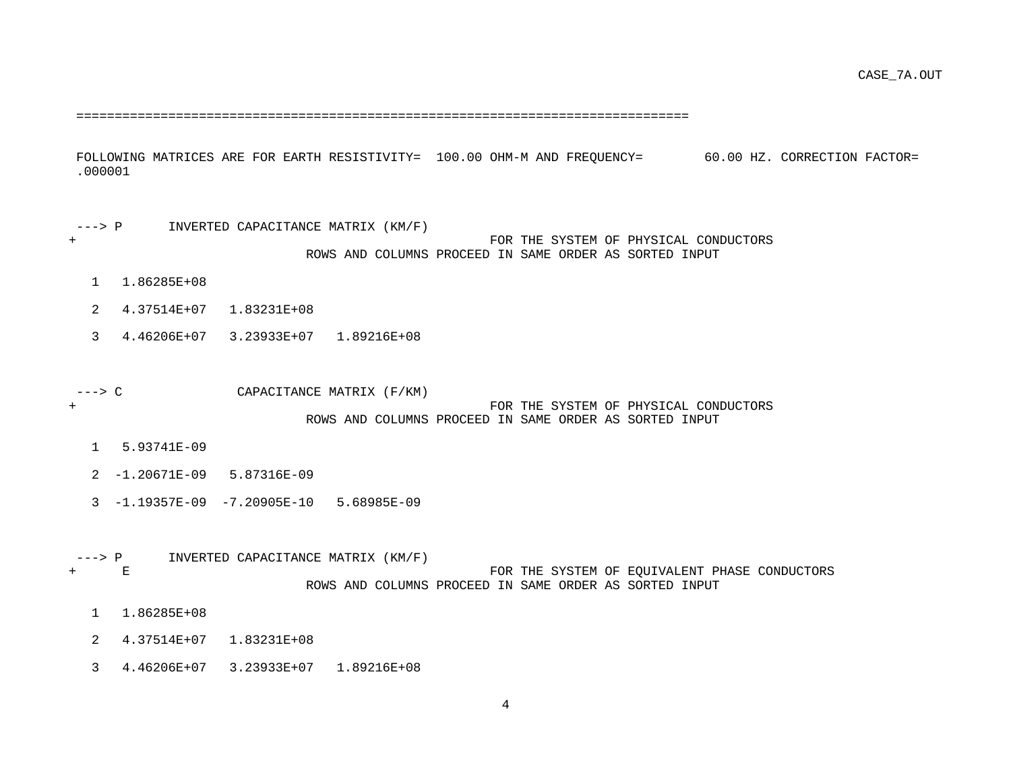================================================================================

 FOLLOWING MATRICES ARE FOR EARTH RESISTIVITY= 100.00 OHM-M AND FREQUENCY= 60.00 HZ. CORRECTION FACTOR= .000001

 ---> P INVERTED CAPACITANCE MATRIX (KM/F) + FOR THE SYSTEM OF PHYSICAL CONDUCTORS ROWS AND COLUMNS PROCEED IN SAME ORDER AS SORTED INPUT

- 1 1.86285E+08
- 2 4.37514E+07 1.83231E+08
- 3 4.46206E+07 3.23933E+07 1.89216E+08
- ---> C CAPACITANCE MATRIX (F/KM)

#### + FOR THE SYSTEM OF PHYSICAL CONDUCTORS ROWS AND COLUMNS PROCEED IN SAME ORDER AS SORTED INPUT

- 1 5.93741E-09
- 2 -1.20671E-09 5.87316E-09
- 3 -1.19357E-09 -7.20905E-10 5.68985E-09
- ---> P INVERTED CAPACITANCE MATRIX (KM/F)<br>+ E FOR THE SYSTEM OF EQUIVALENT PHASE CONDUCTORS ROWS AND COLUMNS PROCEED IN SAME ORDER AS SORTED INPUT
	- 1 1.86285E+08
	- 2 4.37514E+07 1.83231E+08
	- 3 4.46206E+07 3.23933E+07 1.89216E+08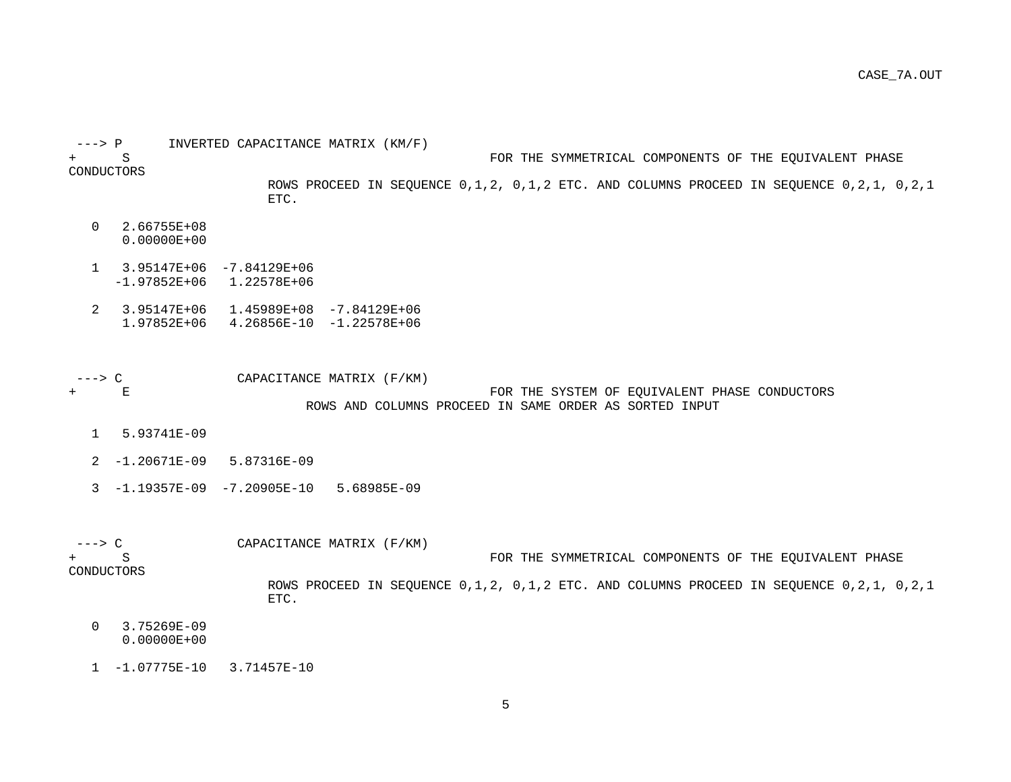| $---> P$       |                                | INVERTED CAPACITANCE MATRIX (KM/F)                                                              |
|----------------|--------------------------------|-------------------------------------------------------------------------------------------------|
|                | S                              | FOR THE SYMMETRICAL COMPONENTS OF THE EQUIVALENT PHASE                                          |
| CONDUCTORS     |                                |                                                                                                 |
|                |                                | ROWS PROCEED IN SEQUENCE 0,1,2, 0,1,2 ETC. AND COLUMNS PROCEED IN SEQUENCE 0,2,1, 0,2,1<br>ETC. |
|                |                                |                                                                                                 |
| $\Omega$       | 2.66755E+08<br>$0.00000E + 00$ |                                                                                                 |
| $\mathbf{1}$   |                                | $3.95147E+06 -7.84129E+06$                                                                      |
|                | $-1.97852E+06$                 | 1.22578E+06                                                                                     |
| $\overline{a}$ |                                | $3.95147E+06$ 1.45989E+08 -7.84129E+06                                                          |
|                |                                | $1.97852E+06$ 4.26856E-10 -1.22578E+06                                                          |
|                |                                |                                                                                                 |
| ---> C         |                                | CAPACITANCE MATRIX (F/KM)                                                                       |
|                | E                              | FOR THE SYSTEM OF EQUIVALENT PHASE CONDUCTORS                                                   |
|                |                                | ROWS AND COLUMNS PROCEED IN SAME ORDER AS SORTED INPUT                                          |
| $\mathbf{1}$   | 5.93741E-09                    |                                                                                                 |
|                | $2 - 1.20671E - 09$            | 5.87316E-09                                                                                     |
|                |                                | $-1.19357E-09$ $-7.20905E-10$ 5.68985E-09                                                       |
|                |                                |                                                                                                 |
|                |                                |                                                                                                 |
| $---> C$       |                                | CAPACITANCE MATRIX (F/KM)                                                                       |
| CONDUCTORS     | S                              | FOR THE SYMMETRICAL COMPONENTS OF THE EQUIVALENT PHASE                                          |
|                |                                | ROWS PROCEED IN SEQUENCE 0,1,2, 0,1,2 ETC. AND COLUMNS PROCEED IN SEQUENCE 0,2,1, 0,2,1         |
|                |                                | ETC.                                                                                            |
| $\Omega$       | 3.75269E-09                    |                                                                                                 |
|                | $0.00000E + 00$                |                                                                                                 |

1 -1.07775E-10 3.71457E-10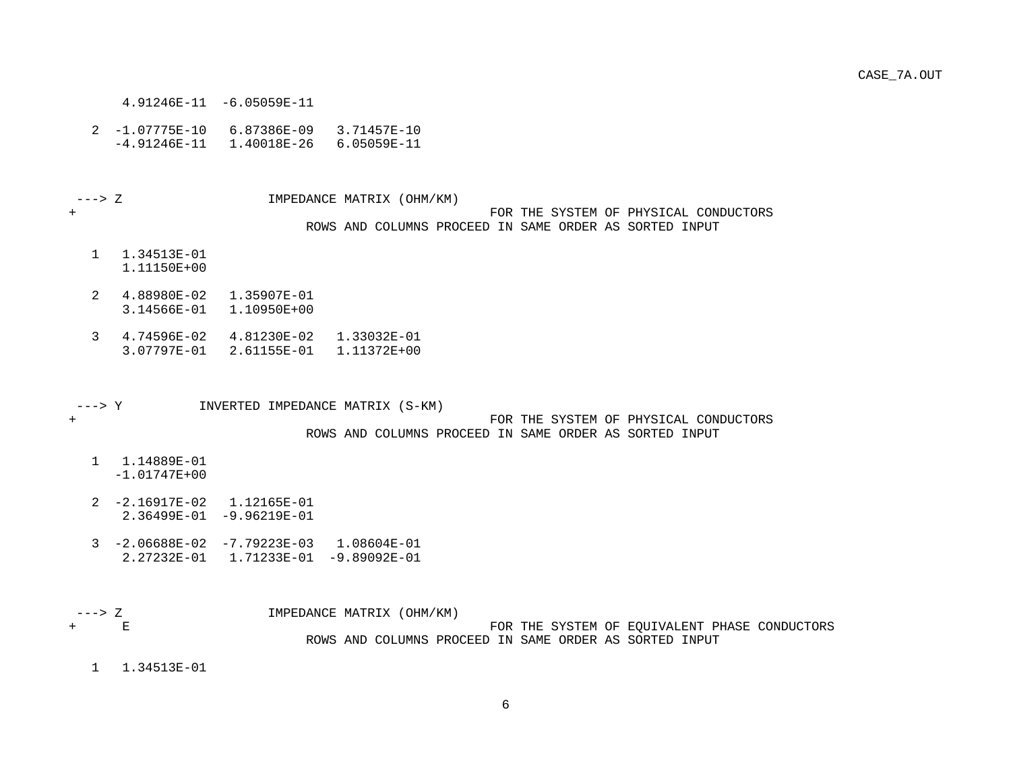- 4.91246E-11 -6.05059E-11
- 2 -1.07775E-10 6.87386E-09 3.71457E-10 -4.91246E-11 1.40018E-26 6.05059E-11

---> Z IMPEDANCE MATRIX (OHM/KM)

#### + FOR THE SYSTEM OF PHYSICAL CONDUCTORS ROWS AND COLUMNS PROCEED IN SAME ORDER AS SORTED INPUT

- 1 1.34513E-01 1.11150E+00
- 2 4.88980E-02 1.35907E-01 3.14566E-01 1.10950E+00
- 3 4.74596E-02 4.81230E-02 1.33032E-01 3.07797E-01 2.61155E-01 1.11372E+00

---> Y INVERTED IMPEDANCE MATRIX (S-KM)

+ FOR THE SYSTEM OF PHYSICAL CONDUCTORS ROWS AND COLUMNS PROCEED IN SAME ORDER AS SORTED INPUT

- 1 1.14889E-01 -1.01747E+00
- 2 -2.16917E-02 1.12165E-01 2.36499E-01 -9.96219E-01
- 3 -2.06688E-02 -7.79223E-03 1.08604E-01 2.27232E-01 1.71233E-01 -9.89092E-01

 ---> Z IMPEDANCE MATRIX (OHM/KM) FOR THE SYSTEM OF EQUIVALENT PHASE CONDUCTORS ROWS AND COLUMNS PROCEED IN SAME ORDER AS SORTED INPUT

1 1.34513E-01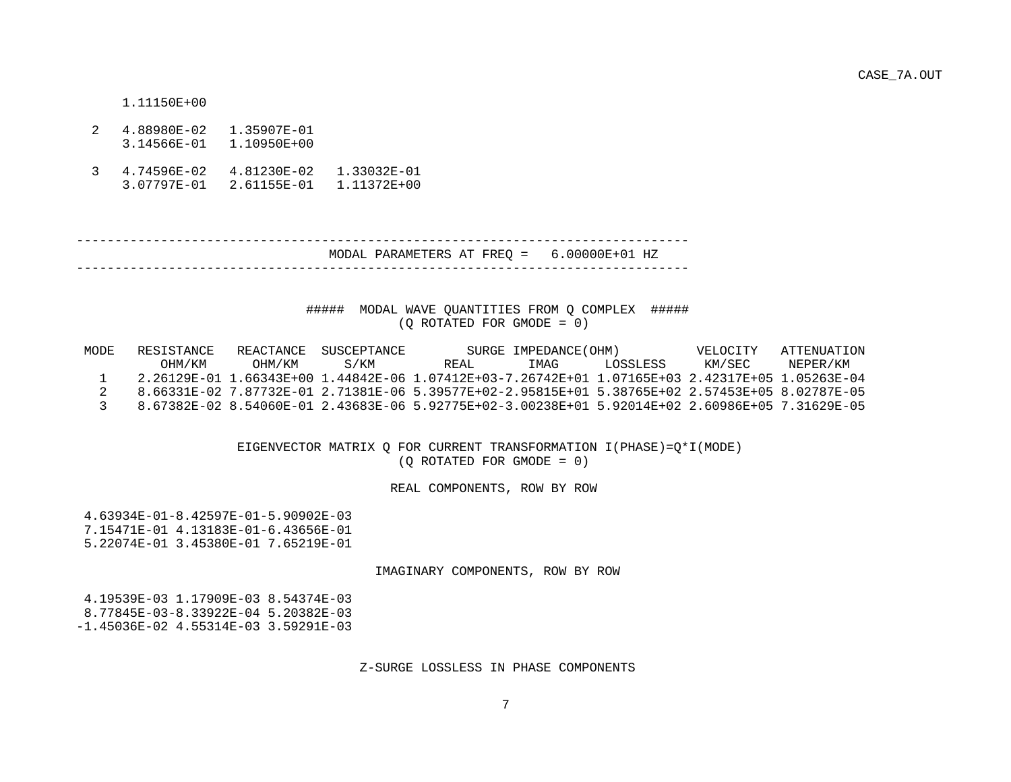CASE\_7A.OUT

1.11150E+00

- 2 4.88980E-02 1.35907E-01 3.14566E-01 1.10950E+00
- 3 4.74596E-02 4.81230E-02 1.33032E-01 3.07797E-01 2.61155E-01 1.11372E+00

 -------------------------------------------------------------------------------- MODAL PARAMETERS AT FREQ = 6.00000E+01 HZ --------------------------------------------------------------------------------

#### ##### MODAL WAVE QUANTITIES FROM Q COMPLEX ##### (Q ROTATED FOR GMODE = 0)

| MODE | RESISTANCE |          | REACTANCE SUSCEPTANCE |                                                                                                 | SURGE IMPEDANCE (OHM) |          | VELOCITY | ATTENUATION |
|------|------------|----------|-----------------------|-------------------------------------------------------------------------------------------------|-----------------------|----------|----------|-------------|
|      | OHM/KM     | OHM / KM | S/KM                  | REAL.                                                                                           | TMAG                  | LOSSLESS | KM/SEC   | NEPER/KM    |
|      |            |          |                       | 2.26129E-01 1.66343E+00 1.44842E-06 1.07412E+03-7.26742E+01 1.07165E+03 2.42317E+05 1.05263E-04 |                       |          |          |             |
|      |            |          |                       | 8.66331E-02 7.87732E-01 2.71381E-06 5.39577E+02-2.95815E+01 5.38765E+02 2.57453E+05 8.02787E-05 |                       |          |          |             |
|      |            |          |                       | 8.67382E-02 8.54060E-01 2.43683E-06 5.92775E+02-3.00238E+01 5.92014E+02 2.60986E+05 7.31629E-05 |                       |          |          |             |

 EIGENVECTOR MATRIX Q FOR CURRENT TRANSFORMATION I(PHASE)=Q\*I(MODE)  $(0$  ROTATED FOR GMODE =  $0$ )

REAL COMPONENTS, ROW BY ROW

 4.63934E-01-8.42597E-01-5.90902E-03 7.15471E-01 4.13183E-01-6.43656E-01 5.22074E-01 3.45380E-01 7.65219E-01

IMAGINARY COMPONENTS, ROW BY ROW

 4.19539E-03 1.17909E-03 8.54374E-03 8.77845E-03-8.33922E-04 5.20382E-03 -1.45036E-02 4.55314E-03 3.59291E-03

Z-SURGE LOSSLESS IN PHASE COMPONENTS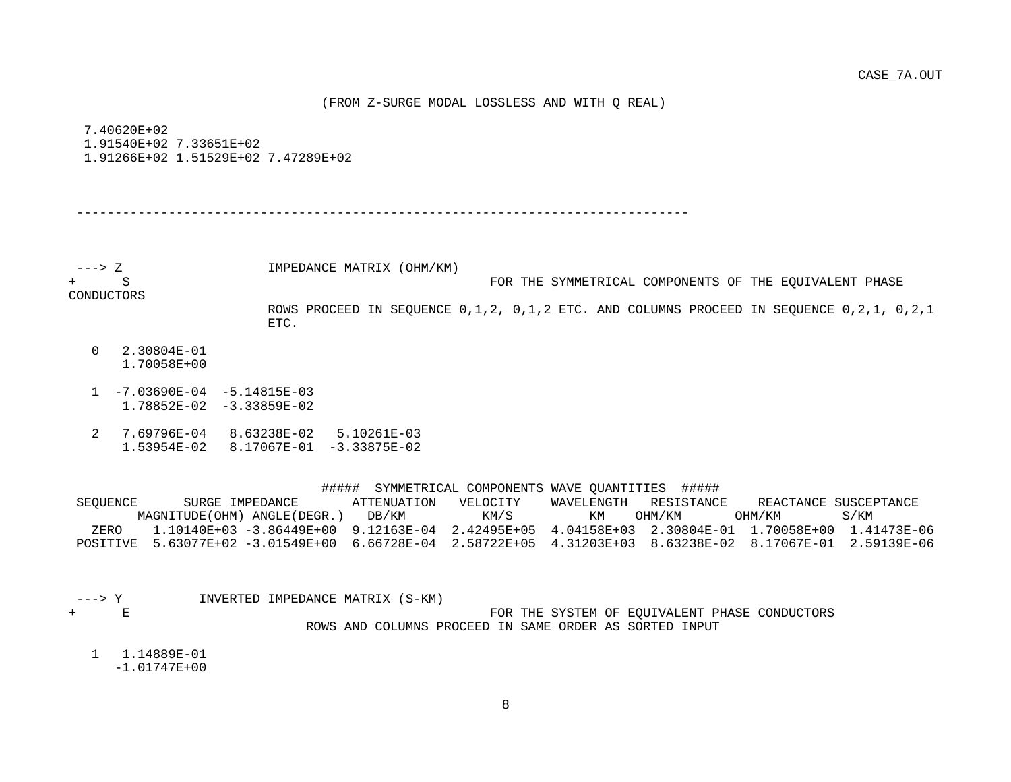(FROM Z-SURGE MODAL LOSSLESS AND WITH Q REAL)

 7.40620E+02 1.91540E+02 7.33651E+02 1.91266E+02 1.51529E+02 7.47289E+02

--------------------------------------------------------------------------------

---> Z IMPEDANCE MATRIX (OHM/KM)

+ S FOR THE SYMMETRICAL COMPONENTS OF THE EQUIVALENT PHASE

CONDUCTORS

 ROWS PROCEED IN SEQUENCE 0,1,2, 0,1,2 ETC. AND COLUMNS PROCEED IN SEQUENCE 0,2,1, 0,2,1 ETC.

- 0 2.30804E-01 1.70058E+00
- 1 -7.03690E-04 -5.14815E-03 1.78852E-02 -3.33859E-02
- 2 7.69796E-04 8.63238E-02 5.10261E-03 1.53954E-02 8.17067E-01 -3.33875E-02

| ##### | SYMMETRICAL COMPONENTS WAVE OUANTITIES |  |  |  | ##### |
|-------|----------------------------------------|--|--|--|-------|
|-------|----------------------------------------|--|--|--|-------|

| SEOUENCE | SURGE IMPEDANCE                                                                                  | ATTENUATION | VELOCITY | WAVELENGTH | RESISTANCE |          | REACTANCE SUSCEPTANCE |
|----------|--------------------------------------------------------------------------------------------------|-------------|----------|------------|------------|----------|-----------------------|
|          | MAGNITUDE (OHM) ANGLE (DEGR.)                                                                    | DB/KM       | KM/S     | KМ         | OHM/KM     | OHM / KM | S/KM                  |
| ZERO     | 1.10140E+03 -3.86449E+00 9.12163E-04 2.42495E+05 4.04158E+03 2.30804E-01 1.70058E+00 1.41473E-06 |             |          |            |            |          |                       |
| POSTTIVE | 5.63077E+02 -3.01549E+00 6.66728E-04 2.58722E+05 4.31203E+03 8.63238E-02 8.17067E-01             |             |          |            |            |          | 2 59139 R-06          |

- 
- ---> Y INVERTED IMPEDANCE MATRIX (S-KM) FOR THE SYSTEM OF EQUIVALENT PHASE CONDUCTORS ROWS AND COLUMNS PROCEED IN SAME ORDER AS SORTED INPUT
	- 1 1.14889E-01 -1.01747E+00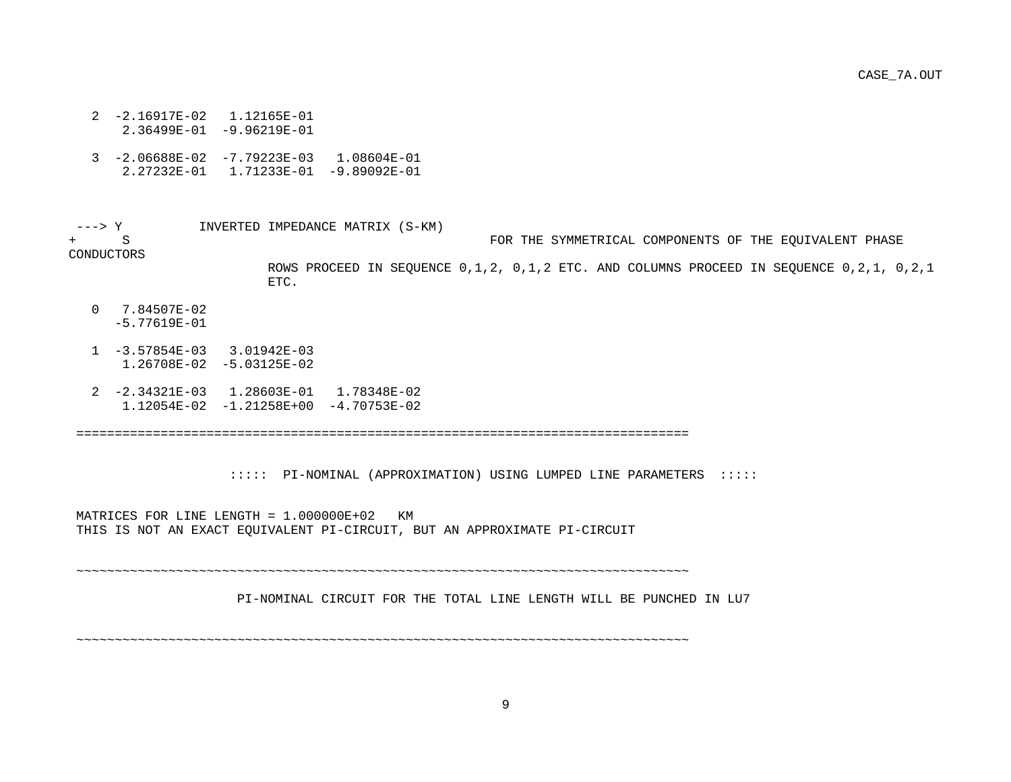CASE\_7A.OUT

- 2 -2.16917E-02 1.12165E-01
- 2.36499E-01 -9.96219E-01
- 3 -2.06688E-02 -7.79223E-03 1.08604E-01 2.27232E-01 1.71233E-01 -9.89092E-01

---> Y  $INVERTED INPENDANCE MATRIX (S-KM) + S$ FOR THE SYMMETRICAL COMPONENTS OF THE EOUIVALENT PHASE CONDUCTORS ROWS PROCEED IN SEQUENCE 0,1,2, 0,1,2 ETC. AND COLUMNS PROCEED IN SEQUENCE 0,2,1, 0,2,1 ETC.

- 0 7.84507E-02 -5.77619E-01
- 1 -3.57854E-03 3.01942E-03 1.26708E-02 -5.03125E-02
- 2 -2.34321E-03 1.28603E-01 1.78348E-02 1.12054E-02 -1.21258E+00 -4.70753E-02

================================================================================

::::: PI-NOMINAL (APPROXIMATION) USING LUMPED LINE PARAMETERS :::::

MATRICES FOR LINE LENGTH =  $1.000000E+02$  KM THIS IS NOT AN EXACT EQUIVALENT PI-CIRCUIT, BUT AN APPROXIMATE PI-CIRCUIT

~~~~~~~~~~~~~~~~~~~~~~~~~~~~~~~~~~~~~~~~~~~~~~~~~~~~~~~~~~~~~~~~~~~~~~~~~~~~~~~~

PI-NOMINAL CIRCUIT FOR THE TOTAL LINE LENGTH WILL BE PUNCHED IN LU7

~~~~~~~~~~~~~~~~~~~~~~~~~~~~~~~~~~~~~~~~~~~~~~~~~~~~~~~~~~~~~~~~~~~~~~~~~~~~~~~~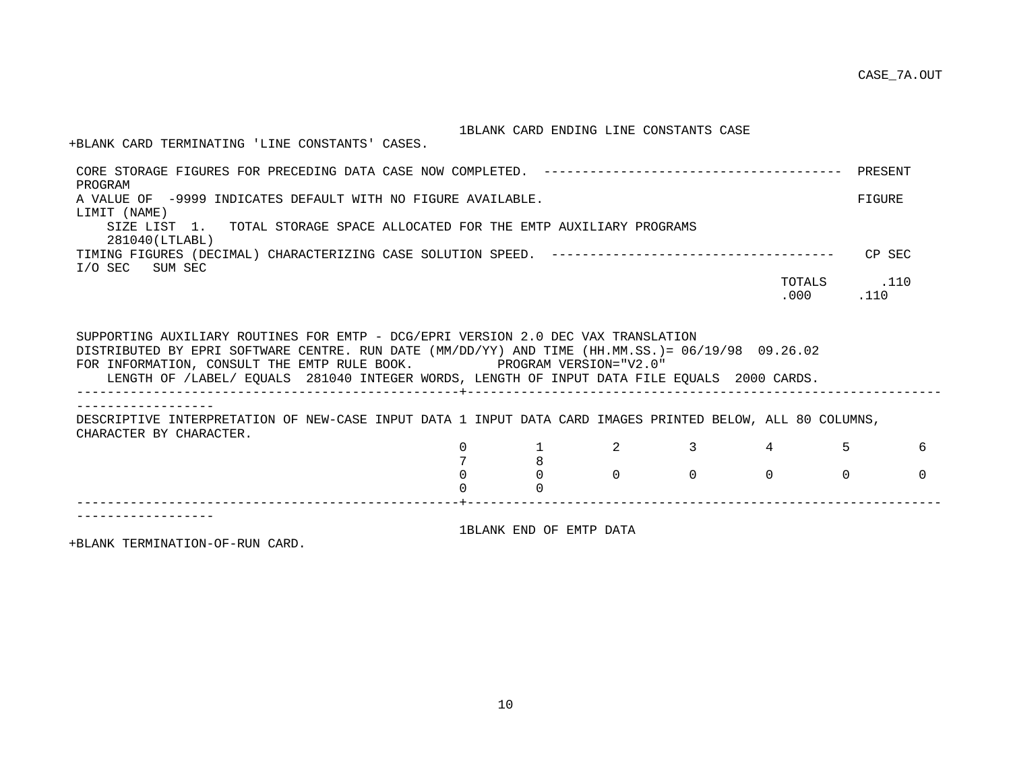### 1BLANK CARD ENDING LINE CONSTANTS CASE

+BLANK CARD TERMINATING 'LINE CONSTANTS' CASES.

| PROGRAM                                                                                                                                                                                                                                                                                                                                                     |          |                         |          |          |                                                     |          |  |  |  |
|-------------------------------------------------------------------------------------------------------------------------------------------------------------------------------------------------------------------------------------------------------------------------------------------------------------------------------------------------------------|----------|-------------------------|----------|----------|-----------------------------------------------------|----------|--|--|--|
| A VALUE OF -9999 INDICATES DEFAULT WITH NO FIGURE AVAILABLE.                                                                                                                                                                                                                                                                                                |          |                         |          |          |                                                     | FIGURE   |  |  |  |
| LIMIT (NAME)                                                                                                                                                                                                                                                                                                                                                |          |                         |          |          |                                                     |          |  |  |  |
| SIZE LIST 1. TOTAL STORAGE SPACE ALLOCATED FOR THE EMTP AUXILIARY PROGRAMS<br>281040(LTLABL)                                                                                                                                                                                                                                                                |          |                         |          |          |                                                     |          |  |  |  |
| I/O SEC SUM SEC                                                                                                                                                                                                                                                                                                                                             |          |                         |          |          |                                                     | CP SEC   |  |  |  |
|                                                                                                                                                                                                                                                                                                                                                             |          |                         |          |          | TOTALS 110                                          |          |  |  |  |
|                                                                                                                                                                                                                                                                                                                                                             |          |                         |          |          | $.000$ . 110                                        |          |  |  |  |
|                                                                                                                                                                                                                                                                                                                                                             |          |                         |          |          |                                                     |          |  |  |  |
| SUPPORTING AUXILIARY ROUTINES FOR EMTP - DCG/EPRI VERSION 2.0 DEC VAX TRANSLATION<br>DISTRIBUTED BY EPRI SOFTWARE CENTRE. RUN DATE (MM/DD/YY) AND TIME (HH.MM.SS.)= 06/19/98 09.26.02<br>FOR INFORMATION, CONSULT THE EMTP RULE BOOK. PROGRAM VERSION="V2.0"<br>LENGTH OF /LABEL/ EQUALS 281040 INTEGER WORDS, LENGTH OF INPUT DATA FILE EQUALS 2000 CARDS. |          |                         |          |          |                                                     |          |  |  |  |
| DESCRIPTIVE INTERPRETATION OF NEW-CASE INPUT DATA 1 INPUT DATA CARD IMAGES PRINTED BELOW, ALL 80 COLUMNS,<br>CHARACTER BY CHARACTER.                                                                                                                                                                                                                        |          |                         |          |          |                                                     |          |  |  |  |
|                                                                                                                                                                                                                                                                                                                                                             | $\Omega$ |                         |          |          | $1 \qquad \qquad 2 \qquad \qquad 3 \qquad \qquad 4$ | 6        |  |  |  |
|                                                                                                                                                                                                                                                                                                                                                             |          | 8                       |          |          |                                                     |          |  |  |  |
|                                                                                                                                                                                                                                                                                                                                                             |          | $\Omega$                | $\Omega$ | $\Omega$ | $\Omega$<br>$\Omega$                                | $\Omega$ |  |  |  |
|                                                                                                                                                                                                                                                                                                                                                             |          | $\Omega$                |          |          |                                                     |          |  |  |  |
|                                                                                                                                                                                                                                                                                                                                                             |          |                         |          |          |                                                     |          |  |  |  |
|                                                                                                                                                                                                                                                                                                                                                             |          |                         |          |          |                                                     |          |  |  |  |
|                                                                                                                                                                                                                                                                                                                                                             |          | 1BLANK END OF EMTP DATA |          |          |                                                     |          |  |  |  |

+BLANK TERMINATION-OF-RUN CARD.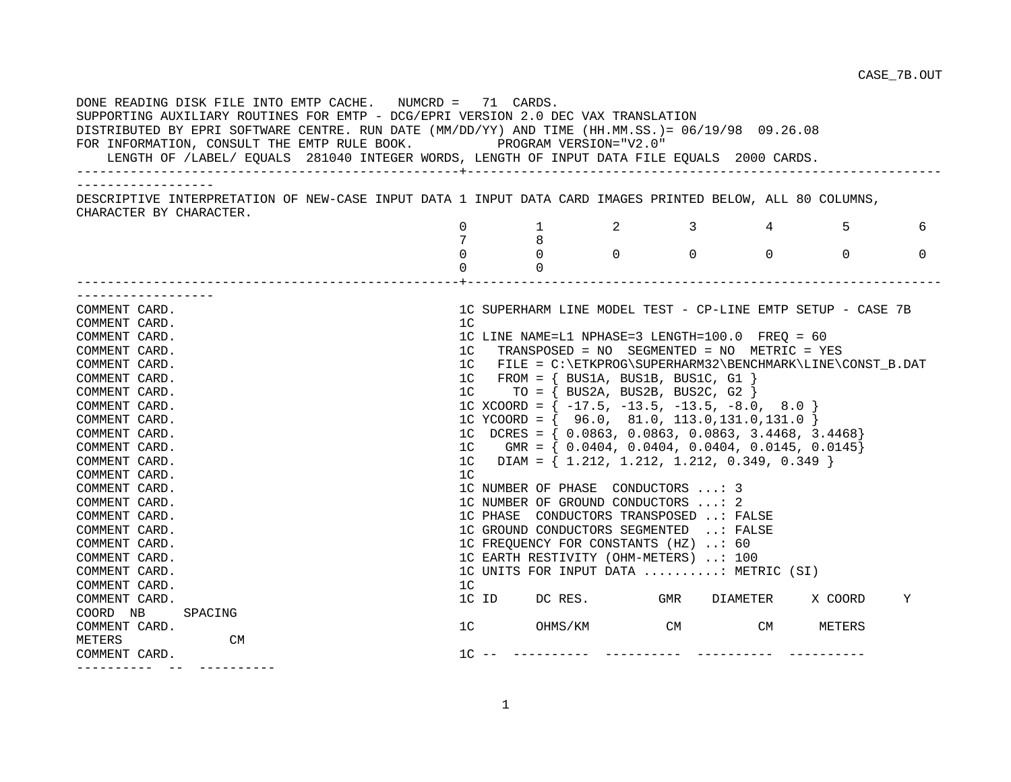| DONE READING DISK FILE INTO EMTP CACHE. NUMCRD = 71 CARDS.<br>SUPPORTING AUXILIARY ROUTINES FOR EMTP - DCG/EPRI VERSION 2.0 DEC VAX TRANSLATION<br>DISTRIBUTED BY EPRI SOFTWARE CENTRE. RUN DATE (MM/DD/YY) AND TIME (HH.MM.SS.) = 06/19/98 09.26.08<br>FOR INFORMATION, CONSULT THE EMTP RULE BOOK. PROGRAM VERSION="V2.0"<br>LENGTH OF /LABEL/ EQUALS 281040 INTEGER WORDS, LENGTH OF INPUT DATA FILE EQUALS 2000 CARDS. |                |                |                                                             |       |                                              |            |          |
|----------------------------------------------------------------------------------------------------------------------------------------------------------------------------------------------------------------------------------------------------------------------------------------------------------------------------------------------------------------------------------------------------------------------------|----------------|----------------|-------------------------------------------------------------|-------|----------------------------------------------|------------|----------|
| __________________<br>DESCRIPTIVE INTERPRETATION OF NEW-CASE INPUT DATA 1 INPUT DATA CARD IMAGES PRINTED BELOW, ALL 80 COLUMNS,                                                                                                                                                                                                                                                                                            |                |                |                                                             |       |                                              |            |          |
| CHARACTER BY CHARACTER.                                                                                                                                                                                                                                                                                                                                                                                                    |                |                |                                                             |       |                                              |            |          |
|                                                                                                                                                                                                                                                                                                                                                                                                                            | $\Omega$       | 1              | $\overline{2}$                                              |       | $3 \left( \frac{1}{2} \right)$<br>$4\degree$ | $5 \sim 5$ | 6        |
|                                                                                                                                                                                                                                                                                                                                                                                                                            |                | 8              |                                                             |       |                                              |            |          |
|                                                                                                                                                                                                                                                                                                                                                                                                                            | $\Omega$       | $\Omega$       | $\overline{0}$ 0                                            |       | $\Omega$                                     | $\Omega$   | $\Omega$ |
|                                                                                                                                                                                                                                                                                                                                                                                                                            | $\Omega$       | $\Omega$       |                                                             |       |                                              |            |          |
| . _ _ _ _ _ _ _ _ _ _ _ _ _ _ _ _ _ _                                                                                                                                                                                                                                                                                                                                                                                      |                |                |                                                             |       |                                              |            |          |
| COMMENT CARD.                                                                                                                                                                                                                                                                                                                                                                                                              |                |                | 1C SUPERHARM LINE MODEL TEST - CP-LINE EMTP SETUP - CASE 7B |       |                                              |            |          |
| COMMENT CARD.                                                                                                                                                                                                                                                                                                                                                                                                              | 1 <sup>C</sup> |                |                                                             |       |                                              |            |          |
| COMMENT CARD.                                                                                                                                                                                                                                                                                                                                                                                                              |                |                | 1C LINE NAME=L1 NPHASE=3 LENGTH=100.0 FREQ = 60             |       |                                              |            |          |
| COMMENT CARD.                                                                                                                                                                                                                                                                                                                                                                                                              |                |                | 1C TRANSPOSED = NO SEGMENTED = NO METRIC = YES              |       |                                              |            |          |
| COMMENT CARD.                                                                                                                                                                                                                                                                                                                                                                                                              |                |                | 1C FILE = C:\ETKPROG\SUPERHARM32\BENCHMARK\LINE\CONST_B.DAT |       |                                              |            |          |
| COMMENT CARD.                                                                                                                                                                                                                                                                                                                                                                                                              |                |                | $1C$ FROM = { BUS1A, BUS1B, BUS1C, G1 }                     |       |                                              |            |          |
| COMMENT CARD.                                                                                                                                                                                                                                                                                                                                                                                                              | 1 <sup>C</sup> |                | TO = $\{$ BUS2A, BUS2B, BUS2C, G2 $\}$                      |       |                                              |            |          |
| COMMENT CARD.                                                                                                                                                                                                                                                                                                                                                                                                              |                |                | 1C XCOORD = $\{-17.5, -13.5, -13.5, -8.0, 8.0\}$            |       |                                              |            |          |
| COMMENT CARD.                                                                                                                                                                                                                                                                                                                                                                                                              |                |                | 1C YCOORD = { $96.0, 81.0, 113.0, 131.0, 131.0$ }           |       |                                              |            |          |
| COMMENT CARD.                                                                                                                                                                                                                                                                                                                                                                                                              |                |                | 1C DCRES = $\{ 0.0863, 0.0863, 0.0863, 3.4468, 3.4468 \}$   |       |                                              |            |          |
| COMMENT CARD.                                                                                                                                                                                                                                                                                                                                                                                                              |                |                | 1C GMR = { $0.0404, 0.0404, 0.0404, 0.0145, 0.0145$ }       |       |                                              |            |          |
| COMMENT CARD.                                                                                                                                                                                                                                                                                                                                                                                                              |                |                | 1C DIAM = $\{ 1.212, 1.212, 1.212, 0.349, 0.349 \}$         |       |                                              |            |          |
| COMMENT CARD.                                                                                                                                                                                                                                                                                                                                                                                                              | 1 <sup>C</sup> |                |                                                             |       |                                              |            |          |
| COMMENT CARD.                                                                                                                                                                                                                                                                                                                                                                                                              |                |                | 1C NUMBER OF PHASE CONDUCTORS : 3                           |       |                                              |            |          |
| COMMENT CARD.                                                                                                                                                                                                                                                                                                                                                                                                              |                |                | 1C NUMBER OF GROUND CONDUCTORS : 2                          |       |                                              |            |          |
| COMMENT CARD.                                                                                                                                                                                                                                                                                                                                                                                                              |                |                | 1C PHASE CONDUCTORS TRANSPOSED : FALSE                      |       |                                              |            |          |
| COMMENT CARD.                                                                                                                                                                                                                                                                                                                                                                                                              |                |                | 1C GROUND CONDUCTORS SEGMENTED : FALSE                      |       |                                              |            |          |
| COMMENT CARD.                                                                                                                                                                                                                                                                                                                                                                                                              |                |                | 1C FREQUENCY FOR CONSTANTS (HZ) : 60                        |       |                                              |            |          |
| COMMENT CARD.                                                                                                                                                                                                                                                                                                                                                                                                              |                |                | 1C EARTH RESTIVITY (OHM-METERS) : 100                       |       |                                              |            |          |
| COMMENT CARD.                                                                                                                                                                                                                                                                                                                                                                                                              |                |                | 1C UNITS FOR INPUT DATA : METRIC (SI)                       |       |                                              |            |          |
| COMMENT CARD.                                                                                                                                                                                                                                                                                                                                                                                                              | 1 <sup>C</sup> |                |                                                             |       |                                              |            |          |
| COMMENT CARD.                                                                                                                                                                                                                                                                                                                                                                                                              |                |                | 1C ID DC RES. GMR DIAMETER                                  |       |                                              | X COORD    | Υ        |
| COORD NB<br>SPACING                                                                                                                                                                                                                                                                                                                                                                                                        |                |                |                                                             |       |                                              |            |          |
| COMMENT CARD.                                                                                                                                                                                                                                                                                                                                                                                                              |                | 1 <sup>C</sup> | OHMS/KM                                                     | CM CM |                                              | METERS     |          |
| METERS<br>CM                                                                                                                                                                                                                                                                                                                                                                                                               |                |                |                                                             |       |                                              |            |          |
| COMMENT CARD.<br>___________   ___   ____________                                                                                                                                                                                                                                                                                                                                                                          |                | $1C$ --        |                                                             |       |                                              |            |          |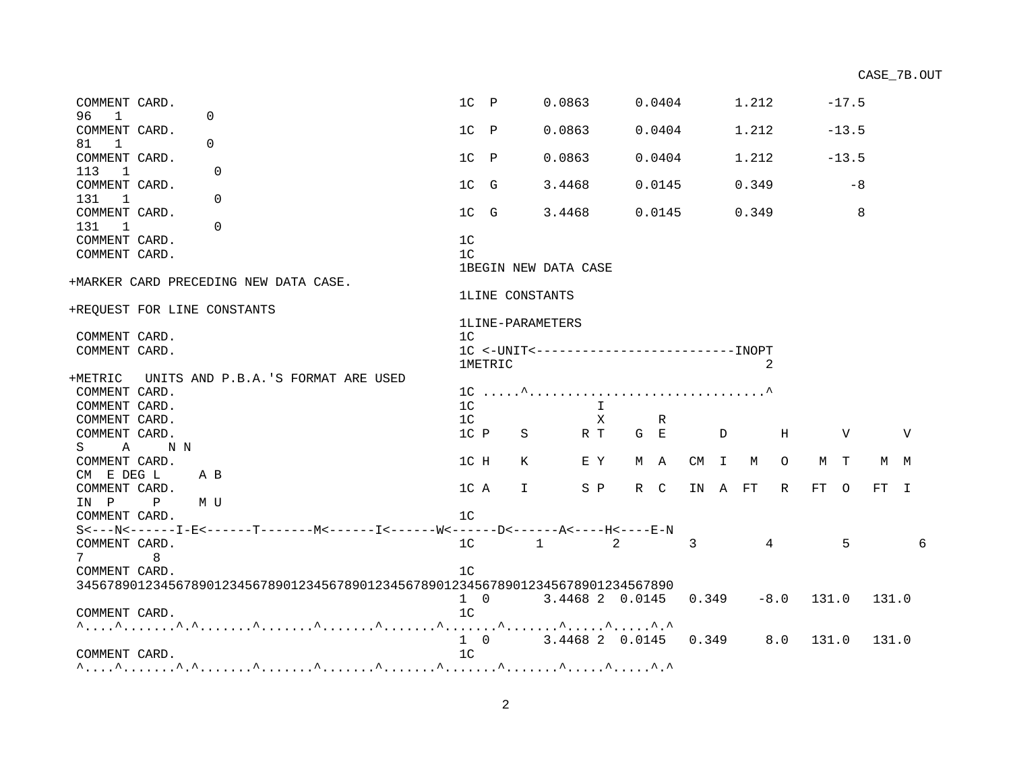| COMMENT CARD.                         |              |                                                                                | $1C$ $P$       |                        | 0.0863                        |              |     | 0.0404 |                |              | 1.212  |                |       | $-17.5$ |       |     |    |
|---------------------------------------|--------------|--------------------------------------------------------------------------------|----------------|------------------------|-------------------------------|--------------|-----|--------|----------------|--------------|--------|----------------|-------|---------|-------|-----|----|
| 96<br>$\overline{1}$<br>COMMENT CARD. |              | $\Omega$                                                                       | $1C$ $P$       |                        | 0.0863                        |              |     | 0.0404 |                |              | 1.212  |                |       | $-13.5$ |       |     |    |
| 81 1                                  |              | $\Omega$                                                                       |                |                        |                               |              |     |        |                |              |        |                |       |         |       |     |    |
| COMMENT CARD.                         |              |                                                                                | $1C$ P         |                        | 0.0863                        |              |     | 0.0404 |                |              | 1.212  |                |       | $-13.5$ |       |     |    |
| 113<br>$\overline{1}$                 |              | $\Omega$                                                                       |                |                        |                               |              |     |        |                |              |        |                |       |         |       |     |    |
| COMMENT CARD.                         |              |                                                                                | 1C G           |                        | 3.4468                        |              |     | 0.0145 |                |              | 0.349  |                |       | -8      |       |     |    |
| 131<br>$\overline{1}$                 |              | $\Omega$                                                                       |                |                        |                               |              |     |        |                |              |        |                |       |         |       |     |    |
| COMMENT CARD.                         |              |                                                                                | 1C G           |                        | 3.4468                        |              |     | 0.0145 |                |              | 0.349  |                |       | 8       |       |     |    |
| 131<br>$\overline{1}$                 |              | $\Omega$                                                                       |                |                        |                               |              |     |        |                |              |        |                |       |         |       |     |    |
| COMMENT CARD.                         |              |                                                                                | 1 <sup>c</sup> |                        |                               |              |     |        |                |              |        |                |       |         |       |     |    |
| COMMENT CARD.                         |              |                                                                                | 1 <sup>c</sup> |                        |                               |              |     |        |                |              |        |                |       |         |       |     |    |
|                                       |              |                                                                                |                |                        | 1BEGIN NEW DATA CASE          |              |     |        |                |              |        |                |       |         |       |     |    |
|                                       |              | +MARKER CARD PRECEDING NEW DATA CASE.                                          |                |                        |                               |              |     |        |                |              |        |                |       |         |       |     |    |
|                                       |              |                                                                                |                | <b>1LINE CONSTANTS</b> |                               |              |     |        |                |              |        |                |       |         |       |     |    |
|                                       |              | +REQUEST FOR LINE CONSTANTS                                                    |                |                        |                               |              |     |        |                |              |        |                |       |         |       |     |    |
| COMMENT CARD.                         |              |                                                                                | 1 <sup>C</sup> | 1LINE-PARAMETERS       |                               |              |     |        |                |              |        |                |       |         |       |     |    |
| COMMENT CARD.                         |              |                                                                                |                |                        |                               |              |     |        |                |              |        |                |       |         |       |     |    |
|                                       |              |                                                                                |                | <b>1METRIC</b>         |                               |              |     |        |                |              |        | 2              |       |         |       |     |    |
|                                       |              | +METRIC UNITS AND P.B.A.'S FORMAT ARE USED                                     |                |                        |                               |              |     |        |                |              |        |                |       |         |       |     |    |
| COMMENT CARD.                         |              |                                                                                |                |                        |                               |              |     |        |                |              |        |                |       |         |       |     |    |
| COMMENT CARD.                         |              |                                                                                | 1 <sup>C</sup> |                        |                               | $\mathbf{I}$ |     |        |                |              |        |                |       |         |       |     |    |
| COMMENT CARD.                         |              |                                                                                | 1 <sup>C</sup> |                        |                               | $\mathbf{X}$ |     | R      |                |              |        |                |       |         |       |     |    |
| COMMENT CARD.                         |              |                                                                                | $1C$ $P$       | S                      |                               | R T          | G E |        |                | $\mathbf{D}$ |        | Н              |       | V       |       | V   |    |
|                                       | S A NN       |                                                                                |                |                        |                               |              |     |        |                |              |        |                |       |         |       |     |    |
| COMMENT CARD.                         |              |                                                                                | 1C H           | К                      |                               | E Y          |     | M A    |                |              | CM I M | $\circ$        | M T   |         |       | M M |    |
| CM E DEG L                            | A B          |                                                                                |                |                        |                               |              |     |        |                |              |        |                |       |         |       |     |    |
| COMMENT CARD.                         |              |                                                                                | 1C A           |                        | $\mathbf{I}$ and $\mathbf{I}$ | S P          |     | R C    | IN A FT        |              |        | R              | FT O  |         | FT I  |     |    |
| IN P                                  | $\mathbf{P}$ | M U                                                                            |                |                        |                               |              |     |        |                |              |        |                |       |         |       |     |    |
| COMMENT CARD.                         |              |                                                                                | 1 <sup>C</sup> |                        |                               |              |     |        |                |              |        |                |       |         |       |     |    |
|                                       |              |                                                                                |                |                        |                               |              |     |        |                |              |        |                |       |         |       |     |    |
| COMMENT CARD.                         |              |                                                                                | 1 <sup>C</sup> |                        | $1 \qquad \qquad 2$           |              |     |        | $\overline{3}$ |              |        | $\overline{4}$ |       | 5       |       |     | б. |
| 7                                     | 8            |                                                                                |                |                        |                               |              |     |        |                |              |        |                |       |         |       |     |    |
| COMMENT CARD.                         |              |                                                                                | 1 <sup>C</sup> |                        |                               |              |     |        |                |              |        |                |       |         |       |     |    |
|                                       |              | 345678901234567890123456789012345678901234567890123456789012345678901234567890 |                |                        |                               |              |     |        |                |              |        |                |       |         |       |     |    |
|                                       |              |                                                                                | $1 \quad 0$    |                        | 3.4468 2 0.0145               |              |     |        | 0.349          |              |        | $-8.0$ 131.0   |       |         | 131.0 |     |    |
| COMMENT CARD.                         |              |                                                                                | 1 <sup>C</sup> |                        |                               |              |     |        |                |              |        |                |       |         |       |     |    |
|                                       |              |                                                                                |                |                        |                               |              |     |        |                |              |        | 8.0            |       |         |       |     |    |
| COMMENT CARD.                         |              |                                                                                | 1 <sup>C</sup> |                        | 1 0 3.4468 2 0.0145 0.349     |              |     |        |                |              |        |                | 131.0 |         | 131.0 |     |    |
|                                       |              |                                                                                |                |                        |                               |              |     |        |                |              |        |                |       |         |       |     |    |
|                                       |              |                                                                                |                |                        |                               |              |     |        |                |              |        |                |       |         |       |     |    |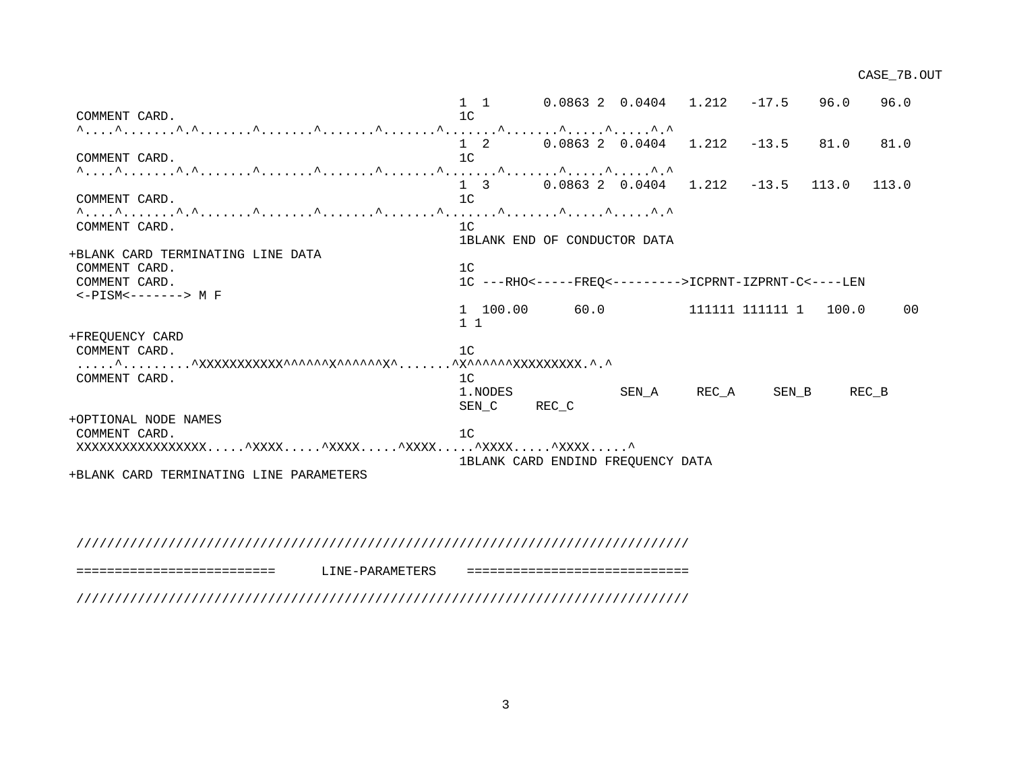1 1 0.0863 2 0.0404 1.212 -17.5 96.0 96.0 COMMENT CARD. 1C ^....^.......^.^.......^.......^.......^.......^.......^.......^.....^.....^.^ 1 2 0.0863 2 0.0404 1.212 -13.5 81.0 81.0 COMMENT CARD. 1C ^....^.......^.^.......^.......^.......^.......^.......^.......^.....^.....^.^ 1 3 0.0863 2 0.0404 1.212 -13.5 113.0 113.0 COMMENT CARD. 1C ^....^.......^.^.......^.......^.......^.......^.......^.......^.....^.....^.^ COMMENT CARD. 1C 1BLANK END OF CONDUCTOR DATA +BLANK CARD TERMINATING LINE DATA COMMENT CARD. 1C COMMENT CARD. 1C ---RHO<-----FREQ<--------->ICPRNT-IZPRNT-C<----LEN <-PISM<-------> M F 1 100.00 60.0 111111 111111 1 100.0 00 1 1 +FREQUENCY CARD COMMENT CARD. 10 .....^.........^XXXXXXXXXXX^^^^^^X^^^^^^X^.......^X^^^^^^XXXXXXXXX.^.^ COMMENT CARD. 1 1.NODES SEN\_A REC\_A SEN\_B REC\_B SEN C REC C +OPTIONAL NODE NAMES COMMENT CARD. 1C XXXXXXXXXXXXXXXXX.....^XXXX.....^XXXX.....^XXXX.....^XXXX.....^XXXX.....^ 1BLANK CARD ENDIND FREQUENCY DATA +BLANK CARD TERMINATING LINE PARAMETERS

#### ////////////////////////////////////////////////////////////////////////////////

========================== LINE-PARAMETERS =============================

////////////////////////////////////////////////////////////////////////////////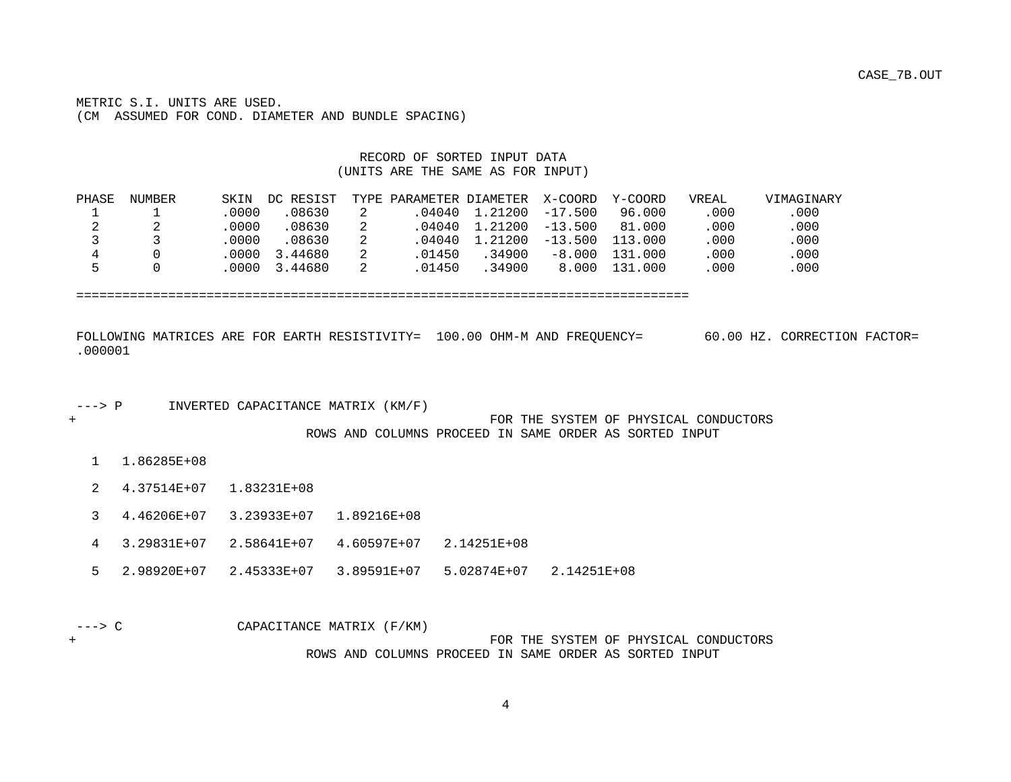METRIC S.I. UNITS ARE USED. (CM ASSUMED FOR COND. DIAMETER AND BUNDLE SPACING)

#### RECORD OF SORTED INPUT DATA (UNITS ARE THE SAME AS FOR INPUT)

| PHASE | NUMBER | SKIN   | DC RESIST | TYPE PARAMETER DIAMETER X-COORD |                        |           | Y-COORD | VREAL | <b>VIMAGINARY</b> |
|-------|--------|--------|-----------|---------------------------------|------------------------|-----------|---------|-------|-------------------|
|       |        | .0000  | .08630    |                                 | .04040 1.21200         | $-17.500$ | 96.000  | .000  | .000              |
| ▵     |        | .0000  | 08630     |                                 | .04040 1.21200 -13.500 |           | 81.000  | .000  | .000              |
|       |        | .0000  | .08630    |                                 | .04040 1.21200         | $-13.500$ | 113.000 | .000  | .000              |
|       |        | . 0000 | 3.44680   | 01450                           | .34900                 | $-8.000$  | 131.000 | .000  | .000              |
|       |        | .0000. | 3.44680   | 01450                           | 34900                  | 8.000     | 131.000 | .000  | .000              |

================================================================================

| FOLLOWING MATRICES ARE FOR EARTH RESISTIVITY= 100.00 OHM-M AND FREOUENCY= | 60.00 HZ. CORRECTION FACTOR= |
|---------------------------------------------------------------------------|------------------------------|
| .000001                                                                   |                              |

---> P INVERTED CAPACITANCE MATRIX (KM/F)

+ FOR THE SYSTEM OF PHYSICAL CONDUCTORS ROWS AND COLUMNS PROCEED IN SAME ORDER AS SORTED INPUT

- 1 1.86285E+08
- 2 4.37514E+07 1.83231E+08
- 3 4.46206E+07 3.23933E+07 1.89216E+08
- 4 3.29831E+07 2.58641E+07 4.60597E+07 2.14251E+08
- 5 2.98920E+07 2.45333E+07 3.89591E+07 5.02874E+07 2.14251E+08

 ---> C CAPACITANCE MATRIX (F/KM) + FOR THE SYSTEM OF PHYSICAL CONDUCTORS ROWS AND COLUMNS PROCEED IN SAME ORDER AS SORTED INPUT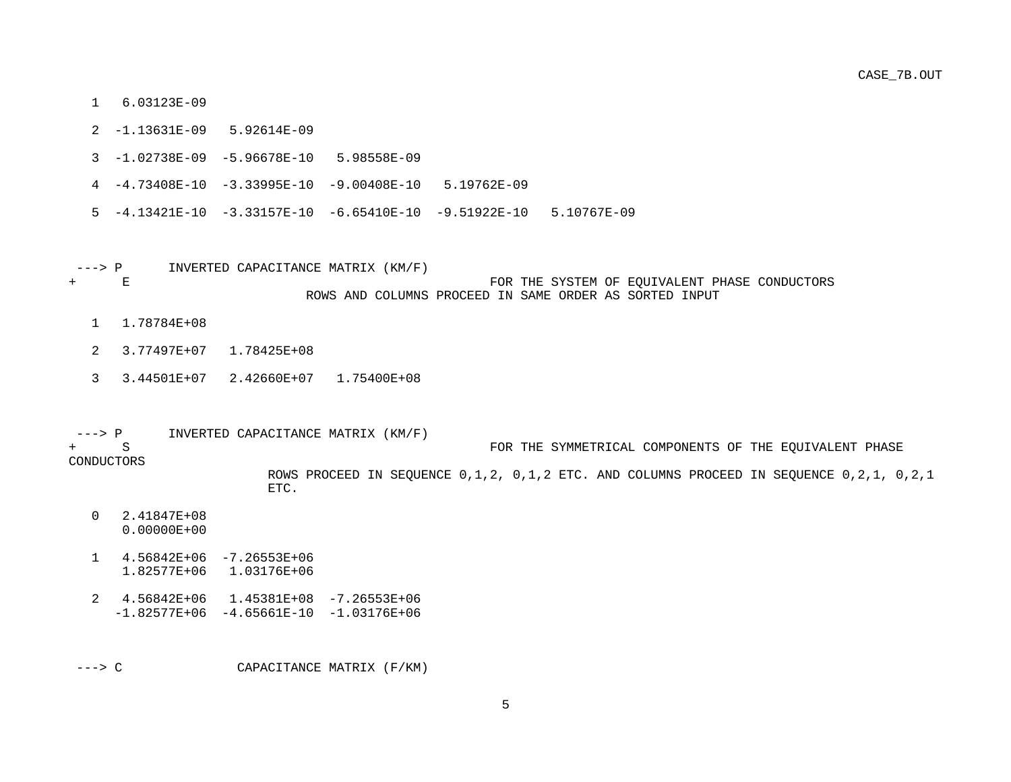- 1 6.03123E-09
- 2 -1.13631E-09 5.92614E-09
- 3 -1.02738E-09 -5.96678E-10 5.98558E-09
- 4 -4.73408E-10 -3.33995E-10 -9.00408E-10 5.19762E-09
- 5 -4.13421E-10 -3.33157E-10 -6.65410E-10 -9.51922E-10 5.10767E-09
- ---> P INVERTED CAPACITANCE MATRIX (KM/F) + E FOR THE SYSTEM OF EQUIVALENT PHASE CONDUCTORS ROWS AND COLUMNS PROCEED IN SAME ORDER AS SORTED INPUT
	- 1 1.78784E+08
	- 2 3.77497E+07 1.78425E+08
	- 3 3.44501E+07 2.42660E+07 1.75400E+08
- ---> P INVERTED CAPACITANCE MATRIX  $(KM/F)$  + S FOR THE SYMMETRICAL COMPONENTS OF THE EQUIVALENT PHASE CONDUCTORS ROWS PROCEED IN SEQUENCE 0,1,2, 0,1,2 ETC. AND COLUMNS PROCEED IN SEQUENCE 0,2,1, 0,2,1 ETC.
	- 0 2.41847E+08 0.00000E+00
	- 1 4.56842E+06 -7.26553E+06 1.82577E+06 1.03176E+06
	- 2 4.56842E+06 1.45381E+08 -7.26553E+06  $-1.82577E+06 -4.65661E-10 -1.03176E+06$

---> C CAPACITANCE MATRIX (F/KM)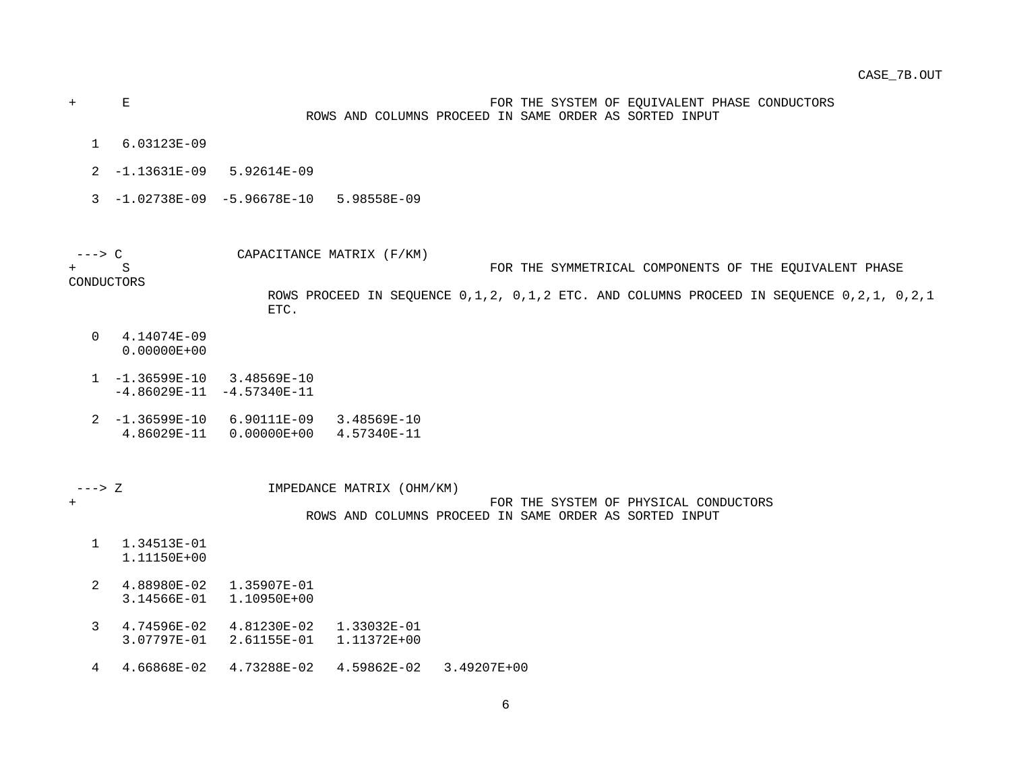+ E FOR THE SYSTEM OF EQUIVALENT PHASE CONDUCTORS ROWS AND COLUMNS PROCEED IN SAME ORDER AS SORTED INPUT

- 1 6.03123E-09
- 2 -1.13631E-09 5.92614E-09
- 3 -1.02738E-09 -5.96678E-10 5.98558E-09

 ---> C CAPACITANCE MATRIX (F/KM) FOR THE SYMMETRICAL COMPONENTS OF THE EOUIVALENT PHASE

CONDUCTORS

 ROWS PROCEED IN SEQUENCE 0,1,2, 0,1,2 ETC. AND COLUMNS PROCEED IN SEQUENCE 0,2,1, 0,2,1 ETC.

- 0 4.14074E-09 0.00000E+00
- 1 -1.36599E-10 3.48569E-10  $-4.86029E-11 -4.57340E-11$
- 2 -1.36599E-10 6.90111E-09 3.48569E-10 4.86029E-11 0.00000E+00 4.57340E-11

 ---> Z IMPEDANCE MATRIX (OHM/KM) + FOR THE SYSTEM OF PHYSICAL CONDUCTORS ROWS AND COLUMNS PROCEED IN SAME ORDER AS SORTED INPUT

- 1 1.34513E-01 1.11150E+00
- 2 4.88980E-02 1.35907E-01 3.14566E-01 1.10950E+00
- 3 4.74596E-02 4.81230E-02 1.33032E-01 3.07797E-01 2.61155E-01 1.11372E+00
- 4 4.66868E-02 4.73288E-02 4.59862E-02 3.49207E+00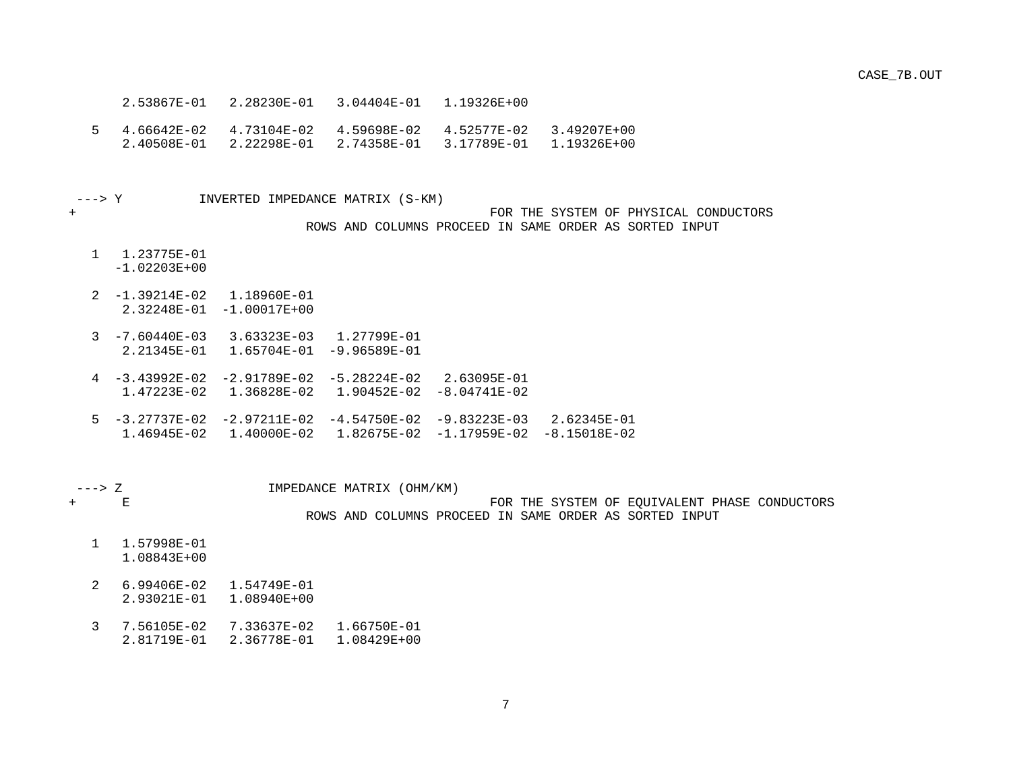- 2.53867E-01 2.28230E-01 3.04404E-01 1.19326E+00
- 5 4.66642E-02 4.73104E-02 4.59698E-02 4.52577E-02 3.49207E+00 2.40508E-01 2.22298E-01 2.74358E-01 3.17789E-01 1.19326E+00

---> Y INVERTED IMPEDANCE MATRIX (S-KM)

#### + FOR THE SYSTEM OF PHYSICAL CONDUCTORS ROWS AND COLUMNS PROCEED IN SAME ORDER AS SORTED INPUT

1 1.23775E-01

-1.02203E+00

- 2 -1.39214E-02 1.18960E-01 2.32248E-01 -1.00017E+00
- 3 -7.60440E-03 3.63323E-03 1.27799E-01 2.21345E-01 1.65704E-01 -9.96589E-01
- 4 -3.43992E-02 -2.91789E-02 -5.28224E-02 2.63095E-01 1.47223E-02 1.36828E-02 1.90452E-02 -8.04741E-02
- 5 -3.27737E-02 -2.97211E-02 -4.54750E-02 -9.83223E-03 2.62345E-01 1.46945E-02 1.40000E-02 1.82675E-02 -1.17959E-02 -8.15018E-02

---> Z IMPEDANCE MATRIX (OHM/KM)

+ E FOR THE SYSTEM OF EQUIVALENT PHASE CONDUCTORS

ROWS AND COLUMNS PROCEED IN SAME ORDER AS SORTED INPUT

- 1 1.57998E-01 1.08843E+00
- 2 6.99406E-02 1.54749E-01 2.93021E-01 1.08940E+00
- 3 7.56105E-02 7.33637E-02 1.66750E-01 2.81719E-01 2.36778E-01 1.08429E+00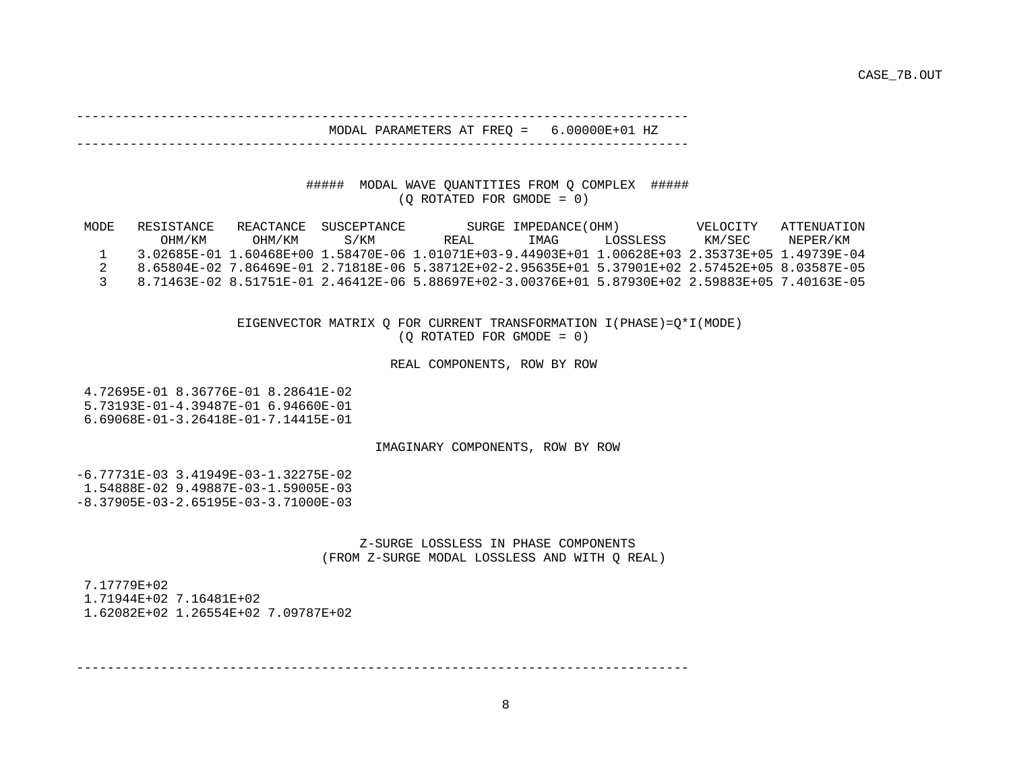#### -------------------------------------------------------------------------------- MODAL PARAMETERS AT FREQ = 6.00000E+01 HZ

--------------------------------------------------------------------------------

#### ##### MODAL WAVE QUANTITIES FROM Q COMPLEX ##### (Q ROTATED FOR GMODE = 0)

| MODE | RESISTANCE | REACTANCE | SUSCEPTANCE |                                                                                                   | SURGE IMPEDANCE (OHM) |           | VELOCITY | ATTENUATION |
|------|------------|-----------|-------------|---------------------------------------------------------------------------------------------------|-----------------------|-----------|----------|-------------|
|      | OHM/KM     | OHM/KM    | S/KM        | REAL.                                                                                             | TMAG                  | LOSSLESS. | KM/SEC   | NEPER/KM    |
|      |            |           |             | 3.02685E-01 1.60468E+00 1.58470E-06 1.01071E+03-9.44903E+01 1.00628E+03 2.35373E+05 1.49739E-04   |                       |           |          |             |
|      |            |           |             | 8.65804E-02 7.86469E-01 2.71818E-06 5.38712E+02-2.95635E+01 5.37901E+02 2.57452E+05 8.03587E-05 . |                       |           |          |             |
|      |            |           |             | 8.71463E-02 8.51751E-01 2.46412E-06 5.88697E+02-3.00376E+01 5.87930E+02 2.59883E+05 7.40163E-05   |                       |           |          |             |

 EIGENVECTOR MATRIX Q FOR CURRENT TRANSFORMATION I(PHASE)=Q\*I(MODE) (Q ROTATED FOR GMODE = 0)

#### REAL COMPONENTS, ROW BY ROW

 4.72695E-01 8.36776E-01 8.28641E-02 5.73193E-01-4.39487E-01 6.94660E-01 6.69068E-01-3.26418E-01-7.14415E-01

#### IMAGINARY COMPONENTS, ROW BY ROW

 -6.77731E-03 3.41949E-03-1.32275E-02 1.54888E-02 9.49887E-03-1.59005E-03 -8.37905E-03-2.65195E-03-3.71000E-03

#### Z-SURGE LOSSLESS IN PHASE COMPONENTS (FROM Z-SURGE MODAL LOSSLESS AND WITH Q REAL)

 7.17779E+02 1.71944E+02 7.16481E+02 1.62082E+02 1.26554E+02 7.09787E+02

--------------------------------------------------------------------------------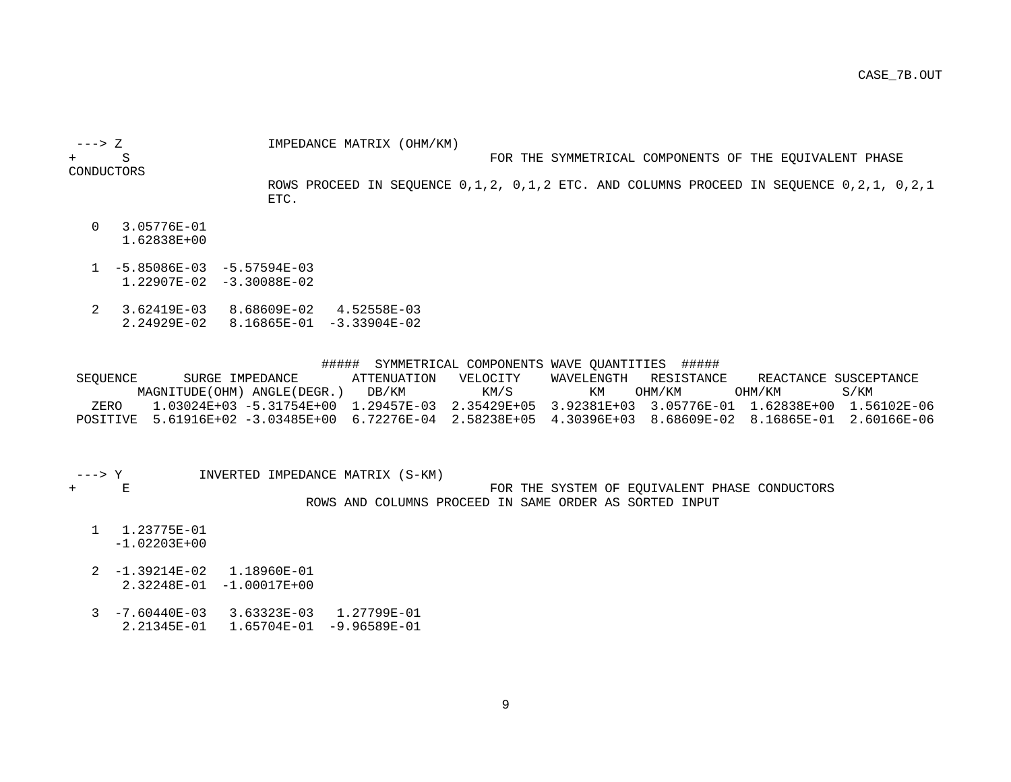---> Z IMPEDANCE MATRIX (OHM/KM)

+ S FOR THE SYMMETRICAL COMPONENTS OF THE EQUIVALENT PHASE

CONDUCTORS

 ROWS PROCEED IN SEQUENCE 0,1,2, 0,1,2 ETC. AND COLUMNS PROCEED IN SEQUENCE 0,2,1, 0,2,1 ETC.

- 0 3.05776E-01 1.62838E+00
- $1 5.85086E 03 5.57594E 03$ 1.22907E-02 -3.30088E-02
- 2 3.62419E-03 8.68609E-02 4.52558E-03 2.24929E-02 8.16865E-01 -3.33904E-02

##### SYMMETRICAL COMPONENTS WAVE QUANTITIES ######<br>SEOUENCE SURGE IMPEDANCE ATTENUATION VELOCITY WAVELENGTH RESISTANCE SURGE IMPEDANCE ATTENUATION VELOCITY WAVELENGTH RESISTANCE REACTANCE SUSCEPTANCE MAGNITUDE(OHM) ANGLE(DEGR.) DB/KM KM/S KM OHM/KM OHM/KM S/KM ZERO 1.03024E+03 -5.31754E+00 1.29457E-03 2.35429E+05 3.92381E+03 3.05776E-01 1.62838E+00 1.56102E-06 POSITIVE 5.61916E+02 -3.03485E+00 6.72276E-04 2.58238E+05 4.30396E+03 8.68609E-02 8.16865E-01 2.60166E-06

---> Y  $INVERTED INPENDANCE MATRIX (S-KM) + E$ 

FOR THE SYSTEM OF EQUIVALENT PHASE CONDUCTORS ROWS AND COLUMNS PROCEED IN SAME ORDER AS SORTED INPUT

- 1 1.23775E-01 -1.02203E+00
- 2 -1.39214E-02 1.18960E-01 2.32248E-01 -1.00017E+00
- 3 -7.60440E-03 3.63323E-03 1.27799E-01 2.21345E-01 1.65704E-01 -9.96589E-01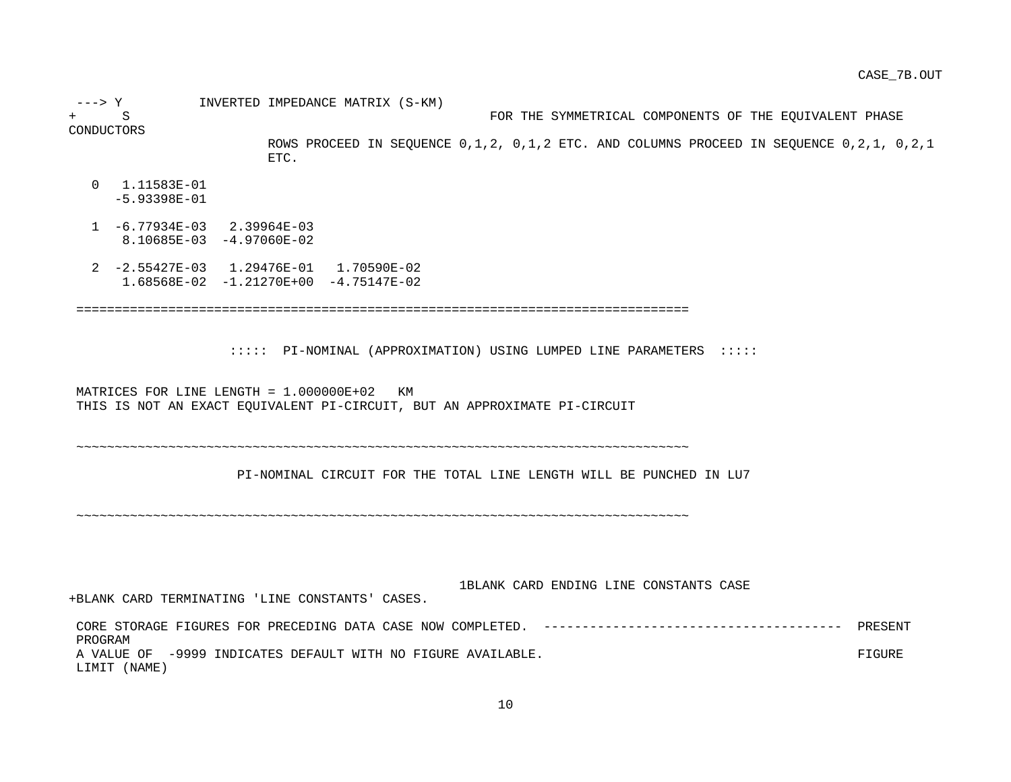---> Y INVERTED IMPEDANCE MATRIX (S-KM) + S FOR THE SYMMETRICAL COMPONENTS OF THE EQUIVALENT PHASE CONDUCTORS ROWS PROCEED IN SEQUENCE 0,1,2, 0,1,2 ETC. AND COLUMNS PROCEED IN SEQUENCE 0,2,1, 0,2,1 ETC. 0 1.11583E-01 -5.93398E-01 1 -6.77934E-03 2.39964E-03 8.10685E-03 -4.97060E-02 2 -2.55427E-03 1.29476E-01 1.70590E-02 1.68568E-02 -1.21270E+00 -4.75147E-02 ================================================================================ ::::: PI-NOMINAL (APPROXIMATION) USING LUMPED LINE PARAMETERS ::::: MATRICES FOR LINE LENGTH = 1.000000E+02 KM THIS IS NOT AN EXACT EQUIVALENT PI-CIRCUIT, BUT AN APPROXIMATE PI-CIRCUIT ~~~~~~~~~~~~~~~~~~~~~~~~~~~~~~~~~~~~~~~~~~~~~~~~~~~~~~~~~~~~~~~~~~~~~~~~~~~~~~~~ PI-NOMINAL CIRCUIT FOR THE TOTAL LINE LENGTH WILL BE PUNCHED IN LU7 ~~~~~~~~~~~~~~~~~~~~~~~~~~~~~~~~~~~~~~~~~~~~~~~~~~~~~~~~~~~~~~~~~~~~~~~~~~~~~~~~ 1BLANK CARD ENDING LINE CONSTANTS CASE +BLANK CARD TERMINATING 'LINE CONSTANTS' CASES. CORE STORAGE FIGURES FOR PRECEDING DATA CASE NOW COMPLETED. --------------------------------------- PRESENT PROGRAM

A VALUE OF -9999 INDICATES DEFAULT WITH NO FIGURE AVAILABLE. LIMIT (NAME)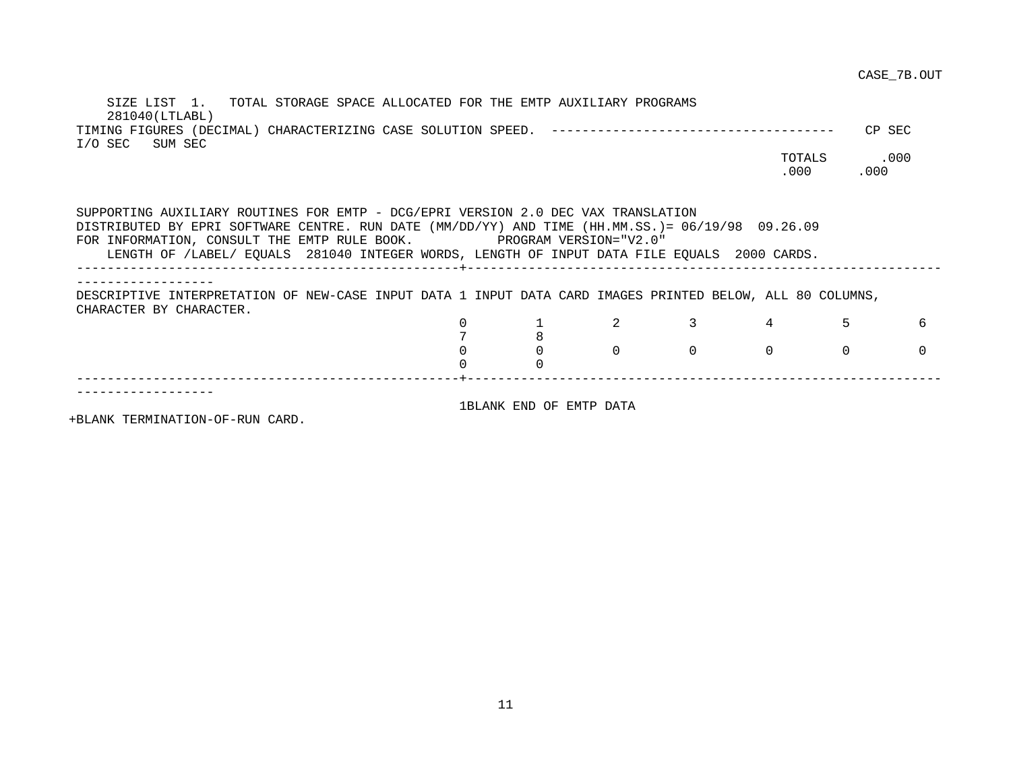SIZE LIST 1. TOTAL STORAGE SPACE ALLOCATED FOR THE EMTP AUXILIARY PROGRAMS 281040(LTLABL) TIMING FIGURES (DECIMAL) CHARACTERIZING CASE SOLUTION SPEED. ------------------------------------- CP SEC I/O SEC SUM SEC TOTALS .000 .000 .000 SUPPORTING AUXILIARY ROUTINES FOR EMTP - DCG/EPRI VERSION 2.0 DEC VAX TRANSLATION DISTRIBUTED BY EPRI SOFTWARE CENTRE. RUN DATE (MM/DD/YY) AND TIME (HH.MM.SS.)= 06/19/98 09.26.09 FOR INFORMATION, CONSULT THE EMTP RULE BOOK. PROGRAM VERSION="V2.0" LENGTH OF /LABEL/ EQUALS 281040 INTEGER WORDS, LENGTH OF INPUT DATA FILE EQUALS 2000 CARDS. --------------------------------------------------+-------------------------------------------------------------- ------------------ DESCRIPTIVE INTERPRETATION OF NEW-CASE INPUT DATA 1 INPUT DATA CARD IMAGES PRINTED BELOW, ALL 80 COLUMNS, CHARACTER BY CHARACTER. 0 1 2 3 4 5 6 7 8 0 0 0 0 0 0 0 0 0 --------------------------------------------------+-------------------------------------------------------------- ------------------ 1BLANK END OF EMTP DATA

+BLANK TERMINATION-OF-RUN CARD.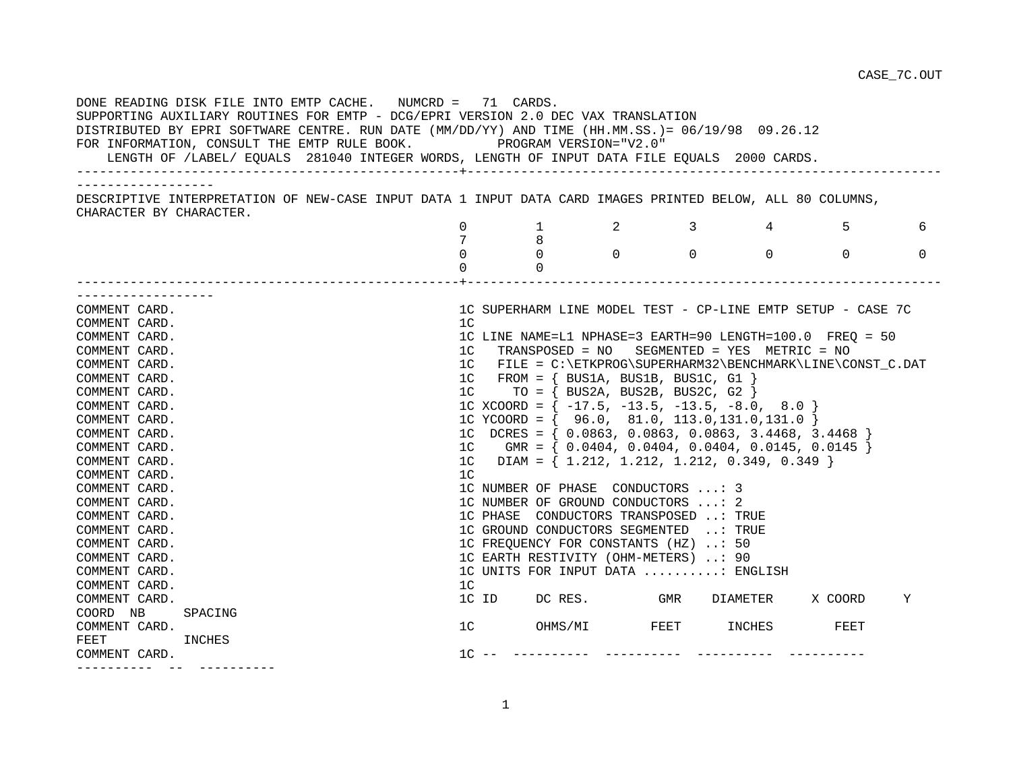| DONE READING DISK FILE INTO EMTP CACHE. NUMCRD = 71 CARDS.<br>SUPPORTING AUXILIARY ROUTINES FOR EMTP - DCG/EPRI VERSION 2.0 DEC VAX TRANSLATION<br>DISTRIBUTED BY EPRI SOFTWARE CENTRE. RUN DATE (MM/DD/YY) AND TIME (HH.MM.SS.)= 06/19/98 09.26.12<br>FOR INFORMATION, CONSULT THE EMTP RULE BOOK. PROGRAM VERSION="V2.0"<br>LENGTH OF /LABEL/ EQUALS 281040 INTEGER WORDS, LENGTH OF INPUT DATA FILE EQUALS 2000 CARDS. |                |                |                                                             |                                |            |            |          |
|---------------------------------------------------------------------------------------------------------------------------------------------------------------------------------------------------------------------------------------------------------------------------------------------------------------------------------------------------------------------------------------------------------------------------|----------------|----------------|-------------------------------------------------------------|--------------------------------|------------|------------|----------|
| ____________________<br>DESCRIPTIVE INTERPRETATION OF NEW-CASE INPUT DATA 1 INPUT DATA CARD IMAGES PRINTED BELOW, ALL 80 COLUMNS,                                                                                                                                                                                                                                                                                         |                |                |                                                             |                                |            |            |          |
| CHARACTER BY CHARACTER.                                                                                                                                                                                                                                                                                                                                                                                                   |                |                |                                                             |                                |            |            |          |
|                                                                                                                                                                                                                                                                                                                                                                                                                           | $\Omega$       | 1              | $\overline{\mathbf{a}}$                                     | $3 \left( \frac{1}{2} \right)$ | $4\degree$ | $5 \sim 5$ | 6        |
|                                                                                                                                                                                                                                                                                                                                                                                                                           |                | 8              |                                                             |                                |            |            |          |
|                                                                                                                                                                                                                                                                                                                                                                                                                           | $\Omega$       | $\Omega$       | $\begin{matrix}0&0\end{matrix}$                             |                                | $\Omega$   | $\Omega$   | $\Omega$ |
|                                                                                                                                                                                                                                                                                                                                                                                                                           | $\Omega$       | $\Omega$       |                                                             |                                |            |            |          |
|                                                                                                                                                                                                                                                                                                                                                                                                                           |                |                |                                                             |                                |            |            |          |
| COMMENT CARD.                                                                                                                                                                                                                                                                                                                                                                                                             |                |                | 1C SUPERHARM LINE MODEL TEST - CP-LINE EMTP SETUP - CASE 7C |                                |            |            |          |
| COMMENT CARD.                                                                                                                                                                                                                                                                                                                                                                                                             | 1 <sup>C</sup> |                |                                                             |                                |            |            |          |
| COMMENT CARD.                                                                                                                                                                                                                                                                                                                                                                                                             |                |                | 1C LINE NAME=L1 NPHASE=3 EARTH=90 LENGTH=100.0 FREQ = 50    |                                |            |            |          |
| COMMENT CARD.                                                                                                                                                                                                                                                                                                                                                                                                             | 1C             |                | TRANSPOSED = NO SEGMENTED = YES METRIC = NO                 |                                |            |            |          |
| COMMENT CARD.                                                                                                                                                                                                                                                                                                                                                                                                             |                |                | 1C FILE = C:\ETKPROG\SUPERHARM32\BENCHMARK\LINE\CONST C.DAT |                                |            |            |          |
| COMMENT CARD.                                                                                                                                                                                                                                                                                                                                                                                                             |                |                | $1C$ FROM = { BUS1A, BUS1B, BUS1C, G1 }                     |                                |            |            |          |
| COMMENT CARD.                                                                                                                                                                                                                                                                                                                                                                                                             | 1 <sup>C</sup> |                | $TO = \{ BUS2A, BUS2B, BUS2C, G2 \}$                        |                                |            |            |          |
| COMMENT CARD.                                                                                                                                                                                                                                                                                                                                                                                                             |                |                | 1C XCOORD = $\{-17.5, -13.5, -13.5, -8.0, 8.0\}$            |                                |            |            |          |
| COMMENT CARD.                                                                                                                                                                                                                                                                                                                                                                                                             |                |                | 1C YCOORD = { $96.0, 81.0, 113.0, 131.0, 131.0$ }           |                                |            |            |          |
| COMMENT CARD.                                                                                                                                                                                                                                                                                                                                                                                                             |                |                | 1C DCRES = $\{ 0.0863, 0.0863, 0.0863, 3.4468, 3.4468 \}$   |                                |            |            |          |
| COMMENT CARD.                                                                                                                                                                                                                                                                                                                                                                                                             |                |                | 1C GMR = $\{ 0.0404, 0.0404, 0.0404, 0.0145, 0.0145 \}$     |                                |            |            |          |
| COMMENT CARD.                                                                                                                                                                                                                                                                                                                                                                                                             |                |                | 1C DIAM = $\{ 1.212, 1.212, 1.212, 0.349, 0.349 \}$         |                                |            |            |          |
| COMMENT CARD.                                                                                                                                                                                                                                                                                                                                                                                                             | 1 <sup>C</sup> |                |                                                             |                                |            |            |          |
| COMMENT CARD.                                                                                                                                                                                                                                                                                                                                                                                                             |                |                | 1C NUMBER OF PHASE CONDUCTORS : 3                           |                                |            |            |          |
| COMMENT CARD.                                                                                                                                                                                                                                                                                                                                                                                                             |                |                | 1C NUMBER OF GROUND CONDUCTORS : 2                          |                                |            |            |          |
| COMMENT CARD.                                                                                                                                                                                                                                                                                                                                                                                                             |                |                | 1C PHASE CONDUCTORS TRANSPOSED : TRUE                       |                                |            |            |          |
| COMMENT CARD.                                                                                                                                                                                                                                                                                                                                                                                                             |                |                | 1C GROUND CONDUCTORS SEGMENTED : TRUE                       |                                |            |            |          |
| COMMENT CARD.                                                                                                                                                                                                                                                                                                                                                                                                             |                |                | 1C FREQUENCY FOR CONSTANTS (HZ) : 50                        |                                |            |            |          |
| COMMENT CARD.                                                                                                                                                                                                                                                                                                                                                                                                             |                |                | 1C EARTH RESTIVITY (OHM-METERS) : 90                        |                                |            |            |          |
| COMMENT CARD.                                                                                                                                                                                                                                                                                                                                                                                                             |                |                | 1C UNITS FOR INPUT DATA : ENGLISH                           |                                |            |            |          |
| COMMENT CARD.                                                                                                                                                                                                                                                                                                                                                                                                             | 1 <sup>C</sup> |                |                                                             |                                |            |            |          |
| COMMENT CARD.                                                                                                                                                                                                                                                                                                                                                                                                             |                |                | 1C ID DC RES. GMR DIAMETER                                  |                                |            | X COORD    | Υ        |
| COORD NB<br>SPACING                                                                                                                                                                                                                                                                                                                                                                                                       |                |                | OHMS/MI FEET INCHES                                         |                                |            |            |          |
| COMMENT CARD.                                                                                                                                                                                                                                                                                                                                                                                                             |                | 1 <sup>C</sup> |                                                             |                                |            | FEET       |          |
| FEET<br>INCHES                                                                                                                                                                                                                                                                                                                                                                                                            |                |                |                                                             |                                |            |            |          |
| COMMENT CARD.                                                                                                                                                                                                                                                                                                                                                                                                             |                |                |                                                             |                                |            |            |          |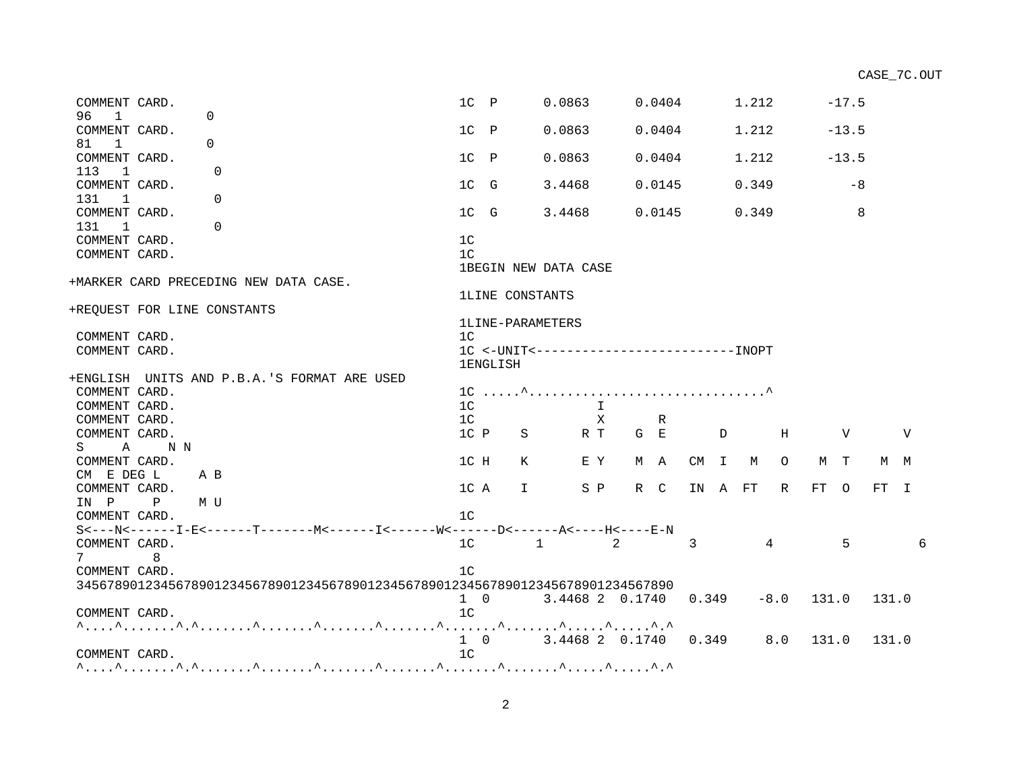| COMMENT CARD.                          |              |                                                                                | $1C$ $P$                      |                  | 0.0863                    |              |       | 0.0404 |                |              | 1.212  |              |       | $-17.5$ |       |     |   |
|----------------------------------------|--------------|--------------------------------------------------------------------------------|-------------------------------|------------------|---------------------------|--------------|-------|--------|----------------|--------------|--------|--------------|-------|---------|-------|-----|---|
| 96<br>$\overline{1}$                   |              | $\Omega$                                                                       |                               |                  |                           |              |       |        |                |              |        |              |       |         |       |     |   |
| COMMENT CARD.                          |              |                                                                                | $1C$ $P$                      |                  | 0.0863                    |              |       | 0.0404 |                |              | 1.212  |              |       | $-13.5$ |       |     |   |
| 81 1                                   |              | $\Omega$                                                                       |                               |                  |                           |              |       |        |                |              |        |              |       |         |       |     |   |
| COMMENT CARD.                          |              |                                                                                | $1C$ $P$                      |                  | 0.0863                    |              |       | 0.0404 |                |              | 1.212  |              |       | $-13.5$ |       |     |   |
| 113 1                                  |              | $\Omega$                                                                       |                               |                  |                           |              |       |        |                |              |        |              |       |         |       |     |   |
| COMMENT CARD.<br>131<br>$\overline{1}$ |              | $\Omega$                                                                       | 1C G                          |                  | 3.4468                    |              |       | 0.0145 |                |              | 0.349  |              |       | -8      |       |     |   |
| COMMENT CARD.                          |              |                                                                                | 1C G                          |                  | 3.4468                    |              |       | 0.0145 |                |              | 0.349  |              |       | 8       |       |     |   |
| 131<br>$\mathbf{1}$                    |              | $\Omega$                                                                       |                               |                  |                           |              |       |        |                |              |        |              |       |         |       |     |   |
| COMMENT CARD.                          |              |                                                                                | 1 <sup>c</sup>                |                  |                           |              |       |        |                |              |        |              |       |         |       |     |   |
| COMMENT CARD.                          |              |                                                                                | 1 <sup>C</sup>                |                  |                           |              |       |        |                |              |        |              |       |         |       |     |   |
|                                        |              |                                                                                |                               |                  | 1BEGIN NEW DATA CASE      |              |       |        |                |              |        |              |       |         |       |     |   |
|                                        |              | +MARKER CARD PRECEDING NEW DATA CASE.                                          |                               |                  |                           |              |       |        |                |              |        |              |       |         |       |     |   |
|                                        |              |                                                                                |                               | 1LINE CONSTANTS  |                           |              |       |        |                |              |        |              |       |         |       |     |   |
|                                        |              | +REOUEST FOR LINE CONSTANTS                                                    |                               |                  |                           |              |       |        |                |              |        |              |       |         |       |     |   |
|                                        |              |                                                                                |                               | 1LINE-PARAMETERS |                           |              |       |        |                |              |        |              |       |         |       |     |   |
| COMMENT CARD.                          |              |                                                                                | 1 <sup>C</sup>                |                  |                           |              |       |        |                |              |        |              |       |         |       |     |   |
| COMMENT CARD.                          |              |                                                                                |                               |                  |                           |              |       |        |                |              |        |              |       |         |       |     |   |
|                                        |              |                                                                                |                               | <b>1ENGLISH</b>  |                           |              |       |        |                |              |        |              |       |         |       |     |   |
|                                        |              | +ENGLISH UNITS AND P.B.A.'S FORMAT ARE USED                                    |                               |                  |                           |              |       |        |                |              |        |              |       |         |       |     |   |
| COMMENT CARD.                          |              |                                                                                |                               |                  |                           |              |       |        |                |              |        |              |       |         |       |     |   |
| COMMENT CARD.                          |              |                                                                                | 1 <sup>C</sup>                |                  |                           | $\mathsf{T}$ |       |        |                |              |        |              |       |         |       |     |   |
| COMMENT CARD.                          |              |                                                                                | 1 <sup>C</sup>                |                  |                           | $\mathbf{X}$ |       | R      |                |              |        |              |       |         |       |     |   |
| COMMENT CARD.                          |              |                                                                                | 1C P                          | S                |                           | R T          | $G$ E |        |                | $\mathbb{D}$ |        | H            |       | V       |       | V   |   |
|                                        | S A NN       |                                                                                |                               |                  |                           |              |       |        |                |              |        |              |       |         |       |     |   |
| COMMENT CARD.                          |              |                                                                                | 1C H                          | K                |                           | E Y          |       | M A    |                |              | CM I M | $\circ$      | M T   |         |       | M M |   |
| CM E DEG L                             | A B          |                                                                                |                               |                  |                           |              |       |        |                |              |        |              |       |         |       |     |   |
| COMMENT CARD.                          |              |                                                                                | 1C A                          | $\mathbf{I}$     |                           | S P          |       | R C    | IN A FT        |              |        | R            | FT 0  |         | FT I  |     |   |
| IN P                                   | $\mathbf{P}$ | M U                                                                            |                               |                  |                           |              |       |        |                |              |        |              |       |         |       |     |   |
| COMMENT CARD.                          |              |                                                                                | 1 <sup>c</sup>                |                  |                           |              |       |        |                |              |        |              |       |         |       |     |   |
|                                        |              |                                                                                |                               |                  |                           |              |       |        |                |              |        |              |       |         |       |     |   |
| COMMENT CARD.                          |              |                                                                                | 1 <sup>C</sup>                |                  | $1 \qquad \qquad 2$       |              |       |        | $\overline{3}$ |              |        | 4            |       | 5       |       |     | 6 |
| 7                                      | 8            |                                                                                |                               |                  |                           |              |       |        |                |              |        |              |       |         |       |     |   |
| COMMENT CARD.                          |              |                                                                                | 1 <sup>C</sup>                |                  |                           |              |       |        |                |              |        |              |       |         |       |     |   |
|                                        |              | 345678901234567890123456789012345678901234567890123456789012345678901234567890 |                               |                  |                           |              |       |        |                |              |        |              |       |         |       |     |   |
| COMMENT CARD.                          |              |                                                                                | $1 \quad 0$<br>1 <sup>C</sup> |                  | 3.4468 2 0.1740           |              |       |        | 0.349          |              |        | $-8.0$ 131.0 |       |         | 131.0 |     |   |
|                                        |              |                                                                                |                               |                  |                           |              |       |        |                |              |        |              |       |         |       |     |   |
|                                        |              |                                                                                |                               |                  | 1 0 3.4468 2 0.1740 0.349 |              |       |        |                |              |        | 8.0          | 131.0 |         | 131.0 |     |   |
| COMMENT CARD.                          |              |                                                                                | 1 <sup>C</sup>                |                  |                           |              |       |        |                |              |        |              |       |         |       |     |   |
|                                        |              |                                                                                |                               |                  |                           |              |       |        |                |              |        |              |       |         |       |     |   |
|                                        |              |                                                                                |                               |                  |                           |              |       |        |                |              |        |              |       |         |       |     |   |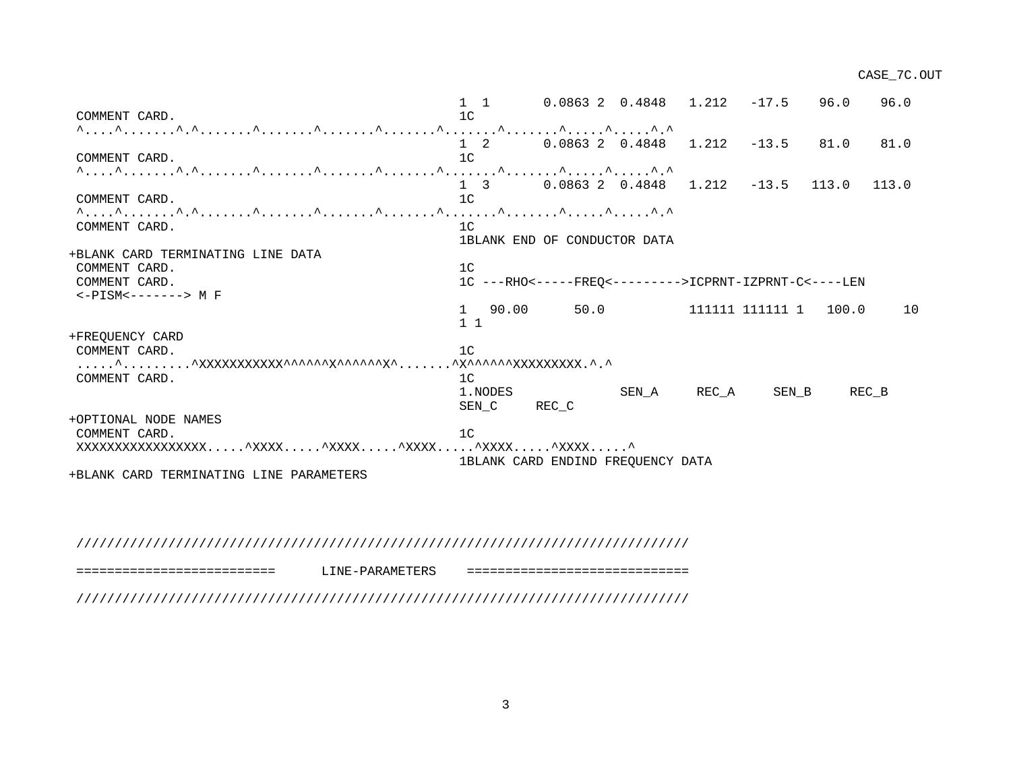1 1 0.0863 2 0.4848 1.212 -17.5 96.0 96.0 COMMENT CARD. 1C ^....^.......^.^.......^.......^.......^.......^.......^.......^.....^.....^.^ 1 2 0.0863 2 0.4848 1.212 -13.5 81.0 81.0 COMMENT CARD. 1C ^....^.......^.^.......^.......^.......^.......^.......^.......^.....^.....^.^ 1 3 0.0863 2 0.4848 1.212 -13.5 113.0 113.0 COMMENT CARD. 1C ^....^.......^.^.......^.......^.......^.......^.......^.......^.....^.....^.^ COMMENT CARD. 1C 1BLANK END OF CONDUCTOR DATA +BLANK CARD TERMINATING LINE DATA COMMENT CARD. 1C COMMENT CARD. 1C ---RHO<-----FREQ<--------->ICPRNT-IZPRNT-C<----LEN <-PISM<-------> M F 1 90.00 50.0 111111 111111 1 100.0 10 1 1 +FREQUENCY CARD COMMENT CARD. 10 .....^.........^XXXXXXXXXXX^^^^^^X^^^^^^X^.......^X^^^^^^XXXXXXXXX.^.^ COMMENT CARD. 1 1.NODES SEN\_A REC\_A SEN\_B REC\_B SEN C REC C +OPTIONAL NODE NAMES COMMENT CARD. 1C XXXXXXXXXXXXXXXXX.....^XXXX.....^XXXX.....^XXXX.....^XXXX.....^XXXX.....^ 1BLANK CARD ENDIND FREQUENCY DATA +BLANK CARD TERMINATING LINE PARAMETERS

////////////////////////////////////////////////////////////////////////////////

========================== LINE-PARAMETERS =============================

////////////////////////////////////////////////////////////////////////////////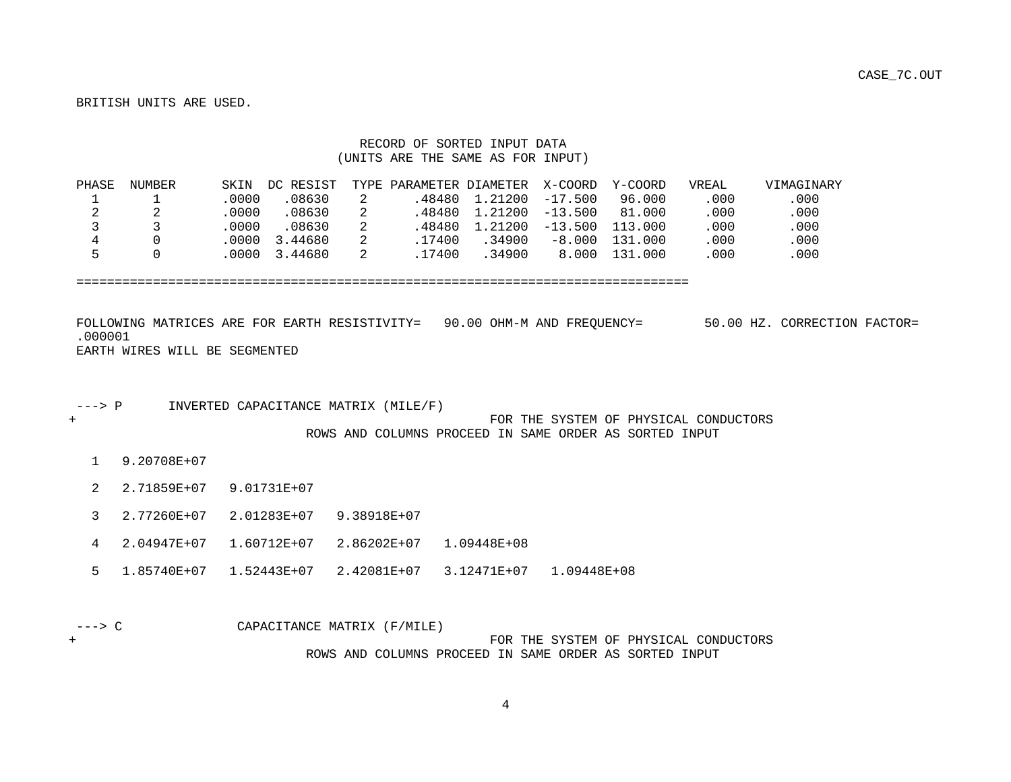BRITISH UNITS ARE USED.

### RECORD OF SORTED INPUT DATA (UNITS ARE THE SAME AS FOR INPUT)

| PHASE | NUMBER | SKIN   | DC RESIST             | TYPE PARAMETER DIAMETER X-COORD |                            |           | Y-COORD | VREAL | VIMAGINARY |
|-------|--------|--------|-----------------------|---------------------------------|----------------------------|-----------|---------|-------|------------|
|       |        | .0000  | .08630                |                                 | $.48480$ 1.21200 $-17.500$ |           | 96.000  | .000  | .000       |
|       |        | 0000   | 08630                 |                                 | $.48480$ 1.21200 $-13.500$ |           | 81.000  | .000  | .000       |
|       |        | .0000  | .08630                |                                 | .48480 1.21200             | $-13.500$ | 113.000 | .000  | .000       |
|       |        |        | $.0000 \quad 3.44680$ | .17400                          | .34900                     | $-8.000$  | 131.000 | .000  | .000       |
| ᄃ     |        | . 0000 | 3.44680               | .17400                          | .34900                     | 8.000     | 131.000 | .000  | .000       |

================================================================================

 FOLLOWING MATRICES ARE FOR EARTH RESISTIVITY= 90.00 OHM-M AND FREQUENCY= 50.00 HZ. CORRECTION FACTOR= .000001 EARTH WIRES WILL BE SEGMENTED

---> P INVERTED CAPACITANCE MATRIX (MILE/F)

+ FOR THE SYSTEM OF PHYSICAL CONDUCTORS ROWS AND COLUMNS PROCEED IN SAME ORDER AS SORTED INPUT

1 9.20708E+07

2 2.71859E+07 9.01731E+07

3 2.77260E+07 2.01283E+07 9.38918E+07

4 2.04947E+07 1.60712E+07 2.86202E+07 1.09448E+08

5 1.85740E+07 1.52443E+07 2.42081E+07 3.12471E+07 1.09448E+08

---> C CAPACITANCE MATRIX (F/MILE)

+ FOR THE SYSTEM OF PHYSICAL CONDUCTORS ROWS AND COLUMNS PROCEED IN SAME ORDER AS SORTED INPUT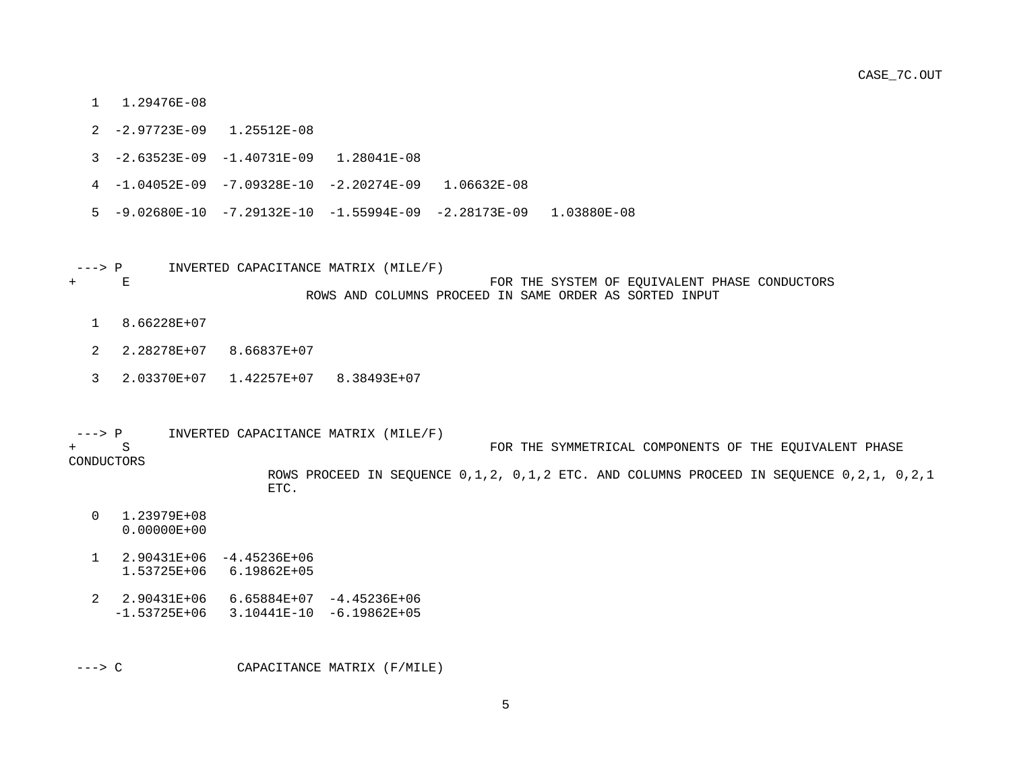- 1 1.29476E-08
- 2 -2.97723E-09 1.25512E-08
- 3 -2.63523E-09 -1.40731E-09 1.28041E-08
- 4 -1.04052E-09 -7.09328E-10 -2.20274E-09 1.06632E-08
- 5 -9.02680E-10 -7.29132E-10 -1.55994E-09 -2.28173E-09 1.03880E-08
- ---> P INVERTED CAPACITANCE MATRIX (MILE/F) + E FOR THE SYSTEM OF EQUIVALENT PHASE CONDUCTORS ROWS AND COLUMNS PROCEED IN SAME ORDER AS SORTED INPUT
	- 1 8.66228E+07
	- 2 2.28278E+07 8.66837E+07
	- 3 2.03370E+07 1.42257E+07 8.38493E+07
- ---> P INVERTED CAPACITANCE MATRIX (MILE/F)  $\overline{S}$ FOR THE SYMMETRICAL COMPONENTS OF THE EQUIVALENT PHASE CONDUCTORS ROWS PROCEED IN SEQUENCE 0,1,2, 0,1,2 ETC. AND COLUMNS PROCEED IN SEQUENCE 0,2,1, 0,2,1 ETC.
	- 0 1.23979E+08 0.00000E+00
	- 1 2.90431E+06 -4.45236E+06 1.53725E+06 6.19862E+05
	- 2 2.90431E+06 6.65884E+07 -4.45236E+06 -1.53725E+06 3.10441E-10 -6.19862E+05

---> C CAPACITANCE MATRIX (F/MILE)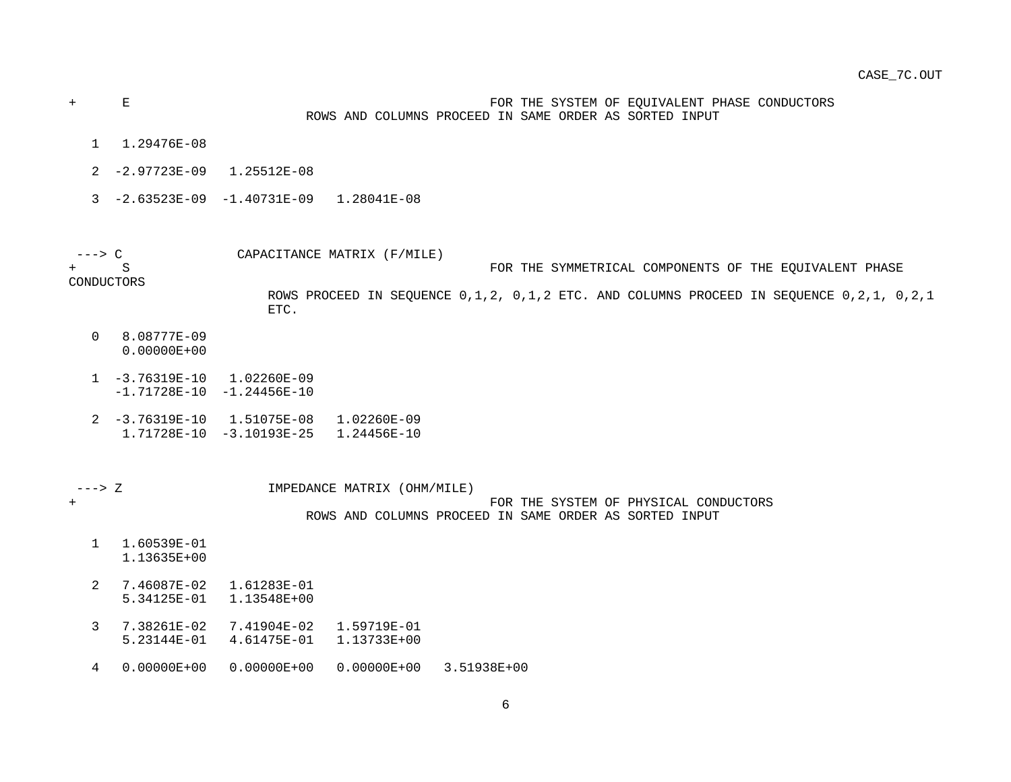+ E FOR THE SYSTEM OF EQUIVALENT PHASE CONDUCTORS ROWS AND COLUMNS PROCEED IN SAME ORDER AS SORTED INPUT

- 1 1.29476E-08
- 2 -2.97723E-09 1.25512E-08
- 3 -2.63523E-09 -1.40731E-09 1.28041E-08

 ---> C CAPACITANCE MATRIX (F/MILE) FOR THE SYMMETRICAL COMPONENTS OF THE EOUIVALENT PHASE

CONDUCTORS

 ROWS PROCEED IN SEQUENCE 0,1,2, 0,1,2 ETC. AND COLUMNS PROCEED IN SEQUENCE 0,2,1, 0,2,1 ETC.

- 0 8.08777E-09 0.00000E+00
- 1 -3.76319E-10 1.02260E-09
- -1.71728E-10 -1.24456E-10
- 2 -3.76319E-10 1.51075E-08 1.02260E-09 1.71728E-10 -3.10193E-25 1.24456E-10

 ---> Z IMPEDANCE MATRIX (OHM/MILE) + FOR THE SYSTEM OF PHYSICAL CONDUCTORS ROWS AND COLUMNS PROCEED IN SAME ORDER AS SORTED INPUT

- 1 1.60539E-01 1.13635E+00
- 2 7.46087E-02 1.61283E-01 5.34125E-01 1.13548E+00
- 3 7.38261E-02 7.41904E-02 1.59719E-01 5.23144E-01 4.61475E-01 1.13733E+00
- 4 0.00000E+00 0.00000E+00 0.00000E+00 3.51938E+00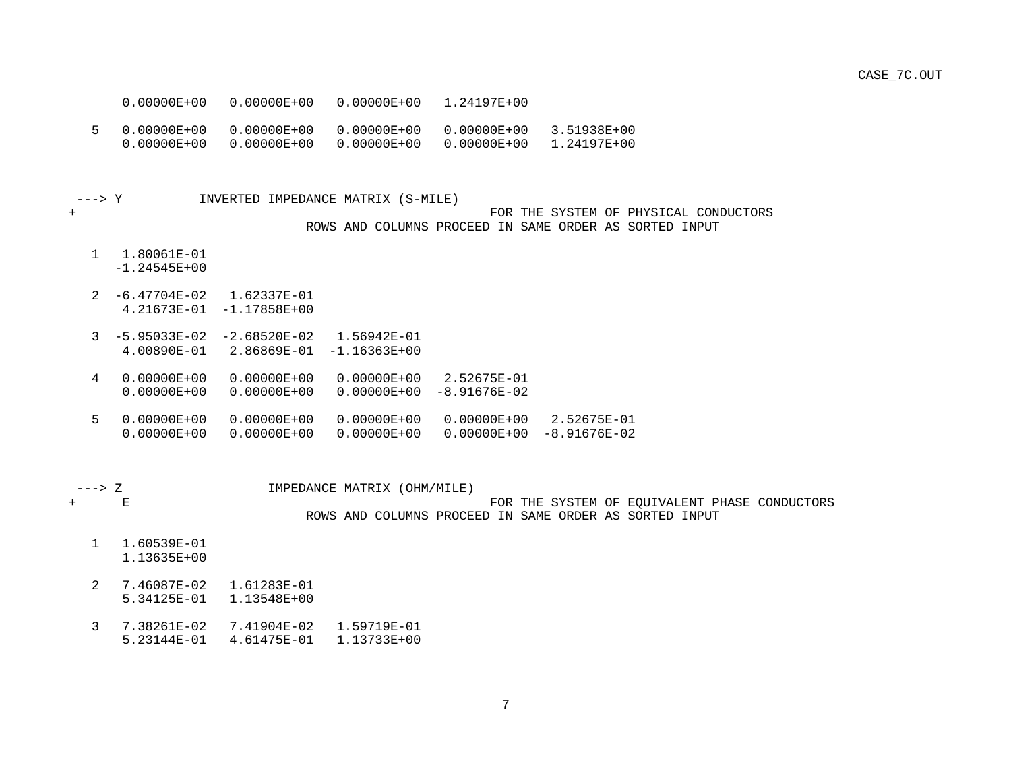0.00000E+00 0.00000E+00 0.00000E+00 1.24197E+00

 5 0.00000E+00 0.00000E+00 0.00000E+00 0.00000E+00 3.51938E+00 0.00000E+00 0.00000E+00 0.00000E+00 0.00000E+00 1.24197E+00

---> Y INVERTED IMPEDANCE MATRIX (S-MILE)

### + FOR THE SYSTEM OF PHYSICAL CONDUCTORS ROWS AND COLUMNS PROCEED IN SAME ORDER AS SORTED INPUT

1 1.80061E-01

-1.24545E+00

- 2 -6.47704E-02 1.62337E-01 4.21673E-01 -1.17858E+00
- 3 -5.95033E-02 -2.68520E-02 1.56942E-01 4.00890E-01 2.86869E-01 -1.16363E+00
- 4 0.00000E+00 0.00000E+00 0.00000E+00 2.52675E-01
- 0.00000E+00 0.00000E+00 0.00000E+00 -8.91676E-02
- 5 0.00000E+00 0.00000E+00 0.00000E+00 0.00000E+00 2.52675E-01 0.00000E+00 0.00000E+00 0.00000E+00 0.00000E+00 -8.91676E-02

---> Z IMPEDANCE MATRIX (OHM/MILE)

+ E FOR THE SYSTEM OF EQUIVALENT PHASE CONDUCTORS

ROWS AND COLUMNS PROCEED IN SAME ORDER AS SORTED INPUT

- 1 1.60539E-01 1.13635E+00
- 2 7.46087E-02 1.61283E-01 5.34125E-01 1.13548E+00
- 3 7.38261E-02 7.41904E-02 1.59719E-01 5.23144E-01 4.61475E-01 1.13733E+00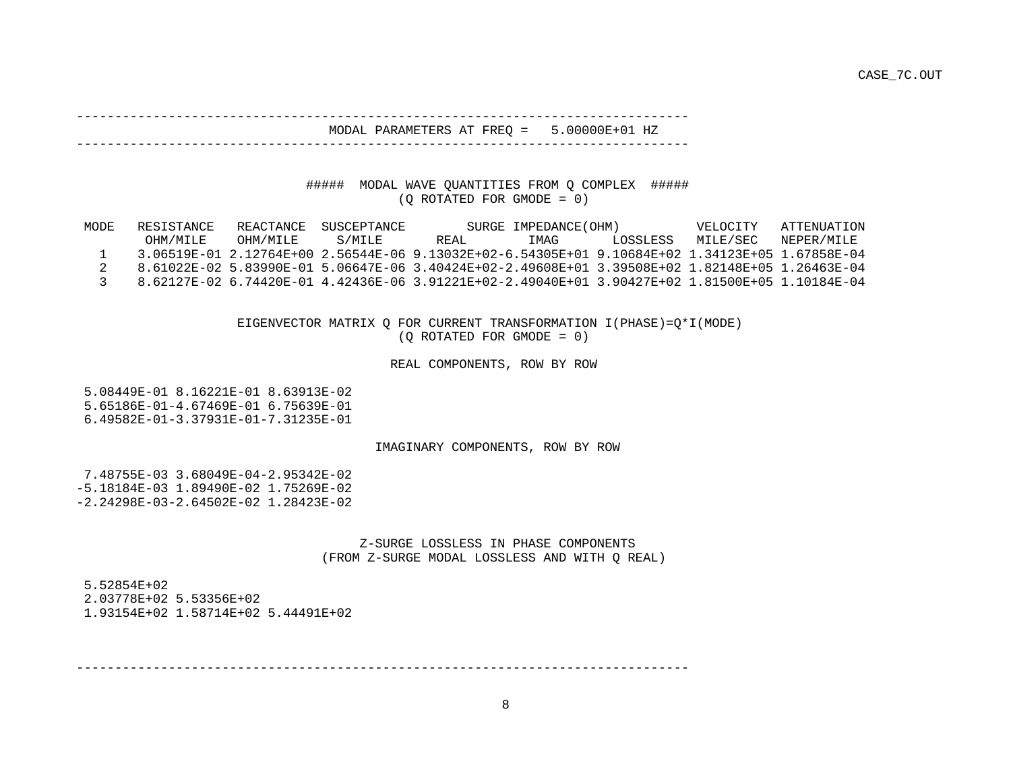#### -------------------------------------------------------------------------------- MODAL PARAMETERS AT FREQ = 5.00000E+01 HZ

# ##### MODAL WAVE QUANTITIES FROM Q COMPLEX #####

--------------------------------------------------------------------------------

(Q ROTATED FOR GMODE = 0)

| MODE | RESISTANCE | REACTANCE | SUSCEPTANCE |                                                                                                 | SURGE IMPEDANCE (OHM) |          | VELOCITY | ATTENUATION |
|------|------------|-----------|-------------|-------------------------------------------------------------------------------------------------|-----------------------|----------|----------|-------------|
|      | OHM/MILE   | OHM/MTLE  | S/MTLE      | REAL                                                                                            | IMAG                  | LOSSLESS | MILE/SEC | NEPER/MTLE  |
|      |            |           |             | 3.06519E-01 2.12764E+00 2.56544E-06 9.13032E+02-6.54305E+01 9.10684E+02 1.34123E+05 1.67858E-04 |                       |          |          |             |
|      |            |           |             | 8.61022E-02.5.83990E-01.5.06647E-06.3.40424E+02-2.49608E+01.3.39508E+02.1.82148E+05.1.26463E-04 |                       |          |          |             |
|      |            |           |             | 8.62127E-02 6.74420E-01 4.42436E-06 3.91221E+02-2.49040E+01 3.90427E+02 1.81500E+05 1.10184E-04 |                       |          |          |             |

 EIGENVECTOR MATRIX Q FOR CURRENT TRANSFORMATION I(PHASE)=Q\*I(MODE) (Q ROTATED FOR GMODE = 0)

#### REAL COMPONENTS, ROW BY ROW

 5.08449E-01 8.16221E-01 8.63913E-02 5.65186E-01-4.67469E-01 6.75639E-01 6.49582E-01-3.37931E-01-7.31235E-01

### IMAGINARY COMPONENTS, ROW BY ROW

 7.48755E-03 3.68049E-04-2.95342E-02 -5.18184E-03 1.89490E-02 1.75269E-02 -2.24298E-03-2.64502E-02 1.28423E-02

> Z-SURGE LOSSLESS IN PHASE COMPONENTS (FROM Z-SURGE MODAL LOSSLESS AND WITH Q REAL)

 5.52854E+02 2.03778E+02 5.53356E+02 1.93154E+02 1.58714E+02 5.44491E+02

--------------------------------------------------------------------------------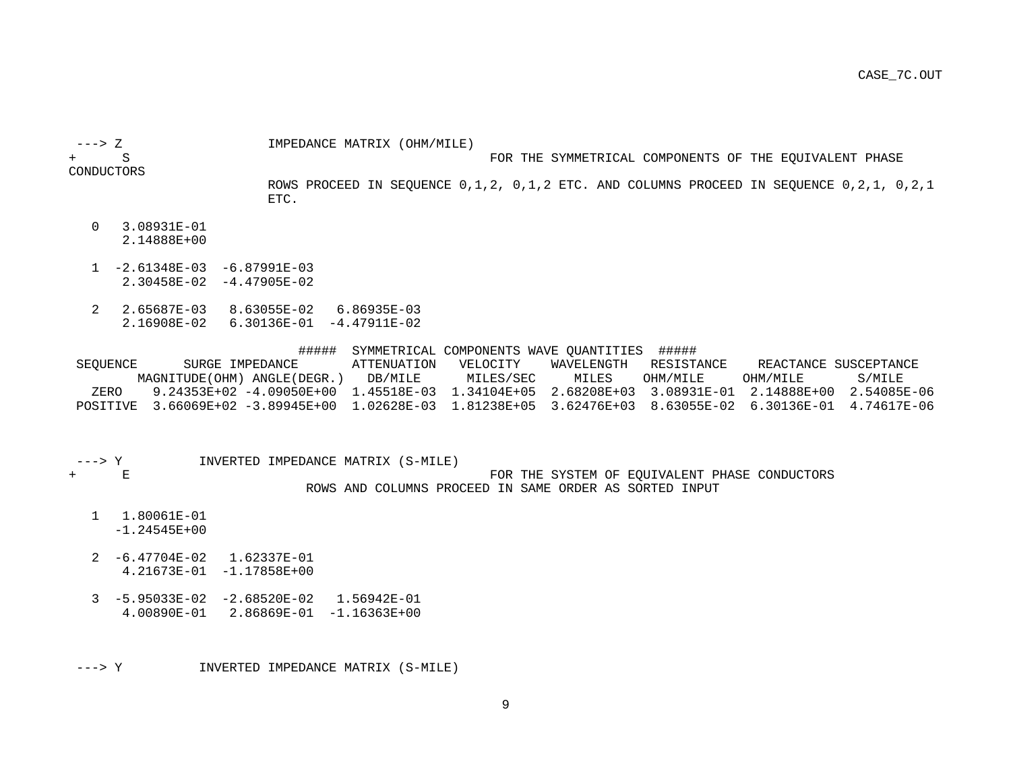---> Z IMPEDANCE MATRIX (OHM/MILE)

+ S FOR THE SYMMETRICAL COMPONENTS OF THE EQUIVALENT PHASE

CONDUCTORS

 ROWS PROCEED IN SEQUENCE 0,1,2, 0,1,2 ETC. AND COLUMNS PROCEED IN SEQUENCE 0,2,1, 0,2,1 ETC.

- 0 3.08931E-01 2.14888E+00
- 1 -2.61348E-03 -6.87991E-03 2.30458E-02 -4.47905E-02
- 2 2.65687E-03 8.63055E-02 6.86935E-03 2.16908E-02 6.30136E-01 -4.47911E-02

 ##### SYMMETRICAL COMPONENTS WAVE QUANTITIES ##### SEQUENCE SURGE IMPEDANCE ATTENUATION VELOCITY WAVELENGTH RESISTANCE REACTANCE SUSCEPTANCE MAGNITUDE(OHM) ANGLE(DEGR.) DB/MILE MILES/SEC MILES OHM/MILE OHM/MILE S/MILE ZERO 9.24353E+02 -4.09050E+00 1.45518E-03 1.34104E+05 2.68208E+03 3.08931E-01 2.14888E+00 2.54085E-06 POSITIVE 3.66069E+02 -3.89945E+00 1.02628E-03 1.81238E+05 3.62476E+03 8.63055E-02 6.30136E-01 4.74617E-06

---> Y INVERTED IMPEDANCE MATRIX (S-MILE)

### + E FOR THE SYSTEM OF EQUIVALENT PHASE CONDUCTORS ROWS AND COLUMNS PROCEED IN SAME ORDER AS SORTED INPUT

1 1.80061E-01

-1.24545E+00

- 2 -6.47704E-02 1.62337E-01 4.21673E-01 -1.17858E+00
- 3 -5.95033E-02 -2.68520E-02 1.56942E-01 4.00890E-01 2.86869E-01 -1.16363E+00

---> Y INVERTED IMPEDANCE MATRIX (S-MILE)

9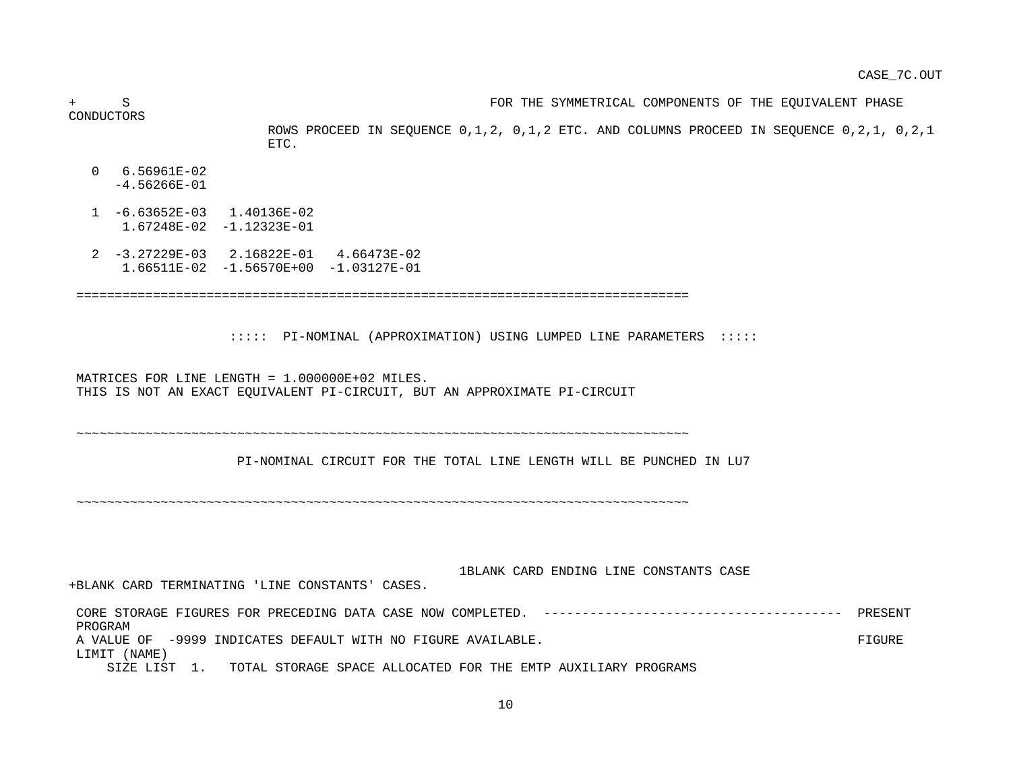+ S FOR THE SYMMETRICAL COMPONENTS OF THE EQUIVALENT PHASE CONDUCTORS ROWS PROCEED IN SEQUENCE 0,1,2, 0,1,2 ETC. AND COLUMNS PROCEED IN SEQUENCE 0,2,1, 0,2,1 ETC. 0 6.56961E-02 -4.56266E-01 1 -6.63652E-03 1.40136E-02 1.67248E-02 -1.12323E-01 2 -3.27229E-03 2.16822E-01 4.66473E-02 1.66511E-02 -1.56570E+00 -1.03127E-01 ================================================================================ ::::: PI-NOMINAL (APPROXIMATION) USING LUMPED LINE PARAMETERS ::::: MATRICES FOR LINE LENGTH = 1.000000E+02 MILES. THIS IS NOT AN EXACT EQUIVALENT PI-CIRCUIT, BUT AN APPROXIMATE PI-CIRCUIT ~~~~~~~~~~~~~~~~~~~~~~~~~~~~~~~~~~~~~~~~~~~~~~~~~~~~~~~~~~~~~~~~~~~~~~~~~~~~~~~~ PI-NOMINAL CIRCUIT FOR THE TOTAL LINE LENGTH WILL BE PUNCHED IN LU7 ~~~~~~~~~~~~~~~~~~~~~~~~~~~~~~~~~~~~~~~~~~~~~~~~~~~~~~~~~~~~~~~~~~~~~~~~~~~~~~~~ 1BLANK CARD ENDING LINE CONSTANTS CASE +BLANK CARD TERMINATING 'LINE CONSTANTS' CASES. CORE STORAGE FIGURES FOR PRECEDING DATA CASE NOW COMPLETED. --------------------------------------- PRESENT PROGRAM A VALUE OF -9999 INDICATES DEFAULT WITH NO FIGURE AVAILABLE. LIMIT (NAME) SIZE LIST 1. TOTAL STORAGE SPACE ALLOCATED FOR THE EMTP AUXILIARY PROGRAMS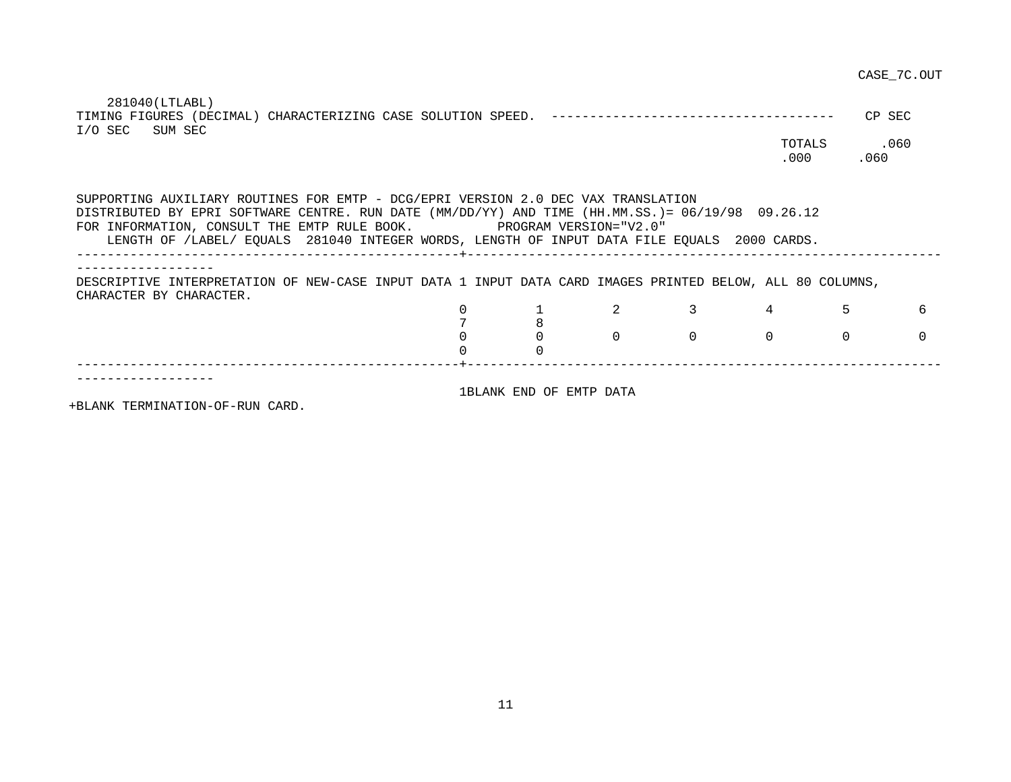281040(LTLABL)

|                 |  |             | CP SEC |
|-----------------|--|-------------|--------|
| I/O SEC SUM SEC |  |             |        |
|                 |  | TOTALS .060 |        |
|                 |  | 000         | .060   |

 SUPPORTING AUXILIARY ROUTINES FOR EMTP - DCG/EPRI VERSION 2.0 DEC VAX TRANSLATION DISTRIBUTED BY EPRI SOFTWARE CENTRE. RUN DATE (MM/DD/YY) AND TIME (HH.MM.SS.)= 06/19/98 09.26.12 FOR INFORMATION, CONSULT THE EMTP RULE BOOK. PROGRAM VERSION="V2.0" LENGTH OF /LABEL/ EQUALS 281040 INTEGER WORDS, LENGTH OF INPUT DATA FILE EQUALS 2000 CARDS. --------------------------------------------------+-------------------------------------------------------------- ------------------ DESCRIPTIVE INTERPRETATION OF NEW-CASE INPUT DATA 1 INPUT DATA CARD IMAGES PRINTED BELOW, ALL 80 COLUMNS, CHARACTER BY CHARACTER. 0 1 2 3 4 5 6 7 8 0 0 0 0 0 0 0 0 0 --------------------------------------------------+-------------------------------------------------------------- ------------------ 1BLANK END OF EMTP DATA

+BLANK TERMINATION-OF-RUN CARD.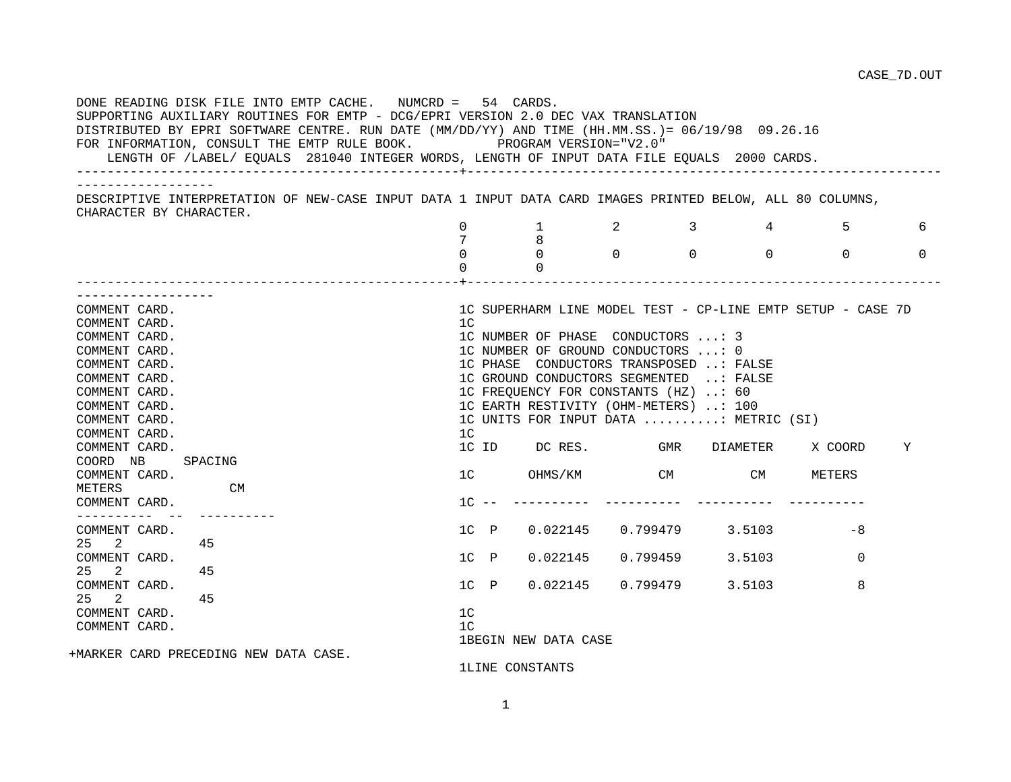DONE READING DISK FILE INTO EMTP CACHE. NUMCRD = 54 CARDS. SUPPORTING AUXILIARY ROUTINES FOR EMTP - DCG/EPRI VERSION 2.0 DEC VAX TRANSLATION DISTRIBUTED BY EPRI SOFTWARE CENTRE. RUN DATE (MM/DD/YY) AND TIME (HH.MM.SS.)= 06/19/98 09.26.16 FOR INFORMATION, CONSULT THE EMTP RULE BOOK. PROGRAM VERSION="V2.0" LENGTH OF /LABEL/ EQUALS 281040 INTEGER WORDS, LENGTH OF INPUT DATA FILE EQUALS 2000 CARDS. --------------------------------------------------+-------------------------------------------------------------- ------------------ DESCRIPTIVE INTERPRETATION OF NEW-CASE INPUT DATA 1 INPUT DATA CARD IMAGES PRINTED BELOW, ALL 80 COLUMNS, CHARACTER BY CHARACTER. 0 1 2 3 4 5 6  $\begin{array}{ccc} 7 & & 8 \\ 0 & & 0 \end{array}$  $\begin{matrix} 0 & 0 & 0 & 0 & 0 & 0 & 0 \end{matrix}$ 0 0 --------------------------------------------------+-------------------------------------------------------------- ------------------ COMMENT CARD. 1C SUPERHARM LINE MODEL TEST - CP-LINE EMTP SETUP - CASE 7D COMMENT CARD. 12 COMMENT CARD. 1C NUMBER OF PHASE CONDUCTORS ...: 3 COMMENT CARD. 1C NUMBER OF GROUND CONDUCTORS ...: 0 COMMENT CARD. 1C PHASE CONDUCTORS TRANSPOSED ..: FALSE COMMENT CARD. 1C GROUND CONDUCTORS SEGMENTED ..: FALSE COMMENT CARD. 1C FREQUENCY FOR CONSTANTS (HZ) ..: 60 COMMENT CARD. 1C EARTH RESTIVITY (OHM-METERS) ..: 100 COMMENT CARD. 1C UNITS FOR INPUT DATA ..........: METRIC (SI) COMMENT CARD. 1C COMMENT CARD. 1C ID DC RES. GMR DIAMETER X COORD Y COORD NB SPACING COMMENT CARD. THE COMMENT CARD COMMENT CARD. THE COMMENT CARD COMMENT CARD. METERS CM COMMENT CARD. 1C -- ---------- ---------- ---------- ---------- ---------- -- ---------- COMMENT CARD. 1C P 0.022145 0.799479 3.5103 -8 25 2 45 COMMENT CARD. 1C P 0.022145 0.799459 3.5103 0 25 2 45<br>COMMENT CARD. 1C P 0.022145 0.799479 3.5103 8 25 2 45 COMMENT CARD. 1C COMMENT CARD. 1C 1BEGIN NEW DATA CASE +MARKER CARD PRECEDING NEW DATA CASE. 1LINE CONSTANTS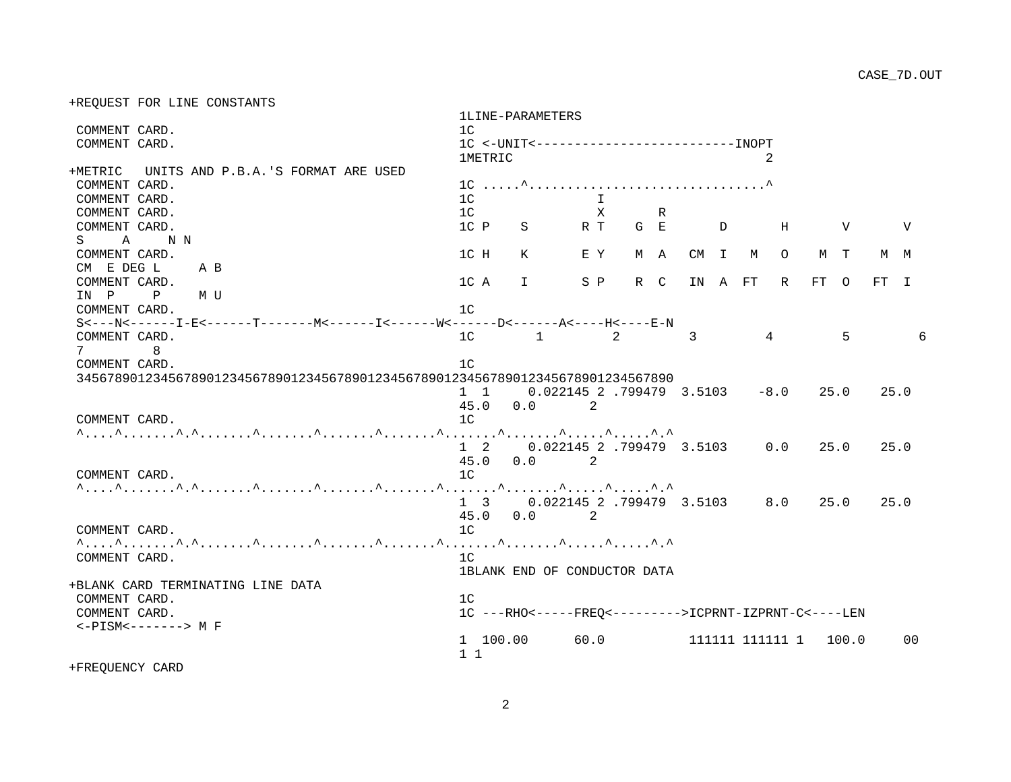+REQUEST FOR LINE CONSTANTS

|                                             |     |  |                                                                                |                | 1LINE-PARAMETERS             |      |     |              |     |                                                                         |         |                 |      |               |        |          |   |
|---------------------------------------------|-----|--|--------------------------------------------------------------------------------|----------------|------------------------------|------|-----|--------------|-----|-------------------------------------------------------------------------|---------|-----------------|------|---------------|--------|----------|---|
| COMMENT CARD.                               |     |  |                                                                                | 1 <sup>C</sup> |                              |      |     |              |     |                                                                         |         |                 |      |               |        |          |   |
| COMMENT CARD.                               |     |  |                                                                                |                |                              |      |     |              |     |                                                                         |         |                 |      |               |        |          |   |
|                                             |     |  |                                                                                | <b>1METRIC</b> |                              |      |     |              |     |                                                                         |         | 2               |      |               |        |          |   |
| +METRIC UNITS AND P.B.A.'S FORMAT ARE USED  |     |  |                                                                                |                |                              |      |     |              |     |                                                                         |         |                 |      |               |        |          |   |
| COMMENT CARD.                               |     |  |                                                                                |                |                              |      |     |              |     |                                                                         |         |                 |      |               |        |          |   |
| COMMENT CARD.                               |     |  |                                                                                | 1 <sup>C</sup> |                              |      |     | $\mathsf{T}$ |     |                                                                         |         |                 |      |               |        |          |   |
| COMMENT CARD.                               |     |  |                                                                                | 1 <sup>C</sup> |                              |      |     | $\mathbf{X}$ | R.  |                                                                         |         |                 |      |               |        |          |   |
| COMMENT CARD.                               |     |  |                                                                                | $1C$ P         |                              | S RT |     |              | G E | $\overline{D}$                                                          |         | H               |      | $\mathbf {V}$ |        | <b>V</b> |   |
| $\mathbf{A}$<br>S                           | N N |  |                                                                                |                |                              |      |     |              |     |                                                                         |         |                 |      |               |        |          |   |
| COMMENT CARD.                               |     |  |                                                                                | 1C H           | K                            |      | E Y |              | M A |                                                                         | CM I M  | $\circ$         |      | M T           |        | M M      |   |
| CM E DEG L A B                              |     |  |                                                                                |                |                              |      |     |              |     |                                                                         |         |                 |      |               |        |          |   |
| COMMENT CARD.                               |     |  |                                                                                | 1C A           | $\mathsf{T}$                 |      |     | S P          | R C |                                                                         | IN A FT | R               | FT O |               | $FT$ I |          |   |
| IN P P MU                                   |     |  |                                                                                |                |                              |      |     |              |     |                                                                         |         |                 |      |               |        |          |   |
| COMMENT CARD.                               |     |  |                                                                                | 1 <sup>C</sup> |                              |      |     |              |     |                                                                         |         |                 |      |               |        |          |   |
|                                             |     |  |                                                                                |                |                              |      |     |              |     |                                                                         |         |                 |      |               |        |          |   |
| COMMENT CARD.                               |     |  |                                                                                | 1 <sup>C</sup> | $\sim$ 1                     |      |     | 2            |     | 3                                                                       |         | $\overline{4}$  |      | 5             |        |          | 6 |
| 7                                           | 8   |  |                                                                                |                |                              |      |     |              |     |                                                                         |         |                 |      |               |        |          |   |
| COMMENT CARD.                               |     |  |                                                                                | 1 <sup>C</sup> |                              |      |     |              |     |                                                                         |         |                 |      |               |        |          |   |
|                                             |     |  | 345678901234567890123456789012345678901234567890123456789012345678901234567890 |                |                              |      |     |              |     |                                                                         |         |                 |      |               |        |          |   |
|                                             |     |  |                                                                                | $1 \quad 1$    |                              |      |     |              |     | 0.022145 2 .799479 3.5103                                               |         | $-8.0$          |      | 25.0          | 25.0   |          |   |
|                                             |     |  |                                                                                | 45.0           | 0.0                          |      | 2   |              |     |                                                                         |         |                 |      |               |        |          |   |
| COMMENT CARD.                               |     |  |                                                                                | 1 <sup>C</sup> |                              |      |     |              |     |                                                                         |         |                 |      |               |        |          |   |
|                                             |     |  |                                                                                |                |                              |      |     |              |     |                                                                         |         |                 |      |               |        |          |   |
|                                             |     |  |                                                                                |                |                              |      |     |              |     | 1 2 0.022145 2.799479 3.5103                                            |         | 0.0             |      | 25.0          | 25.0   |          |   |
|                                             |     |  |                                                                                |                | $45.0\qquad0.0$              |      | 2   |              |     |                                                                         |         |                 |      |               |        |          |   |
| COMMENT CARD.                               |     |  |                                                                                | 1 <sup>C</sup> |                              |      |     |              |     |                                                                         |         |                 |      |               |        |          |   |
|                                             |     |  |                                                                                |                |                              |      |     |              |     |                                                                         |         |                 |      |               |        |          |   |
|                                             |     |  |                                                                                |                |                              |      |     |              |     | $1 \quad 3 \quad 0.022145 \quad 2 \quad .799479 \quad 3.5103 \quad 8.0$ |         |                 |      | 25.0          |        | 25.0     |   |
|                                             |     |  |                                                                                | 45.0           | $0.0$ 2                      |      |     |              |     |                                                                         |         |                 |      |               |        |          |   |
| COMMENT CARD.                               |     |  |                                                                                | 1 <sup>C</sup> |                              |      |     |              |     |                                                                         |         |                 |      |               |        |          |   |
|                                             |     |  |                                                                                |                |                              |      |     |              |     |                                                                         |         |                 |      |               |        |          |   |
|                                             |     |  |                                                                                |                |                              |      |     |              |     |                                                                         |         |                 |      |               |        |          |   |
| COMMENT CARD.                               |     |  |                                                                                | 1 <sup>C</sup> |                              |      |     |              |     |                                                                         |         |                 |      |               |        |          |   |
|                                             |     |  |                                                                                |                | 1BLANK END OF CONDUCTOR DATA |      |     |              |     |                                                                         |         |                 |      |               |        |          |   |
| +BLANK CARD TERMINATING LINE DATA           |     |  |                                                                                |                |                              |      |     |              |     |                                                                         |         |                 |      |               |        |          |   |
| COMMENT CARD.                               |     |  |                                                                                | 1 <sup>C</sup> |                              |      |     |              |     |                                                                         |         |                 |      |               |        |          |   |
| COMMENT CARD.                               |     |  |                                                                                |                |                              |      |     |              |     | 1C ---RHO <-----FREQ <--------->ICPRNT-IZPRNT-C <----LEN                |         |                 |      |               |        |          |   |
| $\leftarrow$ PISM $\leftarrow$ -------> M F |     |  |                                                                                |                |                              |      |     |              |     |                                                                         |         |                 |      |               |        |          |   |
|                                             |     |  |                                                                                |                | 1 100.00                     |      |     | 60.0         |     |                                                                         |         | 111111 111111 1 |      | 100.0         |        | $00 \,$  |   |
|                                             |     |  |                                                                                | $1\quad1$      |                              |      |     |              |     |                                                                         |         |                 |      |               |        |          |   |
| +FREOUENCY CARD                             |     |  |                                                                                |                |                              |      |     |              |     |                                                                         |         |                 |      |               |        |          |   |

2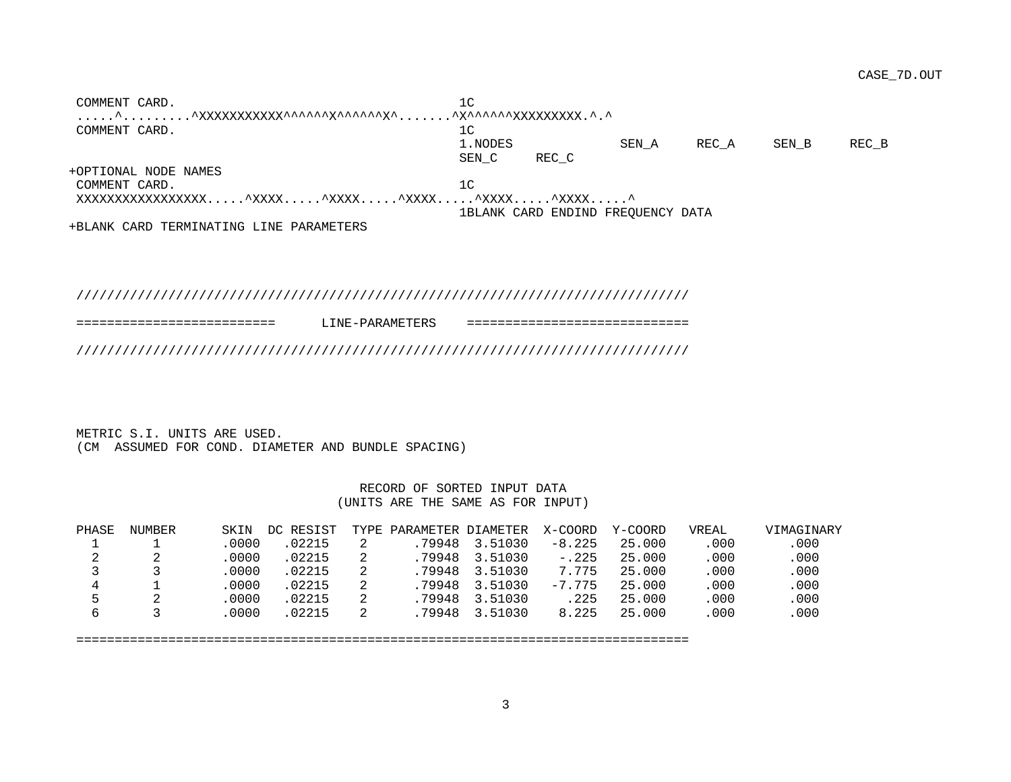COMMENT CARD. 1 .....^.........^XXXXXXXXXXX^^^^^^X^^^^^^X^.......^X^^^^^^XXXXXXXXX.^.^ COMMENT CARD. 10 1.NODES SEN\_A REC\_A SEN\_B REC\_B SEN C REC C +OPTIONAL NODE NAMES COMMENT CARD. 12 XXXXXXXXXXXXXXXXX.....^XXXX.....^XXXX.....^XXXX.....^XXXX.....^XXXX.....^ 1BLANK CARD ENDIND FREQUENCY DATA

+BLANK CARD TERMINATING LINE PARAMETERS

## ////////////////////////////////////////////////////////////////////////////////

| ------------------------ | LINE-PARAMETERS | ------------------------- |
|--------------------------|-----------------|---------------------------|
|                          |                 |                           |

 METRIC S.I. UNITS ARE USED. (CM ASSUMED FOR COND. DIAMETER AND BUNDLE SPACING)

### RECORD OF SORTED INPUT DATA (UNITS ARE THE SAME AS FOR INPUT)

| PHASE | NUMBER | SKIN  | DC RESIST |   | TYPE PARAMETER DIAMETER |         | X-COORD  | Y-COORD | VREAL | VIMAGINARY |
|-------|--------|-------|-----------|---|-------------------------|---------|----------|---------|-------|------------|
|       |        | .0000 | 02215     |   | .79948                  | 3.51030 | $-8.225$ | 25,000  | .000  | .000       |
| ∠     | 2      | .0000 | 02215     | 2 | .79948                  | 3.51030 | $-.225$  | 25.000  | .000  | .000       |
|       |        | .0000 | 02215     |   | .79948                  | 3.51030 | 7.775    | 25.000  | .000  | .000       |
| 4     |        | .0000 | 02215     |   | .79948                  | 3.51030 | $-7.775$ | 25.000  | .000  | .000       |
|       |        | 0000  | 02215     | 2 | .79948                  | 3.51030 | .225     | 25.000  | .000  | .000       |
|       |        | 0000  | 02215     | 2 | .79948                  | 3.51030 | 8.225    | 25,000  | .000  | .000       |

================================================================================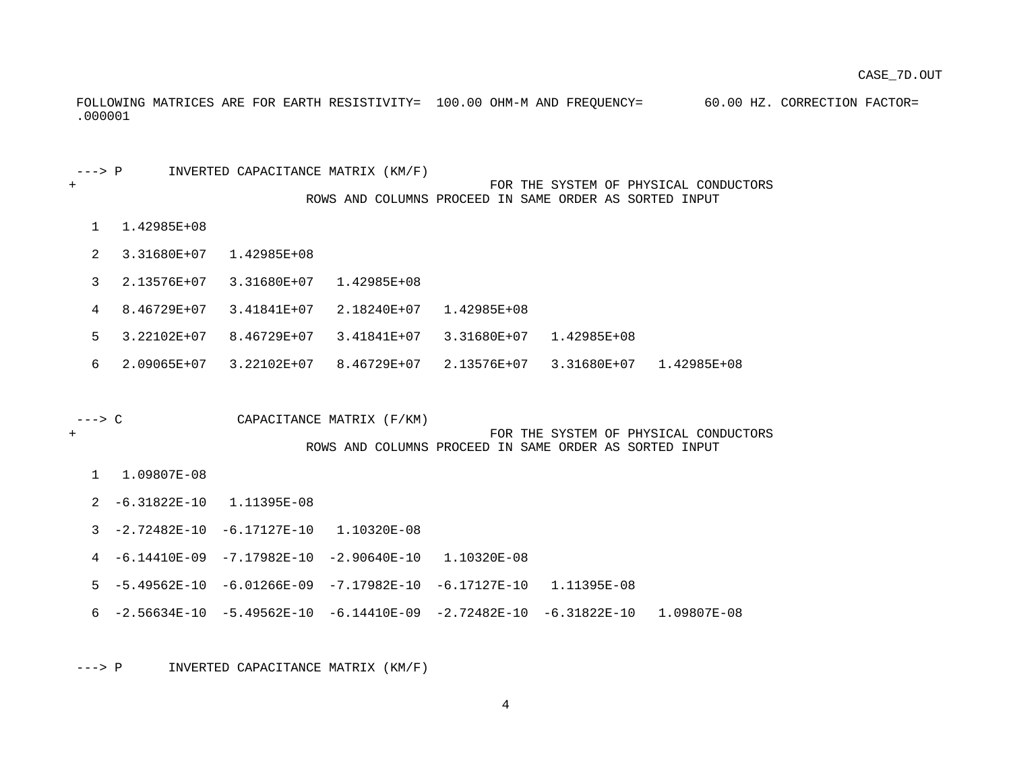FOLLOWING MATRICES ARE FOR EARTH RESISTIVITY= 100.00 OHM-M AND FREQUENCY= 60.00 HZ. CORRECTION FACTOR= .000001

---> P INVERTED CAPACITANCE MATRIX (KM/F)

#### + FOR THE SYSTEM OF PHYSICAL CONDUCTORS ROWS AND COLUMNS PROCEED IN SAME ORDER AS SORTED INPUT

- 1 1.42985E+08
- 2 3.31680E+07 1.42985E+08
- 3 2.13576E+07 3.31680E+07 1.42985E+08
- 4 8.46729E+07 3.41841E+07 2.18240E+07 1.42985E+08
- 5 3.22102E+07 8.46729E+07 3.41841E+07 3.31680E+07 1.42985E+08
- 6 2.09065E+07 3.22102E+07 8.46729E+07 2.13576E+07 3.31680E+07 1.42985E+08
- ---> C CAPACITANCE MATRIX (F/KM)

+ FOR THE SYSTEM OF PHYSICAL CONDUCTORS ROWS AND COLUMNS PROCEED IN SAME ORDER AS SORTED INPUT

- 1 1.09807E-08
- 2 -6.31822E-10 1.11395E-08
- 3 -2.72482E-10 -6.17127E-10 1.10320E-08
- 4 -6.14410E-09 -7.17982E-10 -2.90640E-10 1.10320E-08
- 5 -5.49562E-10 -6.01266E-09 -7.17982E-10 -6.17127E-10 1.11395E-08
- 6 -2.56634E-10 -5.49562E-10 -6.14410E-09 -2.72482E-10 -6.31822E-10 1.09807E-08

---> P INVERTED CAPACITANCE MATRIX (KM/F)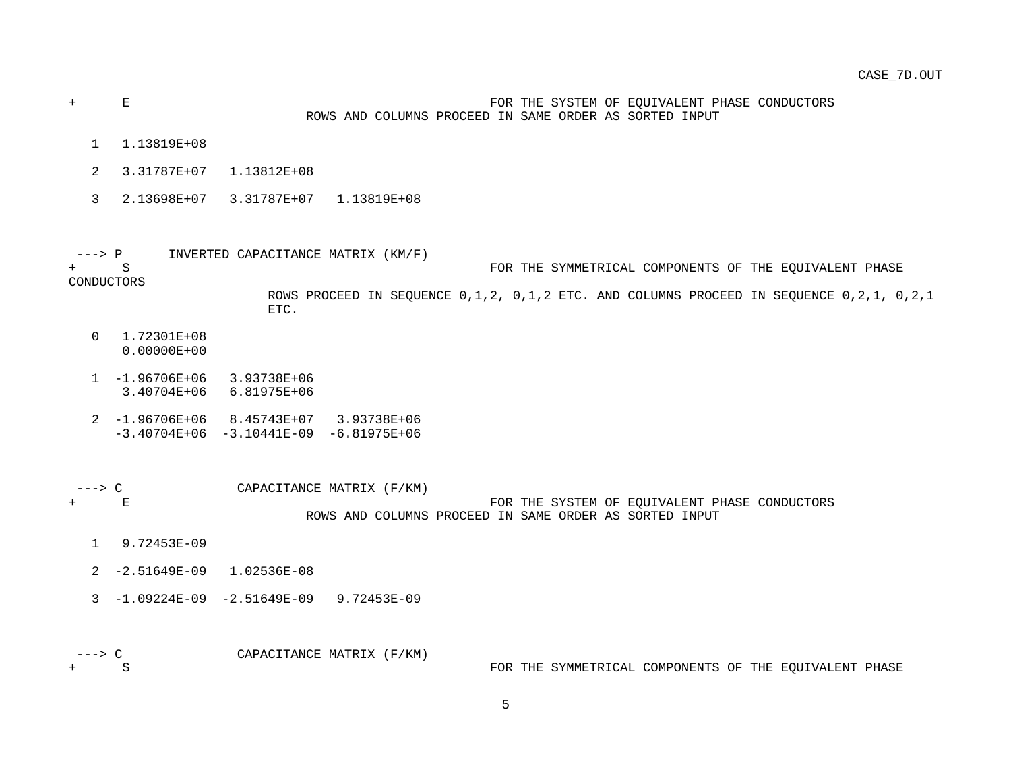+ E FOR THE SYSTEM OF EQUIVALENT PHASE CONDUCTORS ROWS AND COLUMNS PROCEED IN SAME ORDER AS SORTED INPUT

- 1 1.13819E+08
- 2 3.31787E+07 1.13812E+08
- 3 2.13698E+07 3.31787E+07 1.13819E+08

 ---> P INVERTED CAPACITANCE MATRIX (KM/F) + S FOR THE SYMMETRICAL COMPONENTS OF THE EQUIVALENT PHASE

CONDUCTORS

 ROWS PROCEED IN SEQUENCE 0,1,2, 0,1,2 ETC. AND COLUMNS PROCEED IN SEQUENCE 0,2,1, 0,2,1 ETC.

- 0 1.72301E+08 0.00000E+00
- 1 -1.96706E+06 3.93738E+06 3.40704E+06 6.81975E+06
- 2 -1.96706E+06 8.45743E+07 3.93738E+06  $-3.40704E+06 -3.10441E-09 -6.81975E+06$

---> C CAPACITANCE MATRIX (F/KM) + E FOR THE SYSTEM OF EQUIVALENT PHASE CONDUCTORS ROWS AND COLUMNS PROCEED IN SAME ORDER AS SORTED INPUT

- 1 9.72453E-09
- 2 -2.51649E-09 1.02536E-08
- 3 -1.09224E-09 -2.51649E-09 9.72453E-09

 ---> C CAPACITANCE MATRIX (F/KM) FOR THE SYMMETRICAL COMPONENTS OF THE EQUIVALENT PHASE

5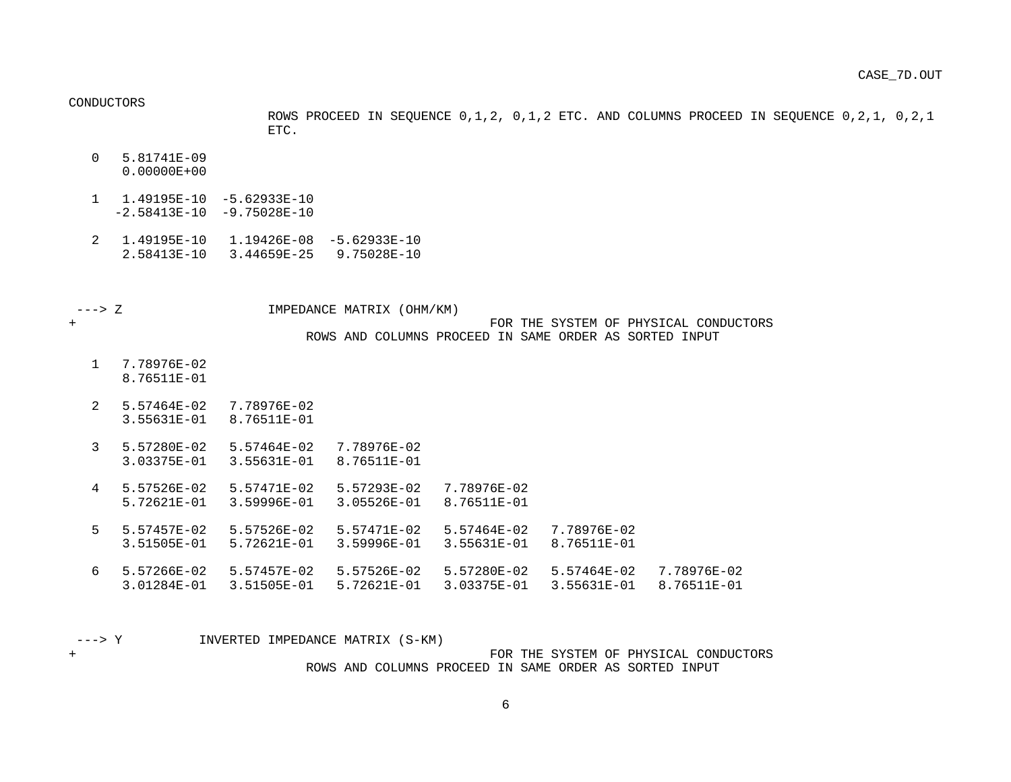CONDUCTORS

 ROWS PROCEED IN SEQUENCE 0,1,2, 0,1,2 ETC. AND COLUMNS PROCEED IN SEQUENCE 0,2,1, 0,2,1 ETC.

- 0 5.81741E-09 0.00000E+00
- 1 1.49195E-10 -5.62933E-10  $-2.58413E-10 -9.75028E-10$
- 2 1.49195E-10 1.19426E-08 -5.62933E-10 2.58413E-10 3.44659E-25 9.75028E-10
- ---> Z IMPEDANCE MATRIX (OHM/KM)

- + FOR THE SYSTEM OF PHYSICAL CONDUCTORS ROWS AND COLUMNS PROCEED IN SAME ORDER AS SORTED INPUT
	- 1 7.78976E-02 8.76511E-01
	- 2 5.57464E-02 7.78976E-02 3.55631E-01 8.76511E-01
	- 3 5.57280E-02 5.57464E-02 7.78976E-02 3.03375E-01 3.55631E-01 8.76511E-01
	- 4 5.57526E-02 5.57471E-02 5.57293E-02 7.78976E-02 5.72621E-01 3.59996E-01 3.05526E-01 8.76511E-01
	- 5 5.57457E-02 5.57526E-02 5.57471E-02 5.57464E-02 7.78976E-02 3.51505E-01 5.72621E-01 3.59996E-01 3.55631E-01 8.76511E-01
	- 6 5.57266E-02 5.57457E-02 5.57526E-02 5.57280E-02 5.57464E-02 7.78976E-02 3.01284E-01 3.51505E-01 5.72621E-01 3.03375E-01 3.55631E-01 8.76511E-01

---> Y INVERTED IMPEDANCE MATRIX (S-KM)

+ FOR THE SYSTEM OF PHYSICAL CONDUCTORS ROWS AND COLUMNS PROCEED IN SAME ORDER AS SORTED INPUT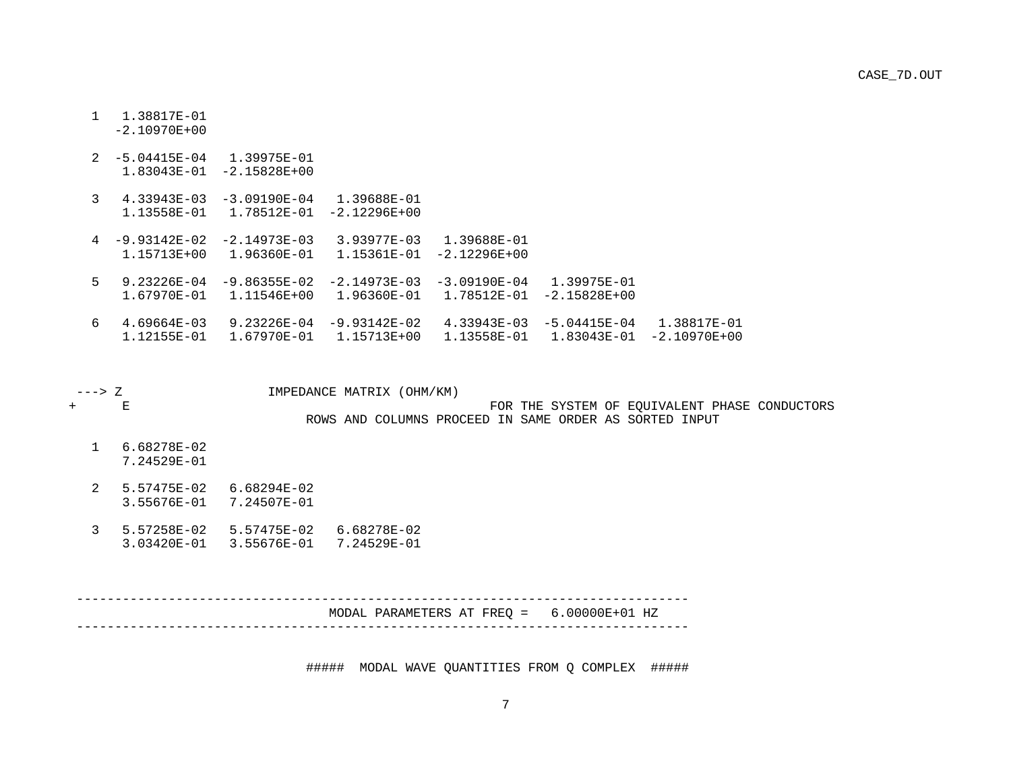1 1.38817E-01 -2.10970E+00

|   | $2 - 5.04415E - 04$<br>1.83043E-01 | 1.39975E-01<br>$-2.15828E + 00$ |                                 |                                 |                                 |                                 |  |
|---|------------------------------------|---------------------------------|---------------------------------|---------------------------------|---------------------------------|---------------------------------|--|
| 3 | 4.33943E-03<br>1.13558E-01         | $-3.09190E - 04$<br>1.78512F-01 | 1.39688E-01<br>$-2.12296E+00$   |                                 |                                 |                                 |  |
|   | $4 - 9.93142E - 02$<br>1.15713E+00 | $-2.14973E - 03$<br>1.96360E-01 | 3.93977F-03<br>1.15361E-01      | 1.39688E-01<br>$-2.12296E+00$   |                                 |                                 |  |
| 5 | 9.23226E-04<br>1.67970E-01         | $-9.86355E - 02$<br>1.11546E+00 | $-2.14973E - 03$<br>1.96360E-01 | $-3.09190F - 04$<br>1.78512E-01 | 1.39975E-01<br>$-2.15828E + 00$ |                                 |  |
| 6 | $4.69664E - 03$<br>1.12155E-01     | 9.23226E-04<br>1.67970E-01      | $-9.93142E - 02$<br>1.15713E+00 | 4.33943E-03<br>1.13558E-01      | $-5.04415E - 04$<br>1.83043E-01 | 1.38817E-01<br>$-2.10970E + 00$ |  |

 ---> Z IMPEDANCE MATRIX (OHM/KM) FOR THE SYSTEM OF EQUIVALENT PHASE CONDUCTORS ROWS AND COLUMNS PROCEED IN SAME ORDER AS SORTED INPUT 1 6.68278E-02 7.24529E-01 2 5.57475E-02 6.68294E-02

- 3.55676E-01 7.24507E-01
- 3 5.57258E-02 5.57475E-02 6.68278E-02 3.03420E-01 3.55676E-01 7.24529E-01

 -------------------------------------------------------------------------------- MODAL PARAMETERS AT FREQ = 6.00000E+01 HZ --------------------------------------------------------------------------------

##### MODAL WAVE QUANTITIES FROM Q COMPLEX #####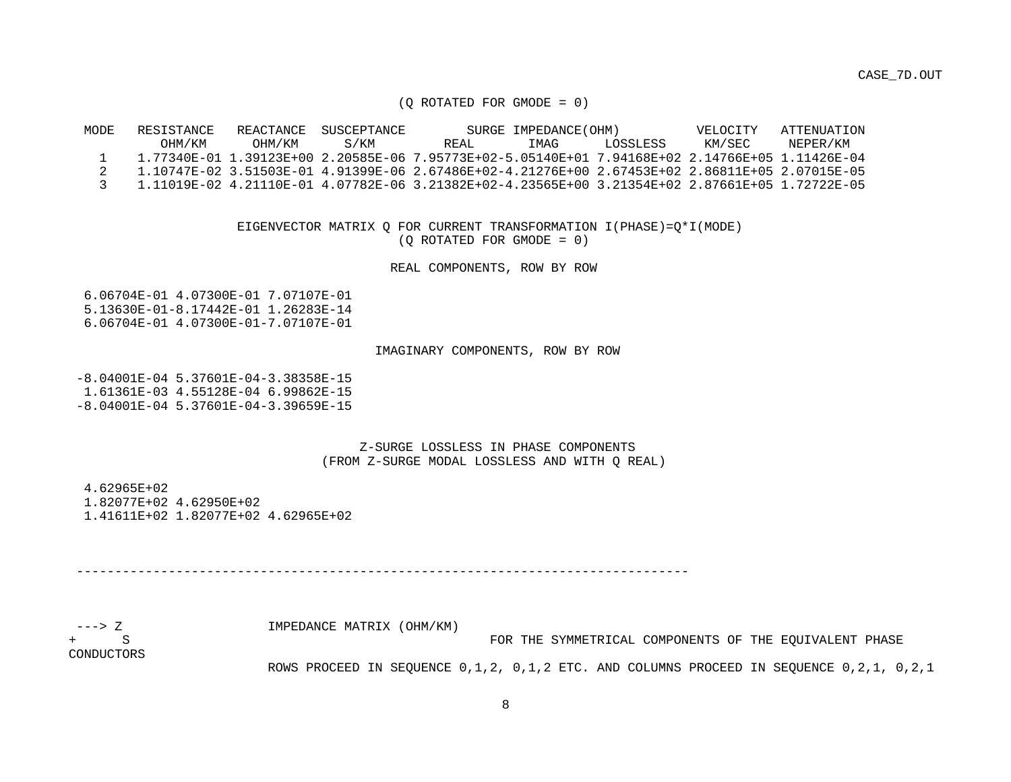CASE\_7D.OUT

(Q ROTATED FOR GMODE = 0)

 MODE RESISTANCE REACTANCE SUSCEPTANCE SURGE IMPEDANCE(OHM) VELOCITY ATTENUATION OHM/KM OHM/KM S/KM REAL IMAG LOSSLESS KM/SEC NEPER/KM 1 1.77340E-01 1.39123E+00 2.20585E-06 7.95773E+02-5.05140E+01 7.94168E+02 2.14766E+05 1.11426E-04 2 1.10747E-02 3.51503E-01 4.91399E-06 2.67486E+02-4.21276E+00 2.67453E+02 2.86811E+05 2.07015E-05 3 1.11019E-02 4.21110E-01 4.07782E-06 3.21382E+02-4.23565E+00 3.21354E+02 2.87661E+05 1.72722E-05

> EIGENVECTOR MATRIX Q FOR CURRENT TRANSFORMATION I(PHASE)=Q\*I(MODE) (Q ROTATED FOR GMODE = 0)

> > REAL COMPONENTS, ROW BY ROW

 6.06704E-01 4.07300E-01 7.07107E-01 5.13630E-01-8.17442E-01 1.26283E-14 6.06704E-01 4.07300E-01-7.07107E-01

#### IMAGINARY COMPONENTS, ROW BY ROW

 -8.04001E-04 5.37601E-04-3.38358E-15 1.61361E-03 4.55128E-04 6.99862E-15 -8.04001E-04 5.37601E-04-3.39659E-15

> Z-SURGE LOSSLESS IN PHASE COMPONENTS (FROM Z-SURGE MODAL LOSSLESS AND WITH Q REAL)

 4.62965E+02 1.82077E+02 4.62950E+02 1.41611E+02 1.82077E+02 4.62965E+02

--------------------------------------------------------------------------------

| ---> 7.    | IMPEDANCE MATRIX (OHM/KM)                                                               |
|------------|-----------------------------------------------------------------------------------------|
| $+$ S      | FOR THE SYMMETRICAL COMPONENTS OF THE EOUIVALENT PHASE                                  |
| CONDUCTORS |                                                                                         |
|            | ROWS PROCEED IN SEQUENCE 0,1,2, 0,1,2 ETC. AND COLUMNS PROCEED IN SEQUENCE 0,2,1, 0,2,1 |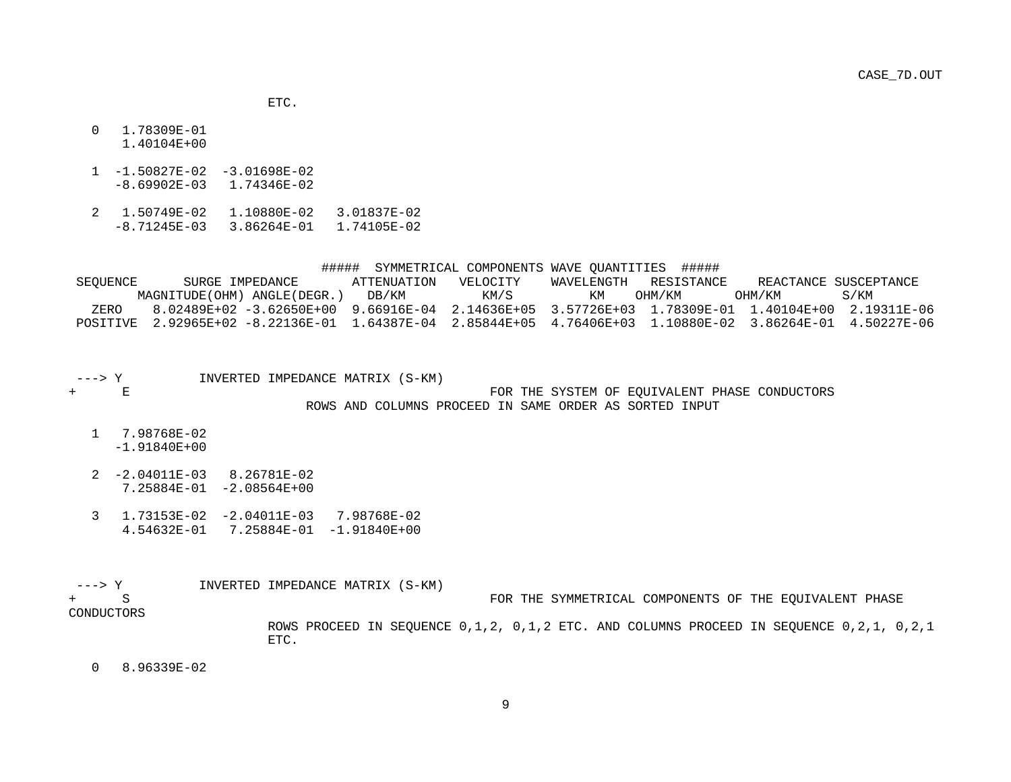ETC.

- 0 1.78309E-01 1.40104E+00
- 1 -1.50827E-02 -3.01698E-02 -8.69902E-03 1.74346E-02
- 2 1.50749E-02 1.10880E-02 3.01837E-02 -8.71245E-03 3.86264E-01 1.74105E-02

#### ##### SYMMETRICAL COMPONENTS WAVE QUANTITIES #####

 SEQUENCE SURGE IMPEDANCE ATTENUATION VELOCITY WAVELENGTH RESISTANCE REACTANCE SUSCEPTANCE MAGNITUDE(OHM) ANGLE(DEGR.) DB/KM KM/S KM OHM/KM OHM/KM S/KM ZERO 8.02489E+02 -3.62650E+00 9.66916E-04 2.14636E+05 3.57726E+03 1.78309E-01 1.40104E+00 2.19311E-06 POSITIVE 2.92965E+02 -8.22136E-01 1.64387E-04 2.85844E+05 4.76406E+03 1.10880E-02 3.86264E-01 4.50227E-06

- ---> Y  $INVERTED INPENDANCE MATRIX (S-KM) + E$ FOR THE SYSTEM OF EOUIVALENT PHASE CONDUCTORS ROWS AND COLUMNS PROCEED IN SAME ORDER AS SORTED INPUT
	- 1 7.98768E-02 -1.91840E+00
	- 2 -2.04011E-03 8.26781E-02 7.25884E-01 -2.08564E+00
	- 3 1.73153E-02 -2.04011E-03 7.98768E-02 4.54632E-01 7.25884E-01 -1.91840E+00

| –––> Y     | INVERTED IMPEDANCE MATRIX (S-KM)                                                        |
|------------|-----------------------------------------------------------------------------------------|
| $+$ S      | FOR THE SYMMETRICAL COMPONENTS OF THE EOUIVALENT PHASE                                  |
| CONDUCTORS |                                                                                         |
|            | ROWS PROCEED IN SEOUENCE 0,1,2, 0,1,2 ETC. AND COLUMNS PROCEED IN SEOUENCE 0,2,1, 0,2,1 |
|            |                                                                                         |

0 8.96339E-02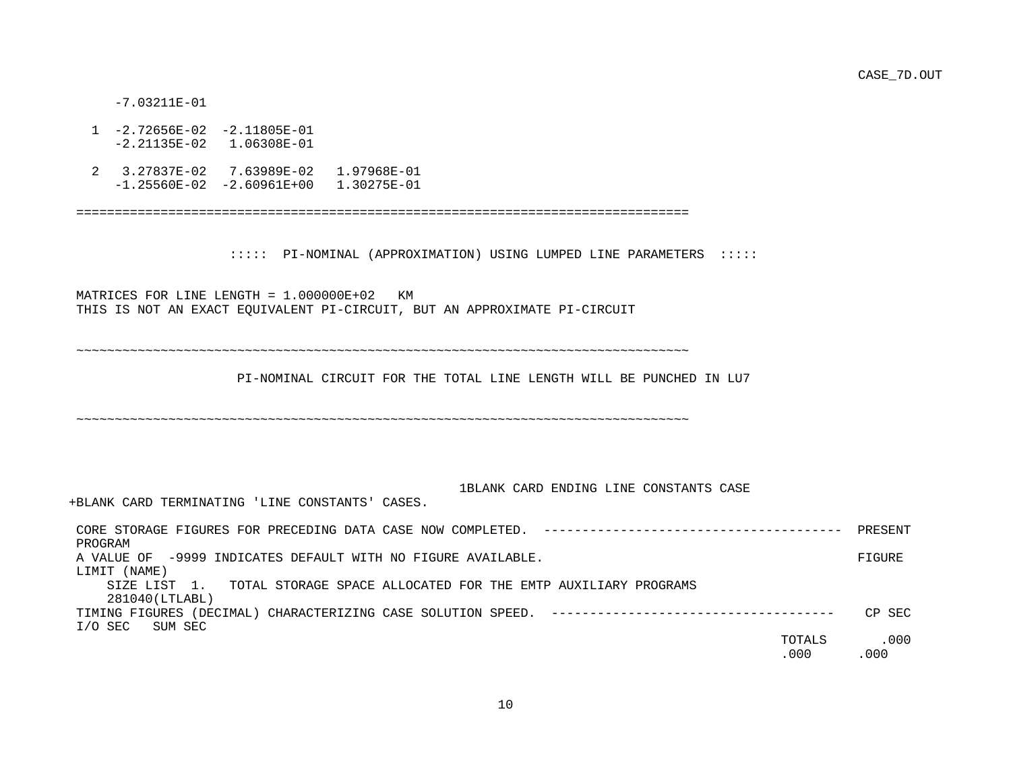CASE\_7D.OUT

-7.03211E-01

- 1 -2.72656E-02 -2.11805E-01 -2.21135E-02 1.06308E-01
- 2 3.27837E-02 7.63989E-02 1.97968E-01 -1.25560E-02 -2.60961E+00 1.30275E-01

================================================================================

::::: PI-NOMINAL (APPROXIMATION) USING LUMPED LINE PARAMETERS :::::

 MATRICES FOR LINE LENGTH = 1.000000E+02 KM THIS IS NOT AN EXACT EQUIVALENT PI-CIRCUIT, BUT AN APPROXIMATE PI-CIRCUIT

~~~~~~~~~~~~~~~~~~~~~~~~~~~~~~~~~~~~~~~~~~~~~~~~~~~~~~~~~~~~~~~~~~~~~~~~~~~~~~~~

PI-NOMINAL CIRCUIT FOR THE TOTAL LINE LENGTH WILL BE PUNCHED IN LU7

~~~~~~~~~~~~~~~~~~~~~~~~~~~~~~~~~~~~~~~~~~~~~~~~~~~~~~~~~~~~~~~~~~~~~~~~~~~~~~~~

#### 1BLANK CARD ENDING LINE CONSTANTS CASE

+BLANK CARD TERMINATING 'LINE CONSTANTS' CASES.

| CORE STORAGE FIGURES FOR PRECEDING DATA CASE NOW COMPLETED.                   | PRESENT |
|-------------------------------------------------------------------------------|---------|
| PROGRAM                                                                       |         |
| A VALUE OF -9999 INDICATES DEFAULT WITH NO FIGURE AVAILABLE.                  | FIGURE  |
| (NAME)<br>LIMIT                                                               |         |
| TOTAL STORAGE SPACE ALLOCATED FOR THE EMTP AUXILIARY PROGRAMS<br>SIZE LIST 1. |         |
| 281040(LTLABL)                                                                |         |
| TIMING FIGURES                                                                | CP SEC  |
| I/O SEC<br>SUM SEC                                                            |         |
| TOTALS                                                                        | .000    |
| .000                                                                          | .000    |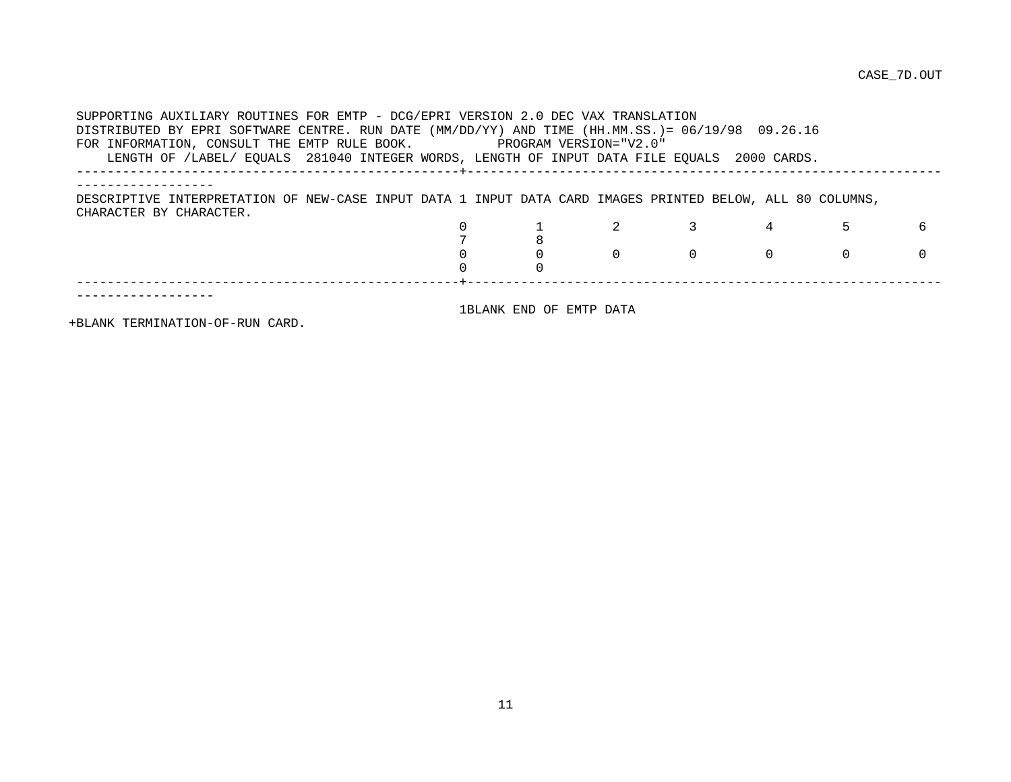SUPPORTING AUXILIARY ROUTINES FOR EMTP - DCG/EPRI VERSION 2.0 DEC VAX TRANSLATION DISTRIBUTED BY EPRI SOFTWARE CENTRE. RUN DATE (MM/DD/YY) AND TIME (HH.MM.SS.)= 06/19/98 09.26.16 FOR INFORMATION, CONSULT THE EMTP RULE BOOK. PROGRAM VERSION="V2.0" LENGTH OF /LABEL/ EQUALS 281040 INTEGER WORDS, LENGTH OF INPUT DATA FILE EQUALS 2000 CARDS. --------------------------------------------------+-------------------------------------------------------------- ------------------ DESCRIPTIVE INTERPRETATION OF NEW-CASE INPUT DATA 1 INPUT DATA CARD IMAGES PRINTED BELOW, ALL 80 COLUMNS, CHARACTER BY CHARACTER. 0 1 2 3 4 5 6  $\begin{array}{ccc} 7 & & 8 \\ 0 & & 0 \end{array}$ 0 0 0 0 0 0 0 0 0 --------------------------------------------------+-------------------------------------------------------------- ------------------ 1BLANK END OF EMTP DATA

+BLANK TERMINATION-OF-RUN CARD.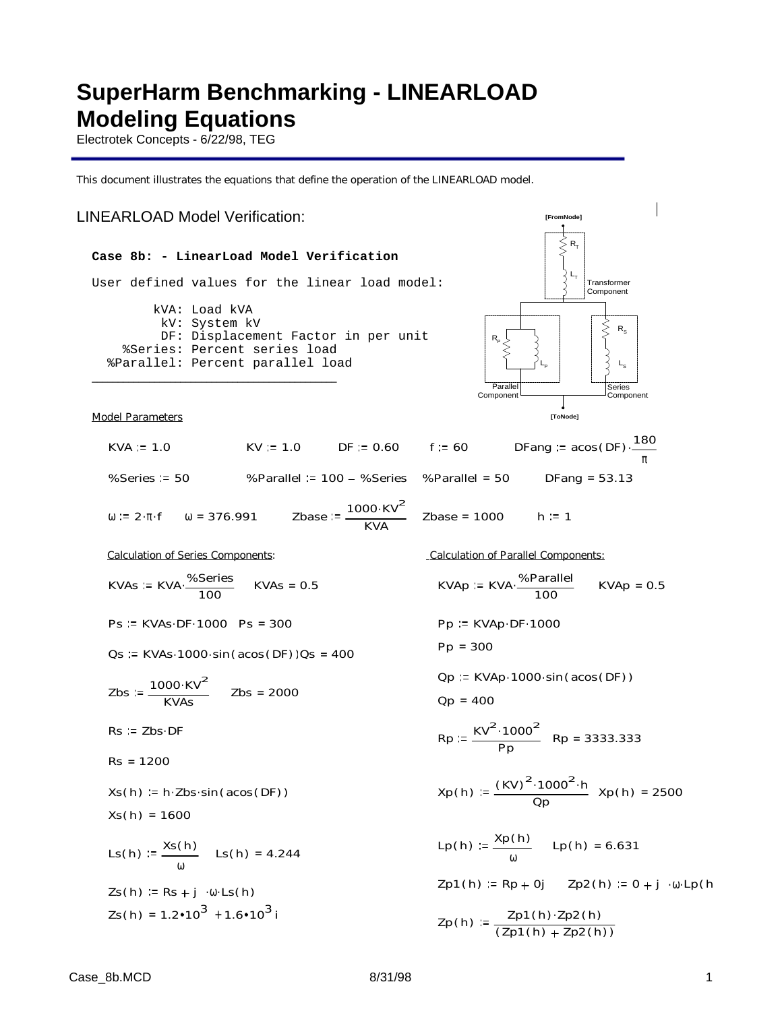# **SuperHarm Benchmarking - LINEARLOAD Modeling Equations**

Electrotek Concepts - 6/22/98, TEG

This document illustrates the equations that define the operation of the LINEARLOAD model.

#### $L_{\rm T}$  $R_{\rm s}$  $R_{\rm p}$  $L_{\rm S}$  $R_{\tau}$ **Transformer** Component  $\mathsf{L}_{\mathsf{P}}$ Series **Component** Parallel Componen **[ToNode]** LINEARLOAD Model Verification: **[FromNode] Case 8b: - LinearLoad Model Verification** User defined values for the linear load model: kVA: Load kVA kV: System kV DF: Displacement Factor in per unit %Series: Percent series load %Parallel: Percent parallel load \_\_\_\_\_\_\_\_\_\_\_\_\_\_\_\_\_\_\_\_\_\_\_\_\_\_\_\_\_\_\_\_\_\_\_\_\_\_\_\_\_\_\_\_\_\_\_ Model Parameters  $KVA := 1.0$   $KV := 1.0$   $DF := 0.60$   $f := 60$ 180 π . %Series 50 %Parallel 100 %Series %Parallel = 50 DFang = 53.13  $ω := 2 ⋅ π ⋅ f$   $ω = 376.991$  Zbase  $1000 \cdot$ KV<sup>2</sup>  $\frac{30^{\circ} \text{N} \cdot \text{V}}{\text{KVA}}$  Zbase = 1000 h := 1 Calculation of Series Components: Calculation of Parallel Components:  $KVAs := KVA \cdot \frac{\% \text{Series}}{\% \text{Series}}$  $\frac{0.386 \text{ res}}{100}$  KVAs = 0.5 KVAp = KVA %Parallel  $\frac{361 \text{ another}}{100}$  KVAp = 0.5 Ps := KVAs.DF. 1000 Ps = 300 Pp := KVAp.DF. 1000 Pp = 300  $Qs := KVAs.1000·sin(acos(DF))Qs = 400$  $Qp := KVAp \cdot 1000 \cdot sin(acos(DF))$  $Zbs := \frac{1000 \cdot KV^2}{T}$  $\frac{300 \text{ N} \cdot \text{V}}{\text{KVAs}}$  Zbs = 2000  $Qp = 400$  $Rs := Zbs \cdot DF$  $Rp := \frac{KV^2 \cdot 1000^2}{1000}$  $\frac{1888}{Pp}$  Rp = 3333.333 Rs = 1200  $Xs(h) := h \cdot Zbs \cdot sin(a cos(DF))$   $Xp(h)$  $(KV)^2 \cdot 1000^2 \cdot h$  $\frac{1000 \text{ m}}{2p}$  Xp(h) = 2500  $Xs(h) = 1600$ Lp(h)  $:= \frac{Xp(h)}{h}$ ω  $Lp(h) = 6.631$  $Ls(h) := \frac{Xs(h)}{h}$ ω  $LS(h) = 4.244$  $Zp1(h) = Rp + 0j$   $Zp2(h) = 0 + j \cdot ω \cdot Lp(h)$  $Zs(h) := Rs + j \cdot \omega \cdot Ls(h)$  $Zs(h) = 1.2 \cdot 10^3 + 1.6 \cdot 10^3$  i  $Zp(h) := \frac{Zp1(h) \cdot Zp2(h)}{I}$  $(Zp1(h) + Zp2(h))$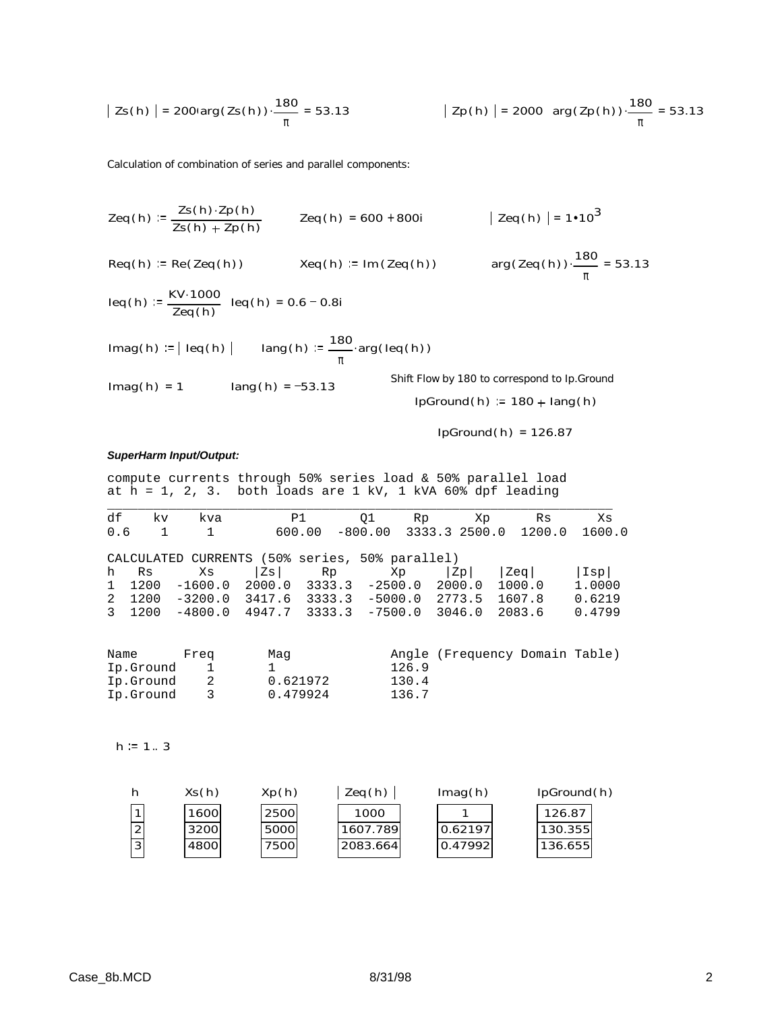$$
|\text{ Zs(h)}| = 200 \text{arg}(\text{Zs(h)}) \cdot \frac{180}{\pi} = 53.13 \qquad |\text{ Zp(h)}| = 2000 \text{ arg}(\text{Zp(h)}) \cdot \frac{180}{\pi} = 53.13
$$

Calculation of combination of series and parallel components:

$$
Zeq(h) := \frac{Zs(h) \cdot Zp(h)}{Zs(h) + Zp(h)}
$$
 
$$
Zeq(h) = 600 + 800i
$$
  $| \text{ Zeq}(h) | = 1 \cdot 10^3$ 

$$
Req(h) := Re(Zeq(h))
$$
  $xeq(h) := Im(Zeq(h))$   $arg(Zeq(h)) \cdot \frac{180}{}$ 

$$
leq(h) := \frac{KV \cdot 1000}{Zeq(h)} \cdot leq(h) = 0.6 - 0.8i
$$

\n
$$
\text{Imag}(h) := |\text{ leg}(h)|
$$
\n $\text{Imag}(h) := \frac{180}{\pi} \cdot \arg(\text{leg}(h))$ \n

\n\n $\text{Imag}(h) = 1$ \n $\text{Imag}(h) = -53.13$ \n

\n\n $\text{Diff Flow by 180 to correspond to lp. Ground (p. Ground (p. 180 + lang(h))} = 180 + \text{lang}(h)$ \n

IpGround( h) = 126.87

π

 $\frac{100}{2}$  = 53.13

## *SuperHarm Input/Output:*

compute currents through 50% series load & 50% parallel load at h = 1, 2, 3. both loads are 1 kV, 1 kVA 60% dpf leading

| df           | kv.          | kva                                            |        | P1     | 01                          | Rp | Xp            | Rs     | Xs     |
|--------------|--------------|------------------------------------------------|--------|--------|-----------------------------|----|---------------|--------|--------|
| 0.6          | $\mathbf{1}$ | $\mathbf{1}$                                   |        | 600.00 | $-800.00$                   |    | 3333.3 2500.0 | 1200.0 | 1600.0 |
|              |              | CALCULATED CURRENTS (50% series, 50% parallel) |        |        |                             |    |               |        |        |
| h Rs         |              | Xs                                             | Zs I   | Rp     | Xp                          |    | Zp            | Zeq    | Isp    |
| $\mathbf{1}$ | 1200         | $-1600.0$                                      |        |        | $2000.0$ $3333.3$ $-2500.0$ |    | 2000.0        | 1000.0 | 1,0000 |
| 2            | 1200         | $-3200.0$                                      | 3417.6 | 3333.3 | $-5000.0$                   |    | 2773.5        | 1607.8 | 0.6219 |
| 3 1200       |              | $-4800.0$                                      | 4947.7 | 3333.3 | $-7500.0$                   |    | 3046.0        | 2083.6 | 0.4799 |

| Name      | Frea | Mag      |       | Angle (Frequency Domain Table) |  |
|-----------|------|----------|-------|--------------------------------|--|
| Ip.Ground |      |          | 126.9 |                                |  |
| Ip.Ground |      | 0.621972 | 130.4 |                                |  |
| Ip.Ground |      | 0.479924 | 136.7 |                                |  |

 $h := 1.3$ 

|   | Xs(h) | Xp(h)       | Zeq(h)   | Imag(h) | IpGround(h) |
|---|-------|-------------|----------|---------|-------------|
|   | 1600  | <b>2500</b> | 1000     |         | 126.87      |
| ົ | 3200  | 5000l       | 1607.789 | 0.62197 | 130.355     |
| 3 | 4800  | 7500l       | 2083.664 | 0.47992 | 136.655     |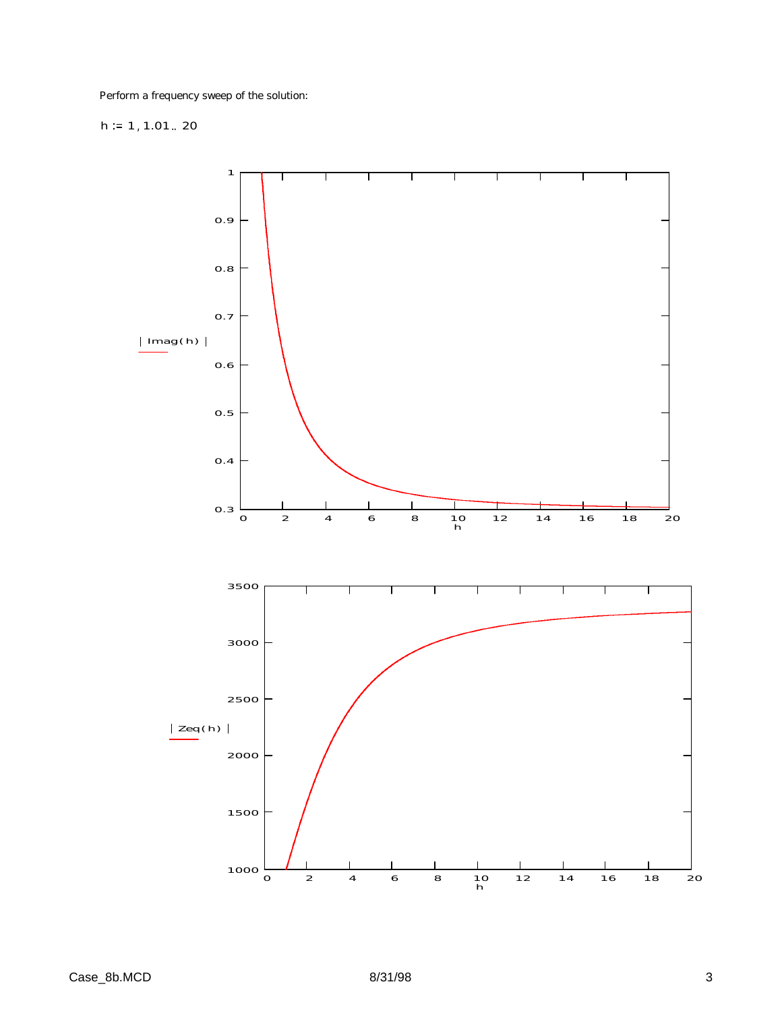Perform a frequency sweep of the solution:

# h  $= 1, 1.01$ .. 20

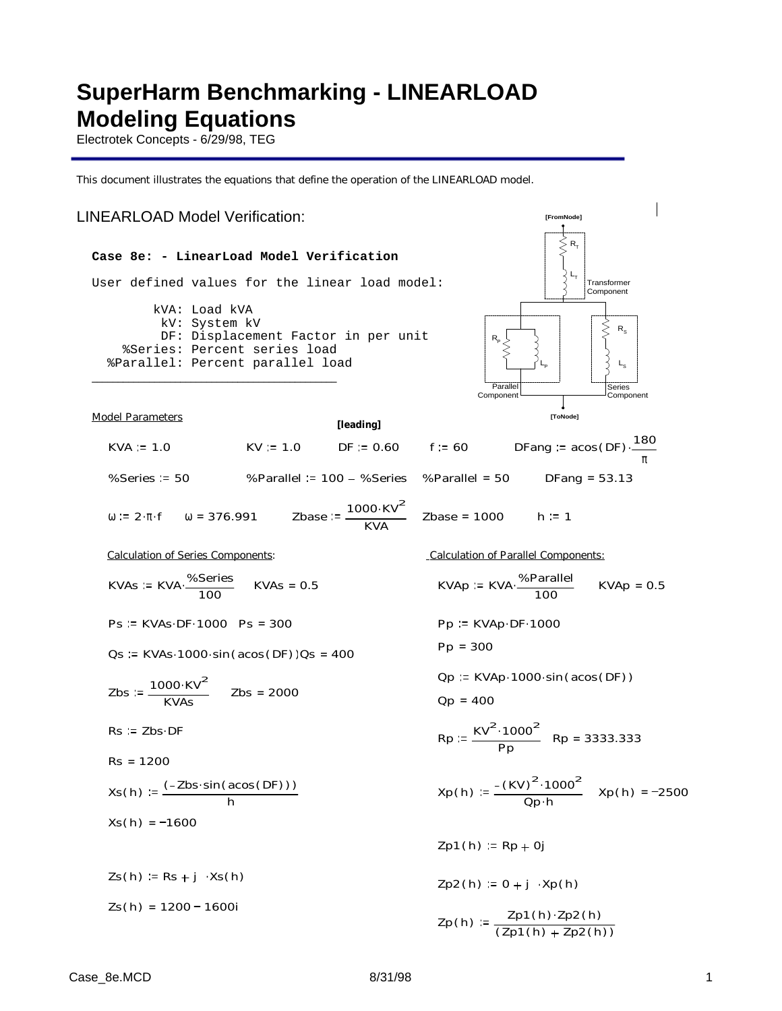# **SuperHarm Benchmarking - LINEARLOAD Modeling Equations**

Electrotek Concepts - 6/29/98, TEG

This document illustrates the equations that define the operation of the LINEARLOAD model.

# LINEARLOAD Model Verification: **[FromNode]**

### **Case 8e: - LinearLoad Model Verification**

User defined values for the linear load model:

 kVA: Load kVA kV: System kV DF: Displacement Factor in per unit %Series: Percent series load %Parallel: Percent parallel load



Model Parameters

| pael Parameters                                   |            | [leading]    |                                                          | <b>IToNodel</b>                                    |
|---------------------------------------------------|------------|--------------|----------------------------------------------------------|----------------------------------------------------|
| $KVA = 1.0$                                       | $KV = 1.0$ | $DF := 0.60$ | f := 60                                                  | DFang := $acos(DF) \cdot \underline{\hspace{2cm}}$ |
| $%Series = 50$                                    |            |              | %Parallel = 100 - %Series %Parallel = 50                 | DFang = $53.13$                                    |
| $\omega = 2 \cdot \pi \cdot f$ $\omega = 376.991$ |            | <b>KVA</b>   | Zbase := $\frac{1000 \cdot KV^2}{2}$ Zbase = 1000 h := 1 |                                                    |

KVAs := KVA·
$$
\frac{\%Series}{100}
$$
 KVAs = 0.5 KVAp := KVA

\_\_\_\_\_\_\_\_\_\_\_\_\_\_\_\_\_\_\_\_\_\_\_\_\_\_\_\_\_\_\_\_\_\_\_\_\_\_\_\_\_\_\_\_\_\_\_

Ps := KVAs.DF. 1000 Ps = 300 Pp := KVAp.DF. 1000

$$
Os := KVAs·1000·sin (acos (DF))Os = 400
$$

$$
Zbs := \frac{1000 \cdot KV^2}{KVAs}
$$
 Zbs = 2000

 $Rs := Zbs \cdot DF$ 

Rs = 1200  
\nXs(h) := 
$$
\frac{(-2bs \cdot \sin(\text{acos}(DF)))}{h}
$$
\nXs(h) = -1600

 $Zs(h) := Rs + j \cdot Xs(h)$  $Zs(h) = 1200 - 1600i$ 

Calculation of Series Components: Calculation of Parallel Components:

VAp := KVA. 
$$
\frac{\% \text{Parallel}}{100}
$$
 KVAp =  
D = KVAD-DE-1000

 $0.5$ 

$$
Pp = 300
$$

 $Qp := KVAp \cdot 1000 \cdot \sin(\arccos(DF))$ 

$$
Qp = 400
$$

$$
Rp := \frac{KV^2 \cdot 1000^2}{Pp} \quad Rp = 3333.333
$$

$$
Xp(h) := \frac{-\left(KV\right)^2 \cdot 1000^2}{\text{Qp} \cdot h} \quad Xp(h) = -2500
$$

$$
Zp1(h) := Rp + 0j
$$

 $Zp2(h) := 0 + j \cdot Xp(h)$ 

$$
Zp(h) := \frac{Zp1(h) \cdot Zp2(h)}{(Zp1(h) + Zp2(h))}
$$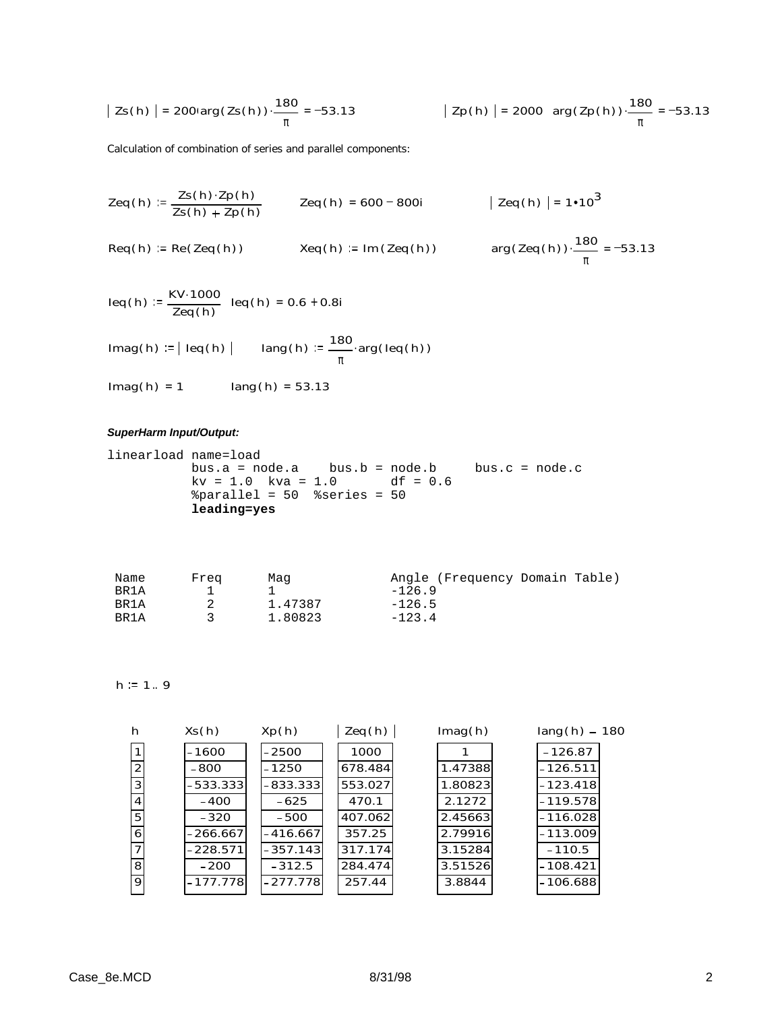$$
|\text{Zs(h)}| = 200 \text{arg}(\text{Zs(h)}) \cdot \frac{180}{\pi} = -53.13 \qquad |\text{Zp(h)}| = 2000 \text{arg}(\text{Zp(h)}) \cdot \frac{180}{\pi} = -53.13
$$

Calculation of combination of series and parallel components:

Zeq(h) := 
$$
\frac{Zs(h) \cdot Zp(h)}{Zs(h) + Zp(h)}
$$
 Zeq(h) = 600 - 800i | Zeq(h) | = 1•10<sup>3</sup>  
\nReq(h) := Re(Zeq(h)) Xeq(h) := Im(Zeq(h)) arg(Zeq(h)) \cdot  $\frac{180}{\pi}$  = -53.13

$$
leq(h) := \frac{KV \cdot 1000}{Zeq(h)} \cdot leq(h) = 0.6 + 0.8i
$$

$$
Imag(h) := | \text{ leg}(h) | \qquad \text{lang}(h) := \frac{180}{\pi} \text{arg}(\text{leg}(h))
$$

 $Imag(h) = 1$   $lang(h) = 53.13$ 

## *SuperHarm Input/Output:*

```
linearload name=load 
          bus.a = node.a bus.b = node.b bus.c = node.c 
         kv = 1.0 kv = 1.0 df = 0.6 %parallel = 50 %series = 50
           leading=yes
```

| Name | Frea | Maq     | Angle (Frequency Domain Table) |
|------|------|---------|--------------------------------|
| BR1A |      |         | $-126.9$                       |
| BR1A |      | 1.47387 | $-126.5$                       |
| BR1A |      | 1.80823 | $-123.4$                       |

 $h := 1.9$ 

| h              | Xs(h)      | Xp(h)      | Zeq(h)  | Imag(h) | $lang(h) - 180$ |
|----------------|------------|------------|---------|---------|-----------------|
|                | $-1600$    | $-2500$    | 1000    |         | $-126.87$       |
| 2              | -800       | $-1250$    | 678.484 | 1.47388 | $-126.511$      |
| 3              | $-533.333$ | -833.3331  | 553.027 | 1.80823 | $-123.418$      |
| $\overline{4}$ | $-400$     | $-625$     | 470.1   | 2.1272  | $-119.578$      |
| 5              | $-320$     | $-500$     | 407.062 | 2.45663 | $-116.028$      |
| 6              | $-266.667$ | $-416.667$ | 357.25  | 2.79916 | $-113.009$      |
| $\overline{7}$ | $-228.571$ | $-357.143$ | 317.174 | 3.15284 | $-110.5$        |
| 8              | $-200$     | $-312.5$   | 284.474 | 3.51526 | $-108.421$      |
| 9              | -177.778   | $-277.778$ | 257.44  | 3.8844  | $-106.688$      |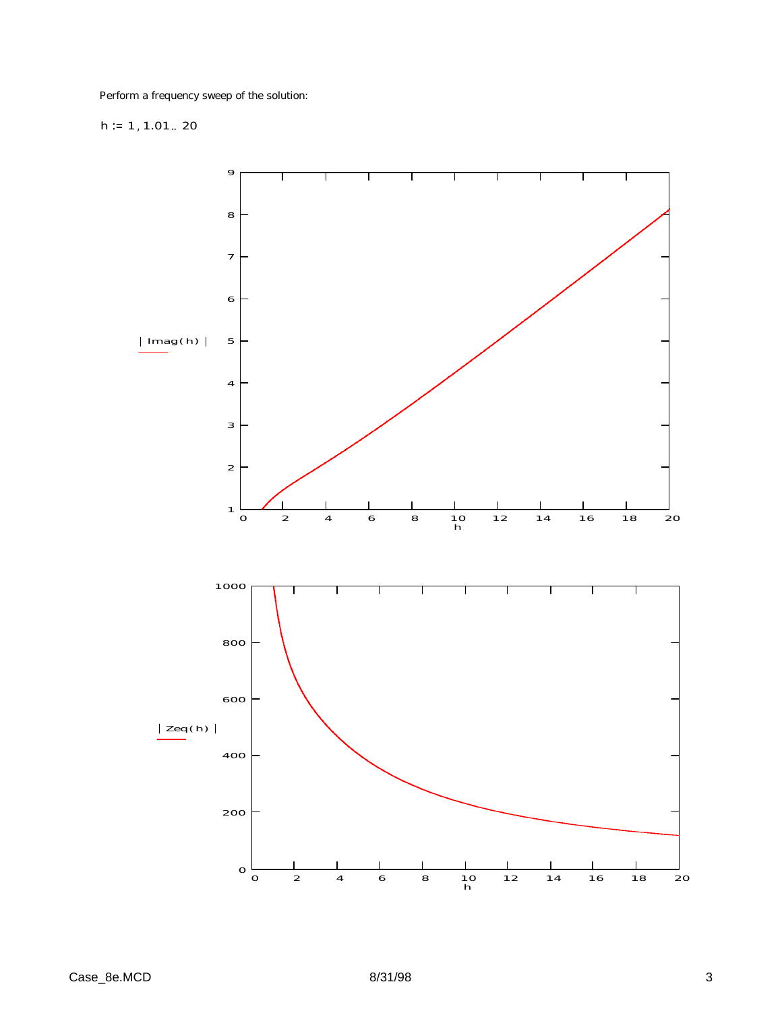Perform a frequency sweep of the solution:

# h  $= 1, 1.01$ .. 20

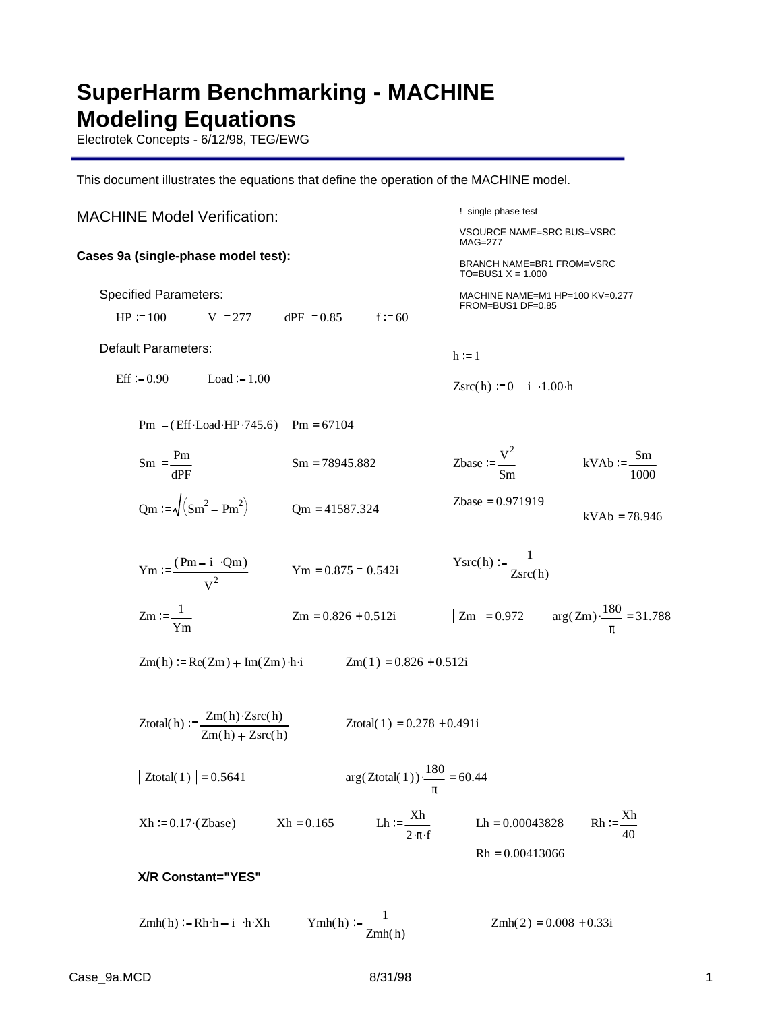# **SuperHarm Benchmarking - MACHINE Modeling Equations**

Electrotek Concepts - 6/12/98, TEG/EWG

This document illustrates the equations that define the operation of the MACHINE model.

! single phase test VSOURCE NAME=SRC BUS=VSRC  $MAG=277$ BRANCH NAME=BR1 FROM=VSRC  $TO=$ BUS1  $X = 1.000$ MACHINE NAME=M1 HP=100 KV=0.277 FROM=BUS1 DF=0.85 MACHINE Model Verification: **Cases 9a (single-phase model test):** Specified Parameters:  $HP = 100$  V = 277 dPF = 0.85 f = 60 Default Parameters:  $h := 1$ Eff := 0.90 Load := 1.00  $Zsrc(h)$  := 0 + i · 1.00 h Pm =  $(Eff \text{ } Load \text{ } HP \cdot 745.6)$  Pm = 67104  $Sm := \frac{Pm}{P}$ dPF Sm = 78945.882 Zbase :=  $\frac{V^2}{V}$ Sm  $kVAb := \frac{Sm}{m}$ 1000  $Qm := \sqrt{(Sm^2 - Pm^2)}$   $Qm = 41587.324$   $Zbase = 0.971919$   $kVAb = 78.946$  $\text{Ysrc}(h) := \frac{1}{h}$  $Ym := \frac{(Pm - i \cdot Qm)}{2}$   $Ym = 0.875 - 0.542i$   $Ysrc(h) := \frac{1}{Zsrc(h)}$  $\frac{V_1}{V_2}$   $Ym = 0.875 - 0.542i$  $Zm := \frac{1}{2}$ Ym  $Zm = 0.826 + 0.512i$   $Zm = 0.972$   $arg(Zm) \cdot \frac{180}{2}$ π  $\frac{180}{100}$  = 31.788  $Zm(h) = Re(Zm) + Im(Zm) \cdot h \cdot i$  $Zm(1) = 0.826 + 0.512i$  $Z$ total( h) :=  $\frac{Zm(h) \cdot Zsrc(h)}{2}$  $Zm(h) + Zsrc(h)$ Ztotal( $1$ ) = 0.278 + 0.491i  $|Z_{total(1)}| = 0.5641$ 180 π  $\frac{180}{100}$  = 60.44  $Xh := 0.17 \cdot (Zbase)$   $Xh = 0.165$  Lh :=  $\frac{Xh}{Xh}$  $\frac{Xh}{2 \cdot \pi \cdot f}$  Lh = 0.00043828 Rh :=  $\frac{Xh}{40}$ 40 Rh = 0.00413066 **X/R Constant="YES"**  $Zmh(h) = Rh \cdot h + i \cdot h \cdot Xh$  $\cdot h \cdot Xh$   $\qquad \qquad \text{Ymh}(h) := \underline{\qquad \qquad }$  $Zmh(2) = 0.008 + 0.33i$ 

Zmh( h)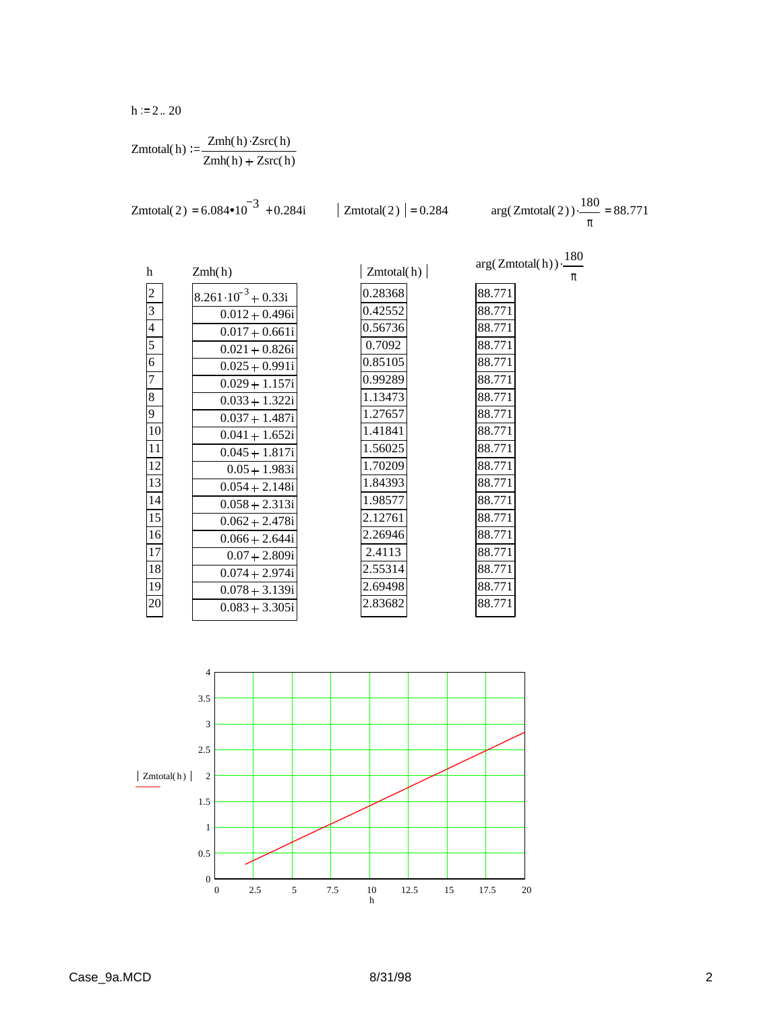$h := 2.. 20$ 

$$
Zmtotal(h) := \frac{Zmh(h) \cdot Zsrc(h)}{Zmh(h) + Zsrc(h)}
$$

Zmtotal(2) = 
$$
6.084 \cdot 10^{-3}
$$
 + 0.284i   
 Zmtotal(2) = 0.284 arg(Zmtotal(2)) \cdot  $\frac{180}{}$ 

π  $\frac{180}{100}$  = 88.771

> π .

 $arg(Zm total(h)) \cdot \frac{180}{h}$ 

88.771 88.771 88.771 88.771 88.771 88.771 88.771 88.771 88.771 88.771 88.771 88.771 88.771 88.771 88.771 88.771 88.771 88.771 88.771

| h               | Zmh(h)                        |
|-----------------|-------------------------------|
| $\overline{c}$  | $8.261 \cdot 10^{-3} + 0.33i$ |
| $\overline{3}$  | $0.012 + 0.496i$              |
| $\overline{4}$  | $0.017 + 0.661i$              |
| 5               | $0.021 + 0.826i$              |
| 6               | $0.025 + 0.991i$              |
| $\overline{7}$  | $0.029 + 1.157i$              |
| 8               | $0.033 + 1.322i$              |
| 9               | $0.037 + 1.487i$              |
| 10              | $0.041 + 1.652i$              |
| 11              | $0.045 + 1.817i$              |
| 12              | $0.05 + 1.983i$               |
| 13              | $0.054 + 2.148i$              |
| 14              | $0.058 + 2.313i$              |
| $\overline{15}$ | $0.062 + 2.478i$              |
| 16              | $0.066 + 2.644i$              |
| 17              | $0.07 + 2.809i$               |
| 18              | $0.074 + 2.974i$              |
| 19              | $0.078 + 3.139i$              |
| 20              | $0.083 + 3.305i$              |
|                 |                               |

| Zmtotal(h) |  |
|------------|--|
| 0.28368    |  |
| 0.42552    |  |
| 0.56736    |  |
| 0.7092     |  |
| 0.85105    |  |
| 0.99289    |  |
| 1.13473    |  |
| 1.27657    |  |
| 1.41841    |  |
| 1.56025    |  |
| 1.70209    |  |
| 1.84393    |  |
| 1.98577    |  |
| 2.12761    |  |
| 2.26946    |  |
| 2.4113     |  |
| 2.55314    |  |
| 2.69498    |  |
| 2.83682    |  |
|            |  |

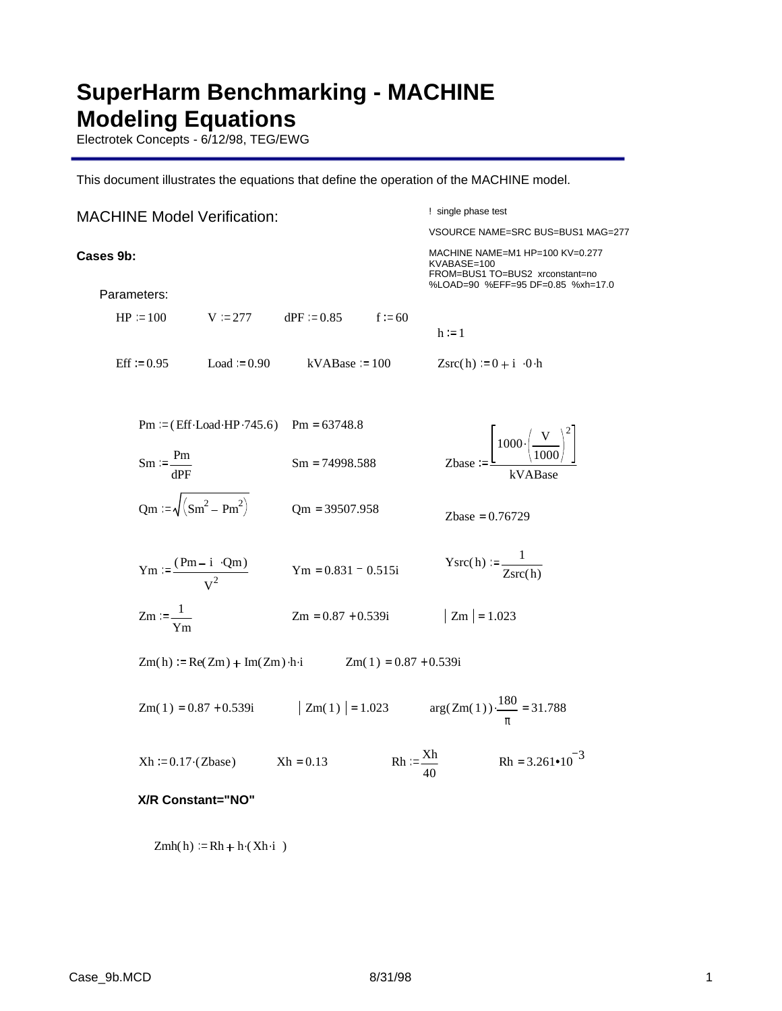# **SuperHarm Benchmarking - MACHINE Modeling Equations**

Electrotek Concepts - 6/12/98, TEG/EWG

This document illustrates the equations that define the operation of the MACHINE model.

## ! single phase test VSOURCE NAME=SRC BUS=BUS1 MAG=277 MACHINE NAME=M1 HP=100 KV=0.277 KVABASE=100 FROM=BUS1 TO=BUS2 xrconstant=no %LOAD=90 %EFF=95 DF=0.85 %xh=17.0 MACHINE Model Verification: **Cases 9b:** Parameters:  $HP = 100$  V = 277 dPF = 0.85 f = 60  $h := 1$ Eff  $= 0.95$  Load  $= 0.90$  kVABase  $= 100$  $\text{Zsrc}(h) = 0 + i \cdot 0 \cdot h$ Pm =  $(Eff \cdot Load \cdot HP \cdot 745.6)$  Pm = 63748.8  $Sm := \frac{Pm}{P}$ dPF  $Sm = 74998.588$  $1000 \cdot \left( -\frac{V}{V} \right)$ 1000 2 . kVABase  $Qm := \sqrt{(Sm^2 - Pm^2)}$   $Qm = 39507.958$   $Zbase = 0.76729$  $\text{Ysrc}(h) := \frac{1}{h}$  $Ym := \frac{(Pm - i \cdot Qm)}{2}$   $Ym = 0.831 - 0.515i$   $Ysrc(h) := \frac{1}{Zsrc(h)}$  $\rm v^2$  $Ym = 0.831 - 0.515i$  $Zm := \frac{1}{2}$ Ym  $Zm = 0.87 + 0.539i$   $Zm = 1.023$  $Zm(h) := Re(Zm) + Im(Zm) \cdot h \cdot i$   $Zm(1) = 0.87 + 0.539i$  $Zm(1) = 0.87 + 0.539i$   $|Zm(1)| = 1.023$ 180 π  $\frac{180}{100}$  = 31.788  $Xh = 0.17 \cdot (Zbase)$  $Rh := \frac{Xh}{X}$  Rh  $:= \frac{Xh}{X}$ 40  $Rh = 3.261 \cdot 10^{-3}$ **X/R Constant="NO"**

 $Zmh(h) := Rh + h \cdot (Xh \cdot i)$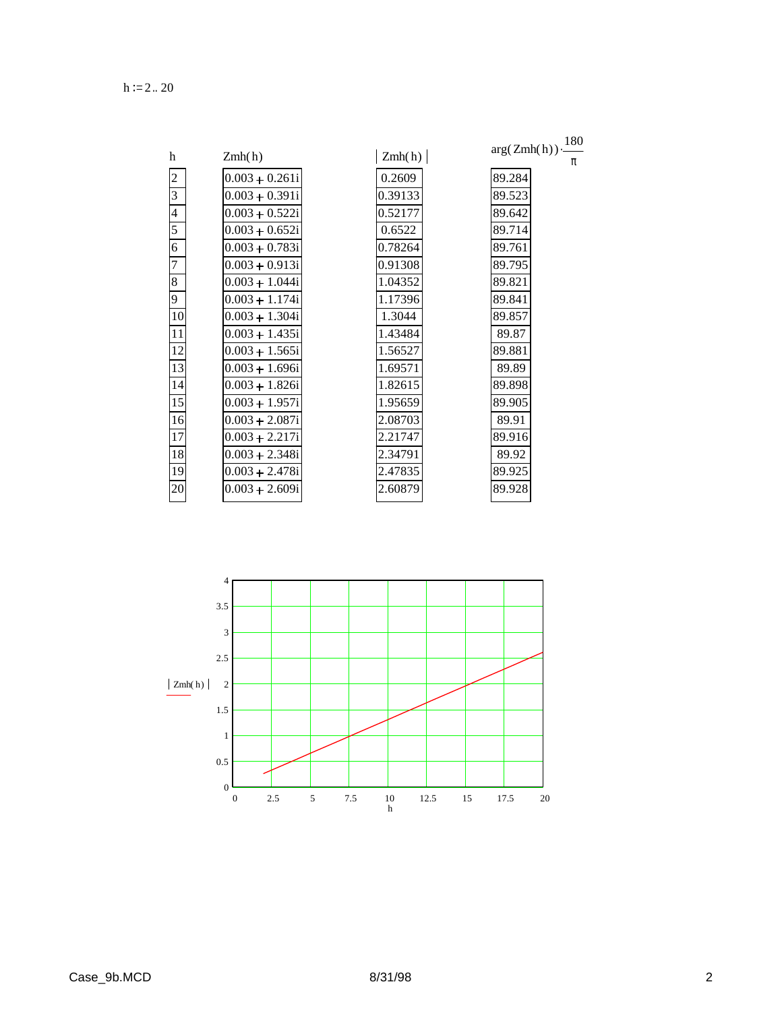$h := 2.. 20$ 

|                |                  |         | 180              |
|----------------|------------------|---------|------------------|
| h              | Zmh(h)           | Zmh(h)  | arg(Zmh(h))<br>π |
| $\overline{c}$ | $0.003 + 0.261i$ | 0.2609  | 89.284           |
| 3              | $0.003 + 0.391i$ | 0.39133 | 89.523           |
| $\overline{4}$ | $0.003 + 0.522i$ | 0.52177 | 89.642           |
| 5              | $0.003 + 0.652i$ | 0.6522  | 89.714           |
| 6              | $0.003 + 0.783i$ | 0.78264 | 89.761           |
| 7              | $0.003 + 0.913i$ | 0.91308 | 89.795           |
| 8              | $0.003 + 1.044i$ | 1.04352 | 89.821           |
| 9              | $0.003 + 1.174i$ | 1.17396 | 89.841           |
| 10             | $0.003 + 1.304i$ | 1.3044  | 89.857           |
| 11             | $0.003 + 1.435i$ | 1.43484 | 89.87            |
| 12             | $0.003 + 1.565i$ | 1.56527 | 89.881           |
| 13             | $0.003 + 1.696i$ | 1.69571 | 89.89            |
| 14             | $0.003 + 1.826i$ | 1.82615 | 89.898           |
| 15             | $0.003 + 1.957i$ | 1.95659 | 89.905           |
| 16             | $0.003 + 2.087i$ | 2.08703 | 89.91            |
| 17             | $0.003 + 2.217i$ | 2.21747 | 89.916           |
| 18             | $0.003 + 2.348i$ | 2.34791 | 89.92            |
| 19             | $0.003 + 2.478i$ | 2.47835 | 89.925           |
| 20             | $0.003 + 2.609i$ | 2.60879 | 89.928           |
|                |                  |         |                  |

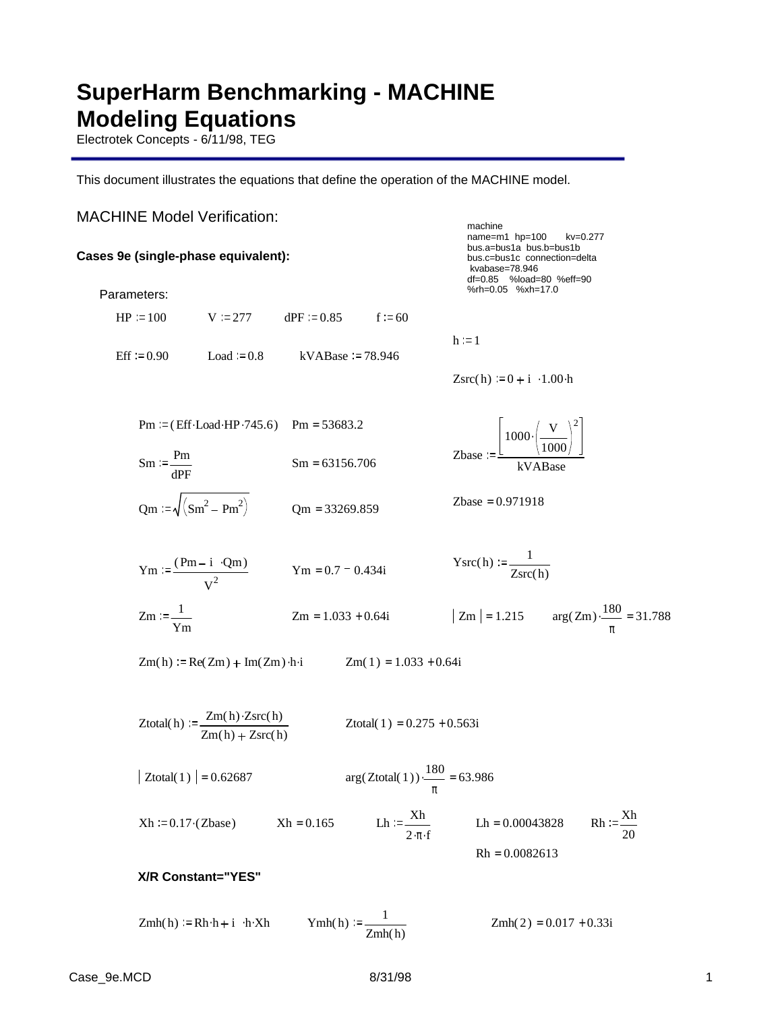# **SuperHarm Benchmarking - MACHINE Modeling Equations**

Electrotek Concepts - 6/11/98, TEG

This document illustrates the equations that define the operation of the MACHINE model.

# MACHINE Model Verification:

## **Cases 9e (single-phase equivalent):**

Parameters:

 kvabase=78.946 df=0.85 %load=80 %eff=90 %rh=0.05 %xh=17.0  $HP = 100$  V = 277 dPF = 0.85 f = 60  $h := 1$ Eff  $= 0.90$  Load  $= 0.8$  kVABase  $= 78.946$  $Zsrc(h) = 0 + i \cdot 1.00 \cdot h$ Pm =  $(Eff \cdot Load \cdot HP \cdot 745.6)$  Pm = 53683.2 Zbase  $1000 \cdot \left( -\frac{V}{V} \right)$ 1000 2 .  $\text{Sm} = \frac{\text{Pm}}{\text{M}}$   $\text{Sm} = 63156.706$   $\text{Zbase} = \frac{L \times 1000}{k \text{V} \cdot \text{M}}$  $Sm = \frac{Pm}{dPF}$  $Sm = 63156.706$  $Qm := \sqrt{(Sm^2 - Pm^2)}$   $Qm = 33269.859$  Zbase = 0.971918  $\text{Ysrc}(h) := \frac{1}{h}$  $Ym := \frac{(Pm - i \cdot Qm)}{2}$   $Ym = 0.7 - 0.434i$   $Ysrc(h) := \frac{1}{Zsrc(h)}$  $\frac{V_{\text{H}}}{V^2}$  Ym = 0.7 - 0.434i  $Zm := \frac{1}{2}$ Ym  $Zm = 1.033 + 0.64i$   $|Zm| = 1.215$   $arg(Zm) \cdot \frac{180}{2}$ π  $\frac{180}{100}$  = 31.788  $Zm(h) = Re(Zm) + Im(Zm) \cdot h \cdot i$  $Zm(1) = 1.033 + 0.64i$  $Z$ total( h) :=  $\frac{Zm(h) \cdot Zsrc(h)}{2}$  $Zm(h) + Zsrc(h)$ Ztotal( $1$ ) = 0.275 + 0.563i  $|Z_{total}(1)| = 0.62687$ 180 π  $\frac{180}{100}$  = 63.986  $Xh := 0.17 \cdot (Zbase)$   $Xh = 0.165$  Lh :=  $\frac{Xh}{Xh}$  $\frac{Xh}{2 \cdot \pi \cdot f}$  Lh = 0.00043828 Rh :=  $\frac{Xh}{20}$ 20  $Rh = 0.0082613$ 

machine

name=m1 hp=100 kv=0.277 bus.a=bus1a bus.b=bus1b bus.c=bus1c connection=delta

## **X/R Constant="YES"**

 $Zmh(h) := Rh \cdot h + i \cdot h \cdot Xh$   $Ymh(h) := \frac{1}{h \cdot h \cdot h}$ Zmh( h)  $Zmh(2) = 0.017 + 0.33i$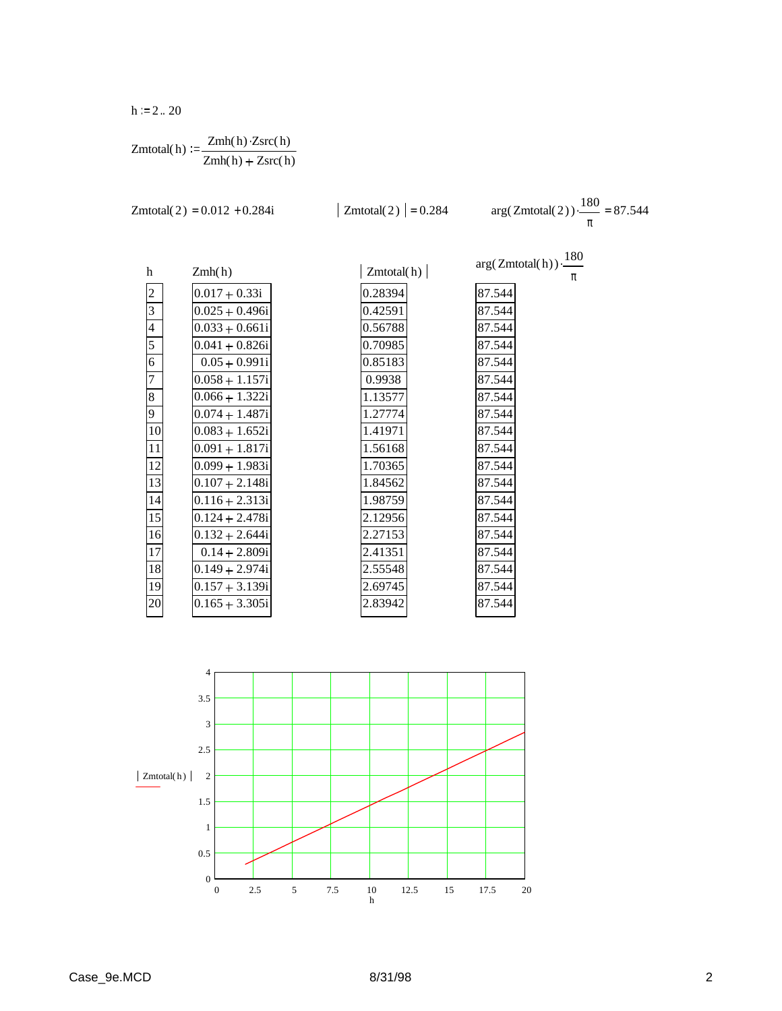$h := 2.. 20$ 

$$
Zmtotal(h) := \frac{Zmh(h) \cdot Zsrc(h)}{Zmh(h) + Zsrc(h)}
$$

Zmtotal(2) = 0.012 + 0.284i 
$$
| Zmtotal(2) | = 0.284 \text{ arg}(Zmtotal(2)) \cdot \frac{180}{}
$$

π  $\frac{180}{100}$  = 87.544

> π .

 $arg(Zm total(h)) \cdot \frac{180}{h}$ 

87.544 87.544 87.544 87.544 87.544 87.544 87.544 87.544 87.544 87.544 87.544 87.544 87.544 87.544 87.544 87.544 87.544 87.544 87.544

| h                                         | Zmh(h)           |
|-------------------------------------------|------------------|
| $\overline{c}$                            | $0.017 + 0.33i$  |
| $\frac{3}{4}$ $\frac{4}{5}$ $\frac{5}{6}$ | $0.025 + 0.496i$ |
|                                           | $0.033 + 0.661i$ |
|                                           | $0.041 + 0.826i$ |
|                                           | $0.05 + 0.991i$  |
| $\overline{7}$                            | $0.058 + 1.157i$ |
| $\overline{8}$                            | $0.066 + 1.322i$ |
| 9                                         | $0.074 + 1.487i$ |
| $\overline{10}$                           | $0.083 + 1.652i$ |
| $\overline{11}$                           | $0.091 + 1.817i$ |
| 12                                        | $0.099 + 1.983i$ |
| 13                                        | $0.107 + 2.148i$ |
| 14                                        | $0.116 + 2.313i$ |
| 15                                        | $0.124 + 2.478i$ |
| 16                                        | $0.132 + 2.644i$ |
| 17                                        | $0.14 + 2.809i$  |
| 18                                        | $0.149 + 2.974i$ |
| 19                                        | $0.157 + 3.139i$ |
| 20                                        | $0.165 + 3.305i$ |
|                                           |                  |

| Zmtotal(h) |
|------------|
| 0.28394    |
| 0.42591    |
| 0.56788    |
| 0.70985    |
| 0.85183    |
| 0.9938     |
| 1.13577    |
| 1.27774    |
| 1.41971    |
| 1.56168    |
| 1.70365    |
| 1.84562    |
| 1.98759    |
| 2.12956    |
| 2.27153    |
| 2.41351    |
| 2.55548    |
| 2.69745    |
| 2.83942    |
|            |

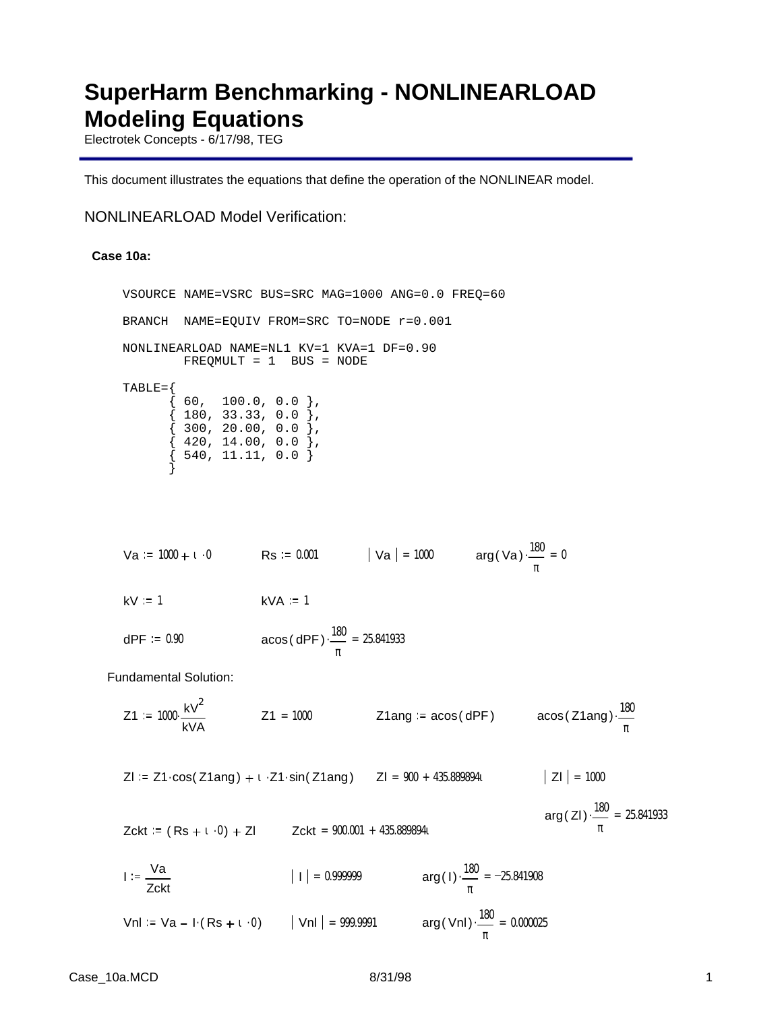# **SuperHarm Benchmarking - NONLINEARLOAD Modeling Equations**

Electrotek Concepts - 6/17/98, TEG

This document illustrates the equations that define the operation of the NONLINEAR model.

## NONLINEARLOAD Model Verification:

### **Case 10a:**

VSOURCE NAME=VSRC BUS=SRC MAG=1000 ANG=0.0 FREQ=60 BRANCH NAME=EQUIV FROM=SRC TO=NODE r=0.001 NONLINEARLOAD NAME=NL1 KV=1 KVA=1 DF=0.90 FREQMULT = 1 BUS = NODE  $TABLE=\{$  $\{$  60, 100.0, 0.0  $\},$  $\{$  180, 33.33, 0.0  $\},$  $\{$  300, 20.00, 0.0  $\},$  $\{$  420, 14.00, 0.0  $\},$  $\{$  540, 11.11, 0.0  $\}$  }  $\forall a := 1000 + 1 \cdot 0$  Rs := 0.001  $\big| \forall a \big| = 1000$  arg( $\forall a$ )  $\frac{180}{100}$ π  $\frac{100}{200} = 0$  $kV = 1$   $kVA = 1$ dPF =  $0.90$  acos(dPF) $\cdot \frac{180}{ }$ π  $\cdot \frac{100}{2} = 25.841933$ Fundamental Solution:  $Z1 := 1000 \cdot \frac{kV^2}{2}$ kVA  $\cdot \frac{kV^2}{2}$  Z1 = 1000 Z1ang = acos( dPF) acos( Z1ang)  $\cdot \frac{180}{2}$ π . Zl := Z1·cos( Z1ang) + ι · Z1·sin( Z1ang) = Zl = 900 + 435.889894ι  $|Z|$  = 1000 arg( ZI)  $\cdot \frac{180}{1}$ π  $\frac{100}{2}$  = 25.841933  $Zckt = (Rs + i \cdot 0) + Zl$  $Zckt = 900.001 + 435.8898941$  $I := \frac{Va}{A}$ Zckt  $| \cdot | = 0.999999$  arg(1)  $\frac{180}{ }$ π  $\frac{100}{2}$  = -25.841908

Vnl := Va – I (Rs + 1 · 0) | Vnl | = 999.9991 arg(Vnl) 
$$
\frac{180}{\pi}
$$
 = 0.000025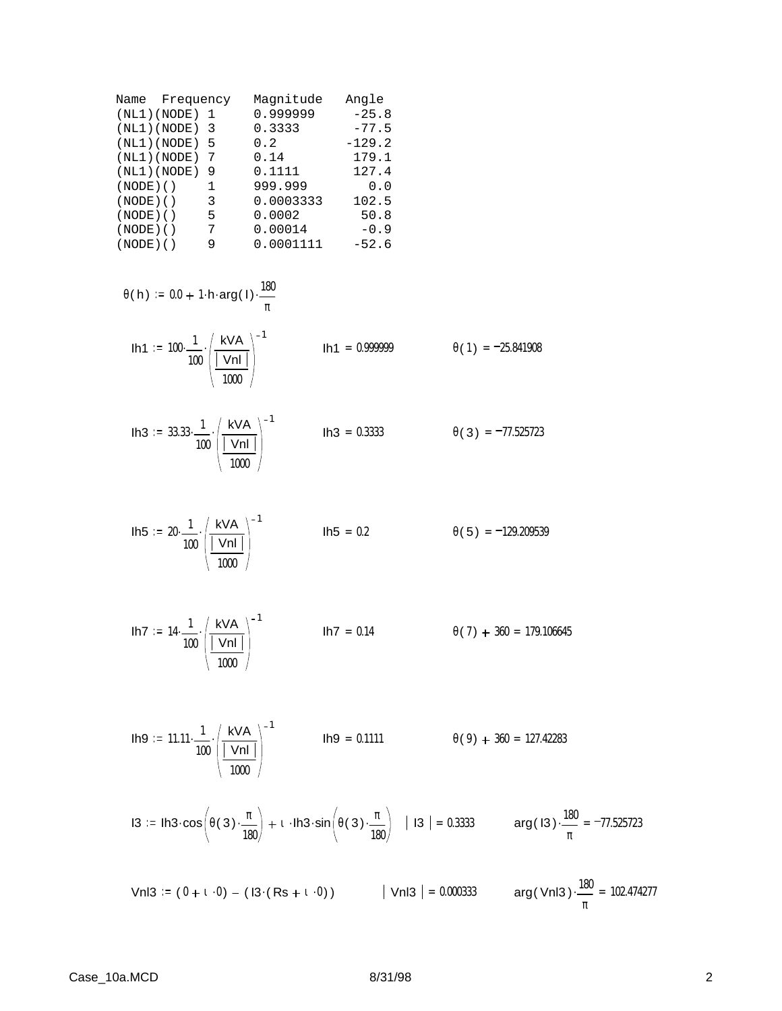| Name Frequency |   | Magnitude | Angle    |
|----------------|---|-----------|----------|
| (NL1) (NODE)   | 1 | 0.999999  | $-25.8$  |
| (NL1) (NODE)   | 3 | 0.3333    | $-77.5$  |
| (NL1) (NODE)   | 5 | 0.2       | $-129.2$ |
| (NL1) (NODE)   | 7 | 0.14      | 179.1    |
| (NL1) (NODE)   | 9 | 0.1111    | 127.4    |
| $(NODE)$ ()    | 1 | 999.999   | 0.0      |
| $(NODE)$ ()    | 3 | 0.0003333 | 102.5    |
| $(NODE)$ ()    | 5 | 0.0002    | 50.8     |
| $(NODE)$ ()    | 7 | 0.00014   | $-0.9$   |
| $(NODE)$ ()    | 9 | 0.0001111 | $-52.6$  |
|                |   |           |          |

$$
\theta(h) := 0.0 + 1 \cdot h \cdot \arg(1) \cdot \frac{180}{\pi}
$$
  
\n $1h1 := 100 \cdot \frac{1}{100} \cdot \left( \frac{kVA}{|Vn|} \right)^{-1}$   
\n $1h1 = 0.999999$   
\n $\theta(1) = -25.841908$ 

**lh3** := 33.33 
$$
\cdot \frac{1}{100} \cdot \left( \frac{kVA}{|VnI|} \right)^{-1}
$$
 **lh3** = 0.3333  $\theta(3) = -77.525723$ 

**1h5** := 
$$
20 \cdot \frac{1}{100} \cdot \left( \frac{kVA}{|Vn|} \right)^{-1}
$$
  
**1h5** = 0.2  $\theta(5) = -129.209539$ 

$$
1h7 := 14 \cdot \frac{1}{100} \cdot \left( \frac{kVA}{|Vn|} \right)^{-1}
$$
\n
$$
1h7 = 0.14
$$
\n
$$
\theta(7) + 360 = 179.106645
$$

**lh9** := 
$$
11.11 \cdot \frac{1}{100} \cdot \left( \frac{kVA}{|Vn|} \right)^{-1}
$$
 **lh9** = 0.1111  $\theta(9) + 360 = 127.42283$ 

$$
13 := \ln 3 \cdot \cos \left(\theta(3) \cdot \frac{\pi}{180}\right) + 1 \cdot \ln 3 \cdot \sin \left(\theta(3) \cdot \frac{\pi}{180}\right) \quad | \quad 13 \mid = 0.3333 \quad \text{arg(13)} \cdot \frac{180}{\pi} = -77.525723
$$

Vnl3 := (  $0 + 1 \cdot 0$  ) – ( I3  $(Rs + 1 \cdot 0)$  )  $\qquad$  | Vnl3 | = 0.000333  $\qquad$  arg( Vnl3 )  $\cdot \frac{180}{4}$ π  $\frac{100}{2}$  = 102.474277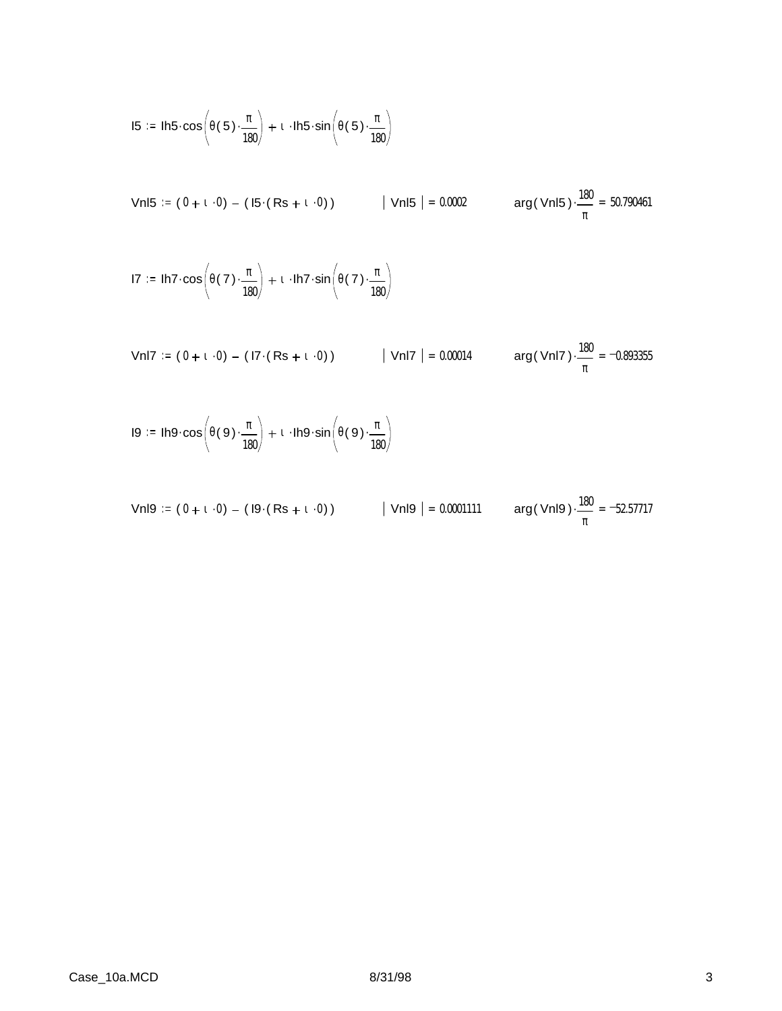$$
15 := \text{lh5} \cdot \cos\left(\theta(5) \cdot \frac{\pi}{180}\right) + 1 \cdot \text{lh5} \cdot \sin\left(\theta(5) \cdot \frac{\pi}{180}\right)
$$

Vnl5 := (  $0 + 1 \cdot 0$  ) – ( I5  $(Rs + 1 \cdot 0)$  )  $\qquad$  | Vnl5 | = 0.0002  $\qquad$  arg( Vnl5 )  $\cdot \frac{180}{4}$ π  $\cdot \frac{100}{2} = 50.790461$ 

$$
17 := \text{lh7} \cdot \cos\left(\theta(7) \cdot \frac{\pi}{180}\right) + \iota \cdot \text{lh7} \cdot \sin\left(\theta(7) \cdot \frac{\pi}{180}\right)
$$

Vnl7 := (  $0 + 1 \cdot 0$  )  $-$  ( I7  $($  Rs  $+$   $1 \cdot 0$  )  $)$   $\qquad$   $\qquad$  | Vnl7  $\qquad$  = 0.00014  $\qquad$  arg( Vnl7  $)\cdot \frac{180}{100}$ π  $\cdot \frac{100}{100} = -0.893355$ 

$$
I9 := Ih9 \cdot \cos\left(\theta(9) \cdot \frac{\pi}{180}\right) + 1 \cdot Ih9 \cdot \sin\left(\theta(9) \cdot \frac{\pi}{180}\right)
$$

\n
$$
\text{VnI9} := (0 + \mathbf{1} \cdot 0) - (19 \cdot (Rs + \mathbf{1} \cdot 0))
$$
\n

\n\n $|\text{VnI9}| = 0.0001111$ \n

\n\n $\text{arg}(\text{VnI9}) \cdot \frac{180}{\pi} = -52.57717$ \n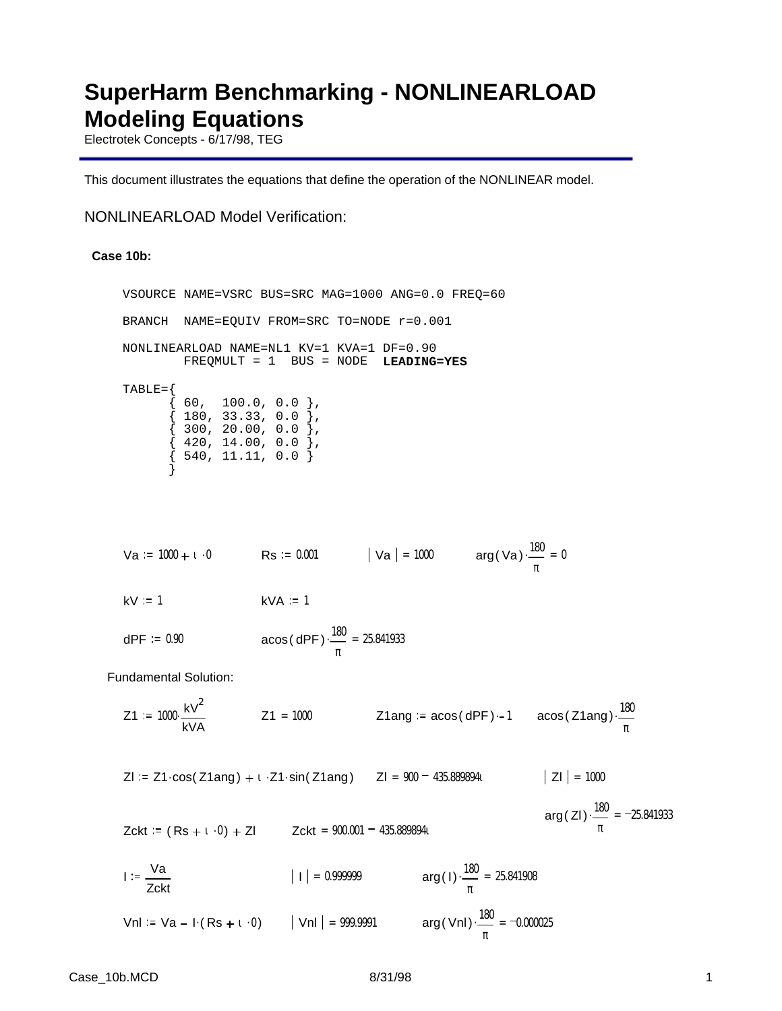## **SuperHarm Benchmarking - NONLINEARLOAD Modeling Equations**

Electrotek Concepts - 6/17/98, TEG

This document illustrates the equations that define the operation of the NONLINEAR model.

### NONLINEARLOAD Model Verification:

#### **Case 10b:**

VSOURCE NAME=VSRC BUS=SRC MAG=1000 ANG=0.0 FREQ=60 BRANCH NAME=EQUIV FROM=SRC TO=NODE r=0.001 NONLINEARLOAD NAME=NL1 KV=1 KVA=1 DF=0.90 FREQMULT = 1 BUS = NODE **LEADING=YES**  $TABLE=\{$  $\{$  60, 100.0, 0.0  $\},$  $\{$  180, 33.33, 0.0  $\},$  $\{$  300, 20.00, 0.0  $\},$  $\{$  420, 14.00, 0.0  $\},$  $\{$  540, 11.11, 0.0  $\}$  } Va := 1000 + 1 · 0  $\text{Rs}$  := 0.001  $\vert$  Va  $\vert$  = 1000  $\text{arg}($  Va  $) \cdot \frac{180}{\vert}$ π  $\frac{100}{200} = 0$  $kV := 1$   $kVA = 1$ dPF =  $0.90$  acos(dPF) $\cdot \frac{180}{ }$ π  $\cdot \frac{100}{2} = 25.841933$ Fundamental Solution:  $Z1 := 1000 \cdot \frac{kV^2}{2}$ kVA  $\frac{180^2}{21}$  Z1 = 1000 Z1ang = acos( dPF) ·-1 acos( Z1ang)  $\frac{180}{2}$ π . Zl := Z1·cos( Z1ang) + ι · Z1·sin( Z1ang) = Zl = 900 = 435.889894ι  $|Z|$  = 1000 arg( ZI)  $\cdot \frac{180}{1}$ π  $\frac{100}{2}$  = -25.841933  $Zckt = (Rs + i \cdot 0) + Zl$  $Zckt = 900.001 - 435.8898941$  $I := \frac{Va}{A}$ Zckt  $| \cdot | = 0.999999$  arg(1)  $\frac{180}{ }$ π  $\frac{100}{2}$  = 25.841908 Vnl := Va – I ( Rs +  $\iota$  ·0 )  $||$  Vnl  $|$  = 999.9991  $\qquad \qquad \text{arg}()$ vnl )  $\cdot \frac{180}{100}$ π  $\frac{100}{2}$  = -0.000025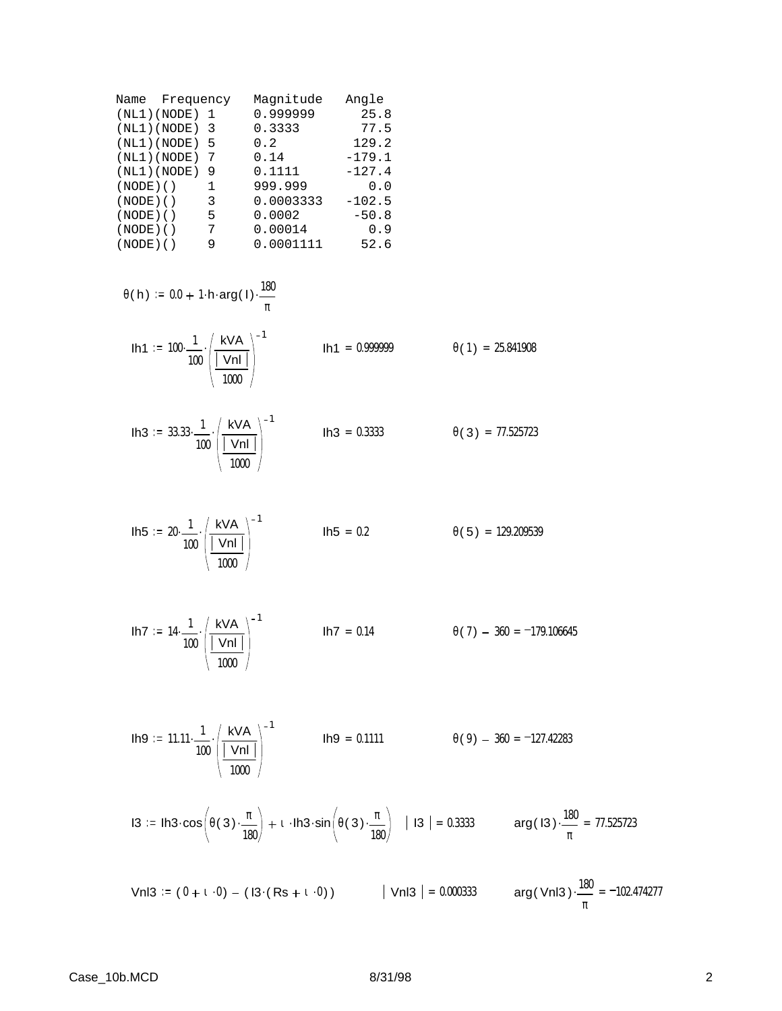| Name Frequency  |              | Magnitude | Angle    |
|-----------------|--------------|-----------|----------|
| (NL1)(NODE) 1   |              | 0.999999  | 25.8     |
| $(NL1)(NODE)$ 3 |              | 0.3333    | 77.5     |
| (NL1) (NODE)    | -5           | 0.2       | 129.2    |
| (NL1) (NODE)    | 7            | 0.14      | $-179.1$ |
| (NL1) (NODE)    | 9            | 0.1111    | $-127.4$ |
| $(NODE)$ ()     | $\mathbf{1}$ | 999.999   | 0.0      |
| $(NODE)$ $()$   | 3            | 0.0003333 | $-102.5$ |
| $(NODE)$ ()     | 5            | 0.0002    | $-50.8$  |
| $(NODE)$ ()     | 7            | 0.00014   | 0.9      |
| $(NODE)$ ()     | 9            | 0.0001111 | 52.6     |
|                 |              |           |          |

$$
\theta(h) := 0.0 + 1 \cdot h \cdot \arg(1) \cdot \frac{180}{\pi}
$$
  
\n $1h1 := 100 \cdot \frac{1}{100} \cdot \left( \frac{kVA}{|Vnl|} \right)^{-1}$   
\n $1h1 = 0.999999$   
\n $\theta(1) = 25.841908$ 

**lh3** := 33.33
$$
\cdot \frac{1}{100} \cdot \left( \frac{kVA}{|Vn|} \right)^{-1}
$$
 **lh3** = 0.3333  $\theta$  (3) = 77.525723

**lh5** := 
$$
20 \cdot \frac{1}{100} \cdot \left( \frac{kVA}{|Vn|} \right)^{-1}
$$
 **lh5** = 0.2  $\theta(5) = 129.209539$ 

$$
1h7 := 14 \cdot \frac{1}{100} \cdot \left( \frac{kVA}{|Vn|} \right)^{-1}
$$
\n
$$
1h7 = 0.14
$$
\n
$$
\theta(7) - 360 = -179.106645
$$

**lh9** := 
$$
11.11 \cdot \frac{1}{100} \cdot \left( \frac{kVA}{|Vn|} \right)^{-1}
$$
 **lh9** = 0.1111  $\theta(9) - 360 = -127.42283$ 

$$
13 := \ln 3 \cdot \cos \left(\theta(3) \cdot \frac{\pi}{180}\right) + 1 \cdot \ln 3 \cdot \sin \left(\theta(3) \cdot \frac{\pi}{180}\right) \quad | \quad 13 \mid = 0.3333 \quad \text{arg(13)} \cdot \frac{180}{\pi} = 77.525723
$$

Vnl3 := (  $0 + 1 \cdot 0$  ) – ( I3  $(Rs + 1 \cdot 0)$  )  $\qquad$  | Vnl3 | = 0.000333  $\qquad$  arg( Vnl3 )  $\cdot \frac{180}{4}$ π  $\frac{100}{2}$  = -102.474277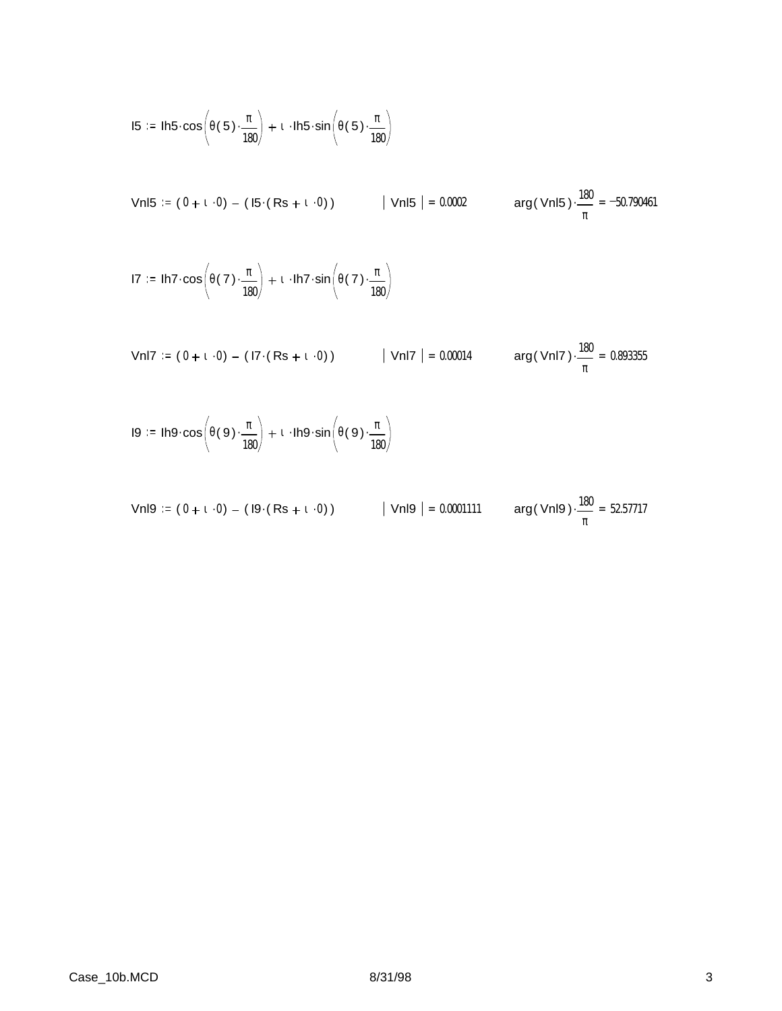$$
15 := \text{lh5} \cdot \cos\left(\theta(5) \cdot \frac{\pi}{180}\right) + \text{t} \cdot \text{lh5} \cdot \sin\left(\theta(5) \cdot \frac{\pi}{180}\right)
$$

Vnl5 := (  $0 + 1 \cdot 0$  ) – ( I5  $(Rs + 1 \cdot 0)$  )  $\qquad$  | Vnl5 | = 0.0002  $\qquad$  arg( Vnl5 )  $\cdot \frac{180}{4}$ π  $\cdot \frac{100}{2} = -50.790461$ 

$$
17 := \text{lh7} \cdot \cos\left(\theta(7) \cdot \frac{\pi}{180}\right) + \iota \cdot \text{lh7} \cdot \sin\left(\theta(7) \cdot \frac{\pi}{180}\right)
$$

Vnl7 := (  $0 + 1 \cdot 0$  )  $-$  ( I7  $($  Rs  $+$   $1 \cdot 0$  )  $)$   $\qquad$   $\qquad$  | Vnl7  $\qquad$  = 0.00014  $\qquad$  arg( Vnl7  $)\cdot \frac{180}{100}$ π  $\cdot \frac{100}{100} = 0.893355$ 

$$
I9 := Ih9 \cdot \cos\left(\theta(9) \cdot \frac{\pi}{180}\right) + 1 \cdot Ih9 \cdot \sin\left(\theta(9) \cdot \frac{\pi}{180}\right)
$$

\n
$$
\text{VnI9} := (0 + \mathbf{1} \cdot 0) - (19 \cdot (Rs + \mathbf{1} \cdot 0))
$$
\n

\n\n $|\text{VnI9}| = 0.0001111$ \n

\n\n $\text{arg}(\text{VnI9}) \cdot \frac{180}{\pi} = 52.57717$ \n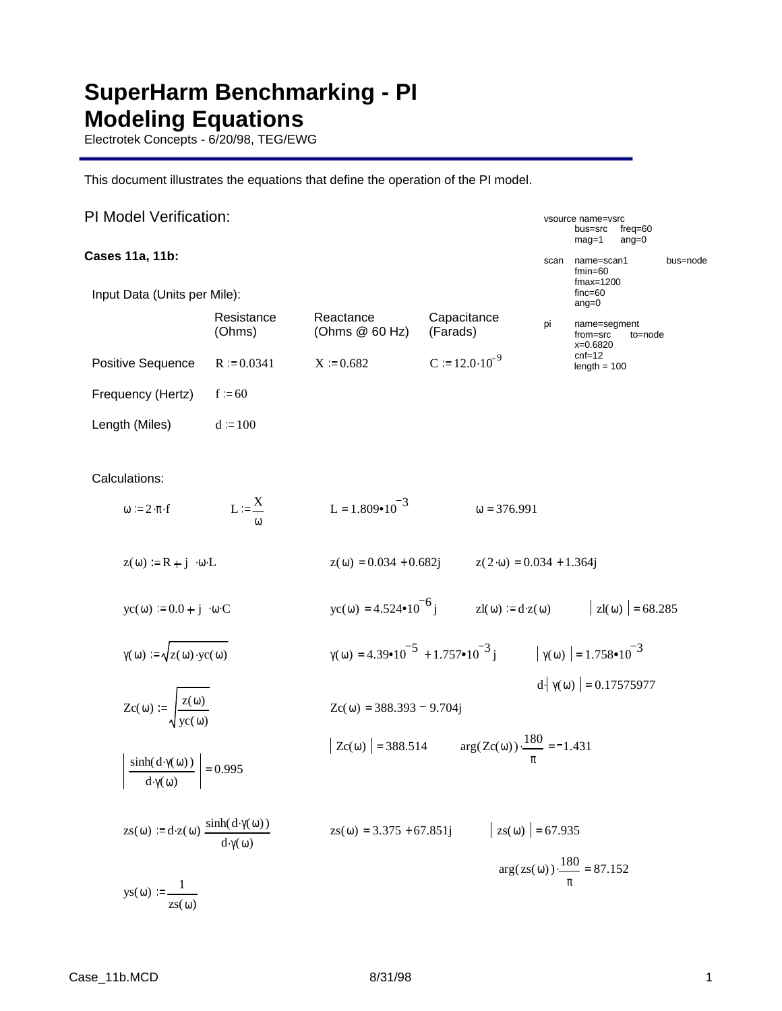# **SuperHarm Benchmarking - PI Modeling Equations**

Electrotek Concepts - 6/20/98, TEG/EWG

This document illustrates the equations that define the operation of the PI model.

| <b>PI Model Verification:</b>                                                                  |                      |                                                     |                                                                                                      |                                    | vsource name=vsrc<br>bus=src                              | freq= $60$ |          |
|------------------------------------------------------------------------------------------------|----------------------|-----------------------------------------------------|------------------------------------------------------------------------------------------------------|------------------------------------|-----------------------------------------------------------|------------|----------|
| Cases 11a, 11b:                                                                                |                      |                                                     |                                                                                                      |                                    | $maq=1$<br>name=scan1                                     | $ang=0$    | bus=node |
| Input Data (Units per Mile):                                                                   |                      |                                                     |                                                                                                      | scan                               | $fmin=60$<br>$fmax=1200$<br>$finc=60$<br>$ang=0$          |            |          |
|                                                                                                | Resistance<br>(Ohms) | Reactance<br>(Ohms @ 60 Hz)                         | Capacitance<br>(Farads)                                                                              | pi                                 | name=segment<br>from=src<br>x=0.6820                      | to=node    |          |
| Positive Sequence                                                                              | $R = 0.0341$         | $X = 0.682$                                         | $C = 12.0 \cdot 10^{-9}$                                                                             |                                    | $cnf=12$<br>$length = 100$                                |            |          |
| Frequency (Hertz)                                                                              | $f = 60$             |                                                     |                                                                                                      |                                    |                                                           |            |          |
| Length (Miles)                                                                                 | $d := 100$           |                                                     |                                                                                                      |                                    |                                                           |            |          |
| Calculations:                                                                                  |                      |                                                     |                                                                                                      |                                    |                                                           |            |          |
| $\omega := 2 \cdot \pi \cdot f$                                                                | $L := \frac{X}{A}$   | L = $1.809 \cdot 10^{-3}$                           | $\omega = 376.991$                                                                                   |                                    |                                                           |            |          |
| $z(\omega) = R + j \cdot \omega \cdot L$                                                       |                      | $z(\omega) = 0.034 + 0.682j$                        |                                                                                                      | $z(2\cdot\omega) = 0.034 + 1.364j$ |                                                           |            |          |
| $\text{yc}(\omega) := 0.0 + \text{j} \cdot \omega \cdot C$                                     |                      | $\text{yc}(\omega) = 4.524 \cdot 10^{-6} \text{ j}$ |                                                                                                      |                                    | $zI(\omega) := d \cdot z(\omega)$ $ zI(\omega)  = 68.285$ |            |          |
| $\gamma(\omega) := \sqrt{z(\omega) \cdot y c(\omega)}$                                         |                      |                                                     | $\gamma(\omega) = 4.39 \cdot 10^{-5} + 1.757 \cdot 10^{-3}$ j $\gamma(\omega) = 1.758 \cdot 10^{-3}$ |                                    |                                                           |            |          |
| $Zc(\omega) := \sqrt{\frac{z(\omega)}{yc(\omega)}}$                                            |                      | $Zc(\omega) = 388.393 - 9.704j$                     |                                                                                                      |                                    | $d\phi$ $\gamma(\omega)$ = 0.17575977                     |            |          |
| $\frac{\sinh(d\cdot \gamma(\omega))}{\gamma(\omega)}$ = 0.995<br>$d\gamma(\omega)$             |                      |                                                     | Zc( $\omega$ ) = 388.514 $arg(Zc(\omega)) \cdot \frac{180}{\pi} = -1.431$                            |                                    |                                                           |            |          |
| $zs(\omega) := d \cdot z(\omega) \frac{\sinh(d \cdot \gamma(\omega))}{d \cdot \gamma(\omega)}$ |                      | $zs(\omega) = 3.375 + 67.851j$                      |                                                                                                      | $ zs(\omega)  = 67.935$            |                                                           |            |          |
| $\text{ys}(\omega) := \frac{1}{\text{zs}(\omega)}$                                             |                      |                                                     |                                                                                                      |                                    | $\arg(z s(\omega))\cdot\frac{180}{\text{--}} = 87.152$    |            |          |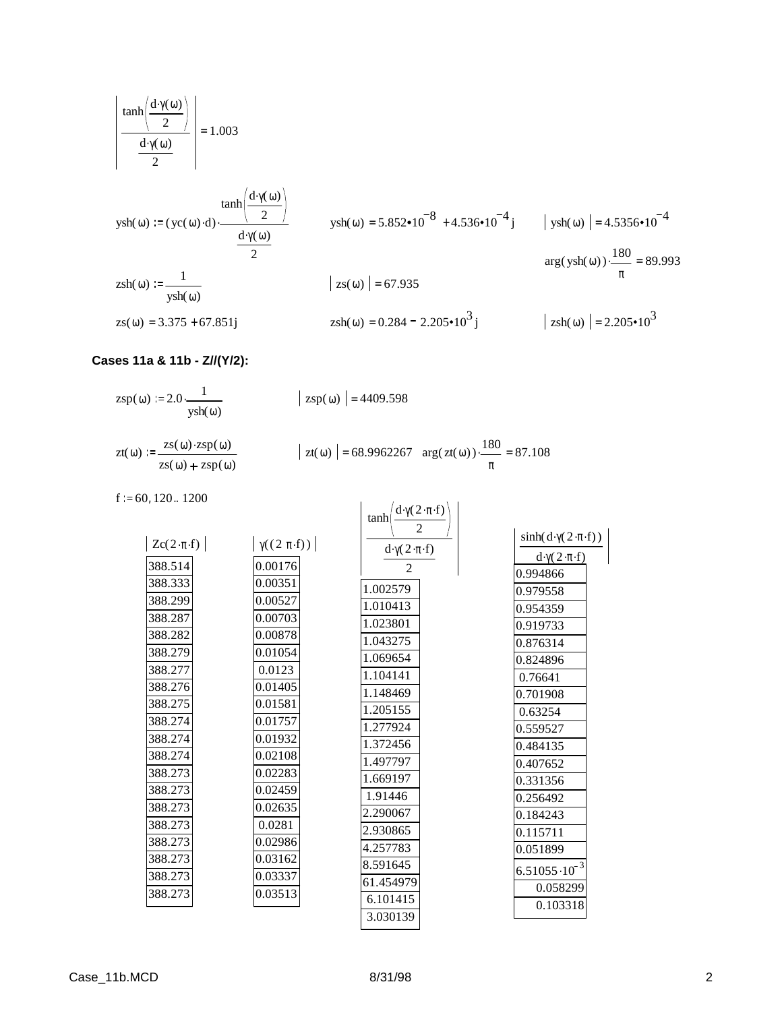$$
\frac{\tanh\left(\frac{d\cdot\gamma(\omega)}{2}\right)}{\frac{d\cdot\gamma(\omega)}{2}}\n= 1.003
$$

$$
ysh(ω) := (yc(ω) · d) \cdot \frac{\tanh(\frac{d·γ(ω)}{2})}{\frac{d·γ(ω)}{2}}
$$
\n
$$
ysh(ω) = 5.852 \cdot 10^{-8} + 4.536 \cdot 10^{-4} j \qquad |ysh(ω)| = 4.5356 \cdot 10^{-4}
$$
\n
$$
(100)^{180} = 8.80
$$

$$
\arg(\text{ysh}(\omega))\cdot\frac{180}{\pi} = 89.993
$$

$$
zsh(\omega) := \frac{1}{ysh(\omega)}
$$

$$
zs(\omega) = 3.375 + 67.851j
$$

$$
zsh(\omega) = 0.284 - 2.205 \cdot 10^3 j
$$

π

 $\frac{100}{2}$  = 87.108

 $|zs(\omega)| = 67.935$ 

$$
= 0.284 - 2.205 \cdot 10^{3} \text{ j} \qquad \qquad | \text{ zsh}(\omega) | = 2.205 \cdot 10^{3}
$$

## **Cases 11a & 11b - Z//(Y/2):**

 $\text{zsp}(\omega) := 2.0 - \frac{1}{\omega}$ ysh(ω)

$$
|\,\text{zsp}(\omega)\,| = 4409.598
$$

$$
zt(\omega) := \frac{zs(\omega) \cdot zsp(\omega)}{zs(\omega) + zsp(\omega)} \qquad |zt(\omega) | = 68.9962267 \arg(zt(\omega)) \cdot \frac{180}{\pi}
$$

 $f = 60, 120..1200$ 

|                           |                             | $d\cdot \gamma(2\cdot \pi\cdot f)$<br>tanh |                                                |
|---------------------------|-----------------------------|--------------------------------------------|------------------------------------------------|
| $Zc(2 \cdot \pi \cdot f)$ | $ \gamma((2 \pi \cdot f)) $ | 2<br>$d\cdot\gamma(2\cdot\pi\cdot f)$      | $\sinh(d \cdot \gamma(2 \cdot \pi \cdot f))$   |
| 388.514                   | 0.00176                     | 2                                          | $d\cdot \gamma(2\cdot \pi\cdot f)$<br>0.994866 |
| 388.333<br>388.299        | 0.00351<br>0.00527          | 1.002579                                   | 0.979558                                       |
| 388.287                   | 0.00703                     | 1.010413<br>1.023801                       | 0.954359<br>0.919733                           |
| 388.282<br>388.279        | 0.00878<br>0.01054          | 1.043275                                   | 0.876314                                       |
| 388.277                   | 0.0123                      | 1.069654<br>1.104141                       | 0.824896<br>0.76641                            |
| 388.276<br>388.275        | 0.01405<br>0.01581          | 1.148469                                   | 0.701908                                       |
| 388.274                   | 0.01757                     | 1.205155<br>1.277924                       | 0.63254<br>0.559527                            |
| 388.274<br>388.274        | 0.01932<br>0.02108          | 1.372456                                   | 0.484135                                       |
| 388.273                   | 0.02283                     | 1.497797<br>1.669197                       | 0.407652<br>0.331356                           |
| 388.273                   | 0.02459                     | 1.91446                                    | 0.256492                                       |
| 388.273<br>388.273        | 0.02635<br>0.0281           | 2.290067<br>2.930865                       | 0.184243                                       |
| 388.273                   | 0.02986                     | 4.257783                                   | 0.115711<br>0.051899                           |
| 388.273<br>388.273        | 0.03162<br>0.03337          | 8.591645<br>61.454979                      | $6.51055 \cdot 10^{-3}$                        |
| 388.273                   | 0.03513                     | 6.101415                                   | 0.058299<br>0.103318                           |
|                           |                             | 3.030139                                   |                                                |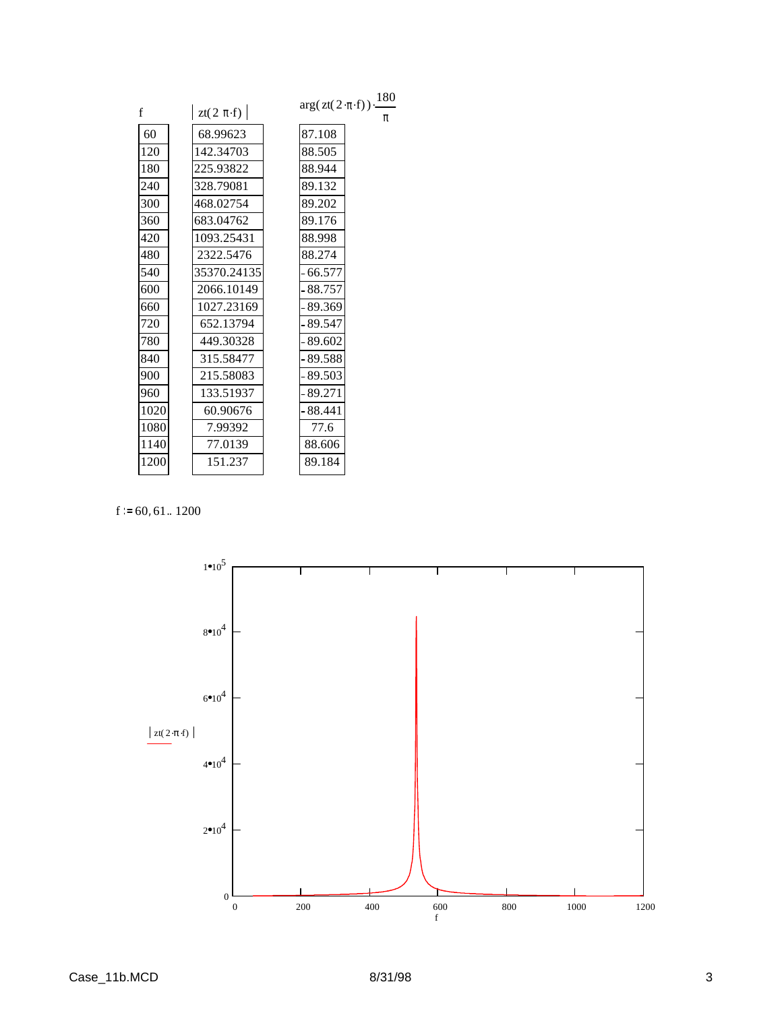|      |                | 180<br>$arg(zt(2\cdot \pi\cdot f))$ . |
|------|----------------|---------------------------------------|
| f    | zt(2 $\pi$ ·f) | π                                     |
| 60   | 68.99623       | 87.108                                |
| 120  | 142.34703      | 88.505                                |
| 180  | 225.93822      | 88.944                                |
| 240  | 328.79081      | 89.132                                |
| 300  | 468.02754      | 89.202                                |
| 360  | 683.04762      | 89.176                                |
| 420  | 1093.25431     | 88.998                                |
| 480  | 2322.5476      | 88.274                                |
| 540  | 35370.24135    | $-66.577$                             |
| 600  | 2066.10149     | $-88.757$                             |
| 660  | 1027.23169     | - 89.369                              |
| 720  | 652.13794      | - 89.547                              |
| 780  | 449.30328      | $-89.602$                             |
| 840  | 315.58477      | $-89.588$                             |
| 900  | 215.58083      | - 89.503                              |
| 960  | 133.51937      | - 89.271                              |
| 1020 | 60.90676       | - 88.441                              |
| 1080 | 7.99392        | 77.6                                  |
| 1140 | 77.0139        | 88.606                                |
| 1200 | 151.237        | 89.184                                |
|      |                |                                       |

 $f := 60, 61.. 1200$ 

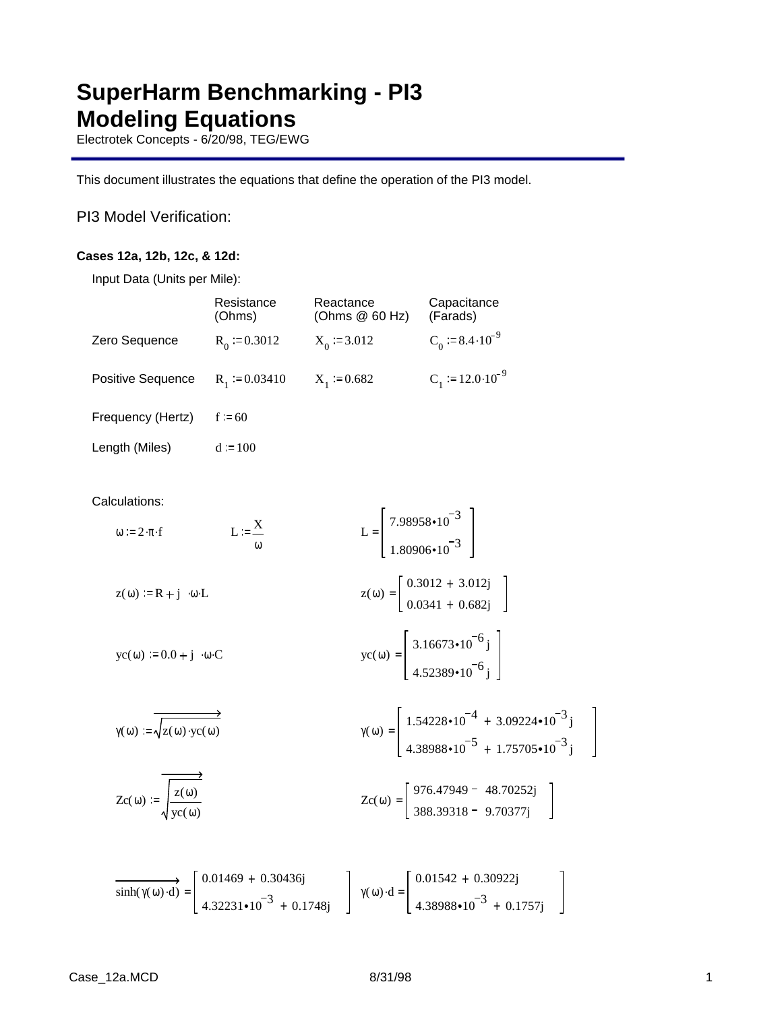# **SuperHarm Benchmarking - PI3 Modeling Equations**

Electrotek Concepts - 6/20/98, TEG/EWG

This document illustrates the equations that define the operation of the PI3 model.

PI3 Model Verification:

### **Cases 12a, 12b, 12c, & 12d:**

Input Data (Units per Mile):

|                                                            | Resistance<br>(Ohms)            | Reactance<br>(Ohms @ 60 Hz)                                                        | Capacitance<br>(Farads)                                                                                                                                                                                                                                   |
|------------------------------------------------------------|---------------------------------|------------------------------------------------------------------------------------|-----------------------------------------------------------------------------------------------------------------------------------------------------------------------------------------------------------------------------------------------------------|
| Zero Sequence                                              | $R_0 := 0.3012$                 | $X_0 = 3.012$                                                                      | $C_0$ = 8.4 $\cdot$ 10 <sup>-9</sup>                                                                                                                                                                                                                      |
| Positive Sequence                                          | $R_1 := 0.03410$ $X_1 := 0.682$ |                                                                                    | $C_1 = 12.0 \cdot 10^{-9}$                                                                                                                                                                                                                                |
| Frequency (Hertz)                                          | $f := 60$                       |                                                                                    |                                                                                                                                                                                                                                                           |
| Length (Miles)                                             | $d := 100$                      |                                                                                    |                                                                                                                                                                                                                                                           |
| Calculations:<br>$\omega := 2 \cdot \pi \cdot f$           | $L := \frac{X}{A}$              | L = $\begin{bmatrix} 7.98958 \cdot 10^{-3} \\ 1.80906 \cdot 10^{-3} \end{bmatrix}$ |                                                                                                                                                                                                                                                           |
| $z(\omega) = R + j \cdot \omega \cdot L$                   |                                 |                                                                                    | $z(\omega) = \begin{bmatrix} 0.3012 + 3.012j \\ 0.0341 + 0.682j \end{bmatrix}$                                                                                                                                                                            |
| $\text{yc}(\omega) := 0.0 + \text{j} \cdot \omega \cdot C$ |                                 |                                                                                    | yc( $\omega$ ) = $\begin{bmatrix} 3.16673 \cdot 10^{-6} \text{ j} \\ 4.52389 \cdot 10^{-6} \text{ j} \end{bmatrix}$                                                                                                                                       |
| $\gamma(\omega) := \sqrt{z(\omega) \cdot y c(\omega)}$     |                                 |                                                                                    | $\gamma(\omega) = \begin{bmatrix} 1.54228 \cdot 10^{-4} + 3.09224 \cdot 10^{-3} \text{ j} \\ 4.38988 \cdot 10^{-5} + 1.75705 \cdot 10^{-3} \text{ j} \end{bmatrix}$                                                                                       |
| $Zc(\omega) := \sqrt{\frac{z(\omega)}{v c(\omega)}}$       |                                 |                                                                                    | $Zc(\omega) = \begin{bmatrix} 976.47949 - 48.70252j \\ 388.39318 - 9.70377i \end{bmatrix}$                                                                                                                                                                |
|                                                            |                                 |                                                                                    | $\overrightarrow{\text{sinh}(\gamma(\omega) \cdot d)} = \begin{bmatrix} 0.01469 + 0.30436j \\ 4.32231 \cdot 10^{-3} + 0.1748j \end{bmatrix} \gamma(\omega) \cdot d = \begin{bmatrix} 0.01542 + 0.30922j \\ 4.38988 \cdot 10^{-3} + 0.1757j \end{bmatrix}$ |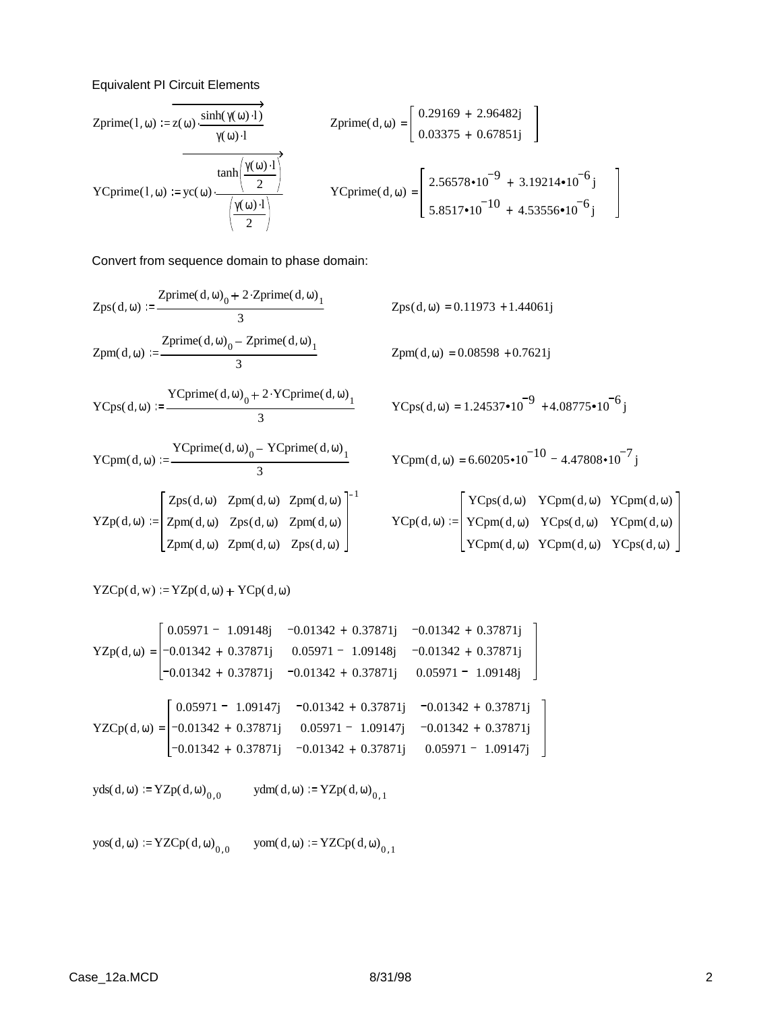### Equivalent PI Circuit Elements

$$
\text{Zprime}(1, \omega) := \mathbf{z}(\omega) \cdot \frac{\sinh(\gamma(\omega) \cdot 1)}{\gamma(\omega) \cdot 1}
$$
\n
$$
\text{Zprime}(d, \omega) = \begin{bmatrix} 0.29169 + 2.96482j \\ 0.03375 + 0.67851j \end{bmatrix}
$$
\n
$$
\text{YCprime}(1, \omega) := \text{yc}(\omega) \cdot \frac{\tanh\left(\frac{\gamma(\omega) \cdot 1}{2}\right)}{\left(\frac{\gamma(\omega) \cdot 1}{2}\right)}
$$
\n
$$
\text{YCprime}(d, \omega) = \begin{bmatrix} 2.56578 \cdot 10^{-9} + 3.19214 \cdot 10^{-6}j \\ 5.8517 \cdot 10^{-10} + 4.53556 \cdot 10^{-6}j \end{bmatrix}
$$

Convert from sequence domain to phase domain:

$$
Zps(d, \omega) := \frac{Zprime(d, \omega)_0 + 2 \cdot Zprime(d, \omega)_1}{3}
$$
  
\n
$$
Zps(d, \omega) = 0.11973 + 1.44061j
$$
  
\n
$$
Zpm(d, \omega) = 0.11973 + 1.44061j
$$
  
\n
$$
Zpm(d, \omega) = 0.11973 + 1.44061j
$$
  
\n
$$
Zpm(d, \omega) = 0.08598 + 0.7621j
$$

$$
YCps(d, \omega) := \frac{YCprime(d, \omega)_0 + 2 \cdot YCprime(d, \omega)_1}{3}
$$

$$
YCpm(d, \omega) := \frac{YCprime(d, \omega)_0 - YCprime(d, \omega)_1}{3}
$$

YZp( d, ω) Zps(d, ω) Zpm( d, ω) Zpm( d, ω) Zpm( d, ω) Zps(d, ω) Zpm( d, ω) Zpm( d, ω) Zpm( d, ω) Zps(d, ω) 1

$$
2pm(d, \omega) = 0.08598 + 0.7621j
$$

$$
YCps(d, \omega) = 1.24537 \cdot 10^{-9} + 4.08775 \cdot 10^{-6}j
$$

$$
YCpm(d, \omega) = 6.60205 \cdot 10^{-10} - 4.47808 \cdot 10^{-7} j
$$

$$
\text{YCp}(\text{d},\omega) := \begin{bmatrix} \text{YCps}(\text{d},\omega) & \text{YCpm}(\text{d},\omega) & \text{YCpm}(\text{d},\omega) \\ \text{YCpm}(\text{d},\omega) & \text{YCps}(\text{d},\omega) & \text{YCpm}(\text{d},\omega) \\ \text{YCpm}(\text{d},\omega) & \text{YCpm}(\text{d},\omega) & \text{YCps}(\text{d},\omega) \end{bmatrix}
$$

 $YZCp(d, w) = YZp(d, \omega) + YCp(d, \omega)$ 

$$
YZp(d, \omega) = \begin{bmatrix} 0.05971 - 1.09148j & -0.01342 + 0.37871j & -0.01342 + 0.37871j \\ -0.01342 + 0.37871j & 0.05971 - 1.09148j & -0.01342 + 0.37871j \\ -0.01342 + 0.37871j & -0.01342 + 0.37871j & 0.05971 - 1.09148j \end{bmatrix}
$$
  
\n
$$
YZCp(d, \omega) = \begin{bmatrix} 0.05971 - 1.09147j & -0.01342 + 0.37871j & -0.01342 + 0.37871j \\ -0.01342 + 0.37871j & 0.05971 - 1.09147j & -0.01342 + 0.37871j \\ -0.01342 + 0.37871j & -0.01342 + 0.37871j & 0.05971 - 1.09147j \end{bmatrix}
$$

 $yds(d, \omega) := YZp(d, \omega)_{0, 0}$   $ydm(d, \omega) := YZp(d, \omega)_{0, 1}$ 

 $yos(d, \omega) := YZCp(d, \omega)_{0, 0}$  $\text{yom}(d, \omega) := \text{YZCp}(d, \omega)_{0, 1}$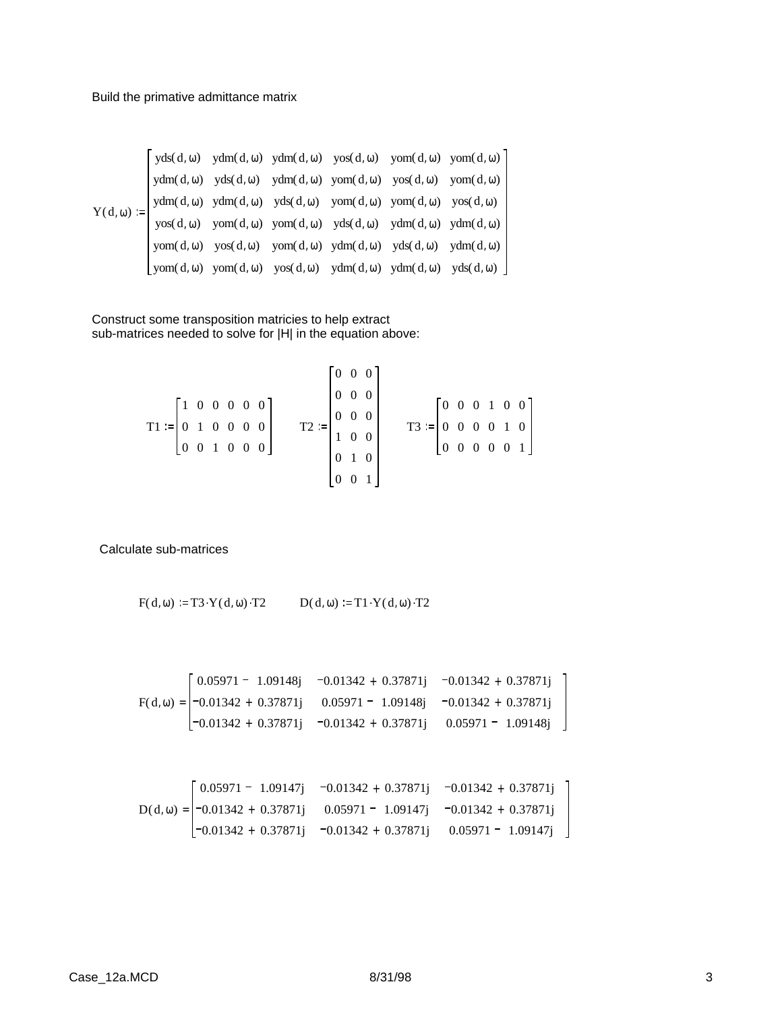$$
Y(d, \omega) := \begin{bmatrix} yds(d, \omega) & ydm(d, \omega) & ydm(d, \omega) & yos(d, \omega) & yom(d, \omega) & yom(d, \omega) \\ ydm(d, \omega) & yds(d, \omega) & ydm(d, \omega) & yom(d, \omega) & yos(d, \omega) & yom(d, \omega) \\ ydm(d, \omega) & ydm(d, \omega) & yds(d, \omega) & yom(d, \omega) & yom(d, \omega) & yos(d, \omega) \\ yos(d, \omega) & yom(d, \omega) & yom(d, \omega) & yds(d, \omega) & ydm(d, \omega) & ydm(d, \omega) \\ yom(d, \omega) & yos(d, \omega) & yom(d, \omega) & ydm(d, \omega) & yds(d, \omega) & ydm(d, \omega) \end{bmatrix}
$$

Construct some transposition matricies to help extract sub-matrices needed to solve for |H| in the equation above:

$$
T1 := \begin{bmatrix} 1 & 0 & 0 & 0 & 0 & 0 \\ 0 & 1 & 0 & 0 & 0 & 0 \\ 0 & 0 & 1 & 0 & 0 & 0 \end{bmatrix} \qquad T2 := \begin{bmatrix} 0 & 0 & 0 \\ 0 & 0 & 0 \\ 0 & 0 & 0 \\ 1 & 0 & 0 \\ 0 & 1 & 0 \\ 0 & 0 & 1 \end{bmatrix} \qquad T3 := \begin{bmatrix} 0 & 0 & 0 & 1 & 0 & 0 \\ 0 & 0 & 0 & 0 & 1 & 0 \\ 0 & 0 & 0 & 0 & 0 & 1 \\ 0 & 0 & 0 & 0 & 0 & 1 \end{bmatrix}
$$

Calculate sub-matrices

$$
F(d, \omega) := T3 \cdot Y(d, \omega) \cdot T2 \qquad D(d, \omega) := T1 \cdot Y(d, \omega) \cdot T2
$$

 $F(d, \omega)$ 0.05971 <sup>-</sup> 1.09148j 0.01342 + 0.37871j 0.01342 + 0.37871j 0.01342 + 0.37871j 0.05971 <sup>-</sup> 1.09148j 0.01342 + 0.37871j 0.01342 + 0.37871j 0.01342 + 0.37871j  $0.05971 - 1.09148j$ =

$$
D(d, \omega) = \begin{bmatrix} 0.05971 - 1.09147j & -0.01342 + 0.37871j & -0.01342 + 0.37871j \\ -0.01342 + 0.37871j & 0.05971 - 1.09147j & -0.01342 + 0.37871j \\ -0.01342 + 0.37871j & -0.01342 + 0.37871j & 0.05971 - 1.09147j \end{bmatrix}
$$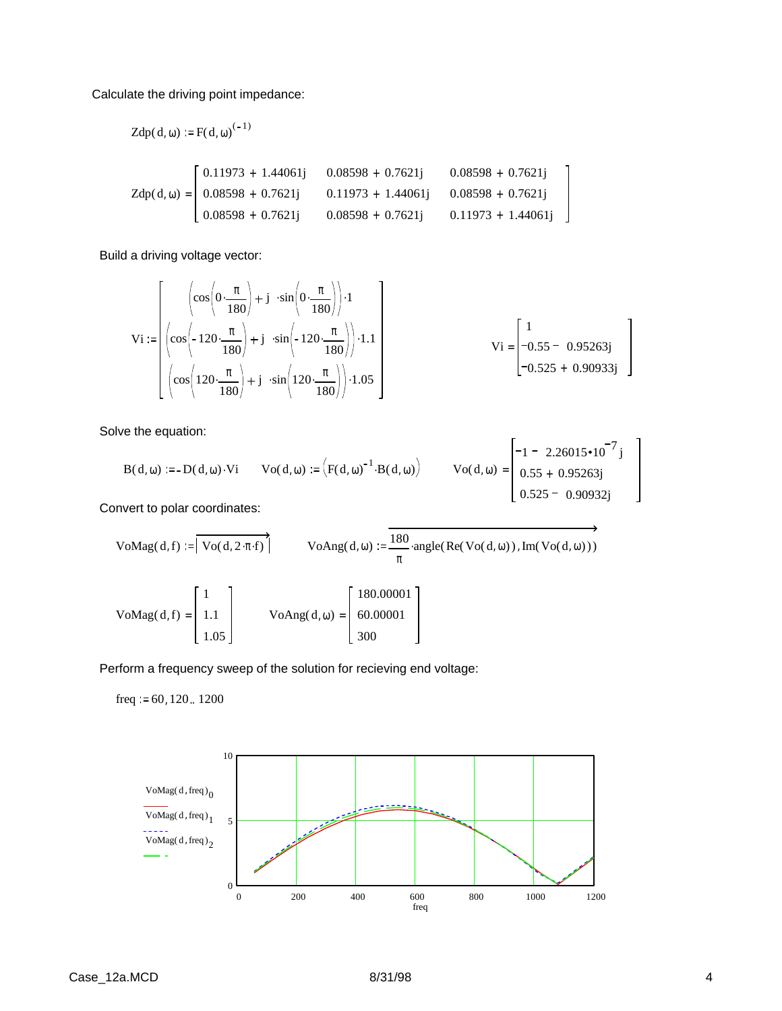Calculate the driving point impedance:

Zdp(d, 
$$
\omega
$$
) := F(d,  $\omega$ )<sup>(-1)</sup>  
\n
$$
Zdp(d, \omega) = \begin{bmatrix} 0.11973 + 1.44061j & 0.08598 + 0.7621j & 0.08598 + 0.7621j \\ 0.08598 + 0.7621j & 0.11973 + 1.44061j & 0.08598 + 0.7621j \\ 0.08598 + 0.7621j & 0.08598 + 0.7621j & 0.11973 + 1.44061j \end{bmatrix}
$$

Build a driving voltage vector:

$$
\mathbf{Vi} := \begin{bmatrix} \left( \cos \left( 0 \cdot \frac{\pi}{180} \right) + \mathbf{j} & \sin \left( 0 \cdot \frac{\pi}{180} \right) \right) \cdot 1 \\ \left( \cos \left( -120 \cdot \frac{\pi}{180} \right) + \mathbf{j} & \sin \left( -120 \cdot \frac{\pi}{180} \right) \right) \cdot 1.1 \\ \left( \cos \left( 120 \cdot \frac{\pi}{180} \right) + \mathbf{j} & \sin \left( 120 \cdot \frac{\pi}{180} \right) \right) \cdot 1.05 \end{bmatrix} \quad \mathbf{Vi} = \begin{bmatrix} 1 \\ -0.55 - 0.95263 \mathbf{j} \\ -0.525 + 0.90933 \mathbf{j} \end{bmatrix}
$$

Solve the equation:

$$
B(d, \omega) := -D(d, \omega) \cdot Vi \qquad \text{Vo}(d, \omega) := (F(d, \omega)^{-1} \cdot B(d, \omega)) \qquad \text{Vo}(d, \omega) = \begin{bmatrix} -1 & -2.26015 \cdot 10^{-7} \text{ j} \\ 0.55 + 0.95263 \text{ j} \\ 0.525 - 0.90932 \text{ j} \end{bmatrix}
$$

Convert to polar coordinates:

VoMag(d, f) := 
$$
|\overrightarrow{Vo(d, 2 \cdot \pi \cdot f)}|
$$
 VoAng(d, \omega) :=  $\frac{180}{\pi}$  angle(Re(Vo(d, \omega)), Im(Vo(d, \omega)))  
\n $\begin{bmatrix} 1 & 1 \end{bmatrix}$  [180.00001]

=

300

Perform a frequency sweep of the solution for recieving end voltage:

 $= | 1.1 |$  VoAng(d,  $\omega$ ) = | 60.00001

freq  $:= 60, 120$ .. 1200

 $VoMag(d, f) = | 1.1$ 

1.05

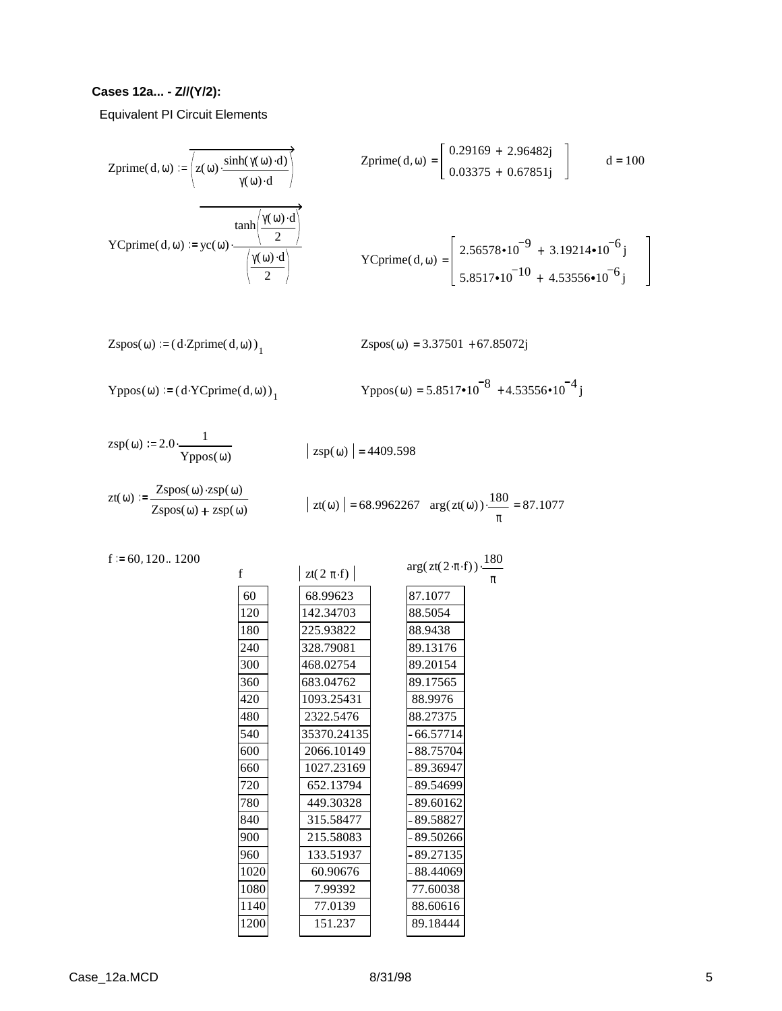### **Cases 12a... - Z//(Y/2):**

Equivalent PI Circuit Elements

$$
\text{Zprime}(d, \omega) := \overline{\left(z(\omega) \cdot \frac{\sinh(\gamma(\omega) \cdot d)}{\gamma(\omega) \cdot d}\right)}
$$
\n
$$
\text{Zprime}(d, \omega) = \begin{bmatrix} 0.29169 + 2.96482j \\ 0.03375 + 0.67851j \end{bmatrix}
$$
\n
$$
\text{Cprime}(d, \omega) := yc(\omega) \cdot \frac{\tanh\left(\frac{\gamma(\omega) \cdot d}{2}\right)}{\left(\frac{\gamma(\omega) \cdot d}{2}\right)}
$$
\n
$$
\text{Cprime}(d, \omega) = \begin{bmatrix} 2.56578 \cdot 10^{-9} + 3.19214 \cdot 10^{-6}j \\ 5.8517 \cdot 10^{-10} + 4.53556 \cdot 10^{-6}j \end{bmatrix}
$$

Zspos(
$$
\omega
$$
) :=  $(d \cdot Zprime(d, \omega))_1$ 

$$
Zspos(\omega) = 3.37501 + 67.85072j
$$

$$
Yppos(\omega) := (d \cdot YCprime(\mathbf{d}, \omega))_1
$$

$$
Yppos(\omega) = 5.8517 \cdot 10^{-8} + 4.53556 \cdot 10^{-4} j
$$

$$
zsp(\omega) := 2.0 \cdot \frac{1}{Yppos(\omega)} \qquad \qquad | \; z_{\text{S}}
$$

f 60

$$
|\,\text{zsp}(\omega)\,| = 4409.598
$$

$$
zt(\omega) := \frac{Zspos(\omega) \cdot zsp(\omega)}{Zspos(\omega) + zsp(\omega)} \qquad |zt(\omega) | = 68.9962267 \quad arg(zt(\omega)) \cdot \frac{180}{\pi} = 87.1077
$$

 $f = 60, 120.. 1200$ 

|      |                | 180<br>$arg(zt(2\cdot\pi\cdot f))$ . |
|------|----------------|--------------------------------------|
| Ê    | zt(2 $\pi$ ·f) | π                                    |
| 60   | 68.99623       | 87.1077                              |
| 120  | 142.34703      | 88.5054                              |
| 180  | 225.93822      | 88.9438                              |
| 240  | 328.79081      | 89.13176                             |
| 300  | 468.02754      | 89.20154                             |
| 360  | 683.04762      | 89.17565                             |
| 420  | 1093.25431     | 88.9976                              |
| 480  | 2322.5476      | 88.27375                             |
| 540  | 35370.24135    | $-66.57714$                          |
| 600  | 2066.10149     | - 88.75704                           |
| 660  | 1027.23169     | - 89.36947                           |
| 720  | 652.13794      | - 89.54699                           |
| 780  | 449.30328      | $-89.60162$                          |
| 840  | 315.58477      | - 89.58827                           |
| 900  | 215.58083      | - 89.50266                           |
| 960  | 133.51937      | - 89.27135                           |
| 1020 | 60.90676       | - 88.44069                           |
| 1080 | 7.99392        | 77.60038                             |
| 1140 | 77.0139        | 88.60616                             |
| 1200 | 151.237        | 89.18444                             |
|      |                |                                      |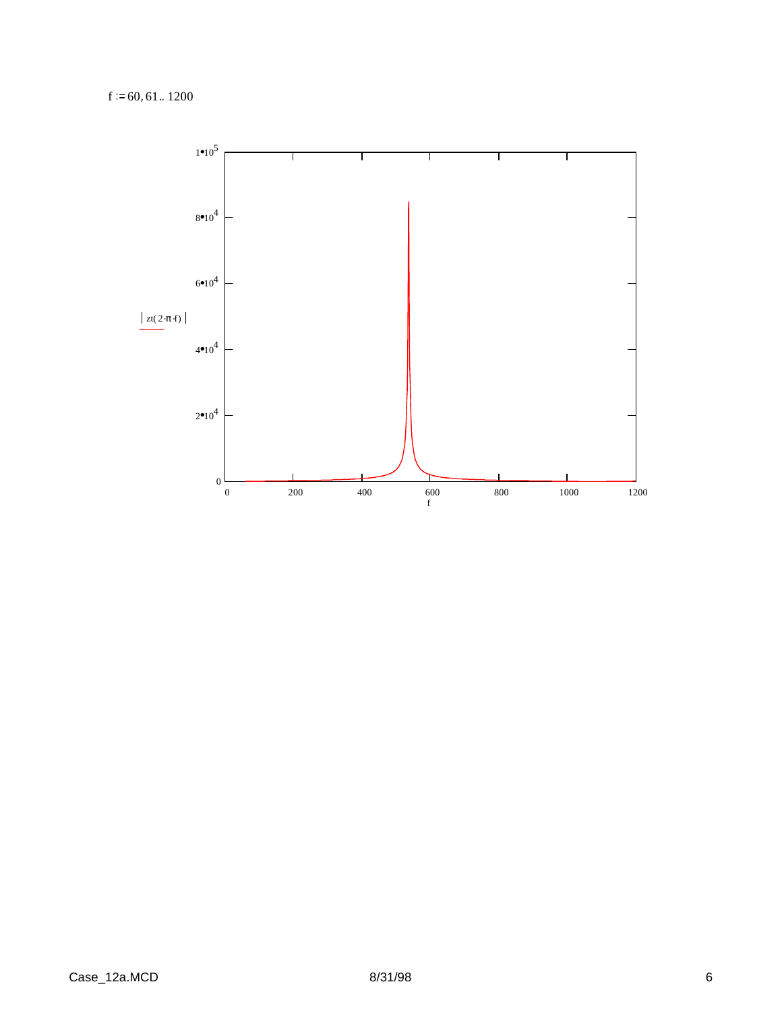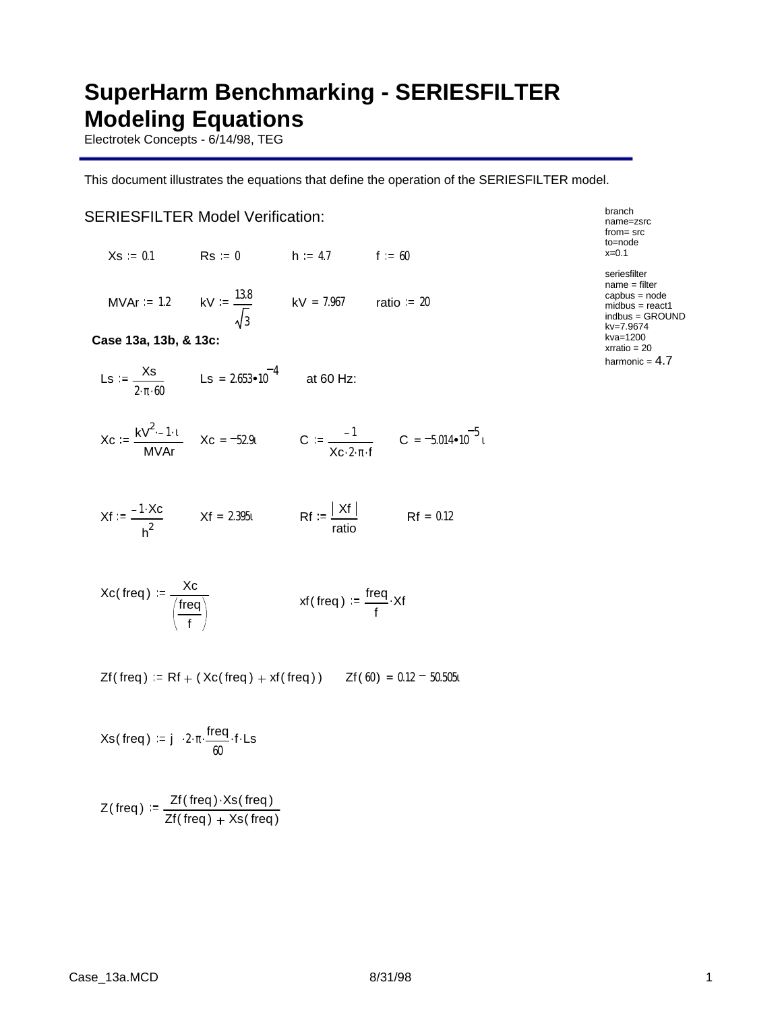## **SuperHarm Benchmarking - SERIESFILTER Modeling Equations**

Electrotek Concepts - 6/14/98, TEG

This document illustrates the equations that define the operation of the SERIESFILTER model.

### SERIESFILTER Model Verification:

 $Xs = 0.1$  Rs = 0 h = 4.7 f = 60

MVAr = 1.2 kV =  $\frac{13.8}{\phantom{000}}$ 3  $kV = 7.967$  ratio = 20

**Case 13a, 13b, & 13c:**

$$
LS := \frac{Xs}{2 \cdot \pi \cdot 60}
$$
  $LS = 2.653 \cdot 10^{-4}$  at 60 Hz:

$$
X_{C} := \frac{kV^{2}-1 \cdot t}{MVAr} \qquad X_{C} = -52.9t \qquad \qquad C := \frac{-1}{X_{C} \cdot 2 \cdot \pi \cdot f} \qquad C = -5.014 \cdot 10^{-5} t
$$

$$
Xf := \frac{-1 \cdot Xc}{h^2} \qquad Xf = 2.395t \qquad Rf := \frac{|Xf|}{ratio} \qquad Rf = 0.12
$$

$$
Xc(\text{freq}) := \frac{Xc}{\left(\frac{\text{freq}}{f}\right)} \qquad \qquad xf(\text{freq}) := \frac{\text{freq}}{f} \cdot Xf
$$

 $Zf$ ( freq ) = Rf + ( Xc( freq ) + xf( freq ) )  $Zf(60) = 0.12 - 50.505i$ 

$$
Xs(\text{freq}) := j \cdot 2 \cdot \pi \cdot \frac{\text{freq}}{60} \cdot f \cdot \text{Ls}
$$

$$
Z(\text{freq}) := \frac{Zf(\text{freq}) \cdot Xs(\text{freq})}{Zf(\text{freq}) + Xs(\text{freq})}
$$

from= src to=node x=0.1 seriesfilter name = filter capbus = node midbus = react1 indbus = GROUND

kv=7.9674 kva=1200 xrratio = 20 harmonic  $= 4.7$ 

branch name=zsrc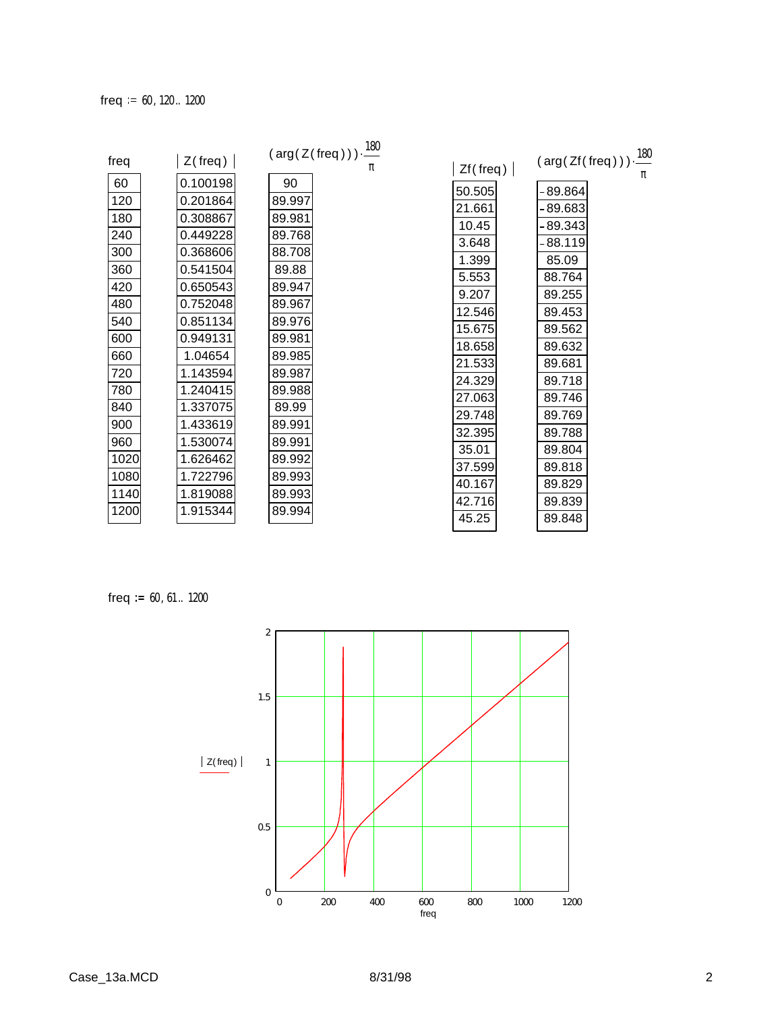| freq<br>60 | $Z$ (freq)<br>0.100198 | $(\text{arg}(Z(\text{freq})))\cdot\frac{180}{100}$<br>90 | $Zf$ (freq)      | $(\text{arg}(\text{Zf}(\text{freq})))\cdot\frac{180}{2}$ |
|------------|------------------------|----------------------------------------------------------|------------------|----------------------------------------------------------|
| 120        | 0.201864               | 89.997                                                   | 50.505           | $-89.864$                                                |
| 180        | 0.308867               | 89.981                                                   | 21.661           | $-89.683$                                                |
| 240        | 0.449228               | 89.768                                                   | 10.45            | $-89.343$                                                |
| 300        | 0.368606               | 88.708                                                   | 3.648            | $-88.119$                                                |
| 360        | 0.541504               | 89.88                                                    | 1.399            | 85.09                                                    |
| 420        | 0.650543               | 89.947                                                   | 5.553            | 88.764                                                   |
| 480        | 0.752048               | 89.967                                                   | 9.207            | 89.255                                                   |
| 540        | 0.851134               | 89.976                                                   | 12.546<br>15.675 | 89.453<br>89.562                                         |
| 600        | 0.949131               | 89.981                                                   | 18.658           | 89.632                                                   |
| 660        | 1.04654                | 89.985                                                   | 21.533           | 89.681                                                   |
| 720        | 1.143594               | 89.987                                                   | 24.329           | 89.718                                                   |
| 780        | 1.240415               | 89.988                                                   | 27.063           | 89.746                                                   |
| 840        | 1.337075               | 89.99                                                    | 29.748           | 89.769                                                   |
| 900        | 1.433619               | 89.991                                                   | 32.395           | 89.788                                                   |
| 960        | 1.530074               | 89.991                                                   | 35.01            | 89.804                                                   |
| 1020       | 1.626462               | 89.992                                                   | 37.599           | 89.818                                                   |
| 1080       | 1.722796               | 89.993                                                   | 40.167           | 89.829                                                   |
| 1140       | 1.819088               | 89.993                                                   | 42.716           | 89.839                                                   |
| 1200       | 1.915344               | 89.994                                                   | 45.25            | 89.848                                                   |
|            |                        |                                                          |                  |                                                          |

freq  $:= 60, 61... 1200$ 

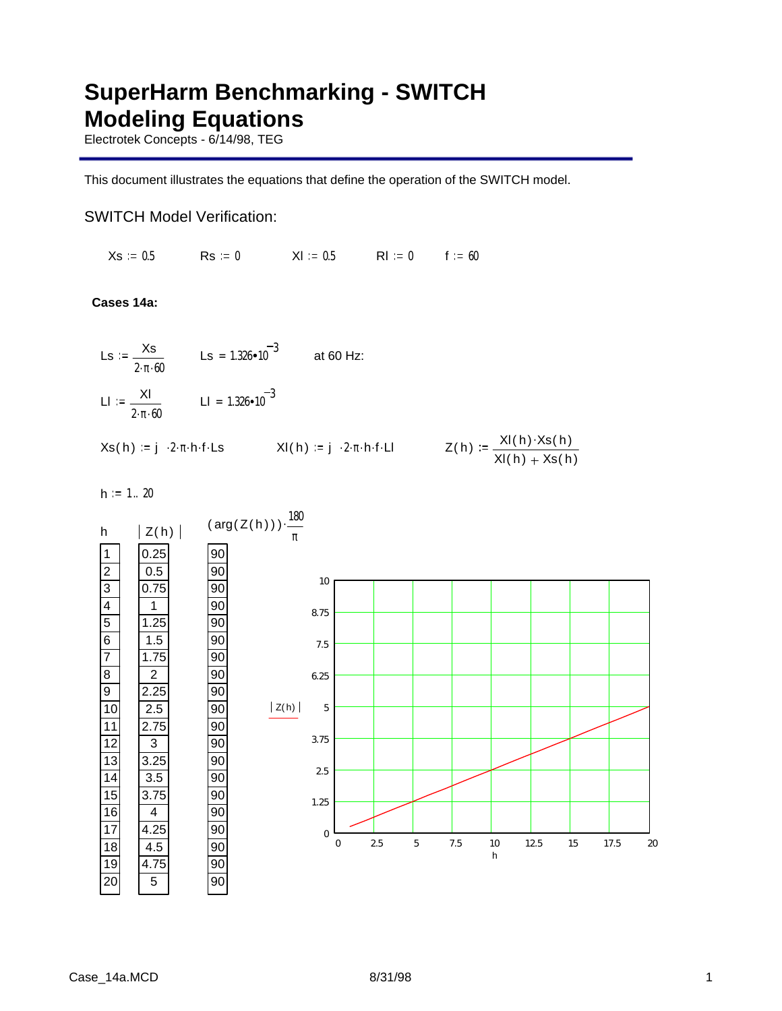# **SuperHarm Benchmarking - SWITCH Modeling Equations**

Electrotek Concepts - 6/14/98, TEG

This document illustrates the equations that define the operation of the SWITCH model.

## SWITCH Model Verification:

 $Xs := 0.5$  Rs := 0  $Xl := 0.5$  Rl := 0 f := 60

**Cases 14a:**

$$
Ls := \frac{Xs}{2 \cdot \pi \cdot 60}
$$
\n
$$
Ls = 1.326 \cdot 10^{-3}
$$
\n
$$
A \cdot 60 \text{ Hz:}
$$
\n
$$
Ll := \frac{Xl}{2 \cdot \pi \cdot 60}
$$
\n
$$
Ll = 1.326 \cdot 10^{-3}
$$
\n
$$
Xs(h) := j \cdot 2 \cdot \pi \cdot h \cdot f \cdot Ls
$$
\n
$$
Xl(h) := j \cdot 2 \cdot \pi \cdot h \cdot f \cdot Ll
$$
\n
$$
Z(h) := \frac{Xl(h) \cdot Xs(h)}{Xl(h) + Xs(h)}
$$

 $h := 1 .. 20$ 

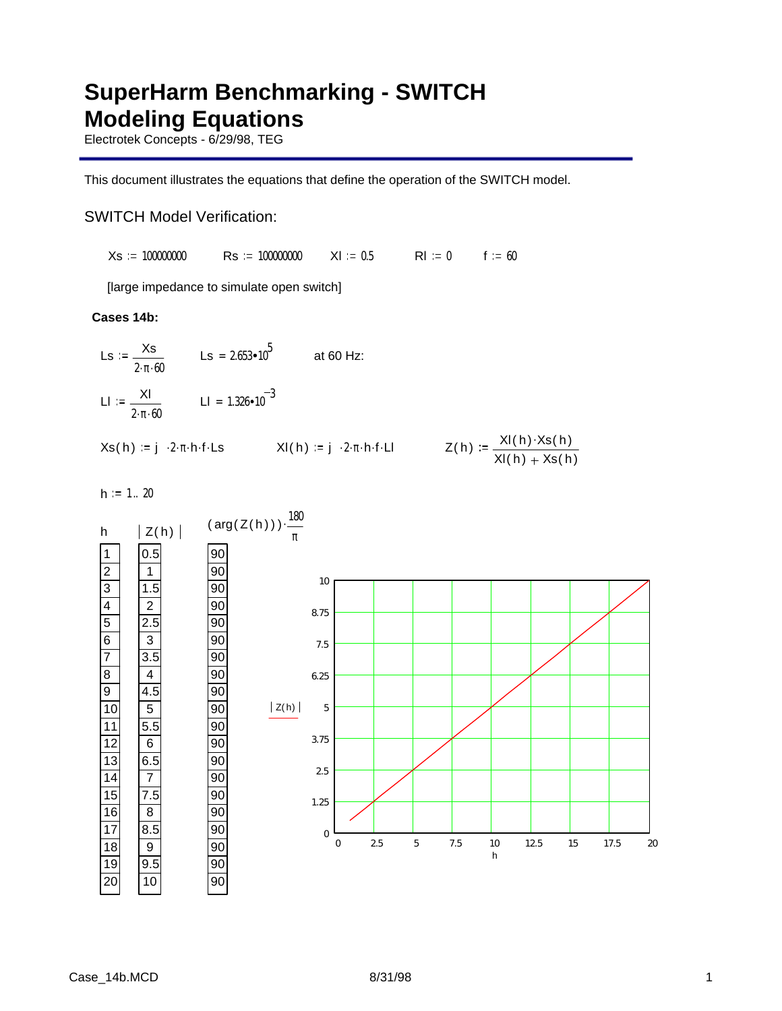# **SuperHarm Benchmarking - SWITCH Modeling Equations**

Electrotek Concepts - 6/29/98, TEG

This document illustrates the equations that define the operation of the SWITCH model.

## SWITCH Model Verification:

 $Xs := 100000000$  Rs = 100000000 XI = 0.5 RI = 0 f = 60

[large impedance to simulate open switch]

### **Cases 14b:**



 $h := 1$ . 20

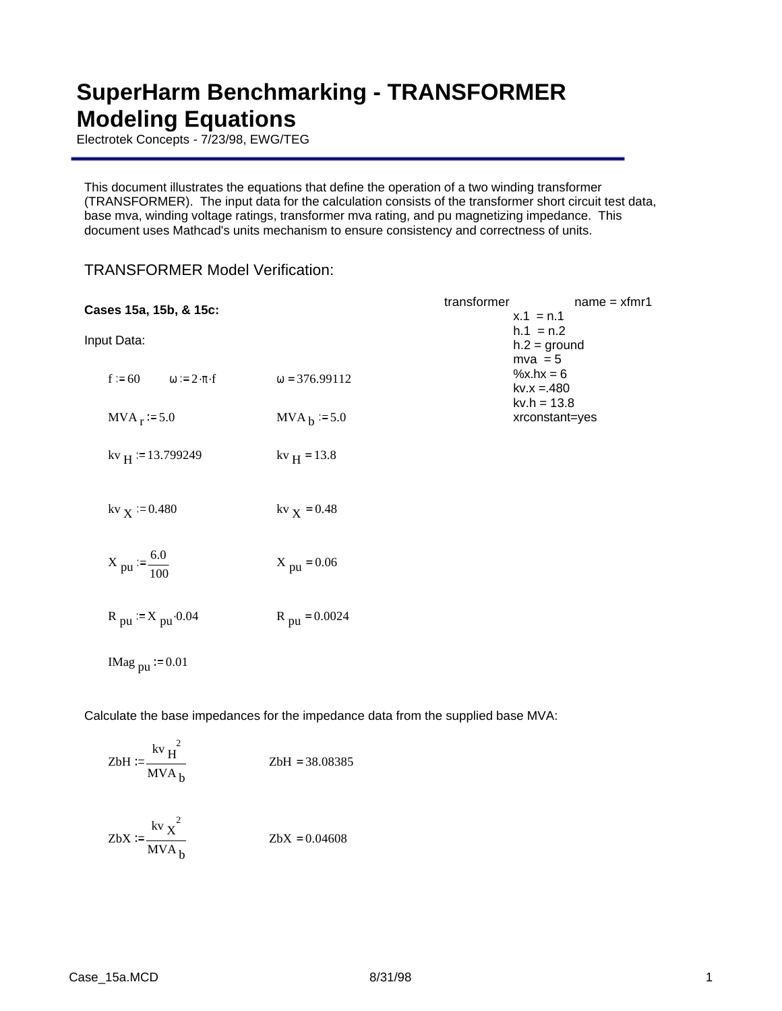## **SuperHarm Benchmarking - TRANSFORMER Modeling Equations**

Electrotek Concepts - 7/23/98, EWG/TEG

This document illustrates the equations that define the operation of a two winding transformer (TRANSFORMER). The input data for the calculation consists of the transformer short circuit test data, base mva, winding voltage ratings, transformer mva rating, and pu magnetizing impedance. This document uses Mathcad's units mechanism to ensure consistency and correctness of units.

| Cases 15a, 15b, & 15c:                     |                          | transformer | $name = xfmr1$<br>$x.1 = n.1$            |
|--------------------------------------------|--------------------------|-------------|------------------------------------------|
| Input Data:                                |                          |             | $h.1 = n.2$<br>$h.2 =$ ground            |
| $f = 60$ $\omega = 2 \cdot \pi \cdot f$    | $\omega = 376.99112$     |             | $mva = 5$<br>$%x.hx = 6$<br>$kv.x = 480$ |
| $MVA_r := 5.0$                             | $MVAb := 5.0$            |             | $kv.h = 13.8$<br>xrconstant=yes          |
| $kv_H$ = 13.799249                         | $kv_{H} = 13.8$          |             |                                          |
| $kv_{X} = 0.480$                           | kv $_X = 0.48$           |             |                                          |
| $X_{\text{pu}} = \frac{6.0}{100}$          | $X_{\text{pu}} = 0.06$   |             |                                          |
| $R_{\text{pu}} = X_{\text{pu}} \cdot 0.04$ | $R_{\text{pu}} = 0.0024$ |             |                                          |
| IMag $_{\text{pu}}$ = 0.01                 |                          |             |                                          |

TRANSFORMER Model Verification:

Calculate the base impedances for the impedance data from the supplied base MVA:

ZbH := 
$$
\frac{kv_H^2}{MVA_b}
$$
  
ZbH = 38.08385  
ZbX :=  $\frac{kv_X^2}{MVA_b}$   
ZbX = 0.04608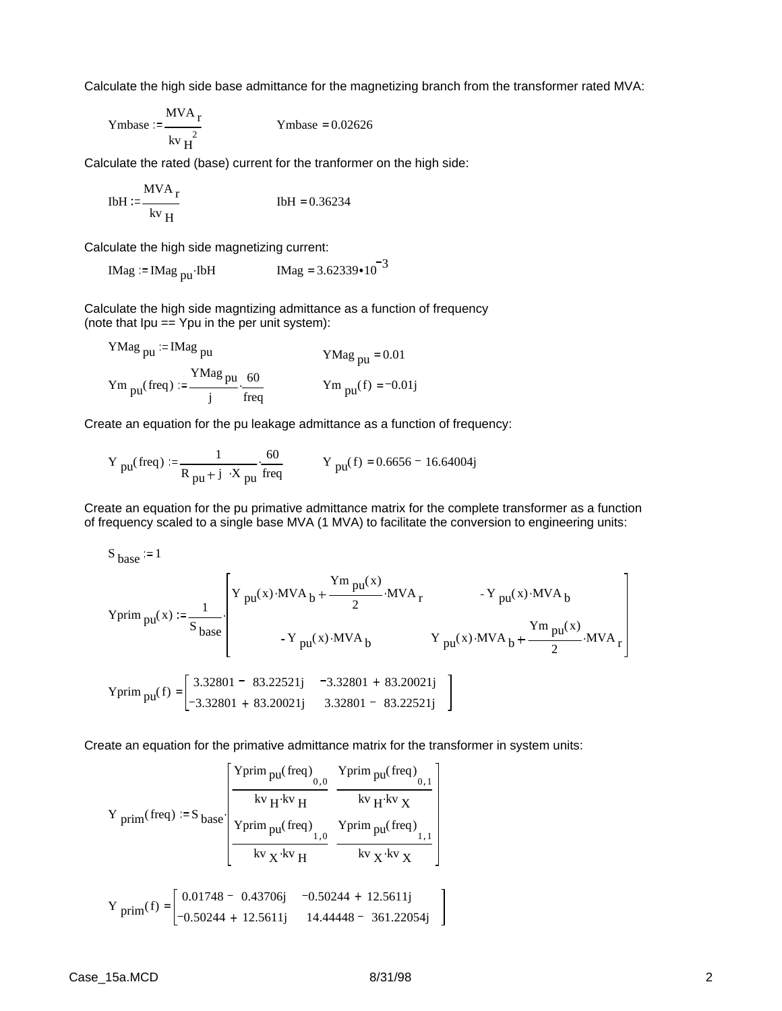Calculate the high side base admittance for the magnetizing branch from the transformer rated MVA:

$$
Ymbase := \frac{MVA_r}{kv_H^2}
$$
 Ymbase = 0.02626

Calculate the rated (base) current for the tranformer on the high side:

$$
IbH := \frac{MVA_r}{kv_H}
$$
1bH = 0.36234

Calculate the high side magnetizing current:

$$
IMag := IMag_{pu}IbH
$$
  $IMag = 3.62339 \cdot 10^{-3}$ 

Calculate the high side magntizing admittance as a function of frequency (note that  $Ipu == Ypu$  in the per unit system):

YMag<sub>pu</sub> := 
$$
IMag_{pu}
$$

\nYMag<sub>pu</sub> = 0.01

\nYm<sub>pu</sub>(freq) :=  $\frac{YMag_{pu}}{j} \cdot \frac{60}{freq}$ 

\nYm<sub>pu</sub>(f) = -0.01j

Create an equation for the pu leakage admittance as a function of frequency:

Y pu(freq) := 
$$
\frac{1}{R_{pu} + j \cdot X_{pu}} \cdot \frac{60}{freq}
$$
  
Y pu(f) = 0.6656 - 16.64004j

Create an equation for the pu primative admittance matrix for the complete transformer as a function of frequency scaled to a single base MVA (1 MVA) to facilitate the conversion to engineering units:

$$
S_{base} := 1
$$
  
\n
$$
Y \text{prim}_{pu}(x) := \frac{1}{S_{base}} \left[ Y_{pu}(x) \cdot MVA_{b} + \frac{Ym_{pu}(x)}{2} \cdot MVA_{r} - Y_{pu}(x) \cdot MVA_{b} + \frac{Ym_{pu}(x)}{2} \cdot MVA_{r} \right]
$$
  
\n
$$
-Y_{pu}(x) \cdot MVA_{b} - Y_{pu}(x) \cdot MVA_{b} + \frac{Ym_{pu}(x)}{2} \cdot MVA_{r} \right]
$$
  
\n
$$
Y \text{prim}_{pu}(f) = \left[ \frac{3.32801 - 83.22521j - 3.32801 + 83.20021j}{-3.32801 - 83.22521j} \right]
$$

Create an equation for the primative admittance matrix for the transformer in system units:

Y prim<sub>1,0</sub> (freq)  
\n
$$
Y = S_{base}
$$
\n
$$
Y = 0.01748 - 0.43706j
$$
\n
$$
Y = 0.50244 + 12.5611j
$$
\n
$$
Y = 0.43706j
$$
\n
$$
Y = 0.50244 + 12.5611j
$$
\n
$$
Y = 0.43706j
$$
\n
$$
Y = 0.50244 + 12.5611j
$$
\n
$$
Y = 0.50244 + 12.5611j
$$
\n
$$
Y = 0.50244 + 12.5611j
$$
\n
$$
Y = 0.50244 + 12.5611j
$$
\n
$$
Y = 0.50244 + 12.5611j
$$
\n
$$
Y = 0.50244 + 12.5611j
$$
\n
$$
Y = 0.50244 + 12.5611j
$$
\n
$$
Y = 0.50244 + 12.5611j
$$

 $\mathbf{r}$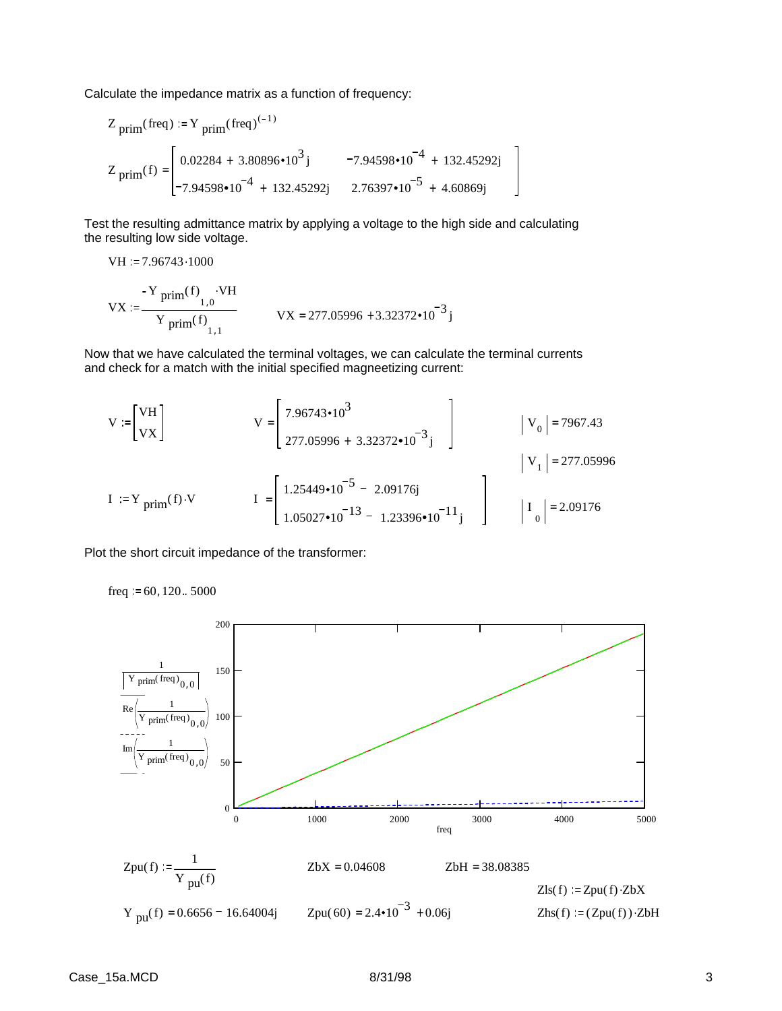Calculate the impedance matrix as a function of frequency:

$$
Z_{\text{prim}}(\text{freq}) := Y_{\text{prim}}(\text{freq})^{(-1)}
$$
  

$$
Z_{\text{prim}}(f) = \begin{bmatrix} 0.02284 + 3.80896 \cdot 10^3 j & -7.94598 \cdot 10^{-4} + 132.45292 j \\ -7.94598 \cdot 10^{-4} + 132.45292 j & 2.76397 \cdot 10^{-5} + 4.60869 j \end{bmatrix}
$$

Test the resulting admittance matrix by applying a voltage to the high side and calculating the resulting low side voltage.

VH := 7.96743.1000  
\n- Y 
$$
\text{prim}(f)
$$
  
\nVX :=  $\frac{Y \text{prim}(f)}{Y \text{prim}(f)}$   
\nVX = 277.05996 + 3.32372•10<sup>-3</sup> j

Now that we have calculated the terminal voltages, we can calculate the terminal currents and check for a match with the initial specified magneetizing current:

$$
V = \begin{bmatrix} VH \\ VX \end{bmatrix} \qquad V = \begin{bmatrix} 7.96743 \cdot 10^3 \\ 277.05996 + 3.32372 \cdot 10^{-3} \end{bmatrix} \qquad |V_0| = 7967.43
$$
  
\n
$$
I = \begin{bmatrix} 1.25449 \cdot 10^{-5} - 2.09176j \\ 1.05027 \cdot 10^{-13} - 1.23396 \cdot 10^{-11} \end{bmatrix} \qquad |V_1| = 277.05996
$$

Plot the short circuit impedance of the transformer:

freq  $:= 60, 120$ .. 5000

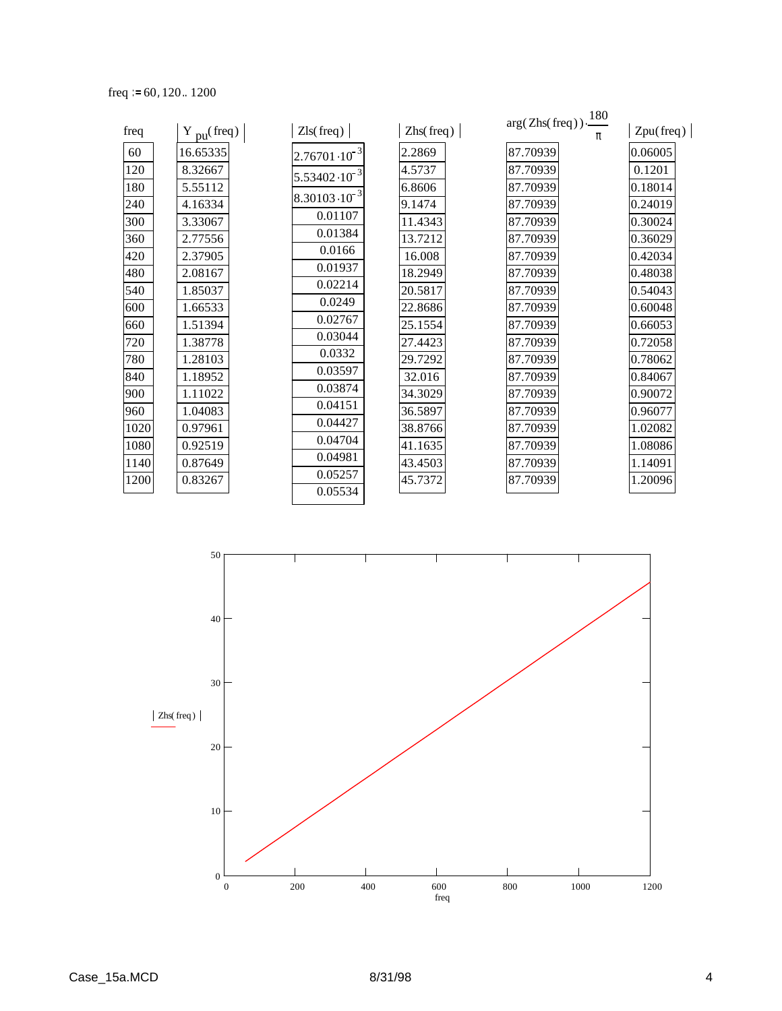freq  $:= 60, 120.. 1200$ 

| freq | $Y_{\text{pu}}(\text{freq})$ | Zls(freq)               | $\text{Zhs}(\text{freq})$ | $arg(Zhs(freq)) \cdot \frac{180}{180}$ | Zpu(freq) |
|------|------------------------------|-------------------------|---------------------------|----------------------------------------|-----------|
| 60   | 16.65335                     | $2.76701 \cdot 10^{-3}$ | 2.2869                    | 87.70939                               | 0.06005   |
| 120  | 8.32667                      | $5.53402 \cdot 10^{-3}$ | 4.5737                    | 87.70939                               | 0.1201    |
| 180  | 5.55112                      |                         | 6.8606                    | 87.70939                               | 0.18014   |
| 240  | 4.16334                      | $8.30103 \cdot 10^{-3}$ | 9.1474                    | 87.70939                               | 0.24019   |
| 300  | 3.33067                      | 0.01107                 | 11.4343                   | 87.70939                               | 0.30024   |
| 360  | 2.77556                      | 0.01384                 | 13.7212                   | 87.70939                               | 0.36029   |
| 420  | 2.37905                      | 0.0166                  | 16.008                    | 87.70939                               | 0.42034   |
| 480  | 2.08167                      | 0.01937                 | 18.2949                   | 87.70939                               | 0.48038   |
| 540  | 1.85037                      | 0.02214                 | 20.5817                   | 87.70939                               | 0.54043   |
| 600  | 1.66533                      | 0.0249                  | 22.8686                   | 87.70939                               | 0.60048   |
| 660  | 1.51394                      | 0.02767                 | 25.1554                   | 87.70939                               | 0.66053   |
| 720  | 1.38778                      | 0.03044                 | 27.4423                   | 87.70939                               | 0.72058   |
| 780  | 1.28103                      | 0.0332                  | 29.7292                   | 87.70939                               | 0.78062   |
| 840  | 1.18952                      | 0.03597                 | 32.016                    | 87.70939                               | 0.84067   |
| 900  | 1.11022                      | 0.03874                 | 34.3029                   | 87.70939                               | 0.90072   |
| 960  | 1.04083                      | 0.04151                 | 36.5897                   | 87.70939                               | 0.96077   |
| 1020 | 0.97961                      | 0.04427                 | 38.8766                   | 87.70939                               | 1.02082   |
| 1080 | 0.92519                      | 0.04704                 | 41.1635                   | 87.70939                               | 1.08086   |
| 1140 | 0.87649                      | 0.04981                 | 43.4503                   | 87.70939                               | 1.14091   |
| 1200 | 0.83267                      | 0.05257                 | 45.7372                   | 87.70939                               | 1.20096   |
|      |                              | 0.05534                 |                           |                                        |           |

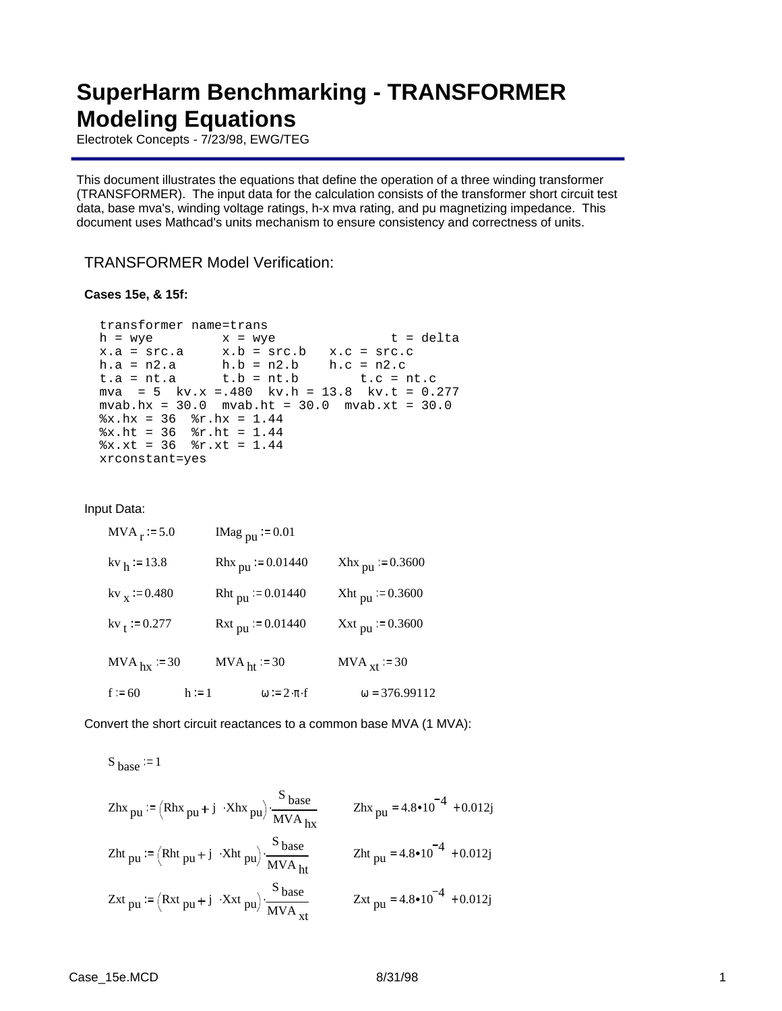## **SuperHarm Benchmarking - TRANSFORMER Modeling Equations**

Electrotek Concepts - 7/23/98, EWG/TEG

This document illustrates the equations that define the operation of a three winding transformer (TRANSFORMER). The input data for the calculation consists of the transformer short circuit test data, base mva's, winding voltage ratings, h-x mva rating, and pu magnetizing impedance. This document uses Mathcad's units mechanism to ensure consistency and correctness of units.

### TRANSFORMER Model Verification:

#### **Cases 15e, & 15f:**

```
transformer name=trans
h = wye x = wye t = deltax.a = src.a x.b = src.b x.c = src.ch.a = n2.a h.b = n2.b h.c = n2.c 
t.a = nt.a t.b = nt.b t.c = nt.cmva = 5 kv.x =.480 kv.h = 13.8 kv.t = 0.277mvab.hx = 30.0 mvab.ht = 30.0 mvab.xt = 30.0
x.hx = 36 r.hx = 1.44x.ht = 36 r.ht = 1.44x.xt = 36 r.xt = 1.44xrconstant=yes
```
Input Data:

| $MVA_r := 5.0$            | IMag $_{\text{pu}}$ = 0.01      |                             |
|---------------------------|---------------------------------|-----------------------------|
| $kv_{h}$ = 13.8           | Rhx $_{\text{pu}}$ = 0.01440    | $Xhx_{\text{pu}} := 0.3600$ |
| $kv_x := 0.480$           | Rht $_{\text{pu}}$ = 0.01440    | Xht pu = $0.3600$           |
| $kv_t := 0.277$           | $Rxt_{\text{pu}} = 0.01440$     | Xxt pu = $0.3600$           |
| $MVA$ <sub>hx</sub> := 30 | $MVAht = 30$                    | $MVA_{xt}$ = 30             |
| $f = 60$<br>$h := 1$      | $\omega := 2 \cdot \pi \cdot f$ | $\omega = 376.99112$        |

Convert the short circuit reactances to a common base MVA (1 MVA):

S base := 1  
\nZhx<sub>pu</sub> := (Rhx<sub>pu</sub> + j ·Xhx<sub>pu</sub>) · 
$$
\frac{S_{base}}{MVA_{hx}}
$$
  
\nZht<sub>pu</sub> := (Rht<sub>pu</sub> + j ·Xht<sub>pu</sub>) ·  $\frac{S_{base}}{MVA_{ht}}$   
\nZht<sub>pu</sub> = 4.8•10<sup>-4</sup> + 0.012j  
\nZxt<sub>pu</sub> := (Rxt<sub>pu</sub> + j ·Xxt<sub>pu</sub>) ·  $\frac{S_{base}}{MVA_{xt}}$   
\nZxt<sub>pu</sub> = 4.8•10<sup>-4</sup> + 0.012j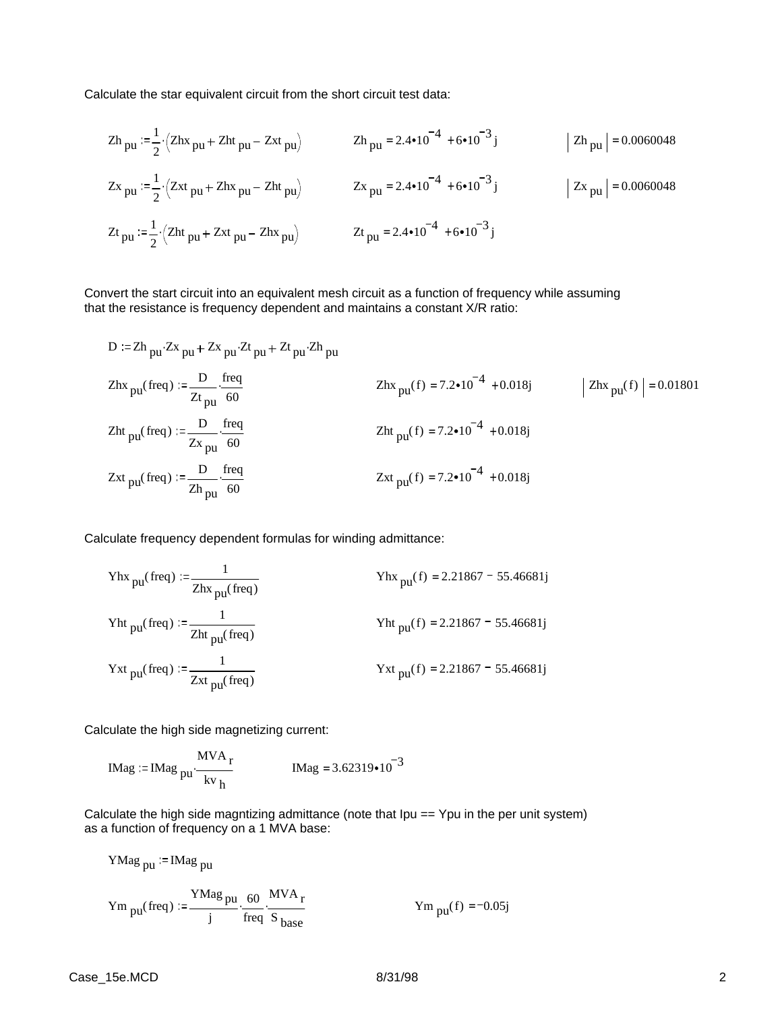Calculate the star equivalent circuit from the short circuit test data:

$$
Zh_{pu} := \frac{1}{2} \cdot (Zhx_{pu} + Zht_{pu} - Zxt_{pu})
$$
\n
$$
Zh_{pu} = 2.4 \cdot 10^{-4} + 6 \cdot 10^{-3} j
$$
\n
$$
Zh_{pu} = 0.0060048
$$
\n
$$
Zx_{pu} := \frac{1}{2} \cdot (Zxt_{pu} + Zhx_{pu} - Zht_{pu})
$$
\n
$$
Zx_{pu} = 2.4 \cdot 10^{-4} + 6 \cdot 10^{-3} j
$$
\n
$$
Zt_{pu} := \frac{1}{2} \cdot (Zht_{pu} + Zxt_{pu} - Zhx_{pu})
$$
\n
$$
Zt_{pu} = 2.4 \cdot 10^{-4} + 6 \cdot 10^{-3} j
$$
\n
$$
Zt_{pu} = 2.4 \cdot 10^{-4} + 6 \cdot 10^{-3} j
$$
\n
$$
Zt_{pu} = 2.4 \cdot 10^{-4} + 6 \cdot 10^{-3} j
$$

Convert the start circuit into an equivalent mesh circuit as a function of frequency while assuming that the resistance is frequency dependent and maintains a constant X/R ratio:

D := Zh<sub>pu</sub>: 
$$
Zx_{pu} + Zx_{pu}Zt_{pu} + Zt_{pu}Zh_{pu}
$$
  
\n $Zhx_{pu} (freq) := \frac{D}{Zt_{pu}} \cdot \frac{freq}{60}$   
\n $Zht_{pu} (freq) := \frac{D}{Zx_{pu}} \cdot \frac{freq}{60}$   
\n $Zht_{pu} (freq) := \frac{D}{Zx_{pu}} \cdot \frac{freq}{60}$   
\n $Zht_{pu} (f) = 7.2 \cdot 10^{-4} + 0.018j$   
\n $Zht_{pu} (f) = 7.2 \cdot 10^{-4} + 0.018j$   
\n $Zxt_{pu} (freq) := \frac{D}{Zh_{pu}} \cdot \frac{freq}{60}$   
\n $Zxt_{pu} (f) = 7.2 \cdot 10^{-4} + 0.018j$ 

Calculate frequency dependent formulas for winding admittance:

\n
$$
\text{Yhx}_{\text{pu}}(\text{freq}) := \frac{1}{\text{Zhx}_{\text{pu}}(\text{freq})}
$$
\n

\n\n $\text{Yhx}_{\text{pu}}(f) = 2.21867 - 55.46681j$ \n

\n\n $\text{Yht}_{\text{pu}}(\text{freq}) := \frac{1}{\text{Zht}_{\text{pu}}(\text{freq})}$ \n

\n\n $\text{Yht}_{\text{pu}}(f) = 2.21867 - 55.46681j$ \n

\n\n $\text{Yxt}_{\text{pu}}(\text{freq}) := \frac{1}{\text{Zxt}_{\text{pu}}(\text{freq})}$ \n

\n\n $\text{Yxt}_{\text{pu}}(f) = 2.21867 - 55.46681j$ \n

Calculate the high side magnetizing current:

$$
IMag := IMag_{pu} \cdot \frac{MVA_r}{kv_h}
$$
 
$$
IMag = 3.62319 \cdot 10^{-3}
$$

Calculate the high side magntizing admittance (note that Ipu == Ypu in the per unit system) as a function of frequency on a 1 MVA base:

YMag<sub>pu</sub> := IMag<sub>pu</sub>

\nYm<sub>pu</sub>(freq) := 
$$
\frac{YMag_{pu}}{j} \cdot \frac{60}{freq} \cdot \frac{MVA_r}{S_{base}}
$$

\nYm<sub>pu</sub>(f) = -0.05j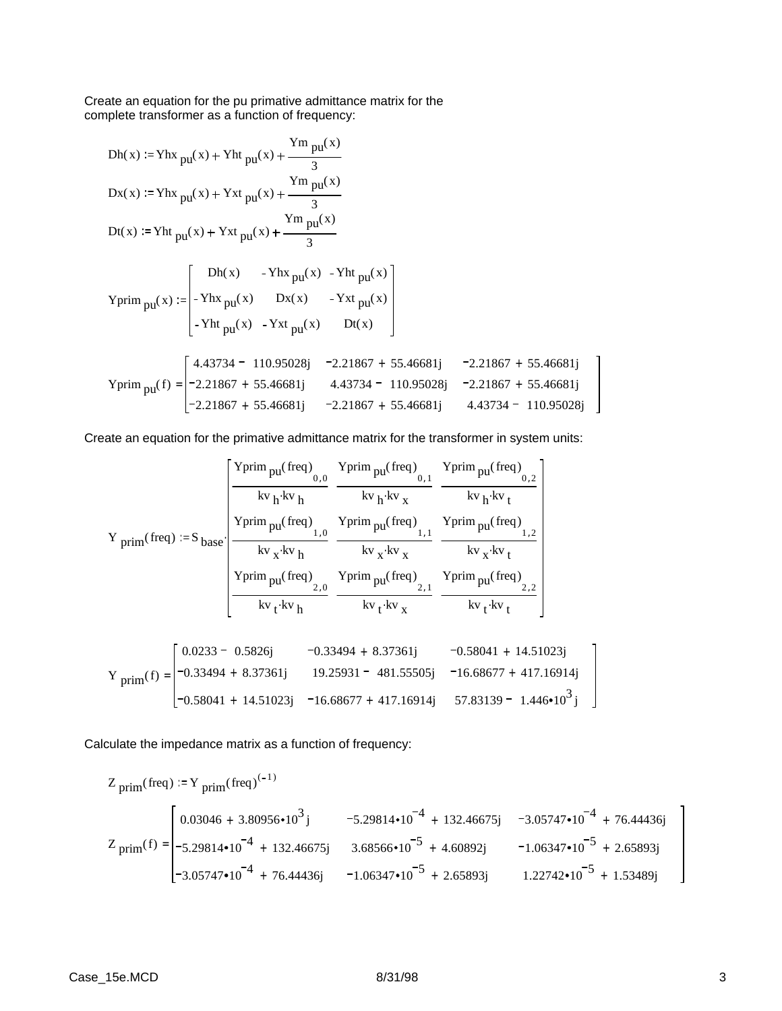Create an equation for the pu primative admittance matrix for the complete transformer as a function of frequency:

\n
$$
Dh(x) := Yhx_{pu}(x) + Yht_{pu}(x) + \frac{Ym_{pu}(x)}{3}
$$
\n

\n\n
$$
Dx(x) := Yhx_{pu}(x) + Yxt_{pu}(x) + \frac{Ym_{pu}(x)}{3}
$$
\n

\n\n
$$
Dt(x) := Yht_{pu}(x) + Yxt_{pu}(x) + \frac{Ym_{pu}(x)}{3}
$$
\n

\n\n
$$
Yprim_{pu}(x) :=\n \begin{bmatrix}\n Dh(x) - Yhx_{pu}(x) - Yht_{pu}(x) \\
 - Yhx_{pu}(x) - Yxt_{pu}(x) \\
 - Yht_{pu}(x) - Yxt_{pu}(x)\n \end{bmatrix}
$$
\n

\n\n
$$
Yprim_{pu}(f) =\n \begin{bmatrix}\n 4.43734 - 110.95028j & -2.21867 + 55.46681j & -2.21867 + 55.46681j \\
 -2.21867 + 55.46681j & 4.43734 - 110.95028j & -2.21867 + 55.46681j \\
 -2.21867 + 55.46681j & -2.21867 + 55.46681j & 4.43734 - 110.95028j\n \end{bmatrix}
$$
\n

Create an equation for the primative admittance matrix for the transformer in system units:

$$
Y_{prim}(freq) := S_{base} \cdot \begin{bmatrix} \frac{Yprim_{pu}(freq)}{kv_h \cdot kv_h} & \frac{Yprim_{pu}(freq)}{kv_h \cdot kv_x} & \frac{Yprim_{pu}(freq)}{kv_h \cdot kv_t} \\ \frac{Yprim_{pu}(freq)}{kv_h \cdot kv_h} & \frac{Yprim_{pu}(freq)}{kv_x \cdot kv_x} & \frac{Yprim_{pu}(freq)}{kv_x \cdot kv_t} \\ \frac{Yprim_{pu}(freq)}{kv_t \cdot kv_h} & \frac{Yprim_{pu}(freq)}{kv_t \cdot kv_x} & \frac{Yprim_{pu}(freq)}{kv_t \cdot kv_x} \\ \frac{Yprim_{pu}(freq)}{kv_t \cdot kv_h} & \frac{Yprim_{pu}(freq)}{kv_t \cdot kv_x} & \frac{Yprim_{pu}(freq)}{kv_t \cdot kv_t} \end{bmatrix}
$$

$$
Y_{\text{prim}}(f) = \begin{bmatrix} 0.0233 - 0.5826j & -0.33494 + 8.37361j & -0.58041 + 14.51023j \\ -0.33494 + 8.37361j & 19.25931 - 481.55505j & -16.68677 + 417.16914j \\ -0.58041 + 14.51023j & -16.68677 + 417.16914j & 57.83139 - 1.446 \cdot 10^3 j \end{bmatrix}
$$

Calculate the impedance matrix as a function of frequency:

$$
Z_{\text{prim}}(\text{freq}) := Y_{\text{prim}}(\text{freq})^{(-1)}
$$
\n
$$
Z_{\text{prim}}(f) = \begin{bmatrix} 0.03046 + 3.80956 \cdot 10^{3} \text{ j} & -5.29814 \cdot 10^{-4} + 132.46675 \text{ j} & -3.05747 \cdot 10^{-4} + 76.44436 \text{ j} \\ -5.29814 \cdot 10^{-4} + 132.46675 \text{ j} & 3.68566 \cdot 10^{-5} + 4.60892 \text{ j} & -1.06347 \cdot 10^{-5} + 2.65893 \text{ j} \\ -3.05747 \cdot 10^{-4} + 76.44436 \text{ j} & -1.06347 \cdot 10^{-5} + 2.65893 \text{ j} & 1.22742 \cdot 10^{-5} + 1.53489 \text{ j} \end{bmatrix}
$$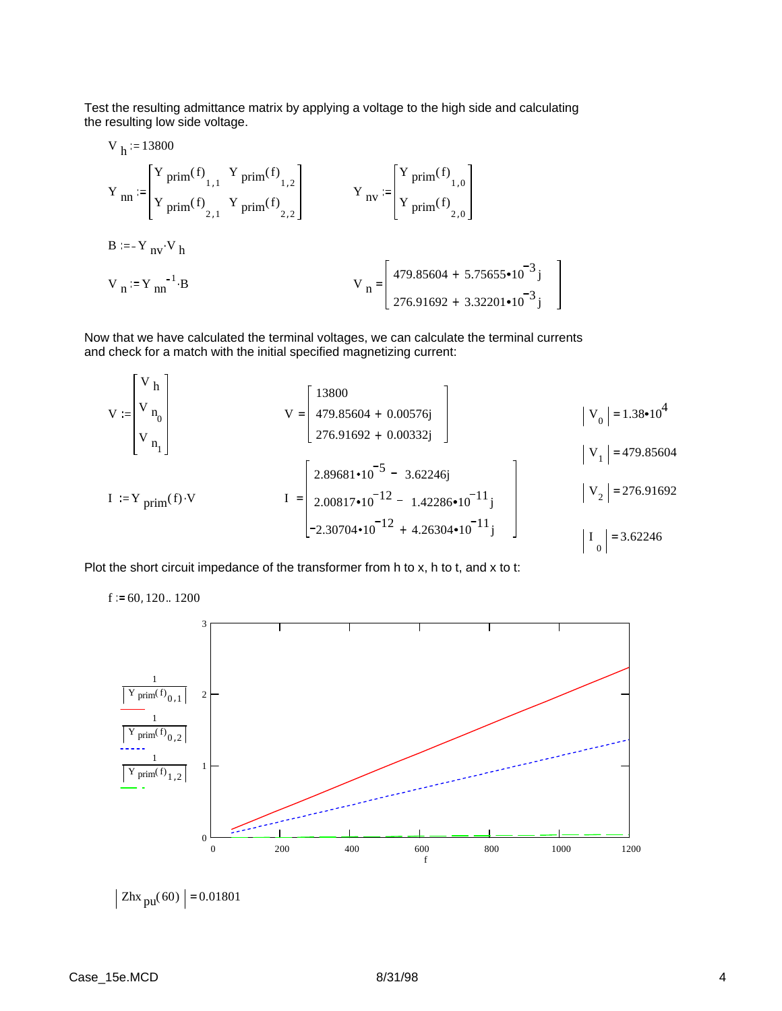Test the resulting admittance matrix by applying a voltage to the high side and calculating the resulting low side voltage.

V<sub>h</sub> := 13800  
\nY<sub>nn</sub> := 
$$
\begin{bmatrix} Y \text{ prim}(f) \\ Y \text{ prim}(f) \\ Y \text{ prim}(f) \end{bmatrix}
$$
  
\nY<sub>nn</sub> =  $\begin{bmatrix} Y \text{ prim}(f) \\ Y \text{ prim}(f) \\ Y \text{ prim}(f) \end{bmatrix}$   
\nB = -Y<sub>nv</sub> V<sub>h</sub>  
\nV<sub>n</sub> := Y<sub>nn</sub><sup>-1</sup> B  
\nY<sub>n</sub> =  $\begin{bmatrix} 479.85604 + 5.75655 \cdot 10^{-3} \text{ j} \\ 276.91692 + 3.32201 \cdot 10^{-3} \text{ j} \end{bmatrix}$ 

Now that we have calculated the terminal voltages, we can calculate the terminal currents and check for a match with the initial specified magnetizing current:

$$
V := \begin{bmatrix} V h \\ V_{n_0} \\ V_{n_1} \end{bmatrix} \qquad V = \begin{bmatrix} 13800 \\ 479.85604 + 0.00576j \\ 276.91692 + 0.00332j \end{bmatrix} \qquad |V_0| = 1.38 \cdot 10^4
$$
  
\n
$$
I := Y_{\text{prim}}(f) \cdot V \qquad I = \begin{bmatrix} 2.89681 \cdot 10^{-5} - 3.62246j \\ 2.00817 \cdot 10^{-12} - 1.42286 \cdot 10^{-11}j \\ -2.30704 \cdot 10^{-12} + 4.26304 \cdot 10^{-11}j \end{bmatrix} \qquad |V_2| = 276.91692
$$
  
\n
$$
I_0 = 3.62246
$$

Plot the short circuit impedance of the transformer from h to x, h to t, and x to t:

1  $Y$  prim<sup>(f)</sup><sub>0,1</sub> 1  $Y$  prim<sup>(f)</sup> $_{0,2}$ 1  $Y$  prim<sup>(f)</sup> $1, 2$ f 0 200 400 600 800 1000 1200 0 1 2 3

$$
f_{\rm{max}}
$$

 $|Zhx_{\text{pu}}(60)| = 0.01801$ 

 $f = 60, 120..1200$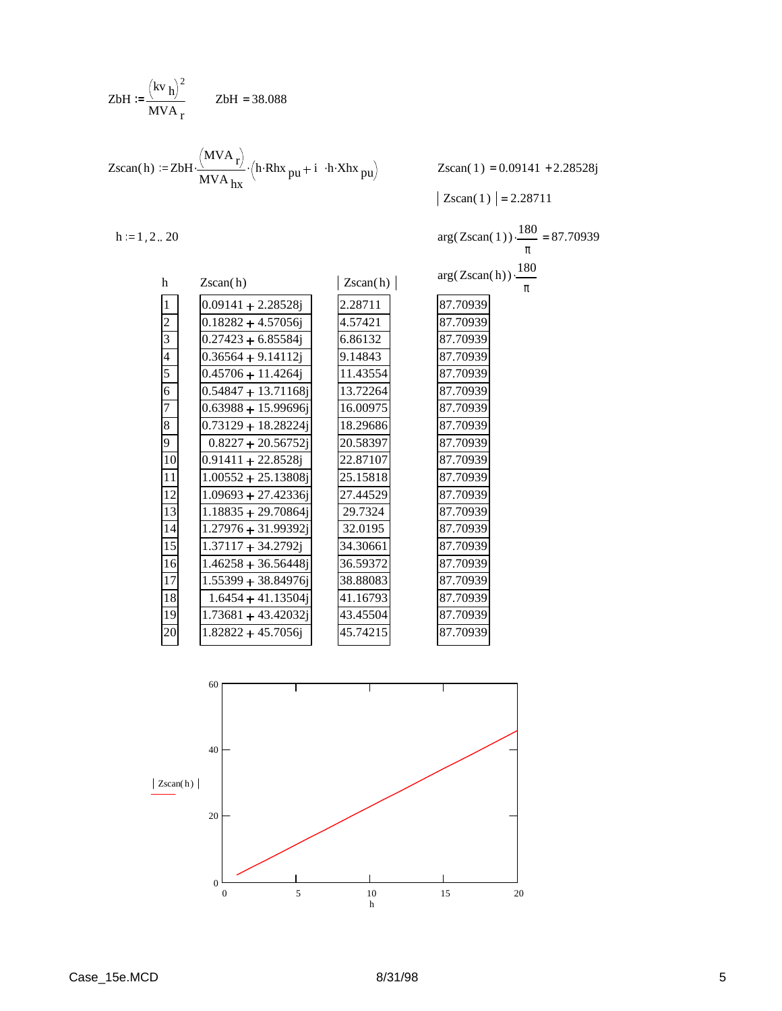ZbH := 
$$
\frac{(\text{kv h})^2}{\text{MVA}_r}
$$
 ZbH = 38.088

$$
Zscan(h) := ZbH \cdot \frac{(MVA_r)}{MVA_{hx}} \cdot (h \cdot Rhx_{pu} + i \cdot h \cdot Xhx_{pu})
$$

 $Zscan(1) = 0.09141 + 2.28528j$ 

180 π

 $\frac{100}{2}$  = 87.70939

 $|Zscan( 1) | = 2.28711$ 

 $h := 1, 2... 20$ 

|          |          | 1 O U                                                                           |
|----------|----------|---------------------------------------------------------------------------------|
|          |          | π                                                                               |
|          |          |                                                                                 |
|          |          | π                                                                               |
| 2.28711  | 87.70939 |                                                                                 |
| 4.57421  | 87.70939 |                                                                                 |
| 6.86132  | 87.70939 |                                                                                 |
| 9.14843  | 87.70939 |                                                                                 |
| 11.43554 | 87.70939 |                                                                                 |
| 13.72264 | 87.70939 |                                                                                 |
| 16.00975 | 87.70939 |                                                                                 |
| 18.29686 | 87.70939 |                                                                                 |
| 20.58397 | 87.70939 |                                                                                 |
| 22.87107 | 87.70939 |                                                                                 |
| 25.15818 | 87.70939 |                                                                                 |
| 27.44529 | 87.70939 |                                                                                 |
| 29.7324  | 87.70939 |                                                                                 |
| 32.0195  | 87.70939 |                                                                                 |
| 34.30661 | 87.70939 |                                                                                 |
| 36.59372 | 87.70939 |                                                                                 |
| 38.88083 | 87.70939 |                                                                                 |
| 41.16793 | 87.70939 |                                                                                 |
| 43.45504 | 87.70939 |                                                                                 |
| 45.74215 | 87.70939 |                                                                                 |
|          |          | $arg(Zscan(1))$ .<br>$arg(Zscan(h)) \cdot \frac{180}{180}$<br>$\text{Zscan}(h)$ |

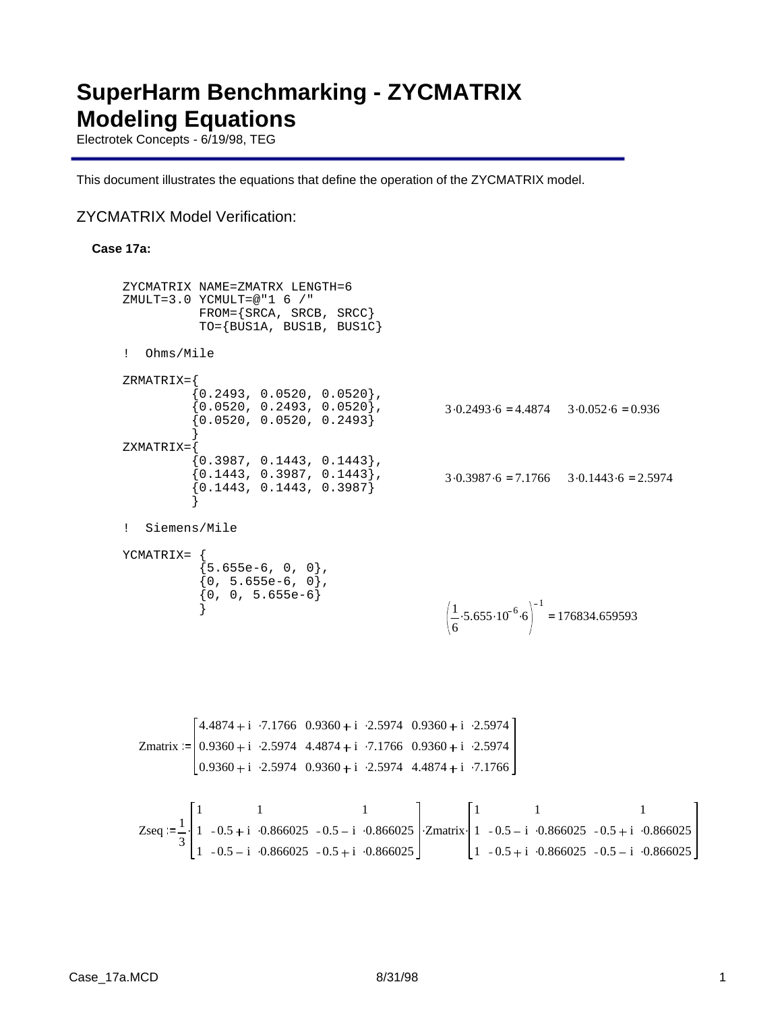# **SuperHarm Benchmarking - ZYCMATRIX Modeling Equations**

Electrotek Concepts - 6/19/98, TEG

This document illustrates the equations that define the operation of the ZYCMATRIX model.

### ZYCMATRIX Model Verification:

### **Case 17a:**

```
ZYCMATRIX NAME=ZMATRX LENGTH=6 
ZMULT=3.0 YCMULT=@"1 6 /*" FROM={SRCA, SRCB, SRCC}
             TO={BUS1A, BUS1B, BUS1C}
! Ohms/Mile
ZRMATRIX={
            0.2493, 0.0520, 0.0520,
            \{0.0520, 0.2493, 0.0520\}, {0.0520, 0.0520, 0.2493}
 }
ZXMATRIX={
            {0.3987, 0.1443, 0.1443} {0.1443, 0.3987, 0.1443},
             {0.1443, 0.1443, 0.3987}
 }
! Siemens/Mile
YCMATRIX= {
             {5.655e-6, 0, 0}\{0, 5.655e-6, 0\}\{0, 0, 5.655e-6\} }
                                                      3.0.2493.6 = 4.4874 3.0.052.6 = 0.9363.0.3987.6 = 7.1766 3.0.1443.6 = 2.59741
                                                        6
                                                          -5.655 \cdot 10^{-6} \cdot 61
                                                                         = 176834.659593
  Zmatrix = |0.9360 + i \cdot 2.5974 \cdot 4.4874 + i \cdot 7.1766 \cdot 0.9360 + i \cdot 2.59744.4874 + i 7.1766 0.9360 + i 2.5974 0.9360 + i 2.59740.9360 + i 0.9360 + i 0.25974 4.4874 + i 0.71766Zseq =\frac{1}{2}3
            1
            1
            1
                       1
                0.5 + i \cdot 0.8660250.5 - i \cdot 0.8660251
                                  0.5 - i \cdot 0.8660250.5 + i \cdot 0.866025\cdot 1 - 0.5 + i \cdot0.866025 - 0.5 - i \cdot0.866025 \cdotZmatrix
                                                            1
                                                            1
                                                            1
                                                                      1
                                                                0.5 - i \cdot 0.8660250.5 + i \cdot 0.8660251
                                                                                  0.5 + i \cdot 0.8660250.5 - i \cdot 0.866025.
```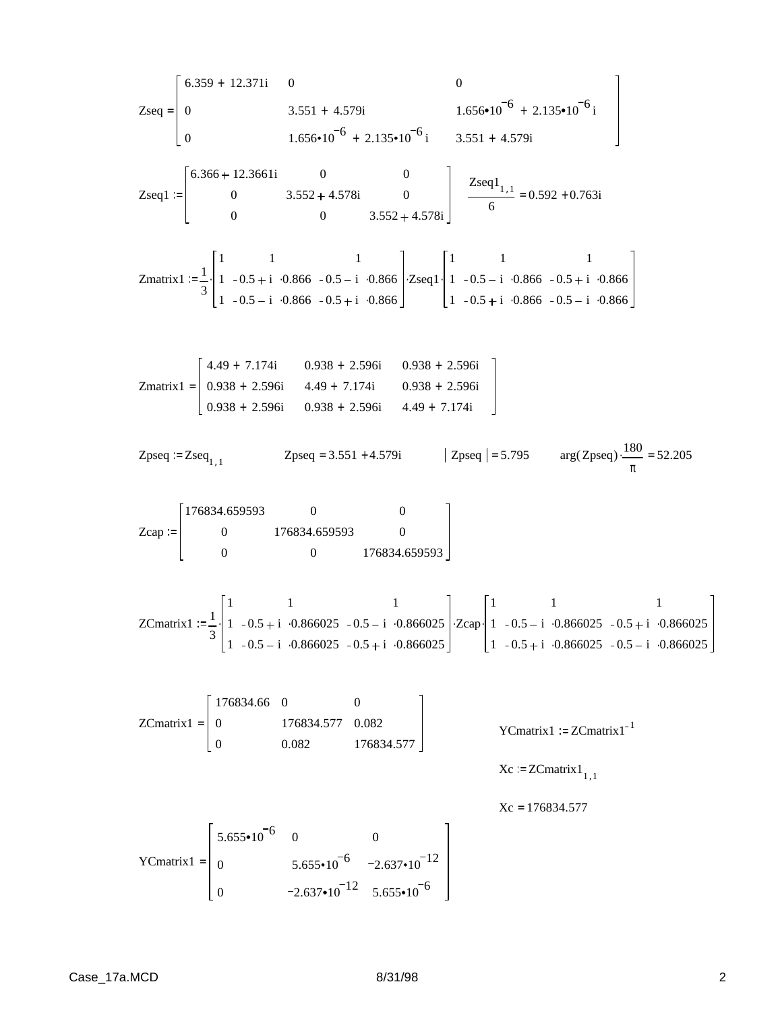Zseq = 
$$
\begin{bmatrix}\n6.359 + 12.371i & 0 & 0 \\
0 & 3.551 + 4.579i & 1.656 + 10^{-6} + 2.135 \cdot 10^{-6}i \\
0 & 1.656 + 10^{-6} + 2.135 \cdot 10^{-6}i & 3.551 + 4.579i\n\end{bmatrix}
$$
\nZseq1 := 
$$
\begin{bmatrix}\n6.366 + 12.3661i & 0 & 0 \\
0 & 3.552 + 4.578i & 0 \\
0 & 0 & 3.552 + 4.578i\n\end{bmatrix}
$$
\nZseq1<sub>1,1</sub> = 0.592 + 0.763i\nZnatrix: = 
$$
\frac{1}{3} \begin{bmatrix}\n1 & 1 & 1 \\
1 & -0.5 + i & 0.866 - 0.5 + i & 0.866 \\
1 & -0.5 - i & 0.866 - 0.5 + i & 0.866\n\end{bmatrix}
$$
\nZnmatrix: = 
$$
\begin{bmatrix}\n1 & 1 & 1 \\
0 & -0.5 - i & 0.866 - 0.5 + i & 0.866\n\end{bmatrix}
$$
\nZnatrix: = 0.592 + 0.763i\nZnatrix: = 
$$
\frac{1}{3} \begin{bmatrix}\n1 & 1 & 1 \\
0.938 + 2.596i & 0.938 + 2.596i \\
0.938 + 2.596i & 4.49 + 7.174i & 0.938 + 2.596i \\
0.938 + 2.596i & 4.49 + 7.174i & 0.938 + 2.596i\n\end{bmatrix}
$$
\nZnatrix: = 
$$
\begin{bmatrix}\n176834.659593 & 0 & 0 \\
0 & 176834.659593 & 0 \\
0 & 0 & 176834.659593\n\end{bmatrix}
$$
\nZcap: = 
$$
\begin{bmatrix}\n1 & 1 & 1 \\
1 & -0.5 + i & 0.866025 \\
1 & -0.5 + i & 0.866025\n\end{bmatrix}
$$
\nZnmatrix: = 
$$
\begin{
$$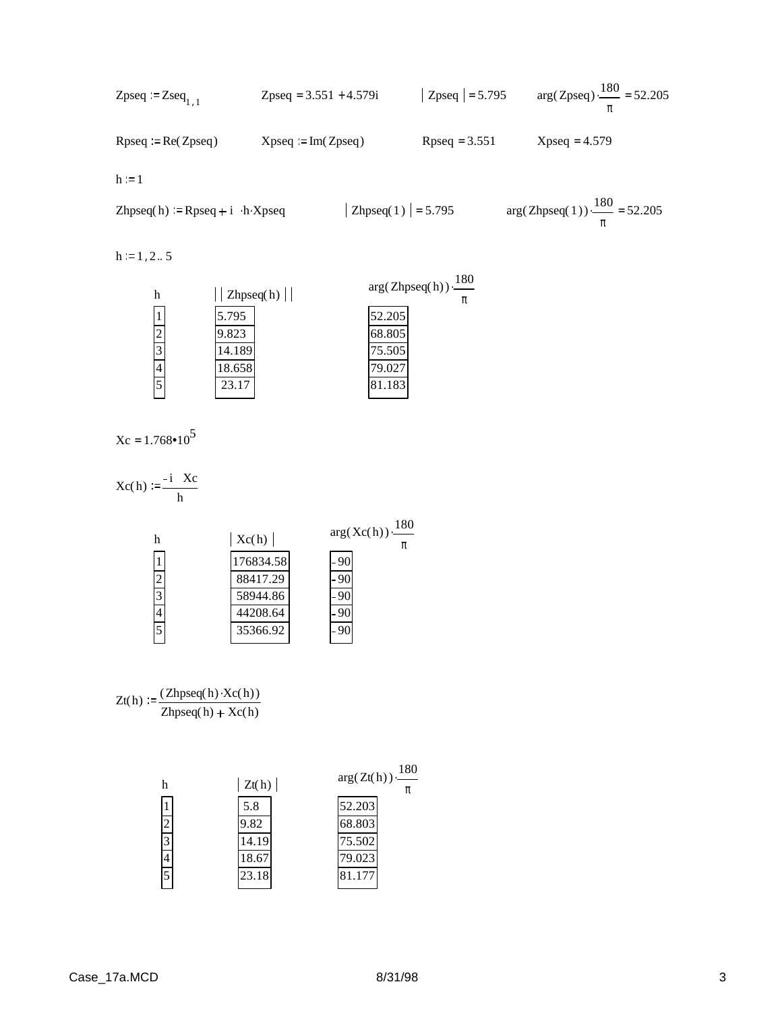Zpseq := Zseq<sub>1,1</sub>   
Zpseq = 3.551 + 4.579i   
 Rpseq = 5.795   
 arg(Zpseq) \t\t\t 
$$
\frac{180}{\pi}
$$
 = 52.205   
 Rpseq := Re(Zpseq)   
 Xpseq = Im(Zpseq)   
 Rpseq = 3.551   
 Xpseq = 4.579   
 Xpseq = 4.579

 $h := 1$ 

$$
Zhpseq(h) := Rpseq + i \cdot h \cdot Xpseq \qquad | \quad Zhpseq(1) | = 5.795 \qquad arg(Zhpseq(1)) \cdot \frac{180}{\pi} = 52.205
$$

 $h := 1, 2... 5$ 

| h      |       | $\vert$ Zhpseq(h) $\vert$ | $arg(Zhpseq(h)) \cdot \frac{180}{150}$<br>π |
|--------|-------|---------------------------|---------------------------------------------|
|        | 5.795 | 52.205                    |                                             |
| C<br>∠ | 9.823 | 68.805                    |                                             |
| 3      | 4.189 | 75.505                    |                                             |
| 4      | 8.658 | 79.02                     |                                             |
| 5      | 23.17 | 81.183                    |                                             |

 $Xc = 1.768 \cdot 10^5$ 

$$
Xc(h) := \frac{-i Xc}{h}
$$
  
\nh  
\n
$$
\frac{1}{2}
$$
\n176834.58  
\n88417.29  
\n58944.86  
\n44208.64  
\n35366.92  
\n176834.58  
\n-90  
\n-90  
\n-90  
\n-90  
\n-90  
\n-90  
\n-90  
\n-90  
\n-90  
\n-90  
\n-90  
\n-90  
\n-90

$$
Zt(h) := \frac{(Zhpseq(h) \cdot Xc(h))}{Zhpseq(h) + Xc(h)}
$$

| h              | Zt(h) | $arg(Zt(h))\cdot \frac{180}{h}$ |
|----------------|-------|---------------------------------|
| 1              | 5.8   | 52.203                          |
| $\overline{c}$ | 9.82  | 68.803                          |
| 3              | 14.19 | 75.502                          |
| 4              | 18.67 | 79.023                          |
| 5              | 23.18 | 81.171                          |